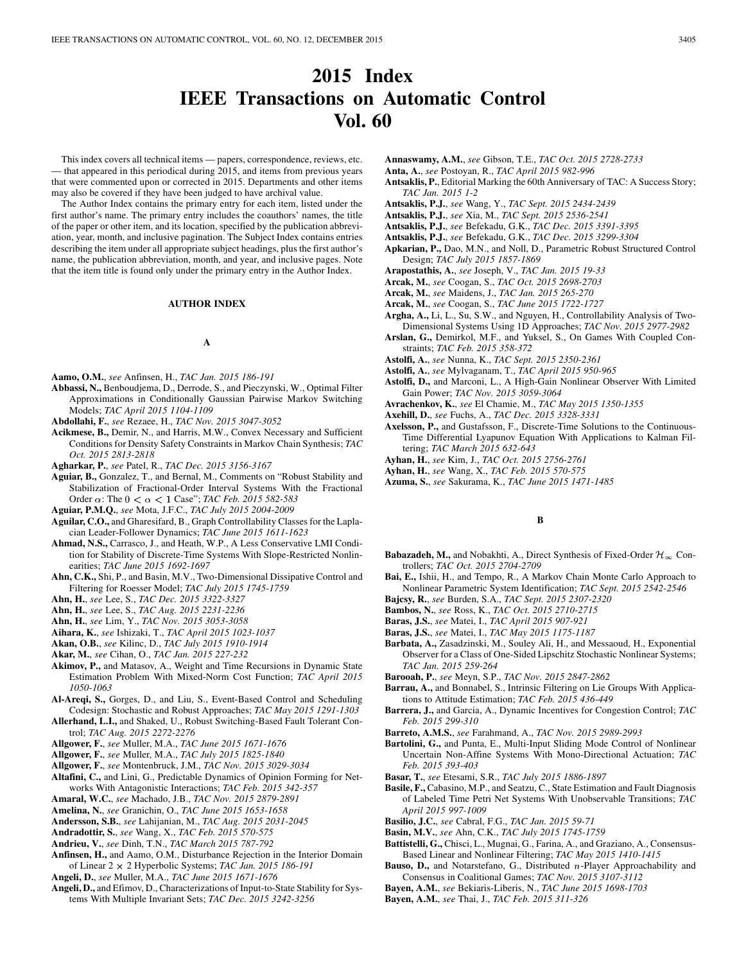# **2015 Index IEEE Transactions on Automatic Control Vol. 60**

This index covers all technical items — papers, correspondence, reviews, etc. — that appeared in this periodical during 2015, and items from previous years that were commented upon or corrected in 2015. Departments and other items may also be covered if they have been judged to have archival value.

The Author Index contains the primary entry for each item, listed under the first author's name. The primary entry includes the coauthors' names, the title of the paper or other item, and its location, specified by the publication abbreviation, year, month, and inclusive pagination. The Subject Index contains entries describing the item under all appropriate subject headings, plus the first author's name, the publication abbreviation, month, and year, and inclusive pages. Note that the item title is found only under the primary entry in the Author Index.

#### **AUTHOR INDEX**

# **A**

- **Aamo, O.M.**, *see* Anfinsen, H., *TAC Jan. 2015 186-191*
- **Abbassi, N.,** Benboudjema, D., Derrode, S., and Pieczynski, W., Optimal Filter Approximations in Conditionally Gaussian Pairwise Markov Switching Models; *TAC April 2015 1104-1109*
- **Abdollahi, F.**, *see* Rezaee, H., *TAC Nov. 2015 3047-3052*
- **Acikmese, B.,** Demir, N., and Harris, M.W., Convex Necessary and Sufficient Conditions for Density Safety Constraints in Markov Chain Synthesis; *TAC Oct. 2015 2813-2818*
- **Agharkar, P.**, *see* Patel, R., *TAC Dec. 2015 3156-3167*
- **Aguiar, B.,** Gonzalez, T., and Bernal, M., Comments on "Robust Stability and Stabilization of Fractional-Order Interval Systems With the Fractional Order  $\alpha$ : The  $0 < \alpha < 1$  Case"; *TAC Feb. 2015 582-583*

**Aguiar, P.M.Q.**, *see* Mota, J.F.C., *TAC July 2015 2004-2009*

- **Aguilar, C.O.,** and Gharesifard, B., Graph Controllability Classes for the Laplacian Leader-Follower Dynamics; *TAC June 2015 1611-1623*
- **Ahmad, N.S.,** Carrasco, J., and Heath, W.P., A Less Conservative LMI Condition for Stability of Discrete-Time Systems With Slope-Restricted Nonlinearities; *TAC June 2015 1692-1697*
- **Ahn, C.K.,** Shi, P., and Basin, M.V., Two-Dimensional Dissipative Control and Filtering for Roesser Model; *TAC July 2015 1745-1759*
- **Ahn, H.**, *see* Lee, S., *TAC Dec. 2015 3322-3327*
- **Ahn, H.**, *see* Lee, S., *TAC Aug. 2015 2231-2236*
- **Ahn, H.**, *see* Lim, Y., *TAC Nov. 2015 3053-3058*
- **Aihara, K.**, *see* Ishizaki, T., *TAC April 2015 1023-1037*
- **Akan, O.B.**, *see* Kilinc, D., *TAC July 2015 1910-1914*
- **Akar, M.**, *see* Cihan, O., *TAC Jan. 2015 227-232*
- **Akimov, P.,** and Matasov, A., Weight and Time Recursions in Dynamic State Estimation Problem With Mixed-Norm Cost Function; *TAC April 2015 1050-1063*
- **Al-Areqi, S.,** Gorges, D., and Liu, S., Event-Based Control and Scheduling Codesign: Stochastic and Robust Approaches; *TAC May 2015 1291-1303*
- **Allerhand, L.I.,** and Shaked, U., Robust Switching-Based Fault Tolerant Control; *TAC Aug. 2015 2272-2276*
- **Allgower, F.**, *see* Muller, M.A., *TAC June 2015 1671-1676*
- **Allgower, F.**, *see* Muller, M.A., *TAC July 2015 1825-1840*
- **Allgower, F.**, *see* Montenbruck, J.M., *TAC Nov. 2015 3029-3034*
- **Altafini, C.,** and Lini, G., Predictable Dynamics of Opinion Forming for Networks With Antagonistic Interactions; *TAC Feb. 2015 342-357*
- **Amaral, W.C.**, *see* Machado, J.B., *TAC Nov. 2015 2879-2891*
- **Amelina, N.**, *see* Granichin, O., *TAC June 2015 1653-1658*
- **Andersson, S.B.**, *see* Lahijanian, M., *TAC Aug. 2015 2031-2045*
- **Andradottir, S.**, *see* Wang, X., *TAC Feb. 2015 570-575*
- **Andrieu, V.**, *see* Dinh, T.N., *TAC March 2015 787-792*
- **Anfinsen, H.,** and Aamo, O.M., Disturbance Rejection in the Interior Domain of Linear 2 2 Hyperbolic Systems; *TAC Jan. 2015 186-191*
- **Angeli, D.**, *see* Muller, M.A., *TAC June 2015 1671-1676*
- **Angeli, D.,** and Efimov, D., Characterizations of Input-to-State Stability for Systems With Multiple Invariant Sets; *TAC Dec. 2015 3242-3256*
- **Annaswamy, A.M.**, *see* Gibson, T.E., *TAC Oct. 2015 2728-2733*
- **Anta, A.**, *see* Postoyan, R., *TAC April 2015 982-996*
- **Antsaklis, P.**, Editorial Marking the 60th Anniversary of TAC: A Success Story; *TAC Jan. 2015 1-2*
- **Antsaklis, P.J.**, *see* Wang, Y., *TAC Sept. 2015 2434-2439*
- **Antsaklis, P.J.**, *see* Xia, M., *TAC Sept. 2015 2536-2541*
- **Antsaklis, P.J.**, *see* Befekadu, G.K., *TAC Dec. 2015 3391-3395*
- **Antsaklis, P.J.**, *see* Befekadu, G.K., *TAC Dec. 2015 3299-3304*
- **Apkarian, P.,** Dao, M.N., and Noll, D., Parametric Robust Structured Control Design; *TAC July 2015 1857-1869*
- **Arapostathis, A.**, *see* Joseph, V., *TAC Jan. 2015 19-33*
- **Arcak, M.**, *see* Coogan, S., *TAC Oct. 2015 2698-2703*
- **Arcak, M.**, *see* Maidens, J., *TAC Jan. 2015 265-270*
- **Arcak, M.**, *see* Coogan, S., *TAC June 2015 1722-1727*
- **Argha, A.,** Li, L., Su, S.W., and Nguyen, H., Controllability Analysis of Two-Dimensional Systems Using 1D Approaches; *TAC Nov. 2015 2977-2982*
- **Arslan, G.,** Demirkol, M.F., and Yuksel, S., On Games With Coupled Constraints; *TAC Feb. 2015 358-372*
- **Astolfi, A.**, *see* Nunna, K., *TAC Sept. 2015 2350-2361*
- **Astolfi, A.**, *see* Mylvaganam, T., *TAC April 2015 950-965*
- **Astolfi, D.,** and Marconi, L., A High-Gain Nonlinear Observer With Limited Gain Power; *TAC Nov. 2015 3059-3064*
- **Avrachenkov, K.**, *see* El Chamie, M., *TAC May 2015 1350-1355*
- **Axehill, D.**, *see* Fuchs, A., *TAC Dec. 2015 3328-3331*
- **Axelsson, P.,** and Gustafsson, F., Discrete-Time Solutions to the Continuous-Time Differential Lyapunov Equation With Applications to Kalman Filtering; *TAC March 2015 632-643*
- **Ayhan, H.**, *see* Kim, J., *TAC Oct. 2015 2756-2761*
- **Ayhan, H.**, *see* Wang, X., *TAC Feb. 2015 570-575*
- **Azuma, S.**, *see* Sakurama, K., *TAC June 2015 1471-1485*

# **B**

- **Babazadeh, M.,** and Nobakhti, A., Direct Synthesis of Fixed-Order  $\mathcal{H}_{\infty}$  Controllers; *TAC Oct. 2015 2704-2709*
- **Bai, E.,** Ishii, H., and Tempo, R., A Markov Chain Monte Carlo Approach to Nonlinear Parametric System Identification; *TAC Sept. 2015 2542-2546*
- **Bajcsy, R.**, *see* Burden, S.A., *TAC Sept. 2015 2307-2320*
- **Bambos, N.**, *see* Ross, K., *TAC Oct. 2015 2710-2715*
- **Baras, J.S.**, *see* Matei, I., *TAC April 2015 907-921*
- **Baras, J.S.**, *see* Matei, I., *TAC May 2015 1175-1187*
- **Barbata, A.,** Zasadzinski, M., Souley Ali, H., and Messaoud, H., Exponential Observer for a Class of One-Sided Lipschitz Stochastic Nonlinear Systems; *TAC Jan. 2015 259-264*
- **Barooah, P.**, *see* Meyn, S.P., *TAC Nov. 2015 2847-2862*
- **Barrau, A.,** and Bonnabel, S., Intrinsic Filtering on Lie Groups With Applications to Attitude Estimation; *TAC Feb. 2015 436-449*
- **Barrera, J.,** and Garcia, A., Dynamic Incentives for Congestion Control; *TAC Feb. 2015 299-310*
- **Barreto, A.M.S.**, *see* Farahmand, A., *TAC Nov. 2015 2989-2993*
- **Bartolini, G.,** and Punta, E., Multi-Input Sliding Mode Control of Nonlinear Uncertain Non-Affine Systems With Mono-Directional Actuation; *TAC Feb. 2015 393-403*
- **Basar, T.**, *see* Etesami, S.R., *TAC July 2015 1886-1897*
- **Basile, F.,** Cabasino, M.P., and Seatzu, C., State Estimation and Fault Diagnosis of Labeled Time Petri Net Systems With Unobservable Transitions; *TAC April 2015 997-1009*
- **Basilio, J.C.**, *see* Cabral, F.G., *TAC Jan. 2015 59-71*
- **Basin, M.V.**, *see* Ahn, C.K., *TAC July 2015 1745-1759*
- **Battistelli, G.,** Chisci, L., Mugnai, G., Farina, A., and Graziano, A., Consensus-Based Linear and Nonlinear Filtering; *TAC May 2015 1410-1415*
- Bauso, D., and Notarstefano, G., Distributed n-Player Approachability and Consensus in Coalitional Games; *TAC Nov. 2015 3107-3112*
- **Bayen, A.M.**, *see* Bekiaris-Liberis, N., *TAC June 2015 1698-1703*
- **Bayen, A.M.**, *see* Thai, J., *TAC Feb. 2015 311-326*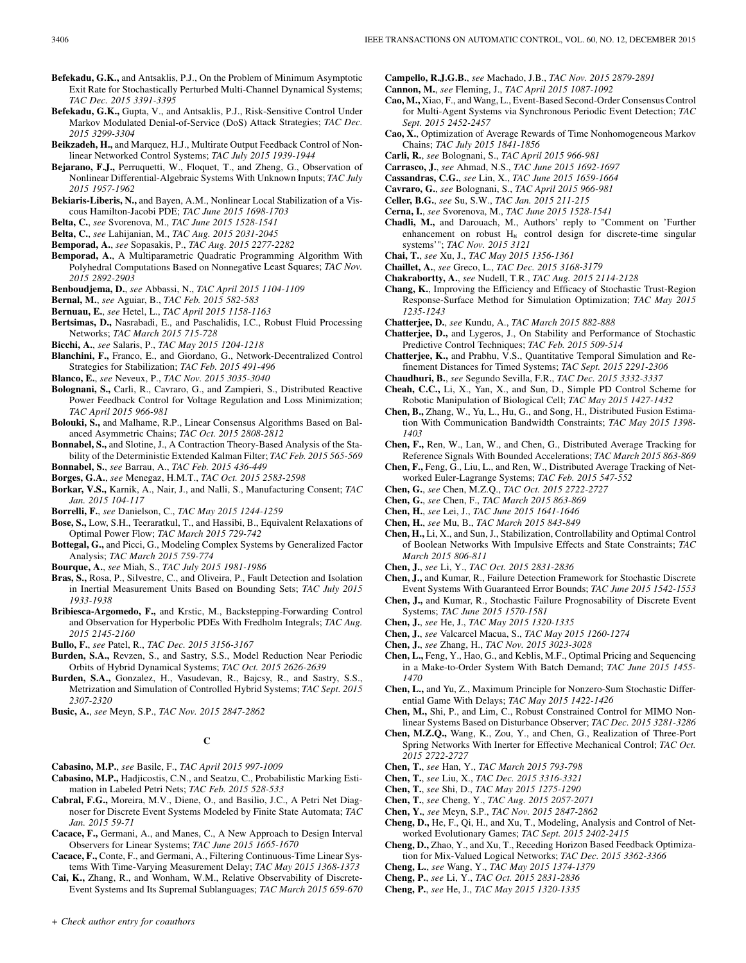- **Befekadu, G.K.,** and Antsaklis, P.J., On the Problem of Minimum Asymptotic Exit Rate for Stochastically Perturbed Multi-Channel Dynamical Systems; *TAC Dec. 2015 3391-3395*
- **Befekadu, G.K.,** Gupta, V., and Antsaklis, P.J., Risk-Sensitive Control Under Markov Modulated Denial-of-Service (DoS) Attack Strategies; *TAC Dec. 2015 3299-3304*
- **Beikzadeh, H.,** and Marquez, H.J., Multirate Output Feedback Control of Nonlinear Networked Control Systems; *TAC July 2015 1939-1944*
- **Bejarano, F.J.,** Perruquetti, W., Floquet, T., and Zheng, G., Observation of Nonlinear Differential-Algebraic Systems With Unknown Inputs; *TAC July 2015 1957-1962*
- **Bekiaris-Liberis, N.,** and Bayen, A.M., Nonlinear Local Stabilization of a Viscous Hamilton-Jacobi PDE; *TAC June 2015 1698-1703*
- **Belta, C.**, *see* Svorenova, M., *TAC June 2015 1528-1541*
- **Belta, C.**, *see* Lahijanian, M., *TAC Aug. 2015 2031-2045*
- **Bemporad, A.**, *see* Sopasakis, P., *TAC Aug. 2015 2277-2282*
- **Bemporad, A.**, A Multiparametric Quadratic Programming Algorithm With Polyhedral Computations Based on Nonnegative Least Squares; *TAC Nov. 2015 2892-2903*
- **Benboudjema, D.**, *see* Abbassi, N., *TAC April 2015 1104-1109*
- **Bernal, M.**, *see* Aguiar, B., *TAC Feb. 2015 582-583*
- **Bernuau, E.**, *see* Hetel, L., *TAC April 2015 1158-1163*
- **Bertsimas, D.,** Nasrabadi, E., and Paschalidis, I.C., Robust Fluid Processing Networks; *TAC March 2015 715-728*
- **Bicchi, A.**, *see* Salaris, P., *TAC May 2015 1204-1218*
- **Blanchini, F.,** Franco, E., and Giordano, G., Network-Decentralized Control Strategies for Stabilization; *TAC Feb. 2015 491-496*
- **Blanco, E.**, *see* Neveux, P., *TAC Nov. 2015 3035-3040*
- **Bolognani, S.,** Carli, R., Cavraro, G., and Zampieri, S., Distributed Reactive Power Feedback Control for Voltage Regulation and Loss Minimization; *TAC April 2015 966-981*
- **Bolouki, S.,** and Malhame, R.P., Linear Consensus Algorithms Based on Balanced Asymmetric Chains; *TAC Oct. 2015 2808-2812*
- **Bonnabel, S.,** and Slotine, J., A Contraction Theory-Based Analysis of the Stability of the Deterministic Extended Kalman Filter; *TAC Feb. 2015 565-569*
- **Bonnabel, S.**, *see* Barrau, A., *TAC Feb. 2015 436-449* **Borges, G.A.**, *see* Menegaz, H.M.T., *TAC Oct. 2015 2583-2598*
- **Borkar, V.S.,** Karnik, A., Nair, J., and Nalli, S., Manufacturing Consent; *TAC Jan. 2015 104-117*
- **Borrelli, F.**, *see* Danielson, C., *TAC May 2015 1244-1259*
- **Bose, S.,** Low, S.H., Teeraratkul, T., and Hassibi, B., Equivalent Relaxations of Optimal Power Flow; *TAC March 2015 729-742*
- **Bottegal, G.,** and Picci, G., Modeling Complex Systems by Generalized Factor Analysis; *TAC March 2015 759-774*

**Bourque, A.**, *see* Miah, S., *TAC July 2015 1981-1986*

- **Bras, S.,** Rosa, P., Silvestre, C., and Oliveira, P., Fault Detection and Isolation in Inertial Measurement Units Based on Bounding Sets; *TAC July 2015 1933-1938*
- **Bribiesca-Argomedo, F.,** and Krstic, M., Backstepping-Forwarding Control and Observation for Hyperbolic PDEs With Fredholm Integrals; *TAC Aug. 2015 2145-2160*
- **Bullo, F.**, *see* Patel, R., *TAC Dec. 2015 3156-3167*
- **Burden, S.A.,** Revzen, S., and Sastry, S.S., Model Reduction Near Periodic Orbits of Hybrid Dynamical Systems; *TAC Oct. 2015 2626-2639*
- **Burden, S.A.,** Gonzalez, H., Vasudevan, R., Bajcsy, R., and Sastry, S.S., Metrization and Simulation of Controlled Hybrid Systems; *TAC Sept. 2015 2307-2320*
- **Busic, A.**, *see* Meyn, S.P., *TAC Nov. 2015 2847-2862*

# **C**

- **Cabasino, M.P.**, *see* Basile, F., *TAC April 2015 997-1009*
- **Cabasino, M.P.,** Hadjicostis, C.N., and Seatzu, C., Probabilistic Marking Estimation in Labeled Petri Nets; *TAC Feb. 2015 528-533*
- **Cabral, F.G.,** Moreira, M.V., Diene, O., and Basilio, J.C., A Petri Net Diagnoser for Discrete Event Systems Modeled by Finite State Automata; *TAC Jan. 2015 59-71*
- **Cacace, F.,** Germani, A., and Manes, C., A New Approach to Design Interval Observers for Linear Systems; *TAC June 2015 1665-1670*
- **Cacace, F.,** Conte, F., and Germani, A., Filtering Continuous-Time Linear Systems With Time-Varying Measurement Delay; *TAC May 2015 1368-1373*
- **Cai, K.,** Zhang, R., and Wonham, W.M., Relative Observability of Discrete-Event Systems and Its Supremal Sublanguages; *TAC March 2015 659-670*

**Campello, R.J.G.B.**, *see* Machado, J.B., *TAC Nov. 2015 2879-2891*

- **Cannon, M.**, *see* Fleming, J., *TAC April 2015 1087-1092*
- **Cao, M.,** Xiao, F., and Wang, L., Event-Based Second-Order Consensus Control for Multi-Agent Systems via Synchronous Periodic Event Detection; *TAC Sept. 2015 2452-2457*
- **Cao, X.**, Optimization of Average Rewards of Time Nonhomogeneous Markov Chains; *TAC July 2015 1841-1856*
- **Carli, R.**, *see* Bolognani, S., *TAC April 2015 966-981*
- **Carrasco, J.**, *see* Ahmad, N.S., *TAC June 2015 1692-1697*
- **Cassandras, C.G.**, *see* Lin, X., *TAC June 2015 1659-1664*
- **Cavraro, G.**, *see* Bolognani, S., *TAC April 2015 966-981*
- **Celler, B.G.**, *see* Su, S.W., *TAC Jan. 2015 211-215*
- **Cerna, I.**, *see* Svorenova, M., *TAC June 2015 1528-1541*
- **Chadli, M.,** and Darouach, M., Authors' reply to "Comment on 'Further enhancement on robust  $H_8$  control design for discrete-time singular systems'"; *TAC Nov. 2015 3121*
- **Chai, T.**, *see* Xu, J., *TAC May 2015 1356-1361*
- **Chaillet, A.**, *see* Greco, L., *TAC Dec. 2015 3168-3179*
- **Chakrabortty, A.**, *see* Nudell, T.R., *TAC Aug. 2015 2114-2128*
- **Chang, K.**, Improving the Efficiency and Efficacy of Stochastic Trust-Region Response-Surface Method for Simulation Optimization; *TAC May 2015 1235-1243*
- **Chatterjee, D.**, *see* Kundu, A., *TAC March 2015 882-888*
- **Chatterjee, D.,** and Lygeros, J., On Stability and Performance of Stochastic Predictive Control Techniques; *TAC Feb. 2015 509-514*
- **Chatterjee, K.,** and Prabhu, V.S., Quantitative Temporal Simulation and Refinement Distances for Timed Systems; *TAC Sept. 2015 2291-2306*
- **Chaudhuri, B.**, *see* Segundo Sevilla, F.R., *TAC Dec. 2015 3332-3337*
- **Cheah, C.C.,** Li, X., Yan, X., and Sun, D., Simple PD Control Scheme for Robotic Manipulation of Biological Cell; *TAC May 2015 1427-1432*
- **Chen, B.,** Zhang, W., Yu, L., Hu, G., and Song, H., Distributed Fusion Estimation With Communication Bandwidth Constraints; *TAC May 2015 1398- 1403*
- **Chen, F.,** Ren, W., Lan, W., and Chen, G., Distributed Average Tracking for Reference Signals With Bounded Accelerations; *TAC March 2015 863-869*
- **Chen, F.,** Feng, G., Liu, L., and Ren, W., Distributed Average Tracking of Networked Euler-Lagrange Systems; *TAC Feb. 2015 547-552*
- **Chen, G.**, *see* Chen, M.Z.Q., *TAC Oct. 2015 2722-2727*
- **Chen, G.**, *see* Chen, F., *TAC March 2015 863-869*
- **Chen, H.**, *see* Lei, J., *TAC June 2015 1641-1646*
- **Chen, H.**, *see* Mu, B., *TAC March 2015 843-849*
- **Chen, H.,** Li, X., and Sun, J., Stabilization, Controllability and Optimal Control of Boolean Networks With Impulsive Effects and State Constraints; *TAC March 2015 806-811*
- **Chen, J.**, *see* Li, Y., *TAC Oct. 2015 2831-2836*
- **Chen, J.,** and Kumar, R., Failure Detection Framework for Stochastic Discrete Event Systems With Guaranteed Error Bounds; *TAC June 2015 1542-1553*
- **Chen, J.,** and Kumar, R., Stochastic Failure Prognosability of Discrete Event Systems; *TAC June 2015 1570-1581*
- **Chen, J.**, *see* He, J., *TAC May 2015 1320-1335*
- **Chen, J.**, *see* Valcarcel Macua, S., *TAC May 2015 1260-1274*
- **Chen, J.**, *see* Zhang, H., *TAC Nov. 2015 3023-3028*
- **Chen, L.,** Feng, Y., Hao, G., and Keblis, M.F., Optimal Pricing and Sequencing in a Make-to-Order System With Batch Demand; *TAC June 2015 1455- 1470*
- **Chen, L.,** and Yu, Z., Maximum Principle for Nonzero-Sum Stochastic Differential Game With Delays; *TAC May 2015 1422-1426*
- **Chen, M.,** Shi, P., and Lim, C., Robust Constrained Control for MIMO Nonlinear Systems Based on Disturbance Observer; *TAC Dec. 2015 3281-3286*
- **Chen, M.Z.Q.,** Wang, K., Zou, Y., and Chen, G., Realization of Three-Port Spring Networks With Inerter for Effective Mechanical Control; *TAC Oct. 2015 2722-2727*
- **Chen, T.**, *see* Han, Y., *TAC March 2015 793-798*
- **Chen, T.**, *see* Liu, X., *TAC Dec. 2015 3316-3321*
- **Chen, T.**, *see* Shi, D., *TAC May 2015 1275-1290*
- **Chen, T.**, *see* Cheng, Y., *TAC Aug. 2015 2057-2071*
- **Chen, Y.**, *see* Meyn, S.P., *TAC Nov. 2015 2847-2862*
- **Cheng, D.,** He, F., Qi, H., and Xu, T., Modeling, Analysis and Control of Networked Evolutionary Games; *TAC Sept. 2015 2402-2415*
- **Cheng, D.,** Zhao, Y., and Xu, T., Receding Horizon Based Feedback Optimization for Mix-Valued Logical Networks; *TAC Dec. 2015 3362-3366*
- **Cheng, L.**, *see* Wang, Y., *TAC May 2015 1374-1379*
- **Cheng, P.**, *see* Li, Y., *TAC Oct. 2015 2831-2836*
- **Cheng, P.**, *see* He, J., *TAC May 2015 1320-1335*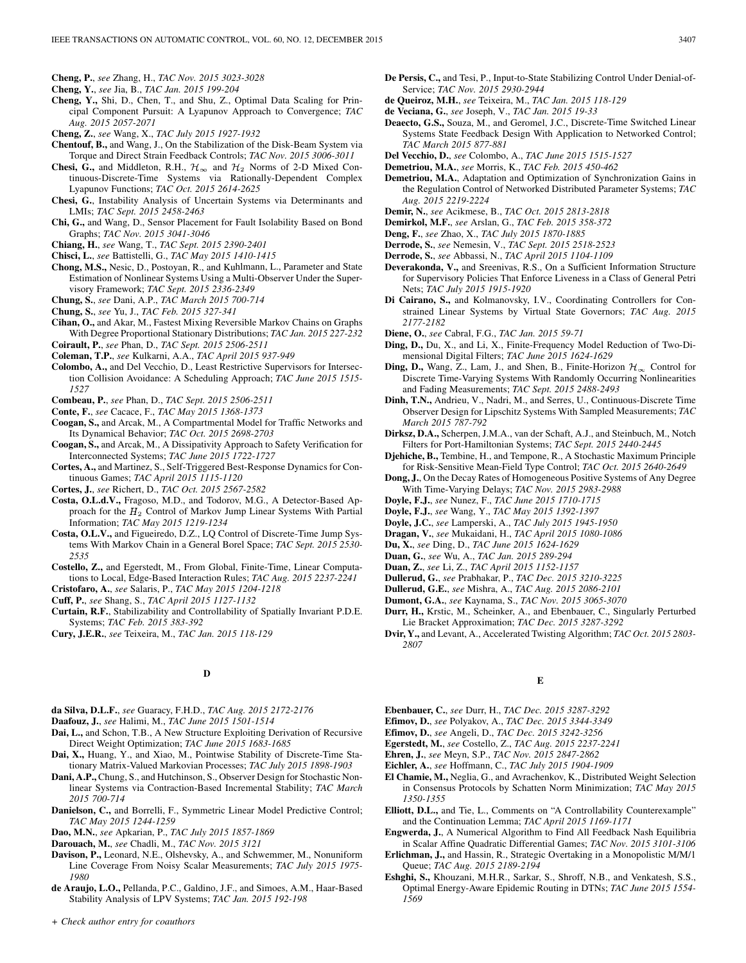- **Cheng, P.**, *see* Zhang, H., *TAC Nov. 2015 3023-3028*
- **Cheng, Y.**, *see* Jia, B., *TAC Jan. 2015 199-204*
- **Cheng, Y.,** Shi, D., Chen, T., and Shu, Z., Optimal Data Scaling for Principal Component Pursuit: A Lyapunov Approach to Convergence; *TAC Aug. 2015 2057-2071*
- **Cheng, Z.**, *see* Wang, X., *TAC July 2015 1927-1932*
- **Chentouf, B.,** and Wang, J., On the Stabilization of the Disk-Beam System via Torque and Direct Strain Feedback Controls; *TAC Nov. 2015 3006-3011*
- **Chesi, G.,** and Middleton, R.H.,  $\mathcal{H}_{\infty}$  and  $\mathcal{H}_{2}$  Norms of 2-D Mixed Continuous-Discrete-Time Systems via Rationally-Dependent Complex Lyapunov Functions; *TAC Oct. 2015 2614-2625*
- **Chesi, G.**, Instability Analysis of Uncertain Systems via Determinants and LMIs; *TAC Sept. 2015 2458-2463*
- **Chi, G.,** and Wang, D., Sensor Placement for Fault Isolability Based on Bond Graphs; *TAC Nov. 2015 3041-3046*
- **Chiang, H.**, *see* Wang, T., *TAC Sept. 2015 2390-2401*

**Chisci, L.**, *see* Battistelli, G., *TAC May 2015 1410-1415*

- **Chong, M.S.,** Nesic, D., Postoyan, R., and Kuhlmann, L., Parameter and State Estimation of Nonlinear Systems Using a Multi-Observer Under the Supervisory Framework; *TAC Sept. 2015 2336-2349*
- **Chung, S.**, *see* Dani, A.P., *TAC March 2015 700-714*
- **Chung, S.**, *see* Yu, J., *TAC Feb. 2015 327-341*
- **Cihan, O.,** and Akar, M., Fastest Mixing Reversible Markov Chains on Graphs With Degree Proportional Stationary Distributions; *TAC Jan. 2015 227-232*
- **Coirault, P.**, *see* Phan, D., *TAC Sept. 2015 2506-2511*
- **Coleman, T.P.**, *see* Kulkarni, A.A., *TAC April 2015 937-949*
- **Colombo, A.,** and Del Vecchio, D., Least Restrictive Supervisors for Intersection Collision Avoidance: A Scheduling Approach; *TAC June 2015 1515- 1527*
- **Combeau, P.**, *see* Phan, D., *TAC Sept. 2015 2506-2511*

**Conte, F.**, *see* Cacace, F., *TAC May 2015 1368-1373*

- **Coogan, S.,** and Arcak, M., A Compartmental Model for Traffic Networks and Its Dynamical Behavior; *TAC Oct. 2015 2698-2703*
- **Coogan, S.,** and Arcak, M., A Dissipativity Approach to Safety Verification for Interconnected Systems; *TAC June 2015 1722-1727*
- **Cortes, A.,** and Martinez, S., Self-Triggered Best-Response Dynamics for Continuous Games; *TAC April 2015 1115-1120*

**Cortes, J.**, *see* Richert, D., *TAC Oct. 2015 2567-2582*

- **Costa, O.L.d.V.,** Fragoso, M.D., and Todorov, M.G., A Detector-Based Approach for the  $H_2$  Control of Markov Jump Linear Systems With Partial Information; *TAC May 2015 1219-1234*
- **Costa, O.L.V.,** and Figueiredo, D.Z., LQ Control of Discrete-Time Jump Systems With Markov Chain in a General Borel Space; *TAC Sept. 2015 2530- 2535*
- **Costello, Z.,** and Egerstedt, M., From Global, Finite-Time, Linear Computations to Local, Edge-Based Interaction Rules; *TAC Aug. 2015 2237-2241*
- **Cristofaro, A.**, *see* Salaris, P., *TAC May 2015 1204-1218*
- **Cuff, P.**, *see* Shang, S., *TAC April 2015 1127-1132*
- **Curtain, R.F.**, Stabilizability and Controllability of Spatially Invariant P.D.E. Systems; *TAC Feb. 2015 383-392*
- **Cury, J.E.R.**, *see* Teixeira, M., *TAC Jan. 2015 118-129*

# **D**

**da Silva, D.L.F.**, *see* Guaracy, F.H.D., *TAC Aug. 2015 2172-2176*

- **Daafouz, J.**, *see* Halimi, M., *TAC June 2015 1501-1514*
- **Dai, L.,** and Schon, T.B., A New Structure Exploiting Derivation of Recursive Direct Weight Optimization; *TAC June 2015 1683-1685*
- **Dai, X.,** Huang, Y., and Xiao, M., Pointwise Stability of Discrete-Time Stationary Matrix-Valued Markovian Processes; *TAC July 2015 1898-1903*
- **Dani, A.P.,** Chung, S., and Hutchinson, S., Observer Design for Stochastic Nonlinear Systems via Contraction-Based Incremental Stability; *TAC March 2015 700-714*
- **Danielson, C.,** and Borrelli, F., Symmetric Linear Model Predictive Control; *TAC May 2015 1244-1259*
- **Dao, M.N.**, *see* Apkarian, P., *TAC July 2015 1857-1869*
- **Darouach, M.**, *see* Chadli, M., *TAC Nov. 2015 3121*
- **Davison, P.,** Leonard, N.E., Olshevsky, A., and Schwemmer, M., Nonuniform Line Coverage From Noisy Scalar Measurements; *TAC July 2015 1975- 1980*
- **de Araujo, L.O.,** Pellanda, P.C., Galdino, J.F., and Simoes, A.M., Haar-Based Stability Analysis of LPV Systems; *TAC Jan. 2015 192-198*
- **De Persis, C.,** and Tesi, P., Input-to-State Stabilizing Control Under Denial-of-Service; *TAC Nov. 2015 2930-2944*
- **de Queiroz, M.H.**, *see* Teixeira, M., *TAC Jan. 2015 118-129*
- **de Veciana, G.**, *see* Joseph, V., *TAC Jan. 2015 19-33*
- **Deaecto, G.S.,** Souza, M., and Geromel, J.C., Discrete-Time Switched Linear Systems State Feedback Design With Application to Networked Control; *TAC March 2015 877-881*
- **Del Vecchio, D.**, *see* Colombo, A., *TAC June 2015 1515-1527*
- **Demetriou, M.A.**, *see* Morris, K., *TAC Feb. 2015 450-462*
- **Demetriou, M.A.**, Adaptation and Optimization of Synchronization Gains in the Regulation Control of Networked Distributed Parameter Systems; *TAC Aug. 2015 2219-2224*
- **Demir, N.**, *see* Acikmese, B., *TAC Oct. 2015 2813-2818*
- **Demirkol, M.F.**, *see* Arslan, G., *TAC Feb. 2015 358-372*
- **Deng, F.**, *see* Zhao, X., *TAC July 2015 1870-1885*
- **Derrode, S.**, *see* Nemesin, V., *TAC Sept. 2015 2518-2523*
- **Derrode, S.**, *see* Abbassi, N., *TAC April 2015 1104-1109*
- **Deverakonda, V.,** and Sreenivas, R.S., On a Sufficient Information Structure for Supervisory Policies That Enforce Liveness in a Class of General Petri Nets; *TAC July 2015 1915-1920*
- **Di Cairano, S.,** and Kolmanovsky, I.V., Coordinating Controllers for Constrained Linear Systems by Virtual State Governors; *TAC Aug. 2015 2177-2182*
- **Diene, O.**, *see* Cabral, F.G., *TAC Jan. 2015 59-71*
- **Ding, D.,** Du, X., and Li, X., Finite-Frequency Model Reduction of Two-Dimensional Digital Filters; *TAC June 2015 1624-1629*
- **Ding, D.,** Wang, Z., Lam, J., and Shen, B., Finite-Horizon  $\mathcal{H}_{\infty}$  Control for Discrete Time-Varying Systems With Randomly Occurring Nonlinearities and Fading Measurements; *TAC Sept. 2015 2488-2493*
- **Dinh, T.N.,** Andrieu, V., Nadri, M., and Serres, U., Continuous-Discrete Time Observer Design for Lipschitz Systems With Sampled Measurements; *TAC March 2015 787-792*
- **Dirksz, D.A.,** Scherpen, J.M.A., van der Schaft, A.J., and Steinbuch, M., Notch Filters for Port-Hamiltonian Systems; *TAC Sept. 2015 2440-2445*
- **Djehiche, B.,** Tembine, H., and Tempone, R., A Stochastic Maximum Principle for Risk-Sensitive Mean-Field Type Control; *TAC Oct. 2015 2640-2649*
- **Dong, J.**, On the Decay Rates of Homogeneous Positive Systems of Any Degree With Time-Varying Delays; *TAC Nov. 2015 2983-2988*
- **Doyle, F.J.**, *see* Nunez, F., *TAC June 2015 1710-1715*
- **Doyle, F.J.**, *see* Wang, Y., *TAC May 2015 1392-1397*
- **Doyle, J.C.**, *see* Lamperski, A., *TAC July 2015 1945-1950*
- **Dragan, V.**, *see* Mukaidani, H., *TAC April 2015 1080-1086*
- **Du, X.**, *see* Ding, D., *TAC June 2015 1624-1629*
- **Duan, G.**, *see* Wu, A., *TAC Jan. 2015 289-294*
- **Duan, Z.**, *see* Li, Z., *TAC April 2015 1152-1157*
- **Dullerud, G.**, *see* Prabhakar, P., *TAC Dec. 2015 3210-3225*
- **Dullerud, G.E.**, *see* Mishra, A., *TAC Aug. 2015 2086-2101*
- **Dumont, G.A.**, *see* Kaynama, S., *TAC Nov. 2015 3065-3070*
- **Durr, H.,** Krstic, M., Scheinker, A., and Ebenbauer, C., Singularly Perturbed Lie Bracket Approximation; *TAC Dec. 2015 3287-3292*
- **Dvir, Y.,** and Levant, A., Accelerated Twisting Algorithm; *TAC Oct. 2015 2803- 2807*

**E**

- **Ebenbauer, C.**, *see* Durr, H., *TAC Dec. 2015 3287-3292*
- **Efimov, D.**, *see* Polyakov, A., *TAC Dec. 2015 3344-3349*
- **Efimov, D.**, *see* Angeli, D., *TAC Dec. 2015 3242-3256*
- **Egerstedt, M.**, *see* Costello, Z., *TAC Aug. 2015 2237-2241*
- **Ehren, J.**, *see* Meyn, S.P., *TAC Nov. 2015 2847-2862*
- **Eichler, A.**, *see* Hoffmann, C., *TAC July 2015 1904-1909*
- **El Chamie, M.,** Neglia, G., and Avrachenkov, K., Distributed Weight Selection in Consensus Protocols by Schatten Norm Minimization; *TAC May 2015 1350-1355*
- **Elliott, D.L.,** and Tie, L., Comments on "A Controllability Counterexample" and the Continuation Lemma; *TAC April 2015 1169-1171*
- **Engwerda, J.**, A Numerical Algorithm to Find All Feedback Nash Equilibria
- in Scalar Affine Quadratic Differential Games; *TAC Nov. 2015 3101-3106* **Erlichman, J.,** and Hassin, R., Strategic Overtaking in a Monopolistic M/M/1 Queue; *TAC Aug. 2015 2189-2194*
- **Eshghi, S.,** Khouzani, M.H.R., Sarkar, S., Shroff, N.B., and Venkatesh, S.S., Optimal Energy-Aware Epidemic Routing in DTNs; *TAC June 2015 1554- 1569*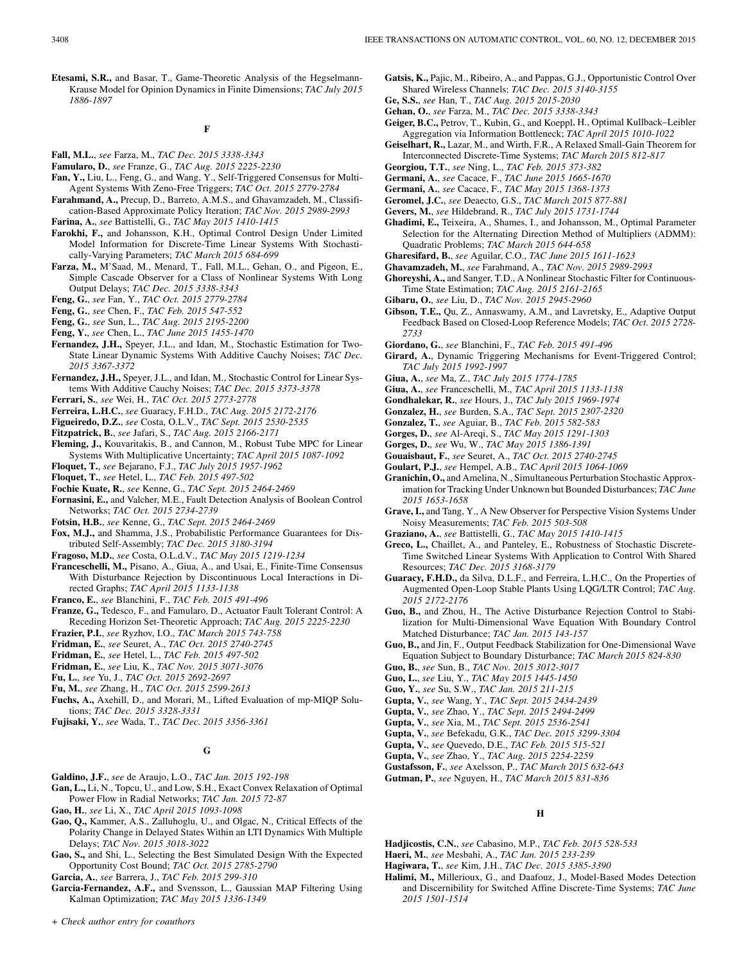**Etesami, S.R.,** and Basar, T., Game-Theoretic Analysis of the Hegselmann-Krause Model for Opinion Dynamics in Finite Dimensions; *TAC July 2015 1886-1897*

# **F**

- **Fall, M.L.**, *see* Farza, M., *TAC Dec. 2015 3338-3343*
- **Famularo, D.**, *see* Franze, G., *TAC Aug. 2015 2225-2230*
- **Fan, Y.,** Liu, L., Feng, G., and Wang, Y., Self-Triggered Consensus for Multi-Agent Systems With Zeno-Free Triggers; *TAC Oct. 2015 2779-2784*
- **Farahmand, A.,** Precup, D., Barreto, A.M.S., and Ghavamzadeh, M., Classification-Based Approximate Policy Iteration; *TAC Nov. 2015 2989-2993*
- **Farina, A.**, *see* Battistelli, G., *TAC May 2015 1410-1415*
- **Farokhi, F.,** and Johansson, K.H., Optimal Control Design Under Limited Model Information for Discrete-Time Linear Systems With Stochastically-Varying Parameters; *TAC March 2015 684-699*
- **Farza, M.,** M'Saad, M., Menard, T., Fall, M.L., Gehan, O., and Pigeon, E., Simple Cascade Observer for a Class of Nonlinear Systems With Long Output Delays; *TAC Dec. 2015 3338-3343*
- **Feng, G.**, *see* Fan, Y., *TAC Oct. 2015 2779-2784*
- **Feng, G.**, *see* Chen, F., *TAC Feb. 2015 547-552*
- **Feng, G.**, *see* Sun, L., *TAC Aug. 2015 2195-2200*
- **Feng, Y.**, *see* Chen, L., *TAC June 2015 1455-1470*
- **Fernandez, J.H.,** Speyer, J.L., and Idan, M., Stochastic Estimation for Two-State Linear Dynamic Systems With Additive Cauchy Noises; *TAC Dec. 2015 3367-3372*
- **Fernandez, J.H.,** Speyer, J.L., and Idan, M., Stochastic Control for Linear Systems With Additive Cauchy Noises; *TAC Dec. 2015 3373-3378*
- **Ferrari, S.**, *see* Wei, H., *TAC Oct. 2015 2773-2778*
- **Ferreira, L.H.C.**, *see* Guaracy, F.H.D., *TAC Aug. 2015 2172-2176*
- **Figueiredo, D.Z.**, *see* Costa, O.L.V., *TAC Sept. 2015 2530-2535*
- **Fitzpatrick, B.**, *see* Jafari, S., *TAC Aug. 2015 2166-2171*
- **Fleming, J.,** Kouvaritakis, B., and Cannon, M., Robust Tube MPC for Linear Systems With Multiplicative Uncertainty; *TAC April 2015 1087-1092*
- **Floquet, T.**, *see* Bejarano, F.J., *TAC July 2015 1957-1962*
- **Floquet, T.**, *see* Hetel, L., *TAC Feb. 2015 497-502*
- **Fochie Kuate, R.**, *see* Kenne, G., *TAC Sept. 2015 2464-2469*
- **Fornasini, E.,** and Valcher, M.E., Fault Detection Analysis of Boolean Control Networks; *TAC Oct. 2015 2734-2739*
- **Fotsin, H.B.**, *see* Kenne, G., *TAC Sept. 2015 2464-2469*
- Fox, M.J., and Shamma, J.S., Probabilistic Performance Guarantees for Distributed Self-Assembly; *TAC Dec. 2015 3180-3194*
- **Fragoso, M.D.**, *see* Costa, O.L.d.V., *TAC May 2015 1219-1234*
- **Franceschelli, M.,** Pisano, A., Giua, A., and Usai, E., Finite-Time Consensus With Disturbance Rejection by Discontinuous Local Interactions in Directed Graphs; *TAC April 2015 1133-1138*
- **Franco, E.**, *see* Blanchini, F., *TAC Feb. 2015 491-496*
- **Franze, G.,** Tedesco, F., and Famularo, D., Actuator Fault Tolerant Control: A Receding Horizon Set-Theoretic Approach; *TAC Aug. 2015 2225-2230*
- **Frazier, P.I.**, *see* Ryzhov, I.O., *TAC March 2015 743-758*
- **Fridman, E.**, *see* Seuret, A., *TAC Oct. 2015 2740-2745*
- **Fridman, E.**, *see* Hetel, L., *TAC Feb. 2015 497-502*
- **Fridman, E.**, *see* Liu, K., *TAC Nov. 2015 3071-3076*
- **Fu, L.**, *see* Yu, J., *TAC Oct. 2015 2692-2697*
- **Fu, M.**, *see* Zhang, H., *TAC Oct. 2015 2599-2613*
- **Fuchs, A.,** Axehill, D., and Morari, M., Lifted Evaluation of mp-MIQP Solutions; *TAC Dec. 2015 3328-3331*
- **Fujisaki, Y.**, *see* Wada, T., *TAC Dec. 2015 3356-3361*

# **G**

- **Galdino, J.F.**, *see* de Araujo, L.O., *TAC Jan. 2015 192-198*
- **Gan, L.,** Li, N., Topcu, U., and Low, S.H., Exact Convex Relaxation of Optimal Power Flow in Radial Networks; *TAC Jan. 2015 72-87*
- **Gao, H.**, *see* Li, X., *TAC April 2015 1093-1098*
- **Gao, Q.,** Kammer, A.S., Zalluhoglu, U., and Olgac, N., Critical Effects of the Polarity Change in Delayed States Within an LTI Dynamics With Multiple Delays; *TAC Nov. 2015 3018-3022*
- **Gao, S.,** and Shi, L., Selecting the Best Simulated Design With the Expected Opportunity Cost Bound; *TAC Oct. 2015 2785-2790*
- **Garcia, A.**, *see* Barrera, J., *TAC Feb. 2015 299-310*
- **Garcia-Fernandez, A.F.,** and Svensson, L., Gaussian MAP Filtering Using Kalman Optimization; *TAC May 2015 1336-1349*
- **Gatsis, K.,** Pajic, M., Ribeiro, A., and Pappas, G.J., Opportunistic Control Over Shared Wireless Channels; *TAC Dec. 2015 3140-3155*
- **Ge, S.S.**, *see* Han, T., *TAC Aug. 2015 2015-2030*
- **Gehan, O.**, *see* Farza, M., *TAC Dec. 2015 3338-3343*
- **Geiger, B.C.,** Petrov, T., Kubin, G., and Koeppl, H., Optimal Kullback–Leibler Aggregation via Information Bottleneck; *TAC April 2015 1010-1022*
- **Geiselhart, R.,** Lazar, M., and Wirth, F.R., A Relaxed Small-Gain Theorem for Interconnected Discrete-Time Systems; *TAC March 2015 812-817*
- **Georgiou, T.T.**, *see* Ning, L., *TAC Feb. 2015 373-382*
- **Germani, A.**, *see* Cacace, F., *TAC June 2015 1665-1670*
- **Germani, A.**, *see* Cacace, F., *TAC May 2015 1368-1373*
- **Geromel, J.C.**, *see* Deaecto, G.S., *TAC March 2015 877-881*
- **Gevers, M.**, *see* Hildebrand, R., *TAC July 2015 1731-1744*
- **Ghadimi, E.,** Teixeira, A., Shames, I., and Johansson, M., Optimal Parameter Selection for the Alternating Direction Method of Multipliers (ADMM): Quadratic Problems; *TAC March 2015 644-658*
- **Gharesifard, B.**, *see* Aguilar, C.O., *TAC June 2015 1611-1623*
- **Ghavamzadeh, M.**, *see* Farahmand, A., *TAC Nov. 2015 2989-2993*
- **Ghoreyshi, A.,** and Sanger, T.D., A Nonlinear Stochastic Filter for Continuous-Time State Estimation; *TAC Aug. 2015 2161-2165*
- **Gibaru, O.**, *see* Liu, D., *TAC Nov. 2015 2945-2960*
- **Gibson, T.E.,** Qu, Z., Annaswamy, A.M., and Lavretsky, E., Adaptive Output Feedback Based on Closed-Loop Reference Models; *TAC Oct. 2015 2728- 2733*
- **Giordano, G.**, *see* Blanchini, F., *TAC Feb. 2015 491-496*
- **Girard, A.**, Dynamic Triggering Mechanisms for Event-Triggered Control; *TAC July 2015 1992-1997*
- **Giua, A.**, *see* Ma, Z., *TAC July 2015 1774-1785*
- **Giua, A.**, *see* Franceschelli, M., *TAC April 2015 1133-1138*
- **Gondhalekar, R.**, *see* Hours, J., *TAC July 2015 1969-1974*
- **Gonzalez, H.**, *see* Burden, S.A., *TAC Sept. 2015 2307-2320*
- **Gonzalez, T.**, *see* Aguiar, B., *TAC Feb. 2015 582-583*
- **Gorges, D.**, *see* Al-Areqi, S., *TAC May 2015 1291-1303*
- **Gorges, D.**, *see* Wu, W., *TAC May 2015 1386-1391*
- **Gouaisbaut, F.**, *see* Seuret, A., *TAC Oct. 2015 2740-2745*
- **Goulart, P.J.**, *see* Hempel, A.B., *TAC April 2015 1064-1069*
- **Granichin, O.,** and Amelina, N., Simultaneous Perturbation Stochastic Approximation for Tracking Under Unknown but Bounded Disturbances; *TAC June 2015 1653-1658*
- **Grave, I.,** and Tang, Y., A New Observer for Perspective Vision Systems Under Noisy Measurements; *TAC Feb. 2015 503-508*
- **Graziano, A.**, *see* Battistelli, G., *TAC May 2015 1410-1415*
- **Greco, L.,** Chaillet, A., and Panteley, E., Robustness of Stochastic Discrete-Time Switched Linear Systems With Application to Control With Shared Resources; *TAC Dec. 2015 3168-3179*
- **Guaracy, F.H.D.,** da Silva, D.L.F., and Ferreira, L.H.C., On the Properties of Augmented Open-Loop Stable Plants Using LQG/LTR Control; *TAC Aug. 2015 2172-2176*
- **Guo, B.,** and Zhou, H., The Active Disturbance Rejection Control to Stabilization for Multi-Dimensional Wave Equation With Boundary Control Matched Disturbance; *TAC Jan. 2015 143-157*
- **Guo, B.,** and Jin, F., Output Feedback Stabilization for One-Dimensional Wave Equation Subject to Boundary Disturbance; *TAC March 2015 824-830*
- **Guo, B.**, *see* Sun, B., *TAC Nov. 2015 3012-3017*
- **Guo, L.**, *see* Liu, Y., *TAC May 2015 1445-1450*
- **Guo, Y.**, *see* Su, S.W., *TAC Jan. 2015 211-215*
- **Gupta, V.**, *see* Wang, Y., *TAC Sept. 2015 2434-2439*
- **Gupta, V.**, *see* Zhao, Y., *TAC Sept. 2015 2494-2499*
- **Gupta, V.**, *see* Xia, M., *TAC Sept. 2015 2536-2541*
- **Gupta, V.**, *see* Befekadu, G.K., *TAC Dec. 2015 3299-3304*
- **Gupta, V.**, *see* Quevedo, D.E., *TAC Feb. 2015 515-521*
- **Gupta, V.**, *see* Zhao, Y., *TAC Aug. 2015 2254-2259*
- **Gustafsson, F.**, *see* Axelsson, P., *TAC March 2015 632-643*
- **Gutman, P.**, *see* Nguyen, H., *TAC March 2015 831-836*

# **H**

- **Hadjicostis, C.N.**, *see* Cabasino, M.P., *TAC Feb. 2015 528-533*
- **Haeri, M.**, *see* Mesbahi, A., *TAC Jan. 2015 233-239*
- **Hagiwara, T.**, *see* Kim, J.H., *TAC Dec. 2015 3385-3390*
- **Halimi, M.,** Millerioux, G., and Daafouz, J., Model-Based Modes Detection and Discernibility for Switched Affine Discrete-Time Systems; *TAC June 2015 1501-1514*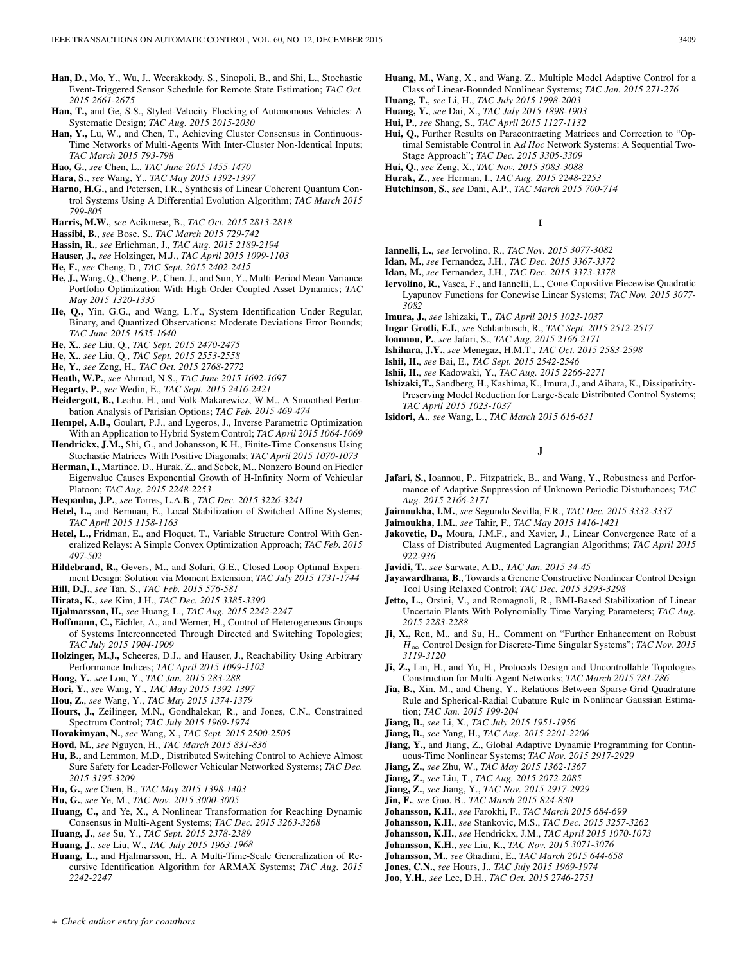- **Han, D.,** Mo, Y., Wu, J., Weerakkody, S., Sinopoli, B., and Shi, L., Stochastic Event-Triggered Sensor Schedule for Remote State Estimation; *TAC Oct. 2015 2661-2675*
- **Han, T.,** and Ge, S.S., Styled-Velocity Flocking of Autonomous Vehicles: A Systematic Design; *TAC Aug. 2015 2015-2030*
- **Han, Y.,** Lu, W., and Chen, T., Achieving Cluster Consensus in Continuous-Time Networks of Multi-Agents With Inter-Cluster Non-Identical Inputs; *TAC March 2015 793-798*
- **Hao, G.**, *see* Chen, L., *TAC June 2015 1455-1470*
- **Hara, S.**, *see* Wang, Y., *TAC May 2015 1392-1397*
- **Harno, H.G.,** and Petersen, I.R., Synthesis of Linear Coherent Quantum Control Systems Using A Differential Evolution Algorithm; *TAC March 2015 799-805*
- **Harris, M.W.**, *see* Acikmese, B., *TAC Oct. 2015 2813-2818*
- **Hassibi, B.**, *see* Bose, S., *TAC March 2015 729-742*
- **Hassin, R.**, *see* Erlichman, J., *TAC Aug. 2015 2189-2194*
- **Hauser, J.**, *see* Holzinger, M.J., *TAC April 2015 1099-1103*
- **He, F.**, *see* Cheng, D., *TAC Sept. 2015 2402-2415*
- **He, J.,** Wang, Q., Cheng, P., Chen, J., and Sun, Y., Multi-Period Mean-Variance Portfolio Optimization With High-Order Coupled Asset Dynamics; *TAC May 2015 1320-1335*
- **He, Q.,** Yin, G.G., and Wang, L.Y., System Identification Under Regular, Binary, and Quantized Observations: Moderate Deviations Error Bounds; *TAC June 2015 1635-1640*
- **He, X.**, *see* Liu, Q., *TAC Sept. 2015 2470-2475*
- **He, X.**, *see* Liu, Q., *TAC Sept. 2015 2553-2558*
- **He, Y.**, *see* Zeng, H., *TAC Oct. 2015 2768-2772*
- **Heath, W.P.**, *see* Ahmad, N.S., *TAC June 2015 1692-1697*
- **Hegarty, P.**, *see* Wedin, E., *TAC Sept. 2015 2416-2421*
- **Heidergott, B.,** Leahu, H., and Volk-Makarewicz, W.M., A Smoothed Perturbation Analysis of Parisian Options; *TAC Feb. 2015 469-474*
- **Hempel, A.B.,** Goulart, P.J., and Lygeros, J., Inverse Parametric Optimization With an Application to Hybrid System Control; *TAC April 2015 1064-1069*
- **Hendrickx, J.M.,** Shi, G., and Johansson, K.H., Finite-Time Consensus Using Stochastic Matrices With Positive Diagonals; *TAC April 2015 1070-1073*
- **Herman, I.,** Martinec, D., Hurak, Z., and Sebek, M., Nonzero Bound on Fiedler Eigenvalue Causes Exponential Growth of H-Infinity Norm of Vehicular Platoon; *TAC Aug. 2015 2248-2253*
- **Hespanha, J.P.**, *see* Torres, L.A.B., *TAC Dec. 2015 3226-3241*
- **Hetel, L.,** and Bernuau, E., Local Stabilization of Switched Affine Systems; *TAC April 2015 1158-1163*
- **Hetel, L.,** Fridman, E., and Floquet, T., Variable Structure Control With Generalized Relays: A Simple Convex Optimization Approach; *TAC Feb. 2015 497-502*
- **Hildebrand, R.,** Gevers, M., and Solari, G.E., Closed-Loop Optimal Experiment Design: Solution via Moment Extension; *TAC July 2015 1731-1744*
- **Hill, D.J.**, *see* Tan, S., *TAC Feb. 2015 576-581*
- **Hirata, K.**, *see* Kim, J.H., *TAC Dec. 2015 3385-3390*
- **Hjalmarsson, H.**, *see* Huang, L., *TAC Aug. 2015 2242-2247*
- **Hoffmann, C.,** Eichler, A., and Werner, H., Control of Heterogeneous Groups of Systems Interconnected Through Directed and Switching Topologies; *TAC July 2015 1904-1909*
- **Holzinger, M.J.,** Scheeres, D.J., and Hauser, J., Reachability Using Arbitrary Performance Indices; *TAC April 2015 1099-1103*
- **Hong, Y.**, *see* Lou, Y., *TAC Jan. 2015 283-288*
- **Hori, Y.**, *see* Wang, Y., *TAC May 2015 1392-1397*
- **Hou, Z.**, *see* Wang, Y., *TAC May 2015 1374-1379*
- **Hours, J.,** Zeilinger, M.N., Gondhalekar, R., and Jones, C.N., Constrained Spectrum Control; *TAC July 2015 1969-1974*
- **Hovakimyan, N.**, *see* Wang, X., *TAC Sept. 2015 2500-2505*
- **Hovd, M.**, *see* Nguyen, H., *TAC March 2015 831-836*
- **Hu, B.,** and Lemmon, M.D., Distributed Switching Control to Achieve Almost Sure Safety for Leader-Follower Vehicular Networked Systems; *TAC Dec. 2015 3195-3209*
- **Hu, G.**, *see* Chen, B., *TAC May 2015 1398-1403*
- **Hu, G.**, *see* Ye, M., *TAC Nov. 2015 3000-3005*
- **Huang, C.,** and Ye, X., A Nonlinear Transformation for Reaching Dynamic Consensus in Multi-Agent Systems; *TAC Dec. 2015 3263-3268*
- **Huang, J.**, *see* Su, Y., *TAC Sept. 2015 2378-2389*
- **Huang, J.**, *see* Liu, W., *TAC July 2015 1963-1968*
- **Huang, L.,** and Hjalmarsson, H., A Multi-Time-Scale Generalization of Recursive Identification Algorithm for ARMAX Systems; *TAC Aug. 2015 2242-2247*
- **Huang, M.,** Wang, X., and Wang, Z., Multiple Model Adaptive Control for a Class of Linear-Bounded Nonlinear Systems; *TAC Jan. 2015 271-276*
- **Huang, T.**, *see* Li, H., *TAC July 2015 1998-2003*
- **Huang, Y.**, *see* Dai, X., *TAC July 2015 1898-1903*
- **Hui, P.**, *see* Shang, S., *TAC April 2015 1127-1132*
- **Hui, Q.**, Further Results on Paracontracting Matrices and Correction to "Optimal Semistable Control in A*d Hoc* Network Systems: A Sequential Two-Stage Approach"; *TAC Dec. 2015 3305-3309*
- **Hui, Q.**, *see* Zeng, X., *TAC Nov. 2015 3083-3088*
- **Hurak, Z.**, *see* Herman, I., *TAC Aug. 2015 2248-2253*
- **Hutchinson, S.**, *see* Dani, A.P., *TAC March 2015 700-714*

**I**

- **Iannelli, L.**, *see* Iervolino, R., *TAC Nov. 2015 3077-3082*
- **Idan, M.**, *see* Fernandez, J.H., *TAC Dec. 2015 3367-3372*
- **Idan, M.**, *see* Fernandez, J.H., *TAC Dec. 2015 3373-3378*
- **Iervolino, R.,** Vasca, F., and Iannelli, L., Cone-Copositive Piecewise Quadratic Lyapunov Functions for Conewise Linear Systems; *TAC Nov. 2015 3077- 3082*
- **Imura, J.**, *see* Ishizaki, T., *TAC April 2015 1023-1037*
- **Ingar Grotli, E.I.**, *see* Schlanbusch, R., *TAC Sept. 2015 2512-2517*
- **Ioannou, P.**, *see* Jafari, S., *TAC Aug. 2015 2166-2171*
- **Ishihara, J.Y.**, *see* Menegaz, H.M.T., *TAC Oct. 2015 2583-2598*
- **Ishii, H.**, *see* Bai, E., *TAC Sept. 2015 2542-2546*
- **Ishii, H.**, *see* Kadowaki, Y., *TAC Aug. 2015 2266-2271*
- **Ishizaki, T.,** Sandberg, H., Kashima, K., Imura, J., and Aihara, K., Dissipativity-Preserving Model Reduction for Large-Scale Distributed Control Systems; *TAC April 2015 1023-1037*
- **Isidori, A.**, *see* Wang, L., *TAC March 2015 616-631*

**J**

- **Jafari, S.,** Ioannou, P., Fitzpatrick, B., and Wang, Y., Robustness and Performance of Adaptive Suppression of Unknown Periodic Disturbances; *TAC Aug. 2015 2166-2171*
- **Jaimoukha, I.M.**, *see* Segundo Sevilla, F.R., *TAC Dec. 2015 3332-3337*
- **Jaimoukha, I.M.**, *see* Tahir, F., *TAC May 2015 1416-1421*
- **Jakovetic, D.,** Moura, J.M.F., and Xavier, J., Linear Convergence Rate of a Class of Distributed Augmented Lagrangian Algorithms; *TAC April 2015 922-936*
- **Javidi, T.**, *see* Sarwate, A.D., *TAC Jan. 2015 34-45*
- **Jayawardhana, B.**, Towards a Generic Constructive Nonlinear Control Design Tool Using Relaxed Control; *TAC Dec. 2015 3293-3298*
- **Jetto, L.,** Orsini, V., and Romagnoli, R., BMI-Based Stabilization of Linear Uncertain Plants With Polynomially Time Varying Parameters; *TAC Aug. 2015 2283-2288*
- **Ji, X.,** Ren, M., and Su, H., Comment on "Further Enhancement on Robust Control Design for Discrete-Time Singular Systems"; *TAC Nov. 2015 3119-3120*
- **Ji, Z.,** Lin, H., and Yu, H., Protocols Design and Uncontrollable Topologies Construction for Multi-Agent Networks; *TAC March 2015 781-786*
- **Jia, B.,** Xin, M., and Cheng, Y., Relations Between Sparse-Grid Quadrature Rule and Spherical-Radial Cubature Rule in Nonlinear Gaussian Estimation; *TAC Jan. 2015 199-204*
- **Jiang, B.**, *see* Li, X., *TAC July 2015 1951-1956*
- **Jiang, B.**, *see* Yang, H., *TAC Aug. 2015 2201-2206*
- **Jiang, Y.,** and Jiang, Z., Global Adaptive Dynamic Programming for Continuous-Time Nonlinear Systems; *TAC Nov. 2015 2917-2929*
- **Jiang, Z.**, *see* Zhu, W., *TAC May 2015 1362-1367*
- **Jiang, Z.**, *see* Liu, T., *TAC Aug. 2015 2072-2085*
- **Jiang, Z.**, *see* Jiang, Y., *TAC Nov. 2015 2917-2929*
- **Jin, F.**, *see* Guo, B., *TAC March 2015 824-830*
- **Johansson, K.H.**, *see* Farokhi, F., *TAC March 2015 684-699*
- **Johansson, K.H.**, *see* Stankovic, M.S., *TAC Dec. 2015 3257-3262*
- **Johansson, K.H.**, *see* Hendrickx, J.M., *TAC April 2015 1070-1073*
- **Johansson, K.H.**, *see* Liu, K., *TAC Nov. 2015 3071-3076*
- **Johansson, M.**, *see* Ghadimi, E., *TAC March 2015 644-658*
- **Jones, C.N.**, *see* Hours, J., *TAC July 2015 1969-1974*
- **Joo, Y.H.**, *see* Lee, D.H., *TAC Oct. 2015 2746-2751*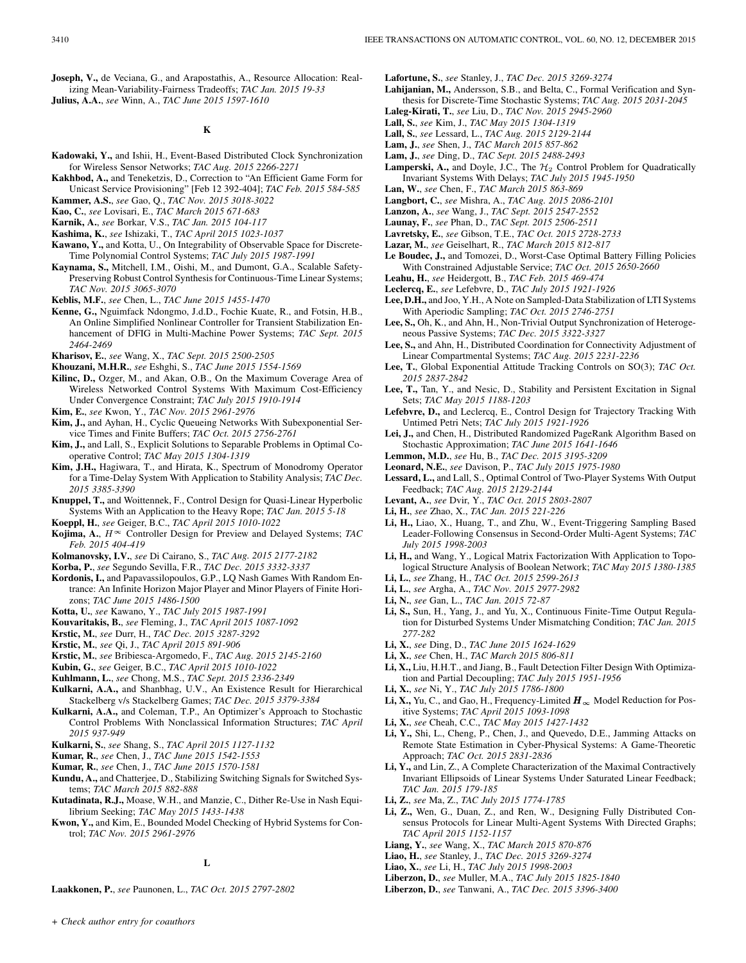**K**

- **Kadowaki, Y.,** and Ishii, H., Event-Based Distributed Clock Synchronization for Wireless Sensor Networks; *TAC Aug. 2015 2266-2271*
- **Kakhbod, A.,** and Teneketzis, D., Correction to "An Efficient Game Form for Unicast Service Provisioning" [Feb 12 392-404]; *TAC Feb. 2015 584-585*

**Kammer, A.S.**, *see* Gao, Q., *TAC Nov. 2015 3018-3022*

**Kao, C.**, *see* Lovisari, E., *TAC March 2015 671-683*

**Karnik, A.**, *see* Borkar, V.S., *TAC Jan. 2015 104-117*

- **Kashima, K.**, *see* Ishizaki, T., *TAC April 2015 1023-1037*
- **Kawano, Y.,** and Kotta, U., On Integrability of Observable Space for Discrete-Time Polynomial Control Systems; *TAC July 2015 1987-1991*
- **Kaynama, S.,** Mitchell, I.M., Oishi, M., and Dumont, G.A., Scalable Safety-Preserving Robust Control Synthesis for Continuous-Time Linear Systems; *TAC Nov. 2015 3065-3070*
- **Keblis, M.F.**, *see* Chen, L., *TAC June 2015 1455-1470*
- **Kenne, G.,** Nguimfack Ndongmo, J.d.D., Fochie Kuate, R., and Fotsin, H.B., An Online Simplified Nonlinear Controller for Transient Stabilization Enhancement of DFIG in Multi-Machine Power Systems; *TAC Sept. 2015 2464-2469*
- **Kharisov, E.**, *see* Wang, X., *TAC Sept. 2015 2500-2505*
- **Khouzani, M.H.R.**, *see* Eshghi, S., *TAC June 2015 1554-1569*
- **Kilinc, D.,** Ozger, M., and Akan, O.B., On the Maximum Coverage Area of Wireless Networked Control Systems With Maximum Cost-Efficiency Under Convergence Constraint; *TAC July 2015 1910-1914*

**Kim, E.**, *see* Kwon, Y., *TAC Nov. 2015 2961-2976*

- **Kim, J.,** and Ayhan, H., Cyclic Queueing Networks With Subexponential Service Times and Finite Buffers; *TAC Oct. 2015 2756-2761*
- **Kim, J.,** and Lall, S., Explicit Solutions to Separable Problems in Optimal Cooperative Control; *TAC May 2015 1304-1319*
- **Kim, J.H.,** Hagiwara, T., and Hirata, K., Spectrum of Monodromy Operator for a Time-Delay System With Application to Stability Analysis; *TAC Dec. 2015 3385-3390*
- **Knuppel, T.,** and Woittennek, F., Control Design for Quasi-Linear Hyperbolic Systems With an Application to the Heavy Rope; *TAC Jan. 2015 5-18*

**Koeppl, H.**, *see* Geiger, B.C., *TAC April 2015 1010-1022*

- **Kojima, A.**,  $H^{\infty}$  Controller Design for Preview and Delayed Systems; *TAC Feb. 2015 404-419*
- **Kolmanovsky, I.V.**, *see* Di Cairano, S., *TAC Aug. 2015 2177-2182*

**Korba, P.**, *see* Segundo Sevilla, F.R., *TAC Dec. 2015 3332-3337*

- **Kordonis, I.,** and Papavassilopoulos, G.P., LQ Nash Games With Random Entrance: An Infinite Horizon Major Player and Minor Players of Finite Horizons; *TAC June 2015 1486-1500*
- **Kotta, U.**, *see* Kawano, Y., *TAC July 2015 1987-1991*
- **Kouvaritakis, B.**, *see* Fleming, J., *TAC April 2015 1087-1092*

**Krstic, M.**, *see* Durr, H., *TAC Dec. 2015 3287-3292*

- **Krstic, M.**, *see* Qi, J., *TAC April 2015 891-906*
- **Krstic, M.**, *see* Bribiesca-Argomedo, F., *TAC Aug. 2015 2145-2160*
- **Kubin, G.**, *see* Geiger, B.C., *TAC April 2015 1010-1022*
- **Kuhlmann, L.**, *see* Chong, M.S., *TAC Sept. 2015 2336-2349*
- **Kulkarni, A.A.,** and Shanbhag, U.V., An Existence Result for Hierarchical Stackelberg v/s Stackelberg Games; *TAC Dec. 2015 3379-3384*
- **Kulkarni, A.A.,** and Coleman, T.P., An Optimizer's Approach to Stochastic Control Problems With Nonclassical Information Structures; *TAC April 2015 937-949*
- **Kulkarni, S.**, *see* Shang, S., *TAC April 2015 1127-1132*
- **Kumar, R.**, *see* Chen, J., *TAC June 2015 1542-1553*

**Kumar, R.**, *see* Chen, J., *TAC June 2015 1570-1581*

- **Kundu, A.,** and Chatterjee, D., Stabilizing Switching Signals for Switched Systems; *TAC March 2015 882-888*
- **Kutadinata, R.J.,** Moase, W.H., and Manzie, C., Dither Re-Use in Nash Equilibrium Seeking; *TAC May 2015 1433-1438*
- **Kwon, Y.,** and Kim, E., Bounded Model Checking of Hybrid Systems for Control; *TAC Nov. 2015 2961-2976*

**L**

**Laakkonen, P.**, *see* Paunonen, L., *TAC Oct. 2015 2797-2802*

# **Lafortune, S.**, *see* Stanley, J., *TAC Dec. 2015 3269-3274*

- **Lahijanian, M.,** Andersson, S.B., and Belta, C., Formal Verification and Synthesis for Discrete-Time Stochastic Systems; *TAC Aug. 2015 2031-2045*
- **Laleg-Kirati, T.**, *see* Liu, D., *TAC Nov. 2015 2945-2960*
- **Lall, S.**, *see* Kim, J., *TAC May 2015 1304-1319*
- **Lall, S.**, *see* Lessard, L., *TAC Aug. 2015 2129-2144*
- **Lam, J.**, *see* Shen, J., *TAC March 2015 857-862*
- **Lam, J.**, *see* Ding, D., *TAC Sept. 2015 2488-2493*
- Lamperski, A., and Doyle, J.C., The  $\mathcal{H}_2$  Control Problem for Quadratically Invariant Systems With Delays; *TAC July 2015 1945-1950*
- **Lan, W.**, *see* Chen, F., *TAC March 2015 863-869*
- **Langbort, C.**, *see* Mishra, A., *TAC Aug. 2015 2086-2101*
- **Lanzon, A.**, *see* Wang, J., *TAC Sept. 2015 2547-2552*
- **Launay, F.**, *see* Phan, D., *TAC Sept. 2015 2506-2511*
- **Lavretsky, E.**, *see* Gibson, T.E., *TAC Oct. 2015 2728-2733*
- **Lazar, M.**, *see* Geiselhart, R., *TAC March 2015 812-817*
- **Le Boudec, J.,** and Tomozei, D., Worst-Case Optimal Battery Filling Policies With Constrained Adjustable Service; *TAC Oct. 2015 2650-2660*
- **Leahu, H.**, *see* Heidergott, B., *TAC Feb. 2015 469-474*
- **Leclercq, E.**, *see* Lefebvre, D., *TAC July 2015 1921-1926*
- **Lee, D.H.,** and Joo, Y.H., A Note on Sampled-Data Stabilization of LTI Systems With Aperiodic Sampling; *TAC Oct. 2015 2746-2751*
- **Lee, S.,** Oh, K., and Ahn, H., Non-Trivial Output Synchronization of Heterogeneous Passive Systems; *TAC Dec. 2015 3322-3327*
- **Lee, S.,** and Ahn, H., Distributed Coordination for Connectivity Adjustment of Linear Compartmental Systems; *TAC Aug. 2015 2231-2236*
- **Lee, T.**, Global Exponential Attitude Tracking Controls on SO(3); *TAC Oct. 2015 2837-2842*
- **Lee, T.,** Tan, Y., and Nesic, D., Stability and Persistent Excitation in Signal Sets; *TAC May 2015 1188-1203*
- **Lefebvre, D.,** and Leclercq, E., Control Design for Trajectory Tracking With Untimed Petri Nets; *TAC July 2015 1921-1926*
- **Lei, J.,** and Chen, H., Distributed Randomized PageRank Algorithm Based on Stochastic Approximation; *TAC June 2015 1641-1646*
- **Lemmon, M.D.**, *see* Hu, B., *TAC Dec. 2015 3195-3209*
- **Leonard, N.E.**, *see* Davison, P., *TAC July 2015 1975-1980*
- **Lessard, L.,** and Lall, S., Optimal Control of Two-Player Systems With Output Feedback; *TAC Aug. 2015 2129-2144*
- **Levant, A.**, *see* Dvir, Y., *TAC Oct. 2015 2803-2807*
- **Li, H.**, *see* Zhao, X., *TAC Jan. 2015 221-226*
- **Li, H.,** Liao, X., Huang, T., and Zhu, W., Event-Triggering Sampling Based Leader-Following Consensus in Second-Order Multi-Agent Systems; *TAC July 2015 1998-2003*
- **Li, H.,** and Wang, Y., Logical Matrix Factorization With Application to Topological Structure Analysis of Boolean Network; *TAC May 2015 1380-1385*
- **Li, L.**, *see* Zhang, H., *TAC Oct. 2015 2599-2613*
- **Li, L.**, *see* Argha, A., *TAC Nov. 2015 2977-2982*
- **Li, N.**, *see* Gan, L., *TAC Jan. 2015 72-87*
- **Li, S.,** Sun, H., Yang, J., and Yu, X., Continuous Finite-Time Output Regulation for Disturbed Systems Under Mismatching Condition; *TAC Jan. 2015 277-282*
- **Li, X.**, *see* Ding, D., *TAC June 2015 1624-1629*
- **Li, X.**, *see* Chen, H., *TAC March 2015 806-811*
- **Li, X.,** Liu, H.H.T., and Jiang, B., Fault Detection Filter Design With Optimization and Partial Decoupling; *TAC July 2015 1951-1956*
- **Li, X.**, *see* Ni, Y., *TAC July 2015 1786-1800*
- Li, X., Yu, C., and Gao, H., Frequency-Limited  $H_{\infty}$  Model Reduction for Positive Systems; *TAC April 2015 1093-1098*
- **Li, X.**, *see* Cheah, C.C., *TAC May 2015 1427-1432*
- **Li, Y.,** Shi, L., Cheng, P., Chen, J., and Quevedo, D.E., Jamming Attacks on Remote State Estimation in Cyber-Physical Systems: A Game-Theoretic Approach; *TAC Oct. 2015 2831-2836*
- **Li, Y.,** and Lin, Z., A Complete Characterization of the Maximal Contractively Invariant Ellipsoids of Linear Systems Under Saturated Linear Feedback; *TAC Jan. 2015 179-185*
- **Li, Z.**, *see* Ma, Z., *TAC July 2015 1774-1785*
- **Li, Z.,** Wen, G., Duan, Z., and Ren, W., Designing Fully Distributed Consensus Protocols for Linear Multi-Agent Systems With Directed Graphs; *TAC April 2015 1152-1157*
- **Liang, Y.**, *see* Wang, X., *TAC March 2015 870-876*
- **Liao, H.**, *see* Stanley, J., *TAC Dec. 2015 3269-3274*
- **Liao, X.**, *see* Li, H., *TAC July 2015 1998-2003*
- **Liberzon, D.**, *see* Muller, M.A., *TAC July 2015 1825-1840*
- **Liberzon, D.**, *see* Tanwani, A., *TAC Dec. 2015 3396-3400*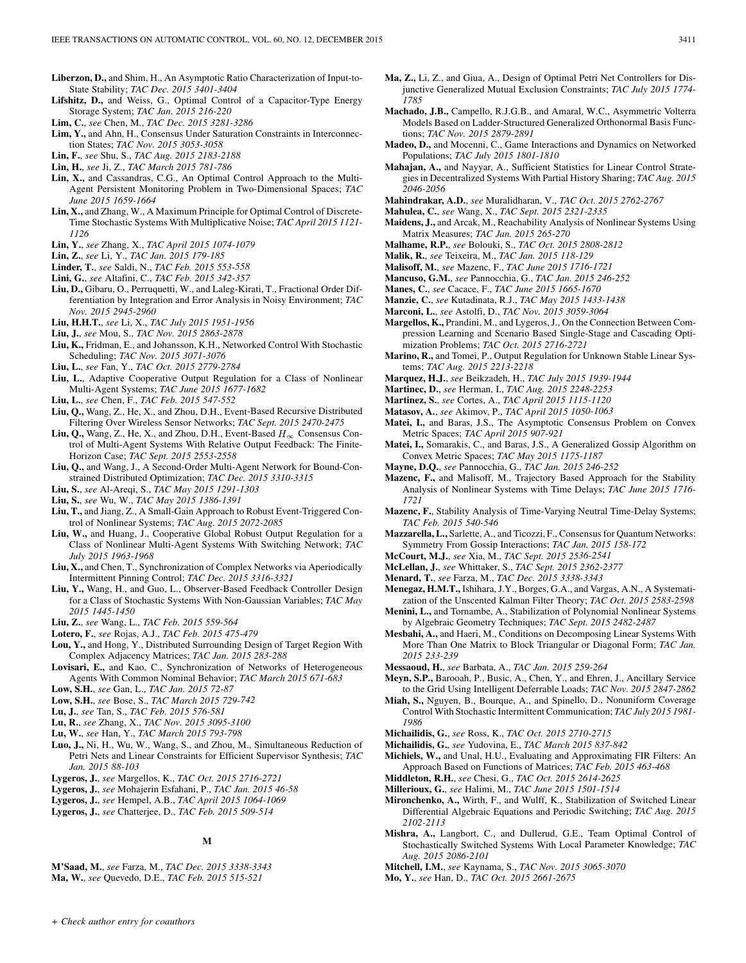**Liberzon, D.,** and Shim, H., An Asymptotic Ratio Characterization of Input-to-State Stability; *TAC Dec. 2015 3401-3404*

- **Lifshitz, D.,** and Weiss, G., Optimal Control of a Capacitor-Type Energy Storage System; *TAC Jan. 2015 216-220*
- **Lim, C.**, *see* Chen, M., *TAC Dec. 2015 3281-3286*
- **Lim, Y.,** and Ahn, H., Consensus Under Saturation Constraints in Interconnection States; *TAC Nov. 2015 3053-3058*
- **Lin, F.**, *see* Shu, S., *TAC Aug. 2015 2183-2188*
- **Lin, H.**, *see* Ji, Z., *TAC March 2015 781-786*
- **Lin, X.,** and Cassandras, C.G., An Optimal Control Approach to the Multi-Agent Persistent Monitoring Problem in Two-Dimensional Spaces; *TAC June 2015 1659-1664*
- **Lin, X.,** and Zhang, W., A Maximum Principle for Optimal Control of Discrete-Time Stochastic Systems With Multiplicative Noise; *TAC April 2015 1121- 1126*
- **Lin, Y.**, *see* Zhang, X., *TAC April 2015 1074-1079*
- **Lin, Z.**, *see* Li, Y., *TAC Jan. 2015 179-185*
- **Linder, T.**, *see* Saldi, N., *TAC Feb. 2015 553-558*
- **Lini, G.**, *see* Altafini, C., *TAC Feb. 2015 342-357*
- **Liu, D.,** Gibaru, O., Perruquetti, W., and Laleg-Kirati, T., Fractional Order Differentiation by Integration and Error Analysis in Noisy Environment; *TAC Nov. 2015 2945-2960*
- **Liu, H.H.T.**, *see* Li, X., *TAC July 2015 1951-1956*
- **Liu, J.**, *see* Mou, S., *TAC Nov. 2015 2863-2878*
- **Liu, K.,** Fridman, E., and Johansson, K.H., Networked Control With Stochastic Scheduling; *TAC Nov. 2015 3071-3076*
- **Liu, L.**, *see* Fan, Y., *TAC Oct. 2015 2779-2784*
- **Liu, L.**, Adaptive Cooperative Output Regulation for a Class of Nonlinear Multi-Agent Systems; *TAC June 2015 1677-1682*
- **Liu, L.**, *see* Chen, F., *TAC Feb. 2015 547-552*
- **Liu, Q.,** Wang, Z., He, X., and Zhou, D.H., Event-Based Recursive Distributed Filtering Over Wireless Sensor Networks; *TAC Sept. 2015 2470-2475*
- **Liu, Q.,** Wang, Z., He, X., and Zhou, D.H., Event-Based  $H_{\infty}$  Consensus Control of Multi-Agent Systems With Relative Output Feedback: The Finite-Horizon Case; *TAC Sept. 2015 2553-2558*
- **Liu, Q.,** and Wang, J., A Second-Order Multi-Agent Network for Bound-Constrained Distributed Optimization; *TAC Dec. 2015 3310-3315*
- **Liu, S.**, *see* Al-Areqi, S., *TAC May 2015 1291-1303*
- **Liu, S.**, *see* Wu, W., *TAC May 2015 1386-1391*
- **Liu, T.,** and Jiang, Z., A Small-Gain Approach to Robust Event-Triggered Control of Nonlinear Systems; *TAC Aug. 2015 2072-2085*
- **Liu, W.,** and Huang, J., Cooperative Global Robust Output Regulation for a Class of Nonlinear Multi-Agent Systems With Switching Network; *TAC July 2015 1963-1968*
- **Liu, X.,** and Chen, T., Synchronization of Complex Networks via Aperiodically Intermittent Pinning Control; *TAC Dec. 2015 3316-3321*
- **Liu, Y.,** Wang, H., and Guo, L., Observer-Based Feedback Controller Design for a Class of Stochastic Systems With Non-Gaussian Variables; *TAC May 2015 1445-1450*
- **Liu, Z.**, *see* Wang, L., *TAC Feb. 2015 559-564*
- **Lotero, F.**, *see* Rojas, A.J., *TAC Feb. 2015 475-479*
- **Lou, Y.,** and Hong, Y., Distributed Surrounding Design of Target Region With Complex Adjacency Matrices; *TAC Jan. 2015 283-288*
- **Lovisari, E.,** and Kao, C., Synchronization of Networks of Heterogeneous Agents With Common Nominal Behavior; *TAC March 2015 671-683*
- **Low, S.H.**, *see* Gan, L., *TAC Jan. 2015 72-87*
- **Low, S.H.**, *see* Bose, S., *TAC March 2015 729-742*
- **Lu, J.**, *see* Tan, S., *TAC Feb. 2015 576-581*
- **Lu, R.**, *see* Zhang, X., *TAC Nov. 2015 3095-3100*
- **Lu, W.**, *see* Han, Y., *TAC March 2015 793-798*
- **Luo, J.,** Ni, H., Wu, W., Wang, S., and Zhou, M., Simultaneous Reduction of Petri Nets and Linear Constraints for Efficient Supervisor Synthesis; *TAC Jan. 2015 88-103*
- **Lygeros, J.**, *see* Margellos, K., *TAC Oct. 2015 2716-2721*
- **Lygeros, J.**, *see* Mohajerin Esfahani, P., *TAC Jan. 2015 46-58*
- **Lygeros, J.**, *see* Hempel, A.B., *TAC April 2015 1064-1069*
- **Lygeros, J.**, *see* Chatterjee, D., *TAC Feb. 2015 509-514*

# **M**

**M'Saad, M.**, *see* Farza, M., *TAC Dec. 2015 3338-3343* **Ma, W.**, *see* Quevedo, D.E., *TAC Feb. 2015 515-521*

- **Ma, Z.,** Li, Z., and Giua, A., Design of Optimal Petri Net Controllers for Disjunctive Generalized Mutual Exclusion Constraints; *TAC July 2015 1774- 1785*
- **Machado, J.B.,** Campello, R.J.G.B., and Amaral, W.C., Asymmetric Volterra Models Based on Ladder-Structured Generalized Orthonormal Basis Functions; *TAC Nov. 2015 2879-2891*
- **Madeo, D.,** and Mocenni, C., Game Interactions and Dynamics on Networked Populations; *TAC July 2015 1801-1810*
- **Mahajan, A.,** and Nayyar, A., Sufficient Statistics for Linear Control Strategies in Decentralized Systems With Partial History Sharing; *TAC Aug. 2015 2046-2056*
- **Mahindrakar, A.D.**, *see* Muralidharan, V., *TAC Oct. 2015 2762-2767*
- **Mahulea, C.**, *see* Wang, X., *TAC Sept. 2015 2321-2335*
- **Maidens, J.,** and Arcak, M., Reachability Analysis of Nonlinear Systems Using Matrix Measures; *TAC Jan. 2015 265-270*
- **Malhame, R.P.**, *see* Bolouki, S., *TAC Oct. 2015 2808-2812*
- **Malik, R.**, *see* Teixeira, M., *TAC Jan. 2015 118-129*
- **Malisoff, M.**, *see* Mazenc, F., *TAC June 2015 1716-1721*
- **Mancuso, G.M.**, *see* Pannocchia, G., *TAC Jan. 2015 246-252*
- **Manes, C.**, *see* Cacace, F., *TAC June 2015 1665-1670*
- **Manzie, C.**, *see* Kutadinata, R.J., *TAC May 2015 1433-1438*
- **Marconi, L.**, *see* Astolfi, D., *TAC Nov. 2015 3059-3064*
- **Margellos, K.,** Prandini, M., and Lygeros, J., On the Connection Between Compression Learning and Scenario Based Single-Stage and Cascading Optimization Problems; *TAC Oct. 2015 2716-2721*
- **Marino, R.,** and Tomei, P., Output Regulation for Unknown Stable Linear Systems; *TAC Aug. 2015 2213-2218*
- **Marquez, H.J.**, *see* Beikzadeh, H., *TAC July 2015 1939-1944*
- **Martinec, D.**, *see* Herman, I., *TAC Aug. 2015 2248-2253*
- **Martinez, S.**, *see* Cortes, A., *TAC April 2015 1115-1120*
- **Matasov, A.**, *see* Akimov, P., *TAC April 2015 1050-1063*
- **Matei, I.,** and Baras, J.S., The Asymptotic Consensus Problem on Convex Metric Spaces; *TAC April 2015 907-921*
- **Matei, I.,** Somarakis, C., and Baras, J.S., A Generalized Gossip Algorithm on Convex Metric Spaces; *TAC May 2015 1175-1187*
- **Mayne, D.Q.**, *see* Pannocchia, G., *TAC Jan. 2015 246-252*
- **Mazenc, F.,** and Malisoff, M., Trajectory Based Approach for the Stability Analysis of Nonlinear Systems with Time Delays; *TAC June 2015 1716- 1721*
- **Mazenc, F.**, Stability Analysis of Time-Varying Neutral Time-Delay Systems; *TAC Feb. 2015 540-546*
- **Mazzarella, L.,** Sarlette, A., and Ticozzi, F., Consensus for Quantum Networks: Symmetry From Gossip Interactions; *TAC Jan. 2015 158-172*
- **McCourt, M.J.**, *see* Xia, M., *TAC Sept. 2015 2536-2541*
- **McLellan, J.**, *see* Whittaker, S., *TAC Sept. 2015 2362-2377*
- **Menard, T.**, *see* Farza, M., *TAC Dec. 2015 3338-3343*
- **Menegaz, H.M.T.,** Ishihara, J.Y., Borges, G.A., and Vargas, A.N., A Systematization of the Unscented Kalman Filter Theory; *TAC Oct. 2015 2583-2598*
- **Menini, L.,** and Tornambe, A., Stabilization of Polynomial Nonlinear Systems by Algebraic Geometry Techniques; *TAC Sept. 2015 2482-2487*
- **Mesbahi, A.,** and Haeri, M., Conditions on Decomposing Linear Systems With More Than One Matrix to Block Triangular or Diagonal Form; *TAC Jan. 2015 233-239*
- **Messaoud, H.**, *see* Barbata, A., *TAC Jan. 2015 259-264*
- **Meyn, S.P.,** Barooah, P., Busic, A., Chen, Y., and Ehren, J., Ancillary Service to the Grid Using Intelligent Deferrable Loads; *TAC Nov. 2015 2847-2862*
- **Miah, S.,** Nguyen, B., Bourque, A., and Spinello, D., Nonuniform Coverage Control With Stochastic Intermittent Communication; *TAC July 2015 1981- 1986*
- **Michailidis, G.**, *see* Ross, K., *TAC Oct. 2015 2710-2715*
- **Michailidis, G.**, *see* Yudovina, E., *TAC March 2015 837-842*
- **Michiels, W.,** and Unal, H.U., Evaluating and Approximating FIR Filters: An Approach Based on Functions of Matrices; *TAC Feb. 2015 463-468*
- **Middleton, R.H.**, *see* Chesi, G., *TAC Oct. 2015 2614-2625*
- **Millerioux, G.**, *see* Halimi, M., *TAC June 2015 1501-1514*
- **Mironchenko, A.,** Wirth, F., and Wulff, K., Stabilization of Switched Linear Differential Algebraic Equations and Periodic Switching; *TAC Aug. 2015 2102-2113*
- **Mishra, A.,** Langbort, C., and Dullerud, G.E., Team Optimal Control of Stochastically Switched Systems With Local Parameter Knowledge; *TAC Aug. 2015 2086-2101*
- **Mitchell, I.M.**, *see* Kaynama, S., *TAC Nov. 2015 3065-3070*
- **Mo, Y.**, *see* Han, D., *TAC Oct. 2015 2661-2675*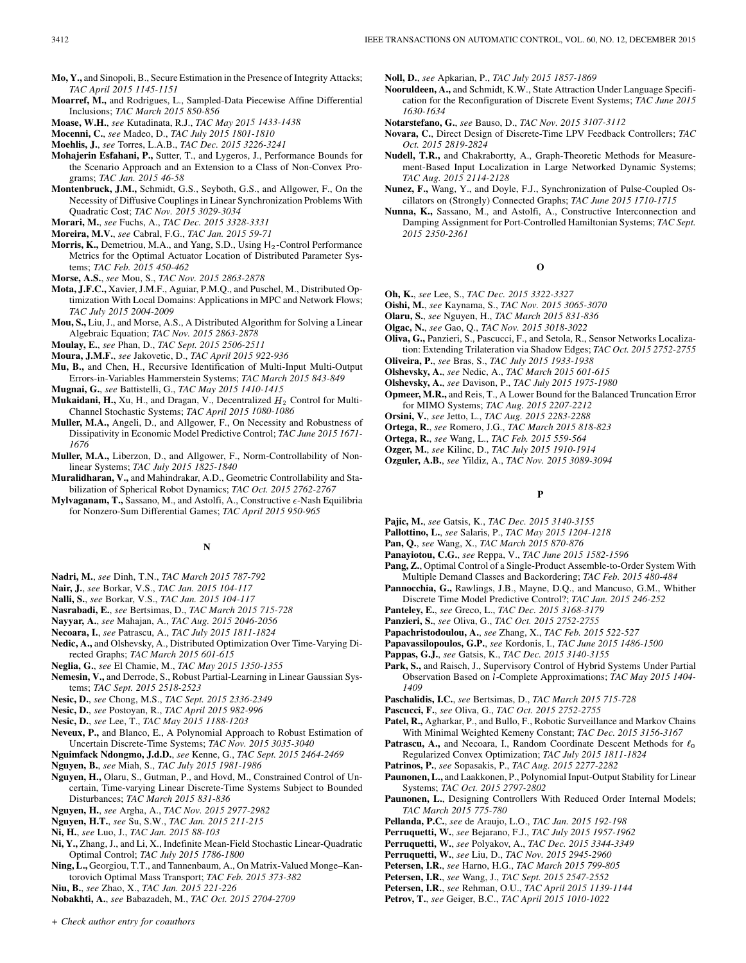- **Moarref, M.,** and Rodrigues, L., Sampled-Data Piecewise Affine Differential Inclusions; *TAC March 2015 850-856*
- **Moase, W.H.**, *see* Kutadinata, R.J., *TAC May 2015 1433-1438*
- **Mocenni, C.**, *see* Madeo, D., *TAC July 2015 1801-1810*
- **Moehlis, J.**, *see* Torres, L.A.B., *TAC Dec. 2015 3226-3241*
- **Mohajerin Esfahani, P.,** Sutter, T., and Lygeros, J., Performance Bounds for the Scenario Approach and an Extension to a Class of Non-Convex Programs; *TAC Jan. 2015 46-58*
- **Montenbruck, J.M.,** Schmidt, G.S., Seyboth, G.S., and Allgower, F., On the Necessity of Diffusive Couplings in Linear Synchronization Problems With Quadratic Cost; *TAC Nov. 2015 3029-3034*

**Morari, M.**, *see* Fuchs, A., *TAC Dec. 2015 3328-3331*

**Moreira, M.V.**, *see* Cabral, F.G., *TAC Jan. 2015 59-71*

- **Morris, K., Demetriou, M.A., and Yang, S.D., Using**  $H_2$ **-Control Performance** Metrics for the Optimal Actuator Location of Distributed Parameter Systems; *TAC Feb. 2015 450-462*
- **Morse, A.S.**, *see* Mou, S., *TAC Nov. 2015 2863-2878*
- **Mota, J.F.C.,** Xavier, J.M.F., Aguiar, P.M.Q., and Puschel, M., Distributed Optimization With Local Domains: Applications in MPC and Network Flows; *TAC July 2015 2004-2009*
- **Mou, S.,** Liu, J., and Morse, A.S., A Distributed Algorithm for Solving a Linear Algebraic Equation; *TAC Nov. 2015 2863-2878*
- **Moulay, E.**, *see* Phan, D., *TAC Sept. 2015 2506-2511*
- **Moura, J.M.F.**, *see* Jakovetic, D., *TAC April 2015 922-936*
- **Mu, B.,** and Chen, H., Recursive Identification of Multi-Input Multi-Output Errors-in-Variables Hammerstein Systems; *TAC March 2015 843-849*
- **Mugnai, G.**, *see* Battistelli, G., *TAC May 2015 1410-1415*
- **Mukaidani, H.,** Xu, H., and Dragan, V., Decentralized  $H_2$  Control for Multi-Channel Stochastic Systems; *TAC April 2015 1080-1086*
- **Muller, M.A.,** Angeli, D., and Allgower, F., On Necessity and Robustness of Dissipativity in Economic Model Predictive Control; *TAC June 2015 1671- 1676*
- **Muller, M.A.,** Liberzon, D., and Allgower, F., Norm-Controllability of Nonlinear Systems; *TAC July 2015 1825-1840*
- **Muralidharan, V.,** and Mahindrakar, A.D., Geometric Controllability and Stabilization of Spherical Robot Dynamics; *TAC Oct. 2015 2762-2767*
- **Mylvaganam, T., Sassano, M., and Astolfi, A., Constructive ε-Nash Equilibria** for Nonzero-Sum Differential Games; *TAC April 2015 950-965*

# **N**

- **Nadri, M.**, *see* Dinh, T.N., *TAC March 2015 787-792*
- **Nair, J.**, *see* Borkar, V.S., *TAC Jan. 2015 104-117*
- **Nalli, S.**, *see* Borkar, V.S., *TAC Jan. 2015 104-117*
- **Nasrabadi, E.**, *see* Bertsimas, D., *TAC March 2015 715-728*
- **Nayyar, A.**, *see* Mahajan, A., *TAC Aug. 2015 2046-2056*
- **Necoara, I.**, *see* Patrascu, A., *TAC July 2015 1811-1824*
- **Nedic, A.,** and Olshevsky, A., Distributed Optimization Over Time-Varying Directed Graphs; *TAC March 2015 601-615*
- **Neglia, G.**, *see* El Chamie, M., *TAC May 2015 1350-1355*
- **Nemesin, V.,** and Derrode, S., Robust Partial-Learning in Linear Gaussian Systems; *TAC Sept. 2015 2518-2523*
- **Nesic, D.**, *see* Chong, M.S., *TAC Sept. 2015 2336-2349*
- **Nesic, D.**, *see* Postoyan, R., *TAC April 2015 982-996*
- **Nesic, D.**, *see* Lee, T., *TAC May 2015 1188-1203*
- **Neveux, P.,** and Blanco, E., A Polynomial Approach to Robust Estimation of Uncertain Discrete-Time Systems; *TAC Nov. 2015 3035-3040*
- **Nguimfack Ndongmo, J.d.D.**, *see* Kenne, G., *TAC Sept. 2015 2464-2469*
- **Nguyen, B.**, *see* Miah, S., *TAC July 2015 1981-1986*
- **Nguyen, H.,** Olaru, S., Gutman, P., and Hovd, M., Constrained Control of Uncertain, Time-varying Linear Discrete-Time Systems Subject to Bounded Disturbances; *TAC March 2015 831-836*
- **Nguyen, H.**, *see* Argha, A., *TAC Nov. 2015 2977-2982*
- **Nguyen, H.T.**, *see* Su, S.W., *TAC Jan. 2015 211-215*
- **Ni, H.**, *see* Luo, J., *TAC Jan. 2015 88-103*
- **Ni, Y.,** Zhang, J., and Li, X., Indefinite Mean-Field Stochastic Linear-Quadratic Optimal Control; *TAC July 2015 1786-1800*
- **Ning, L.,** Georgiou, T.T., and Tannenbaum, A., On Matrix-Valued Monge–Kantorovich Optimal Mass Transport; *TAC Feb. 2015 373-382*
- **Niu, B.**, *see* Zhao, X., *TAC Jan. 2015 221-226*
- **Nobakhti, A.**, *see* Babazadeh, M., *TAC Oct. 2015 2704-2709*

**Noll, D.**, *see* Apkarian, P., *TAC July 2015 1857-1869*

- **Nooruldeen, A.,** and Schmidt, K.W., State Attraction Under Language Specification for the Reconfiguration of Discrete Event Systems; *TAC June 2015 1630-1634*
- **Notarstefano, G.**, *see* Bauso, D., *TAC Nov. 2015 3107-3112*
- **Novara, C.**, Direct Design of Discrete-Time LPV Feedback Controllers; *TAC Oct. 2015 2819-2824*
- **Nudell, T.R.,** and Chakrabortty, A., Graph-Theoretic Methods for Measurement-Based Input Localization in Large Networked Dynamic Systems; *TAC Aug. 2015 2114-2128*
- **Nunez, F.,** Wang, Y., and Doyle, F.J., Synchronization of Pulse-Coupled Oscillators on (Strongly) Connected Graphs; *TAC June 2015 1710-1715*
- **Nunna, K.,** Sassano, M., and Astolfi, A., Constructive Interconnection and Damping Assignment for Port-Controlled Hamiltonian Systems; *TAC Sept. 2015 2350-2361*

# **O**

- **Oh, K.**, *see* Lee, S., *TAC Dec. 2015 3322-3327*
- **Oishi, M.**, *see* Kaynama, S., *TAC Nov. 2015 3065-3070*
- **Olaru, S.**, *see* Nguyen, H., *TAC March 2015 831-836*
- **Olgac, N.**, *see* Gao, Q., *TAC Nov. 2015 3018-3022*
- **Oliva, G.,** Panzieri, S., Pascucci, F., and Setola, R., Sensor Networks Localization: Extending Trilateration via Shadow Edges; *TAC Oct. 2015 2752-2755*
- **Oliveira, P.**, *see* Bras, S., *TAC July 2015 1933-1938*
- **Olshevsky, A.**, *see* Nedic, A., *TAC March 2015 601-615*
- **Olshevsky, A.**, *see* Davison, P., *TAC July 2015 1975-1980*
- **Opmeer, M.R.,** and Reis, T., A Lower Bound for the Balanced Truncation Error for MIMO Systems; *TAC Aug. 2015 2207-2212*
- **Orsini, V.**, *see* Jetto, L., *TAC Aug. 2015 2283-2288*
- **Ortega, R.**, *see* Romero, J.G., *TAC March 2015 818-823*
- **Ortega, R.**, *see* Wang, L., *TAC Feb. 2015 559-564*
- **Ozger, M.**, *see* Kilinc, D., *TAC July 2015 1910-1914*
- **Ozguler, A.B.**, *see* Yildiz, A., *TAC Nov. 2015 3089-3094*

#### **P**

- **Pajic, M.**, *see* Gatsis, K., *TAC Dec. 2015 3140-3155*
- **Pallottino, L.**, *see* Salaris, P., *TAC May 2015 1204-1218*
- **Pan, Q.**, *see* Wang, X., *TAC March 2015 870-876*
- **Panayiotou, C.G.**, *see* Reppa, V., *TAC June 2015 1582-1596*
- **Pang, Z.**, Optimal Control of a Single-Product Assemble-to-Order System With Multiple Demand Classes and Backordering; *TAC Feb. 2015 480-484*
- **Pannocchia, G.,** Rawlings, J.B., Mayne, D.Q., and Mancuso, G.M., Whither Discrete Time Model Predictive Control?; *TAC Jan. 2015 246-252*
- **Panteley, E.**, *see* Greco, L., *TAC Dec. 2015 3168-3179*
- **Panzieri, S.**, *see* Oliva, G., *TAC Oct. 2015 2752-2755*
- **Papachristodoulou, A.**, *see* Zhang, X., *TAC Feb. 2015 522-527*
- **Papavassilopoulos, G.P.**, *see* Kordonis, I., *TAC June 2015 1486-1500*
- **Pappas, G.J.**, *see* Gatsis, K., *TAC Dec. 2015 3140-3155*
- **Park, S.,** and Raisch, J., Supervisory Control of Hybrid Systems Under Partial Observation Based on -Complete Approximations; *TAC May 2015 1404- 1409*
- **Paschalidis, I.C.**, *see* Bertsimas, D., *TAC March 2015 715-728*
- **Pascucci, F.**, *see* Oliva, G., *TAC Oct. 2015 2752-2755*
- Patel, R., Agharkar, P., and Bullo, F., Robotic Surveillance and Markov Chains With Minimal Weighted Kemeny Constant; *TAC Dec. 2015 3156-3167*
- **Patrascu, A., and Necoara, I., Random Coordinate Descent Methods for**  $\ell_0$ Regularized Convex Optimization; *TAC July 2015 1811-1824*
- **Patrinos, P.**, *see* Sopasakis, P., *TAC Aug. 2015 2277-2282*
- **Paunonen, L.,** and Laakkonen, P., Polynomial Input-Output Stability for Linear Systems; *TAC Oct. 2015 2797-2802*
- Paunonen, L., Designing Controllers With Reduced Order Internal Models; *TAC March 2015 775-780*
- **Pellanda, P.C.**, *see* de Araujo, L.O., *TAC Jan. 2015 192-198*
- **Perruquetti, W.**, *see* Bejarano, F.J., *TAC July 2015 1957-1962*
- **Perruquetti, W.**, *see* Polyakov, A., *TAC Dec. 2015 3344-3349*
- **Perruquetti, W.**, *see* Liu, D., *TAC Nov. 2015 2945-2960*
- **Petersen, I.R.**, *see* Harno, H.G., *TAC March 2015 799-805*
- **Petersen, I.R.**, *see* Wang, J., *TAC Sept. 2015 2547-2552*
- **Petersen, I.R.**, *see* Rehman, O.U., *TAC April 2015 1139-1144*
- **Petrov, T.**, *see* Geiger, B.C., *TAC April 2015 1010-1022*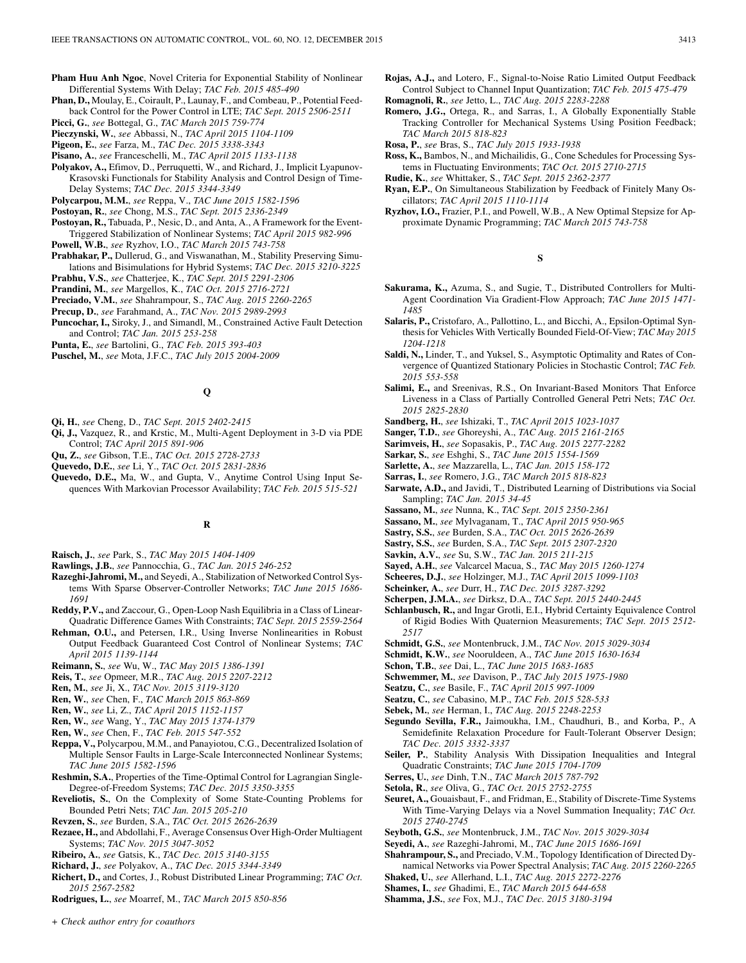- **Pham Huu Anh Ngoc**, Novel Criteria for Exponential Stability of Nonlinear Differential Systems With Delay; *TAC Feb. 2015 485-490*
- **Phan, D.,** Moulay, E., Coirault, P., Launay, F., and Combeau, P., Potential Feedback Control for the Power Control in LTE; *TAC Sept. 2015 2506-2511*
- **Picci, G.**, *see* Bottegal, G., *TAC March 2015 759-774*
- **Pieczynski, W.**, *see* Abbassi, N., *TAC April 2015 1104-1109*
- **Pigeon, E.**, *see* Farza, M., *TAC Dec. 2015 3338-3343*
- **Pisano, A.**, *see* Franceschelli, M., *TAC April 2015 1133-1138*
- **Polyakov, A.,** Efimov, D., Perruquetti, W., and Richard, J., Implicit Lyapunov-Krasovski Functionals for Stability Analysis and Control Design of Time-Delay Systems; *TAC Dec. 2015 3344-3349*
- **Polycarpou, M.M.**, *see* Reppa, V., *TAC June 2015 1582-1596*
- **Postoyan, R.**, *see* Chong, M.S., *TAC Sept. 2015 2336-2349*
- **Postoyan, R.,** Tabuada, P., Nesic, D., and Anta, A., A Framework for the Event-Triggered Stabilization of Nonlinear Systems; *TAC April 2015 982-996*
- **Powell, W.B.**, *see* Ryzhov, I.O., *TAC March 2015 743-758*
- **Prabhakar, P.,** Dullerud, G., and Viswanathan, M., Stability Preserving Simulations and Bisimulations for Hybrid Systems; *TAC Dec. 2015 3210-3225*
- **Prabhu, V.S.**, *see* Chatterjee, K., *TAC Sept. 2015 2291-2306*
- **Prandini, M.**, *see* Margellos, K., *TAC Oct. 2015 2716-2721*
- **Preciado, V.M.**, *see* Shahrampour, S., *TAC Aug. 2015 2260-2265*
- **Precup, D.**, *see* Farahmand, A., *TAC Nov. 2015 2989-2993*
- **Puncochar, I.,** Siroky, J., and Simandl, M., Constrained Active Fault Detection and Control; *TAC Jan. 2015 253-258*
- **Punta, E.**, *see* Bartolini, G., *TAC Feb. 2015 393-403*
- **Puschel, M.**, *see* Mota, J.F.C., *TAC July 2015 2004-2009*

# **Q**

- **Qi, H.**, *see* Cheng, D., *TAC Sept. 2015 2402-2415*
- **Qi, J.,** Vazquez, R., and Krstic, M., Multi-Agent Deployment in 3-D via PDE Control; *TAC April 2015 891-906*
- **Qu, Z.**, *see* Gibson, T.E., *TAC Oct. 2015 2728-2733*
- **Quevedo, D.E.**, *see* Li, Y., *TAC Oct. 2015 2831-2836*
- **Quevedo, D.E.,** Ma, W., and Gupta, V., Anytime Control Using Input Sequences With Markovian Processor Availability; *TAC Feb. 2015 515-521*

# **R**

- **Raisch, J.**, *see* Park, S., *TAC May 2015 1404-1409*
- **Rawlings, J.B.**, *see* Pannocchia, G., *TAC Jan. 2015 246-252*
- **Razeghi-Jahromi, M.,** and Seyedi, A., Stabilization of Networked Control Systems With Sparse Observer-Controller Networks; *TAC June 2015 1686- 1691*
- **Reddy, P.V.,** and Zaccour, G., Open-Loop Nash Equilibria in a Class of Linear-Quadratic Difference Games With Constraints; *TAC Sept. 2015 2559-2564*
- **Rehman, O.U.,** and Petersen, I.R., Using Inverse Nonlinearities in Robust Output Feedback Guaranteed Cost Control of Nonlinear Systems; *TAC April 2015 1139-1144*
- **Reimann, S.**, *see* Wu, W., *TAC May 2015 1386-1391*
- **Reis, T.**, *see* Opmeer, M.R., *TAC Aug. 2015 2207-2212*
- **Ren, M.**, *see* Ji, X., *TAC Nov. 2015 3119-3120*
- **Ren, W.**, *see* Chen, F., *TAC March 2015 863-869*
- **Ren, W.**, *see* Li, Z., *TAC April 2015 1152-1157*
- **Ren, W.**, *see* Wang, Y., *TAC May 2015 1374-1379*
- **Ren, W.**, *see* Chen, F., *TAC Feb. 2015 547-552*
- **Reppa, V.,** Polycarpou, M.M., and Panayiotou, C.G., Decentralized Isolation of Multiple Sensor Faults in Large-Scale Interconnected Nonlinear Systems; *TAC June 2015 1582-1596*
- **Reshmin, S.A.**, Properties of the Time-Optimal Control for Lagrangian Single-Degree-of-Freedom Systems; *TAC Dec. 2015 3350-3355*
- **Reveliotis, S.**, On the Complexity of Some State-Counting Problems for Bounded Petri Nets; *TAC Jan. 2015 205-210*
- **Revzen, S.**, *see* Burden, S.A., *TAC Oct. 2015 2626-2639*
- **Rezaee, H.,** and Abdollahi, F., Average Consensus Over High-Order Multiagent Systems; *TAC Nov. 2015 3047-3052*
- **Ribeiro, A.**, *see* Gatsis, K., *TAC Dec. 2015 3140-3155*
- **Richard, J.**, *see* Polyakov, A., *TAC Dec. 2015 3344-3349*
- **Richert, D.,** and Cortes, J., Robust Distributed Linear Programming; *TAC Oct. 2015 2567-2582*
- **Rodrigues, L.**, *see* Moarref, M., *TAC March 2015 850-856*
- **Rojas, A.J.,** and Lotero, F., Signal-to-Noise Ratio Limited Output Feedback Control Subject to Channel Input Quantization; *TAC Feb. 2015 475-479*
- **Romagnoli, R.**, *see* Jetto, L., *TAC Aug. 2015 2283-2288*
- **Romero, J.G.,** Ortega, R., and Sarras, I., A Globally Exponentially Stable Tracking Controller for Mechanical Systems Using Position Feedback; *TAC March 2015 818-823*
- **Rosa, P.**, *see* Bras, S., *TAC July 2015 1933-1938*
- **Ross, K.,** Bambos, N., and Michailidis, G., Cone Schedules for Processing Systems in Fluctuating Environments; *TAC Oct. 2015 2710-2715*
- **Rudie, K.**, *see* Whittaker, S., *TAC Sept. 2015 2362-2377*
- **Ryan, E.P.**, On Simultaneous Stabilization by Feedback of Finitely Many Oscillators; *TAC April 2015 1110-1114*
- **Ryzhov, I.O.,** Frazier, P.I., and Powell, W.B., A New Optimal Stepsize for Approximate Dynamic Programming; *TAC March 2015 743-758*

# **S**

- **Sakurama, K.,** Azuma, S., and Sugie, T., Distributed Controllers for Multi-Agent Coordination Via Gradient-Flow Approach; *TAC June 2015 1471- 1485*
- **Salaris, P.,** Cristofaro, A., Pallottino, L., and Bicchi, A., Epsilon-Optimal Synthesis for Vehicles With Vertically Bounded Field-Of-View; *TAC May 2015 1204-1218*
- **Saldi, N.,** Linder, T., and Yuksel, S., Asymptotic Optimality and Rates of Convergence of Quantized Stationary Policies in Stochastic Control; *TAC Feb. 2015 553-558*
- **Salimi, E.,** and Sreenivas, R.S., On Invariant-Based Monitors That Enforce Liveness in a Class of Partially Controlled General Petri Nets; *TAC Oct. 2015 2825-2830*
- **Sandberg, H.**, *see* Ishizaki, T., *TAC April 2015 1023-1037*
- **Sanger, T.D.**, *see* Ghoreyshi, A., *TAC Aug. 2015 2161-2165*
- **Sarimveis, H.**, *see* Sopasakis, P., *TAC Aug. 2015 2277-2282*
- **Sarkar, S.**, *see* Eshghi, S., *TAC June 2015 1554-1569*
- **Sarlette, A.**, *see* Mazzarella, L., *TAC Jan. 2015 158-172*
- **Sarras, I.**, *see* Romero, J.G., *TAC March 2015 818-823*
- **Sarwate, A.D.,** and Javidi, T., Distributed Learning of Distributions via Social Sampling; *TAC Jan. 2015 34-45*
- **Sassano, M.**, *see* Nunna, K., *TAC Sept. 2015 2350-2361*
- **Sassano, M.**, *see* Mylvaganam, T., *TAC April 2015 950-965*
- **Sastry, S.S.**, *see* Burden, S.A., *TAC Oct. 2015 2626-2639*
- **Sastry, S.S.**, *see* Burden, S.A., *TAC Sept. 2015 2307-2320*
- **Savkin, A.V.**, *see* Su, S.W., *TAC Jan. 2015 211-215*
- **Sayed, A.H.**, *see* Valcarcel Macua, S., *TAC May 2015 1260-1274*
- **Scheeres, D.J.**, *see* Holzinger, M.J., *TAC April 2015 1099-1103*
- **Scheinker, A.**, *see* Durr, H., *TAC Dec. 2015 3287-3292*
- **Scherpen, J.M.A.**, *see* Dirksz, D.A., *TAC Sept. 2015 2440-2445*
- **Schlanbusch, R.,** and Ingar Grotli, E.I., Hybrid Certainty Equivalence Control of Rigid Bodies With Quaternion Measurements; *TAC Sept. 2015 2512- 2517*
- **Schmidt, G.S.**, *see* Montenbruck, J.M., *TAC Nov. 2015 3029-3034*
- **Schmidt, K.W.**, *see* Nooruldeen, A., *TAC June 2015 1630-1634*
- **Schon, T.B.**, *see* Dai, L., *TAC June 2015 1683-1685*
- **Schwemmer, M.**, *see* Davison, P., *TAC July 2015 1975-1980*
- **Seatzu, C.**, *see* Basile, F., *TAC April 2015 997-1009*
- **Seatzu, C.**, *see* Cabasino, M.P., *TAC Feb. 2015 528-533*
- **Sebek, M.**, *see* Herman, I., *TAC Aug. 2015 2248-2253*
- **Segundo Sevilla, F.R.,** Jaimoukha, I.M., Chaudhuri, B., and Korba, P., A Semidefinite Relaxation Procedure for Fault-Tolerant Observer Design; *TAC Dec. 2015 3332-3337*
- Seiler, P., Stability Analysis With Dissipation Inequalities and Integral Quadratic Constraints; *TAC June 2015 1704-1709*
- **Serres, U.**, *see* Dinh, T.N., *TAC March 2015 787-792*
- **Setola, R.**, *see* Oliva, G., *TAC Oct. 2015 2752-2755*
- **Seuret, A.,** Gouaisbaut, F., and Fridman, E., Stability of Discrete-Time Systems With Time-Varying Delays via a Novel Summation Inequality; *TAC Oct. 2015 2740-2745*
- **Seyboth, G.S.**, *see* Montenbruck, J.M., *TAC Nov. 2015 3029-3034*
- **Seyedi, A.**, *see* Razeghi-Jahromi, M., *TAC June 2015 1686-1691*
- **Shahrampour, S.,** and Preciado, V.M., Topology Identification of Directed Dynamical Networks via Power Spectral Analysis; *TAC Aug. 2015 2260-2265*
- **Shaked, U.**, *see* Allerhand, L.I., *TAC Aug. 2015 2272-2276*
- **Shames, I.**, *see* Ghadimi, E., *TAC March 2015 644-658*
- **Shamma, J.S.**, *see* Fox, M.J., *TAC Dec. 2015 3180-3194*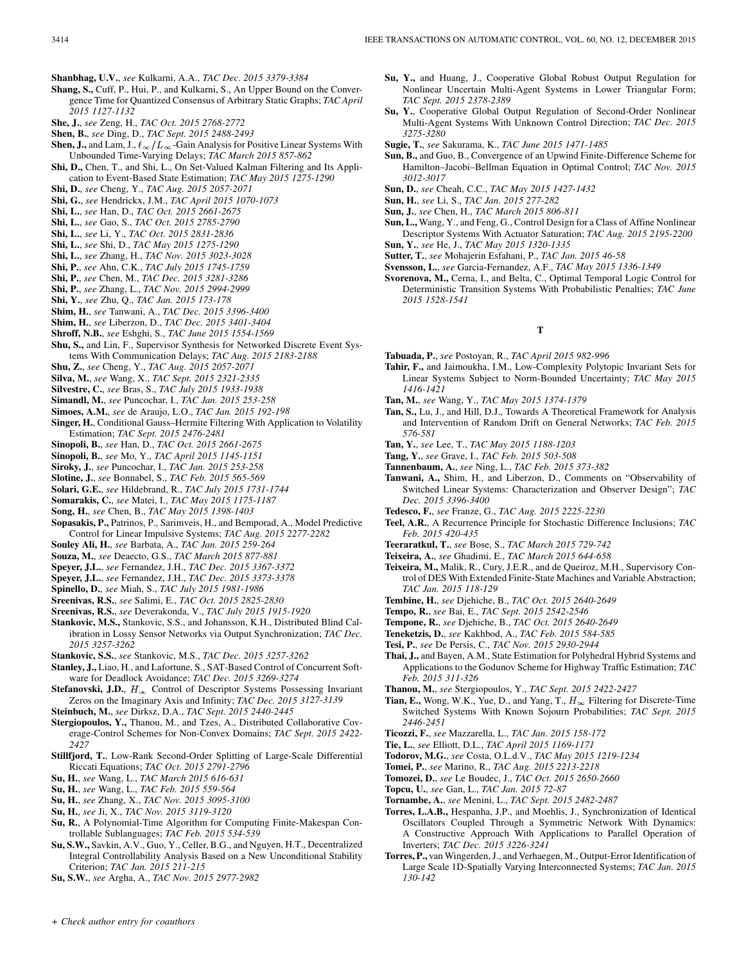**Shanbhag, U.V.**, *see* Kulkarni, A.A., *TAC Dec. 2015 3379-3384*

- **Shang, S.,** Cuff, P., Hui, P., and Kulkarni, S., An Upper Bound on the Convergence Time for Quantized Consensus of Arbitrary Static Graphs; *TAC April 2015 1127-1132*
- **She, J.**, *see* Zeng, H., *TAC Oct. 2015 2768-2772*
- **Shen, B.**, *see* Ding, D., *TAC Sept. 2015 2488-2493*
- **Shen, J.,** and Lam, J.,  $\ell_{\infty}/L_{\infty}$ -Gain Analysis for Positive Linear Systems With Unbounded Time-Varying Delays; *TAC March 2015 857-862*
- **Shi, D.,** Chen, T., and Shi, L., On Set-Valued Kalman Filtering and Its Application to Event-Based State Estimation; *TAC May 2015 1275-1290*
- **Shi, D.**, *see* Cheng, Y., *TAC Aug. 2015 2057-2071*
- **Shi, G.**, *see* Hendrickx, J.M., *TAC April 2015 1070-1073*
- **Shi, L.**, *see* Han, D., *TAC Oct. 2015 2661-2675*
- **Shi, L.**, *see* Gao, S., *TAC Oct. 2015 2785-2790*
- **Shi, L.**, *see* Li, Y., *TAC Oct. 2015 2831-2836*
- **Shi, L.**, *see* Shi, D., *TAC May 2015 1275-1290*
- **Shi, L.**, *see* Zhang, H., *TAC Nov. 2015 3023-3028*
- **Shi, P.**, *see* Ahn, C.K., *TAC July 2015 1745-1759*
- **Shi, P.**, *see* Chen, M., *TAC Dec. 2015 3281-3286*
- **Shi, P.**, *see* Zhang, L., *TAC Nov. 2015 2994-2999*
- **Shi, Y.**, *see* Zhu, Q., *TAC Jan. 2015 173-178*
- **Shim, H.**, *see* Tanwani, A., *TAC Dec. 2015 3396-3400*
- **Shim, H.**, *see* Liberzon, D., *TAC Dec. 2015 3401-3404*
- **Shroff, N.B.**, *see* Eshghi, S., *TAC June 2015 1554-1569*
- **Shu, S.,** and Lin, F., Supervisor Synthesis for Networked Discrete Event Systems With Communication Delays; *TAC Aug. 2015 2183-2188*
- **Shu, Z.**, *see* Cheng, Y., *TAC Aug. 2015 2057-2071*
- **Silva, M.**, *see* Wang, X., *TAC Sept. 2015 2321-2335*
- **Silvestre, C.**, *see* Bras, S., *TAC July 2015 1933-1938*
- **Simandl, M.**, *see* Puncochar, I., *TAC Jan. 2015 253-258*
- **Simoes, A.M.**, *see* de Araujo, L.O., *TAC Jan. 2015 192-198*
- **Singer, H.**, Conditional Gauss–Hermite Filtering With Application to Volatility Estimation; *TAC Sept. 2015 2476-2481*
- **Sinopoli, B.**, *see* Han, D., *TAC Oct. 2015 2661-2675*
- **Sinopoli, B.**, *see* Mo, Y., *TAC April 2015 1145-1151*
- **Siroky, J.**, *see* Puncochar, I., *TAC Jan. 2015 253-258*
- **Slotine, J.**, *see* Bonnabel, S., *TAC Feb. 2015 565-569*
- **Solari, G.E.**, *see* Hildebrand, R., *TAC July 2015 1731-1744*
- **Somarakis, C.**, *see* Matei, I., *TAC May 2015 1175-1187*
- **Song, H.**, *see* Chen, B., *TAC May 2015 1398-1403*
- **Sopasakis, P.,** Patrinos, P., Sarimveis, H., and Bemporad, A., Model Predictive Control for Linear Impulsive Systems; *TAC Aug. 2015 2277-2282*
- **Souley Ali, H.**, *see* Barbata, A., *TAC Jan. 2015 259-264*
- **Souza, M.**, *see* Deaecto, G.S., *TAC March 2015 877-881*
- **Speyer, J.L.**, *see* Fernandez, J.H., *TAC Dec. 2015 3367-3372*
- **Speyer, J.L.**, *see* Fernandez, J.H., *TAC Dec. 2015 3373-3378*
- **Spinello, D.**, *see* Miah, S., *TAC July 2015 1981-1986*
- **Sreenivas, R.S.**, *see* Salimi, E., *TAC Oct. 2015 2825-2830*
- **Sreenivas, R.S.**, *see* Deverakonda, V., *TAC July 2015 1915-1920*
- **Stankovic, M.S.,** Stankovic, S.S., and Johansson, K.H., Distributed Blind Calibration in Lossy Sensor Networks via Output Synchronization; *TAC Dec. 2015 3257-3262*
- **Stankovic, S.S.**, *see* Stankovic, M.S., *TAC Dec. 2015 3257-3262*
- **Stanley, J.,** Liao, H., and Lafortune, S., SAT-Based Control of Concurrent Software for Deadlock Avoidance; *TAC Dec. 2015 3269-3274*
- **Stefanovski, J.D.**,  $H_{\infty}$  Control of Descriptor Systems Possessing Invariant Zeros on the Imaginary Axis and Infinity; *TAC Dec. 2015 3127-3139*
- **Steinbuch, M.**, *see* Dirksz, D.A., *TAC Sept. 2015 2440-2445*
- **Stergiopoulos, Y.,** Thanou, M., and Tzes, A., Distributed Collaborative Coverage-Control Schemes for Non-Convex Domains; *TAC Sept. 2015 2422- 2427*
- **Stillfjord, T.**, Low-Rank Second-Order Splitting of Large-Scale Differential Riccati Equations; *TAC Oct. 2015 2791-2796*
- **Su, H.**, *see* Wang, L., *TAC March 2015 616-631*
- **Su, H.**, *see* Wang, L., *TAC Feb. 2015 559-564*
- **Su, H.**, *see* Zhang, X., *TAC Nov. 2015 3095-3100*
- **Su, H.**, *see* Ji, X., *TAC Nov. 2015 3119-3120*
- **Su, R.**, A Polynomial-Time Algorithm for Computing Finite-Makespan Controllable Sublanguages; *TAC Feb. 2015 534-539*
- **Su, S.W.,** Savkin, A.V., Guo, Y., Celler, B.G., and Nguyen, H.T., Decentralized Integral Controllability Analysis Based on a New Unconditional Stability Criterion; *TAC Jan. 2015 211-215*
- **Su, S.W.**, *see* Argha, A., *TAC Nov. 2015 2977-2982*
- **Su, Y.,** and Huang, J., Cooperative Global Robust Output Regulation for Nonlinear Uncertain Multi-Agent Systems in Lower Triangular Form; *TAC Sept. 2015 2378-2389*
- **Su, Y.**, Cooperative Global Output Regulation of Second-Order Nonlinear Multi-Agent Systems With Unknown Control Direction; *TAC Dec. 2015 3275-3280*
- **Sugie, T.**, *see* Sakurama, K., *TAC June 2015 1471-1485*
- **Sun, B.,** and Guo, B., Convergence of an Upwind Finite-Difference Scheme for Hamilton–Jacobi–Bellman Equation in Optimal Control; *TAC Nov. 2015 3012-3017*
- **Sun, D.**, *see* Cheah, C.C., *TAC May 2015 1427-1432*
- **Sun, H.**, *see* Li, S., *TAC Jan. 2015 277-282*
- **Sun, J.**, *see* Chen, H., *TAC March 2015 806-811*
- **Sun, L.,** Wang, Y., and Feng, G., Control Design for a Class of Affine Nonlinear Descriptor Systems With Actuator Saturation; *TAC Aug. 2015 2195-2200* **Sun, Y.**, *see* He, J., *TAC May 2015 1320-1335*
- **Sutter, T.**, *see* Mohajerin Esfahani, P., *TAC Jan. 2015 46-58*
- **Svensson, L.**, *see* Garcia-Fernandez, A.F., *TAC May 2015 1336-1349*
- **Svorenova, M.,** Cerna, I., and Belta, C., Optimal Temporal Logic Control for Deterministic Transition Systems With Probabilistic Penalties; *TAC June 2015 1528-1541*

# **T**

- **Tabuada, P.**, *see* Postoyan, R., *TAC April 2015 982-996*
- **Tahir, F.,** and Jaimoukha, I.M., Low-Complexity Polytopic Invariant Sets for Linear Systems Subject to Norm-Bounded Uncertainty; *TAC May 2015 1416-1421*
- **Tan, M.**, *see* Wang, Y., *TAC May 2015 1374-1379*
- **Tan, S.,** Lu, J., and Hill, D.J., Towards A Theoretical Framework for Analysis and Intervention of Random Drift on General Networks; *TAC Feb. 2015 576-581*
- **Tan, Y.**, *see* Lee, T., *TAC May 2015 1188-1203*
- **Tang, Y.**, *see* Grave, I., *TAC Feb. 2015 503-508*
- **Tannenbaum, A.**, *see* Ning, L., *TAC Feb. 2015 373-382*
- **Tanwani, A.,** Shim, H., and Liberzon, D., Comments on "Observability of Switched Linear Systems: Characterization and Observer Design"; *TAC Dec. 2015 3396-3400*
- **Tedesco, F.**, *see* Franze, G., *TAC Aug. 2015 2225-2230*
- **Teel, A.R.**, A Recurrence Principle for Stochastic Difference Inclusions; *TAC Feb. 2015 420-435*
- **Teeraratkul, T.**, *see* Bose, S., *TAC March 2015 729-742*
- **Teixeira, A.**, *see* Ghadimi, E., *TAC March 2015 644-658*
- **Teixeira, M.,** Malik, R., Cury, J.E.R., and de Queiroz, M.H., Supervisory Control of DES With Extended Finite-State Machines and Variable Abstraction; *TAC Jan. 2015 118-129*
- **Tembine, H.**, *see* Djehiche, B., *TAC Oct. 2015 2640-2649*
- **Tempo, R.**, *see* Bai, E., *TAC Sept. 2015 2542-2546*
- **Tempone, R.**, *see* Djehiche, B., *TAC Oct. 2015 2640-2649*
- **Teneketzis, D.**, *see* Kakhbod, A., *TAC Feb. 2015 584-585*
- **Tesi, P.**, *see* De Persis, C., *TAC Nov. 2015 2930-2944*
- **Thai, J.,** and Bayen, A.M., State Estimation for Polyhedral Hybrid Systems and Applications to the Godunov Scheme for Highway Traffic Estimation; *TAC Feb. 2015 311-326*
- **Thanou, M.**, *see* Stergiopoulos, Y., *TAC Sept. 2015 2422-2427*
- **Tian, E.,** Wong, W.K., Yue, D., and Yang, T.,  $H_{\infty}$  Filtering for Discrete-Time Switched Systems With Known Sojourn Probabilities; *TAC Sept. 2015 2446-2451*
- **Ticozzi, F.**, *see* Mazzarella, L., *TAC Jan. 2015 158-172*
- **Tie, L.**, *see* Elliott, D.L., *TAC April 2015 1169-1171*
- **Todorov, M.G.**, *see* Costa, O.L.d.V., *TAC May 2015 1219-1234*
- **Tomei, P.**, *see* Marino, R., *TAC Aug. 2015 2213-2218*
- **Tomozei, D.**, *see* Le Boudec, J., *TAC Oct. 2015 2650-2660*
- **Topcu, U.**, *see* Gan, L., *TAC Jan. 2015 72-87*
- **Tornambe, A.**, *see* Menini, L., *TAC Sept. 2015 2482-2487*
- **Torres, L.A.B.,** Hespanha, J.P., and Moehlis, J., Synchronization of Identical Oscillators Coupled Through a Symmetric Network With Dynamics: A Constructive Approach With Applications to Parallel Operation of Inverters; *TAC Dec. 2015 3226-3241*
- **Torres, P.,** van Wingerden, J., and Verhaegen, M., Output-Error Identification of Large Scale 1D-Spatially Varying Interconnected Systems; *TAC Jan. 2015 130-142*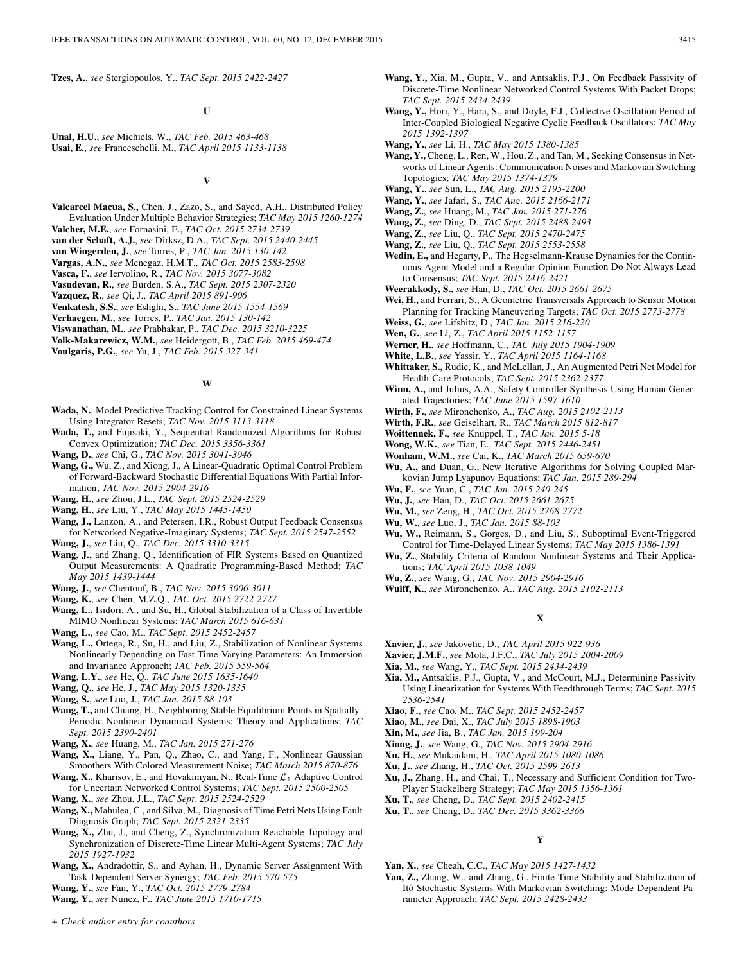**Tzes, A.**, *see* Stergiopoulos, Y., *TAC Sept. 2015 2422-2427*

#### **U**

**Unal, H.U.**, *see* Michiels, W., *TAC Feb. 2015 463-468* **Usai, E.**, *see* Franceschelli, M., *TAC April 2015 1133-1138*

#### **V**

- **Valcarcel Macua, S.,** Chen, J., Zazo, S., and Sayed, A.H., Distributed Policy Evaluation Under Multiple Behavior Strategies; *TAC May 2015 1260-1274*
- **Valcher, M.E.**, *see* Fornasini, E., *TAC Oct. 2015 2734-2739*
- **van der Schaft, A.J.**, *see* Dirksz, D.A., *TAC Sept. 2015 2440-2445*
- **van Wingerden, J.**, *see* Torres, P., *TAC Jan. 2015 130-142*
- **Vargas, A.N.**, *see* Menegaz, H.M.T., *TAC Oct. 2015 2583-2598*
- **Vasca, F.**, *see* Iervolino, R., *TAC Nov. 2015 3077-3082*
- **Vasudevan, R.**, *see* Burden, S.A., *TAC Sept. 2015 2307-2320*
- **Vazquez, R.**, *see* Qi, J., *TAC April 2015 891-906*
- **Venkatesh, S.S.**, *see* Eshghi, S., *TAC June 2015 1554-1569*
- **Verhaegen, M.**, *see* Torres, P., *TAC Jan. 2015 130-142*
- **Viswanathan, M.**, *see* Prabhakar, P., *TAC Dec. 2015 3210-3225*
- **Volk-Makarewicz, W.M.**, *see* Heidergott, B., *TAC Feb. 2015 469-474*
- **Voulgaris, P.G.**, *see* Yu, J., *TAC Feb. 2015 327-341*

# **W**

- **Wada, N.**, Model Predictive Tracking Control for Constrained Linear Systems Using Integrator Resets; *TAC Nov. 2015 3113-3118*
- **Wada, T.,** and Fujisaki, Y., Sequential Randomized Algorithms for Robust Convex Optimization; *TAC Dec. 2015 3356-3361*
- **Wang, D.**, *see* Chi, G., *TAC Nov. 2015 3041-3046*
- **Wang, G.,** Wu, Z., and Xiong, J., A Linear-Quadratic Optimal Control Problem of Forward-Backward Stochastic Differential Equations With Partial Information; *TAC Nov. 2015 2904-2916*
- **Wang, H.**, *see* Zhou, J.L., *TAC Sept. 2015 2524-2529*
- **Wang, H.**, *see* Liu, Y., *TAC May 2015 1445-1450*
- **Wang, J.,** Lanzon, A., and Petersen, I.R., Robust Output Feedback Consensus for Networked Negative-Imaginary Systems; *TAC Sept. 2015 2547-2552*
- **Wang, J.**, *see* Liu, Q., *TAC Dec. 2015 3310-3315*
- **Wang, J.,** and Zhang, Q., Identification of FIR Systems Based on Quantized Output Measurements: A Quadratic Programming-Based Method; *TAC May 2015 1439-1444*
- **Wang, J.**, *see* Chentouf, B., *TAC Nov. 2015 3006-3011*
- **Wang, K.**, *see* Chen, M.Z.Q., *TAC Oct. 2015 2722-2727*
- **Wang, L.,** Isidori, A., and Su, H., Global Stabilization of a Class of Invertible MIMO Nonlinear Systems; *TAC March 2015 616-631*
- **Wang, L.**, *see* Cao, M., *TAC Sept. 2015 2452-2457*
- **Wang, L.,** Ortega, R., Su, H., and Liu, Z., Stabilization of Nonlinear Systems Nonlinearly Depending on Fast Time-Varying Parameters: An Immersion and Invariance Approach; *TAC Feb. 2015 559-564*
- **Wang, L.Y.**, *see* He, Q., *TAC June 2015 1635-1640*
- **Wang, Q.**, *see* He, J., *TAC May 2015 1320-1335*
- **Wang, S.**, *see* Luo, J., *TAC Jan. 2015 88-103*
- **Wang, T.,** and Chiang, H., Neighboring Stable Equilibrium Points in Spatially-Periodic Nonlinear Dynamical Systems: Theory and Applications; *TAC Sept. 2015 2390-2401*
- **Wang, X.**, *see* Huang, M., *TAC Jan. 2015 271-276*
- **Wang, X.,** Liang, Y., Pan, Q., Zhao, C., and Yang, F., Nonlinear Gaussian Smoothers With Colored Measurement Noise; *TAC March 2015 870-876*
- **Wang, X.,** Kharisov, E., and Hovakimyan, N., Real-Time  $\mathcal{L}_1$  Adaptive Control for Uncertain Networked Control Systems; *TAC Sept. 2015 2500-2505*
- **Wang, X.**, *see* Zhou, J.L., *TAC Sept. 2015 2524-2529*
- **Wang, X.,** Mahulea, C., and Silva, M., Diagnosis of Time Petri Nets Using Fault Diagnosis Graph; *TAC Sept. 2015 2321-2335*
- **Wang, X.,** Zhu, J., and Cheng, Z., Synchronization Reachable Topology and Synchronization of Discrete-Time Linear Multi-Agent Systems; *TAC July 2015 1927-1932*
- **Wang, X.,** Andradottir, S., and Ayhan, H., Dynamic Server Assignment With Task-Dependent Server Synergy; *TAC Feb. 2015 570-575*
- **Wang, Y.**, *see* Fan, Y., *TAC Oct. 2015 2779-2784*
- **Wang, Y.**, *see* Nunez, F., *TAC June 2015 1710-1715*
- **Wang, Y.,** Xia, M., Gupta, V., and Antsaklis, P.J., On Feedback Passivity of Discrete-Time Nonlinear Networked Control Systems With Packet Drops; *TAC Sept. 2015 2434-2439*
- **Wang, Y.,** Hori, Y., Hara, S., and Doyle, F.J., Collective Oscillation Period of Inter-Coupled Biological Negative Cyclic Feedback Oscillators; *TAC May 2015 1392-1397*
- **Wang, Y.**, *see* Li, H., *TAC May 2015 1380-1385*
- **Wang, Y.,** Cheng, L., Ren, W., Hou, Z., and Tan, M., Seeking Consensus in Networks of Linear Agents: Communication Noises and Markovian Switching Topologies; *TAC May 2015 1374-1379*
- **Wang, Y.**, *see* Sun, L., *TAC Aug. 2015 2195-2200*
- **Wang, Y.**, *see* Jafari, S., *TAC Aug. 2015 2166-2171*
- **Wang, Z.**, *see* Huang, M., *TAC Jan. 2015 271-276*
- **Wang, Z.**, *see* Ding, D., *TAC Sept. 2015 2488-2493*
- **Wang, Z.**, *see* Liu, Q., *TAC Sept. 2015 2470-2475*
- **Wang, Z.**, *see* Liu, Q., *TAC Sept. 2015 2553-2558*
- **Wedin, E.,** and Hegarty, P., The Hegselmann-Krause Dynamics for the Continuous-Agent Model and a Regular Opinion Function Do Not Always Lead to Consensus; *TAC Sept. 2015 2416-2421*
- **Weerakkody, S.**, *see* Han, D., *TAC Oct. 2015 2661-2675*
- **Wei, H.,** and Ferrari, S., A Geometric Transversals Approach to Sensor Motion Planning for Tracking Maneuvering Targets; *TAC Oct. 2015 2773-2778*
- **Weiss, G.**, *see* Lifshitz, D., *TAC Jan. 2015 216-220*
- **Wen, G.**, *see* Li, Z., *TAC April 2015 1152-1157*
- **Werner, H.**, *see* Hoffmann, C., *TAC July 2015 1904-1909*
- **White, L.B.**, *see* Yassir, Y., *TAC April 2015 1164-1168*
- **Whittaker, S.,** Rudie, K., and McLellan, J., An Augmented Petri Net Model for Health-Care Protocols; *TAC Sept. 2015 2362-2377*
- **Winn, A.,** and Julius, A.A., Safety Controller Synthesis Using Human Generated Trajectories; *TAC June 2015 1597-1610*
- **Wirth, F.**, *see* Mironchenko, A., *TAC Aug. 2015 2102-2113*
- **Wirth, F.R.**, *see* Geiselhart, R., *TAC March 2015 812-817*
- **Woittennek, F.**, *see* Knuppel, T., *TAC Jan. 2015 5-18*
- **Wong, W.K.**, *see* Tian, E., *TAC Sept. 2015 2446-2451*
- **Wonham, W.M.**, *see* Cai, K., *TAC March 2015 659-670*
- **Wu, A.,** and Duan, G., New Iterative Algorithms for Solving Coupled Markovian Jump Lyapunov Equations; *TAC Jan. 2015 289-294*
- **Wu, F.**, *see* Yuan, C., *TAC Jan. 2015 240-245*
- **Wu, J.**, *see* Han, D., *TAC Oct. 2015 2661-2675*
- **Wu, M.**, *see* Zeng, H., *TAC Oct. 2015 2768-2772*
- **Wu, W.**, *see* Luo, J., *TAC Jan. 2015 88-103*
- **Wu, W.,** Reimann, S., Gorges, D., and Liu, S., Suboptimal Event-Triggered Control for Time-Delayed Linear Systems; *TAC May 2015 1386-1391*
- **Wu, Z.**, Stability Criteria of Random Nonlinear Systems and Their Applica-
- tions; *TAC April 2015 1038-1049* **Wu, Z.**, *see* Wang, G., *TAC Nov. 2015 2904-2916*
- **Wulff, K.**, *see* Mironchenko, A., *TAC Aug. 2015 2102-2113*
	-

# **X**

- **Xavier, J.**, *see* Jakovetic, D., *TAC April 2015 922-936*
- **Xavier, J.M.F.**, *see* Mota, J.F.C., *TAC July 2015 2004-2009*
- **Xia, M.**, *see* Wang, Y., *TAC Sept. 2015 2434-2439*
- **Xia, M.,** Antsaklis, P.J., Gupta, V., and McCourt, M.J., Determining Passivity Using Linearization for Systems With Feedthrough Terms; *TAC Sept. 2015 2536-2541*
- **Xiao, F.**, *see* Cao, M., *TAC Sept. 2015 2452-2457*
- **Xiao, M.**, *see* Dai, X., *TAC July 2015 1898-1903*
- **Xin, M.**, *see* Jia, B., *TAC Jan. 2015 199-204*
- **Xiong, J.**, *see* Wang, G., *TAC Nov. 2015 2904-2916*
- **Xu, H.**, *see* Mukaidani, H., *TAC April 2015 1080-1086*
- **Xu, J.**, *see* Zhang, H., *TAC Oct. 2015 2599-2613*
- **Xu, J.,** Zhang, H., and Chai, T., Necessary and Sufficient Condition for Two-Player Stackelberg Strategy; *TAC May 2015 1356-1361*
- **Xu, T.**, *see* Cheng, D., *TAC Sept. 2015 2402-2415*
- **Xu, T.**, *see* Cheng, D., *TAC Dec. 2015 3362-3366*

**Y**

- **Yan, X.**, *see* Cheah, C.C., *TAC May 2015 1427-1432*
- Yan, Z., Zhang, W., and Zhang, G., Finite-Time Stability and Stabilization of Itô Stochastic Systems With Markovian Switching: Mode-Dependent Parameter Approach; *TAC Sept. 2015 2428-2433*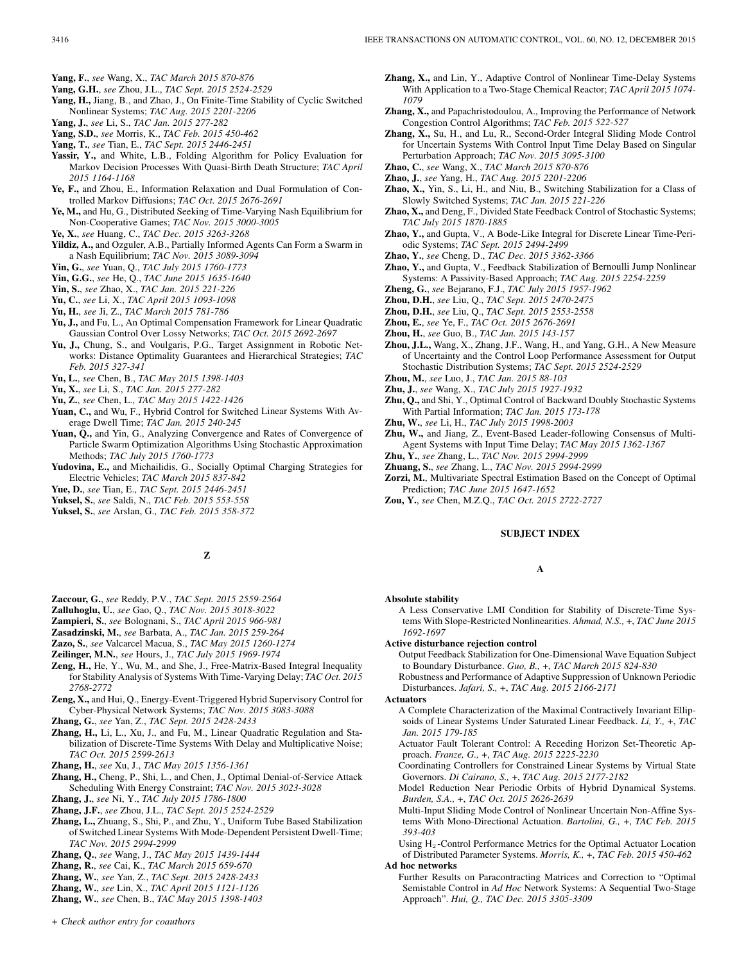- **Yang, F.**, *see* Wang, X., *TAC March 2015 870-876*
- **Yang, G.H.**, *see* Zhou, J.L., *TAC Sept. 2015 2524-2529*
- **Yang, H.,** Jiang, B., and Zhao, J., On Finite-Time Stability of Cyclic Switched Nonlinear Systems; *TAC Aug. 2015 2201-2206*
- **Yang, J.**, *see* Li, S., *TAC Jan. 2015 277-282*
- **Yang, S.D.**, *see* Morris, K., *TAC Feb. 2015 450-462*
- **Yang, T.**, *see* Tian, E., *TAC Sept. 2015 2446-2451*
- Yassir, Y., and White, L.B., Folding Algorithm for Policy Evaluation for Markov Decision Processes With Quasi-Birth Death Structure; *TAC April 2015 1164-1168*
- **Ye, F.,** and Zhou, E., Information Relaxation and Dual Formulation of Controlled Markov Diffusions; *TAC Oct. 2015 2676-2691*
- **Ye, M.,** and Hu, G., Distributed Seeking of Time-Varying Nash Equilibrium for Non-Cooperative Games; *TAC Nov. 2015 3000-3005*
- **Ye, X.**, *see* Huang, C., *TAC Dec. 2015 3263-3268*
- **Yildiz, A.,** and Ozguler, A.B., Partially Informed Agents Can Form a Swarm in a Nash Equilibrium; *TAC Nov. 2015 3089-3094*
- **Yin, G.**, *see* Yuan, Q., *TAC July 2015 1760-1773*
- **Yin, G.G.**, *see* He, Q., *TAC June 2015 1635-1640*
- **Yin, S.**, *see* Zhao, X., *TAC Jan. 2015 221-226*
- **Yu, C.**, *see* Li, X., *TAC April 2015 1093-1098*
- **Yu, H.**, *see* Ji, Z., *TAC March 2015 781-786*
- **Yu, J.,** and Fu, L., An Optimal Compensation Framework for Linear Quadratic Gaussian Control Over Lossy Networks; *TAC Oct. 2015 2692-2697*
- **Yu, J.,** Chung, S., and Voulgaris, P.G., Target Assignment in Robotic Networks: Distance Optimality Guarantees and Hierarchical Strategies; *TAC Feb. 2015 327-341*
- **Yu, L.**, *see* Chen, B., *TAC May 2015 1398-1403*
- **Yu, X.**, *see* Li, S., *TAC Jan. 2015 277-282*
- **Yu, Z.**, *see* Chen, L., *TAC May 2015 1422-1426*
- **Yuan, C.,** and Wu, F., Hybrid Control for Switched Linear Systems With Average Dwell Time; *TAC Jan. 2015 240-245*
- Yuan, Q., and Yin, G., Analyzing Convergence and Rates of Convergence of Particle Swarm Optimization Algorithms Using Stochastic Approximation Methods; *TAC July 2015 1760-1773*
- **Yudovina, E.,** and Michailidis, G., Socially Optimal Charging Strategies for Electric Vehicles; *TAC March 2015 837-842*
- **Yue, D.**, *see* Tian, E., *TAC Sept. 2015 2446-2451*
- **Yuksel, S.**, *see* Saldi, N., *TAC Feb. 2015 553-558*
- **Yuksel, S.**, *see* Arslan, G., *TAC Feb. 2015 358-372*

# **Z**

- **Zaccour, G.**, *see* Reddy, P.V., *TAC Sept. 2015 2559-2564*
- **Zalluhoglu, U.**, *see* Gao, Q., *TAC Nov. 2015 3018-3022*
- **Zampieri, S.**, *see* Bolognani, S., *TAC April 2015 966-981*
- **Zasadzinski, M.**, *see* Barbata, A., *TAC Jan. 2015 259-264*
- **Zazo, S.**, *see* Valcarcel Macua, S., *TAC May 2015 1260-1274*
- **Zeilinger, M.N.**, *see* Hours, J., *TAC July 2015 1969-1974*
- **Zeng, H.,** He, Y., Wu, M., and She, J., Free-Matrix-Based Integral Inequality for Stability Analysis of Systems With Time-Varying Delay; *TAC Oct. 2015 2768-2772*
- **Zeng, X.,** and Hui, Q., Energy-Event-Triggered Hybrid Supervisory Control for Cyber-Physical Network Systems; *TAC Nov. 2015 3083-3088*
- **Zhang, G.**, *see* Yan, Z., *TAC Sept. 2015 2428-2433*
- **Zhang, H.,** Li, L., Xu, J., and Fu, M., Linear Quadratic Regulation and Stabilization of Discrete-Time Systems With Delay and Multiplicative Noise; *TAC Oct. 2015 2599-2613*
- **Zhang, H.**, *see* Xu, J., *TAC May 2015 1356-1361*
- **Zhang, H.,** Cheng, P., Shi, L., and Chen, J., Optimal Denial-of-Service Attack Scheduling With Energy Constraint; *TAC Nov. 2015 3023-3028*
- **Zhang, J.**, *see* Ni, Y., *TAC July 2015 1786-1800*
- **Zhang, J.F.**, *see* Zhou, J.L., *TAC Sept. 2015 2524-2529*
- **Zhang, L.,** Zhuang, S., Shi, P., and Zhu, Y., Uniform Tube Based Stabilization of Switched Linear Systems With Mode-Dependent Persistent Dwell-Time; *TAC Nov. 2015 2994-2999*
- **Zhang, Q.**, *see* Wang, J., *TAC May 2015 1439-1444*
- **Zhang, R.**, *see* Cai, K., *TAC March 2015 659-670*
- **Zhang, W.**, *see* Yan, Z., *TAC Sept. 2015 2428-2433*
- **Zhang, W.**, *see* Lin, X., *TAC April 2015 1121-1126*
- **Zhang, W.**, *see* Chen, B., *TAC May 2015 1398-1403*
- **Zhang, X.,** and Lin, Y., Adaptive Control of Nonlinear Time-Delay Systems With Application to a Two-Stage Chemical Reactor; *TAC April 2015 1074- 1079*
- **Zhang, X.,** and Papachristodoulou, A., Improving the Performance of Network Congestion Control Algorithms; *TAC Feb. 2015 522-527*
- **Zhang, X.,** Su, H., and Lu, R., Second-Order Integral Sliding Mode Control for Uncertain Systems With Control Input Time Delay Based on Singular Perturbation Approach; *TAC Nov. 2015 3095-3100*
- **Zhao, C.**, *see* Wang, X., *TAC March 2015 870-876*
- **Zhao, J.**, *see* Yang, H., *TAC Aug. 2015 2201-2206*
- **Zhao, X.,** Yin, S., Li, H., and Niu, B., Switching Stabilization for a Class of Slowly Switched Systems; *TAC Jan. 2015 221-226*
- **Zhao, X.,** and Deng, F., Divided State Feedback Control of Stochastic Systems; *TAC July 2015 1870-1885*
- **Zhao, Y.,** and Gupta, V., A Bode-Like Integral for Discrete Linear Time-Periodic Systems; *TAC Sept. 2015 2494-2499*
- **Zhao, Y.**, *see* Cheng, D., *TAC Dec. 2015 3362-3366*
- **Zhao, Y.,** and Gupta, V., Feedback Stabilization of Bernoulli Jump Nonlinear Systems: A Passivity-Based Approach; *TAC Aug. 2015 2254-2259*
- **Zheng, G.**, *see* Bejarano, F.J., *TAC July 2015 1957-1962*
- **Zhou, D.H.**, *see* Liu, Q., *TAC Sept. 2015 2470-2475*
- **Zhou, D.H.**, *see* Liu, Q., *TAC Sept. 2015 2553-2558*
- **Zhou, E.**, *see* Ye, F., *TAC Oct. 2015 2676-2691*
- **Zhou, H.**, *see* Guo, B., *TAC Jan. 2015 143-157*
- **Zhou, J.L.,** Wang, X., Zhang, J.F., Wang, H., and Yang, G.H., A New Measure of Uncertainty and the Control Loop Performance Assessment for Output Stochastic Distribution Systems; *TAC Sept. 2015 2524-2529*
- **Zhou, M.**, *see* Luo, J., *TAC Jan. 2015 88-103*
- **Zhu, J.**, *see* Wang, X., *TAC July 2015 1927-1932*
- **Zhu, Q.,** and Shi, Y., Optimal Control of Backward Doubly Stochastic Systems With Partial Information; *TAC Jan. 2015 173-178*
- **Zhu, W.**, *see* Li, H., *TAC July 2015 1998-2003*
- **Zhu, W.,** and Jiang, Z., Event-Based Leader-following Consensus of Multi-Agent Systems with Input Time Delay; *TAC May 2015 1362-1367*
- **Zhu, Y.**, *see* Zhang, L., *TAC Nov. 2015 2994-2999*
- **Zhuang, S.**, *see* Zhang, L., *TAC Nov. 2015 2994-2999*
- **Zorzi, M.**, Multivariate Spectral Estimation Based on the Concept of Optimal Prediction; *TAC June 2015 1647-1652*
- **Zou, Y.**, *see* Chen, M.Z.Q., *TAC Oct. 2015 2722-2727*

# **SUBJECT INDEX**

# **A**

#### **Absolute stability**

A Less Conservative LMI Condition for Stability of Discrete-Time Systems With Slope-Restricted Nonlinearities. *Ahmad, N.S.,* +, *TAC June 2015 1692-1697*

# **Active disturbance rejection control**

Output Feedback Stabilization for One-Dimensional Wave Equation Subject to Boundary Disturbance. *Guo, B.,* +, *TAC March 2015 824-830*

Robustness and Performance of Adaptive Suppression of Unknown Periodic Disturbances. *Jafari, S.,* +, *TAC Aug. 2015 2166-2171*

#### **Actuators**

A Complete Characterization of the Maximal Contractively Invariant Ellipsoids of Linear Systems Under Saturated Linear Feedback. *Li, Y.,* +, *TAC Jan. 2015 179-185*

Actuator Fault Tolerant Control: A Receding Horizon Set-Theoretic Approach. *Franze, G.,* +, *TAC Aug. 2015 2225-2230*

Coordinating Controllers for Constrained Linear Systems by Virtual State Governors. *Di Cairano, S.,* +, *TAC Aug. 2015 2177-2182*

Model Reduction Near Periodic Orbits of Hybrid Dynamical Systems. *Burden, S.A.,* +, *TAC Oct. 2015 2626-2639*

Multi-Input Sliding Mode Control of Nonlinear Uncertain Non-Affine Systems With Mono-Directional Actuation. *Bartolini, G.,* +, *TAC Feb. 2015 393-403*

Using  $H_2$ -Control Performance Metrics for the Optimal Actuator Location of Distributed Parameter Systems. *Morris, K.,* +, *TAC Feb. 2015 450-462*

# **Ad hoc networks**

Further Results on Paracontracting Matrices and Correction to "Optimal Semistable Control in *Ad Hoc* Network Systems: A Sequential Two-Stage Approach". *Hui, Q., TAC Dec. 2015 3305-3309*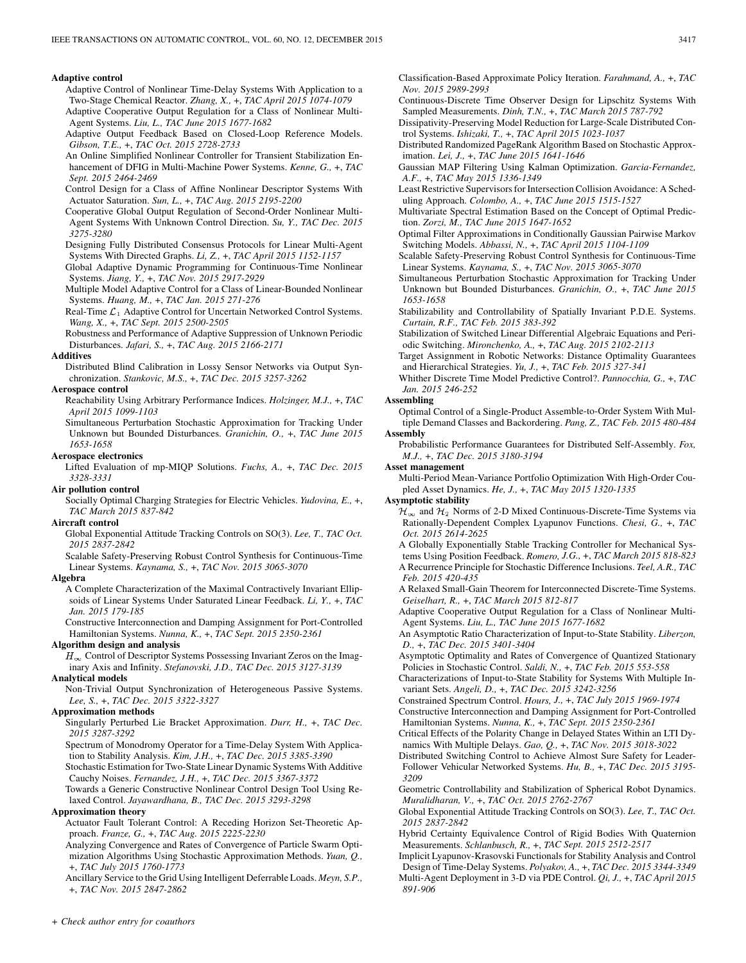#### **Adaptive control**

Adaptive Control of Nonlinear Time-Delay Systems With Application to a Two-Stage Chemical Reactor. *Zhang, X.,* +, *TAC April 2015 1074-1079* Adaptive Cooperative Output Regulation for a Class of Nonlinear Multi-

Agent Systems. *Liu, L., TAC June 2015 1677-1682* Adaptive Output Feedback Based on Closed-Loop Reference Models.

*Gibson, T.E.,* +, *TAC Oct. 2015 2728-2733*

An Online Simplified Nonlinear Controller for Transient Stabilization Enhancement of DFIG in Multi-Machine Power Systems. *Kenne, G.,* +, *TAC Sept. 2015 2464-2469*

Control Design for a Class of Affine Nonlinear Descriptor Systems With Actuator Saturation. *Sun, L.,* +, *TAC Aug. 2015 2195-2200*

Cooperative Global Output Regulation of Second-Order Nonlinear Multi-Agent Systems With Unknown Control Direction. *Su, Y., TAC Dec. 2015 3275-3280*

Designing Fully Distributed Consensus Protocols for Linear Multi-Agent Systems With Directed Graphs. *Li, Z.,* +, *TAC April 2015 1152-1157*

Global Adaptive Dynamic Programming for Continuous-Time Nonlinear Systems. *Jiang, Y.,* +, *TAC Nov. 2015 2917-2929*

Multiple Model Adaptive Control for a Class of Linear-Bounded Nonlinear Systems. *Huang, M.,* +, *TAC Jan. 2015 271-276*

Real-Time  $\mathcal{L}_1$  Adaptive Control for Uncertain Networked Control Systems. *Wang, X.,* +, *TAC Sept. 2015 2500-2505*

Robustness and Performance of Adaptive Suppression of Unknown Periodic Disturbances. *Jafari, S.,* +, *TAC Aug. 2015 2166-2171*

#### **Additives**

Distributed Blind Calibration in Lossy Sensor Networks via Output Synchronization. *Stankovic, M.S.,* +, *TAC Dec. 2015 3257-3262*

# **Aerospace control**

Reachability Using Arbitrary Performance Indices. *Holzinger, M.J.,* +, *TAC April 2015 1099-1103*

Simultaneous Perturbation Stochastic Approximation for Tracking Under Unknown but Bounded Disturbances. *Granichin, O.,* +, *TAC June 2015 1653-1658*

#### **Aerospace electronics**

Lifted Evaluation of mp-MIQP Solutions. *Fuchs, A.,* +, *TAC Dec. 2015 3328-3331*

# **Air pollution control**

Socially Optimal Charging Strategies for Electric Vehicles. *Yudovina, E.,* +, *TAC March 2015 837-842*

# **Aircraft control**

Global Exponential Attitude Tracking Controls on SO(3). *Lee, T., TAC Oct. 2015 2837-2842*

Scalable Safety-Preserving Robust Control Synthesis for Continuous-Time Linear Systems. *Kaynama, S.,* +, *TAC Nov. 2015 3065-3070*

# **Algebra**

A Complete Characterization of the Maximal Contractively Invariant Ellipsoids of Linear Systems Under Saturated Linear Feedback. *Li, Y.,* +, *TAC Jan. 2015 179-185*

Constructive Interconnection and Damping Assignment for Port-Controlled Hamiltonian Systems. *Nunna, K.,* +, *TAC Sept. 2015 2350-2361*

# **Algorithm design and analysis**

 $H_{\infty}$  Control of Descriptor Systems Possessing Invariant Zeros on the Imaginary Axis and Infinity. *Stefanovski, J.D., TAC Dec. 2015 3127-3139*

# **Analytical models**

Non-Trivial Output Synchronization of Heterogeneous Passive Systems. *Lee, S.,* +, *TAC Dec. 2015 3322-3327*

#### **Approximation methods**

Singularly Perturbed Lie Bracket Approximation. *Durr, H.,* +, *TAC Dec. 2015 3287-3292*

Spectrum of Monodromy Operator for a Time-Delay System With Application to Stability Analysis. *Kim, J.H.,* +, *TAC Dec. 2015 3385-3390*

Stochastic Estimation for Two-State Linear Dynamic Systems With Additive Cauchy Noises. *Fernandez, J.H.,* +, *TAC Dec. 2015 3367-3372*

Towards a Generic Constructive Nonlinear Control Design Tool Using Relaxed Control. *Jayawardhana, B., TAC Dec. 2015 3293-3298*

# **Approximation theory**

Actuator Fault Tolerant Control: A Receding Horizon Set-Theoretic Approach. *Franze, G.,* +, *TAC Aug. 2015 2225-2230*

Analyzing Convergence and Rates of Convergence of Particle Swarm Optimization Algorithms Using Stochastic Approximation Methods. *Yuan, Q.,* +, *TAC July 2015 1760-1773*

Ancillary Service to the Grid Using Intelligent Deferrable Loads. *Meyn, S.P.,* +, *TAC Nov. 2015 2847-2862*

Continuous-Discrete Time Observer Design for Lipschitz Systems With Sampled Measurements. *Dinh, T.N.,* +, *TAC March 2015 787-792*

Dissipativity-Preserving Model Reduction for Large-Scale Distributed Control Systems. *Ishizaki, T.,* +, *TAC April 2015 1023-1037*

Distributed Randomized PageRank Algorithm Based on Stochastic Approximation. *Lei, J.,* +, *TAC June 2015 1641-1646*

Gaussian MAP Filtering Using Kalman Optimization. *Garcia-Fernandez, A.F.,* +, *TAC May 2015 1336-1349*

Least Restrictive Supervisors for Intersection Collision Avoidance: A Scheduling Approach. *Colombo, A.,* +, *TAC June 2015 1515-1527*

Multivariate Spectral Estimation Based on the Concept of Optimal Prediction. *Zorzi, M., TAC June 2015 1647-1652*

Optimal Filter Approximations in Conditionally Gaussian Pairwise Markov Switching Models. *Abbassi, N.,* +, *TAC April 2015 1104-1109*

Scalable Safety-Preserving Robust Control Synthesis for Continuous-Time Linear Systems. *Kaynama, S.,* +, *TAC Nov. 2015 3065-3070*

- Simultaneous Perturbation Stochastic Approximation for Tracking Under Unknown but Bounded Disturbances. *Granichin, O.,* +, *TAC June 2015 1653-1658*
- Stabilizability and Controllability of Spatially Invariant P.D.E. Systems. *Curtain, R.F., TAC Feb. 2015 383-392*

Stabilization of Switched Linear Differential Algebraic Equations and Periodic Switching. *Mironchenko, A.,* +, *TAC Aug. 2015 2102-2113*

Target Assignment in Robotic Networks: Distance Optimality Guarantees and Hierarchical Strategies. *Yu, J.,* +, *TAC Feb. 2015 327-341*

Whither Discrete Time Model Predictive Control?. *Pannocchia, G.,* +, *TAC Jan. 2015 246-252*

# **Assembling**

Optimal Control of a Single-Product Assemble-to-Order System With Multiple Demand Classes and Backordering. *Pang, Z., TAC Feb. 2015 480-484* **Assembly**

Probabilistic Performance Guarantees for Distributed Self-Assembly. *Fox, M.J.,* +, *TAC Dec. 2015 3180-3194*

**Asset management**

Multi-Period Mean-Variance Portfolio Optimization With High-Order Coupled Asset Dynamics. *He, J.,* +, *TAC May 2015 1320-1335*

**Asymptotic stability**

 $\mathcal{H}_{\infty}$  and  $\mathcal{H}_{2}$  Norms of 2-D Mixed Continuous-Discrete-Time Systems via Rationally-Dependent Complex Lyapunov Functions. *Chesi, G.,* +, *TAC Oct. 2015 2614-2625*

A Globally Exponentially Stable Tracking Controller for Mechanical Systems Using Position Feedback. *Romero, J.G.,* +, *TAC March 2015 818-823* A Recurrence Principle for Stochastic Difference Inclusions. *Teel, A.R., TAC Feb. 2015 420-435*

A Relaxed Small-Gain Theorem for Interconnected Discrete-Time Systems. *Geiselhart, R.,* +, *TAC March 2015 812-817*

Adaptive Cooperative Output Regulation for a Class of Nonlinear Multi-Agent Systems. *Liu, L., TAC June 2015 1677-1682*

An Asymptotic Ratio Characterization of Input-to-State Stability. *Liberzon, D.,* +, *TAC Dec. 2015 3401-3404*

Asymptotic Optimality and Rates of Convergence of Quantized Stationary Policies in Stochastic Control. *Saldi, N.,* +, *TAC Feb. 2015 553-558*

Characterizations of Input-to-State Stability for Systems With Multiple Invariant Sets. *Angeli, D.,* +, *TAC Dec. 2015 3242-3256*

Constrained Spectrum Control. *Hours, J.,* +, *TAC July 2015 1969-1974* Constructive Interconnection and Damping Assignment for Port-Controlled

Hamiltonian Systems. *Nunna, K.,* +, *TAC Sept. 2015 2350-2361* Critical Effects of the Polarity Change in Delayed States Within an LTI Dy-

namics With Multiple Delays. *Gao, Q.,* +, *TAC Nov. 2015 3018-3022*

Distributed Switching Control to Achieve Almost Sure Safety for Leader-Follower Vehicular Networked Systems. *Hu, B.,* +, *TAC Dec. 2015 3195- 3209*

Geometric Controllability and Stabilization of Spherical Robot Dynamics. *Muralidharan, V.,* +, *TAC Oct. 2015 2762-2767*

Global Exponential Attitude Tracking Controls on SO(3). *Lee, T., TAC Oct. 2015 2837-2842*

Hybrid Certainty Equivalence Control of Rigid Bodies With Quaternion Measurements. *Schlanbusch, R.,* +, *TAC Sept. 2015 2512-2517*

Implicit Lyapunov-Krasovski Functionals for Stability Analysis and Control Design of Time-Delay Systems. *Polyakov, A.,* +, *TAC Dec. 2015 3344-3349* Multi-Agent Deployment in 3-D via PDE Control. *Qi, J.,* +, *TAC April 2015 891-906*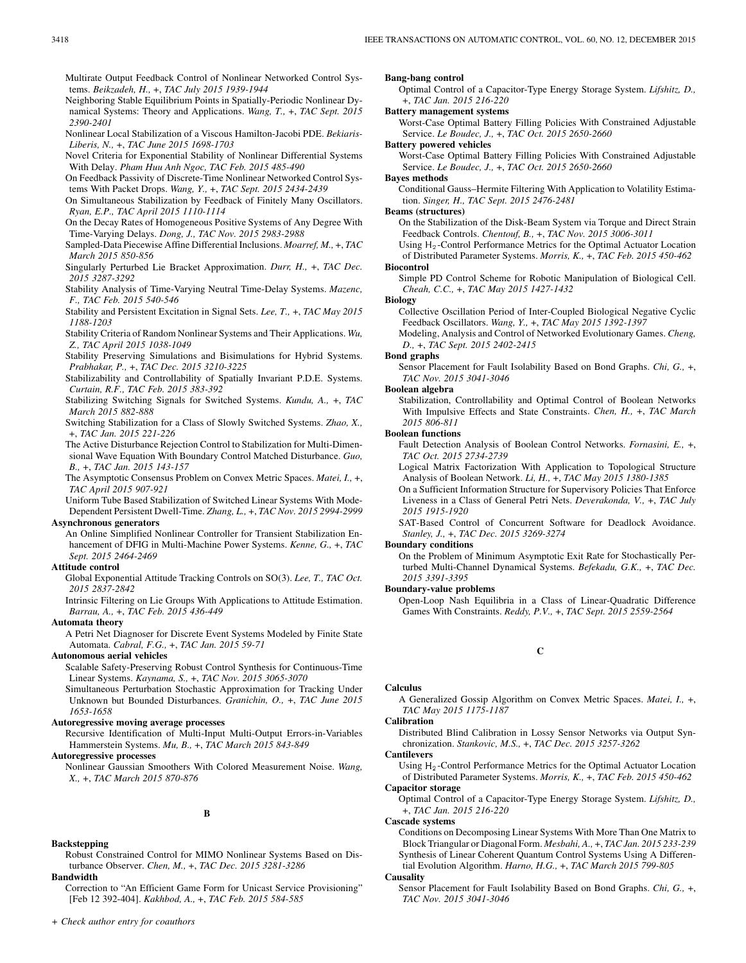Multirate Output Feedback Control of Nonlinear Networked Control Systems. *Beikzadeh, H.,* +, *TAC July 2015 1939-1944*

- Neighboring Stable Equilibrium Points in Spatially-Periodic Nonlinear Dynamical Systems: Theory and Applications. *Wang, T.,* +, *TAC Sept. 2015 2390-2401*
- Nonlinear Local Stabilization of a Viscous Hamilton-Jacobi PDE. *Bekiaris-Liberis, N.,* +, *TAC June 2015 1698-1703*
- Novel Criteria for Exponential Stability of Nonlinear Differential Systems With Delay. *Pham Huu Anh Ngoc, TAC Feb. 2015 485-490*
- On Feedback Passivity of Discrete-Time Nonlinear Networked Control Systems With Packet Drops. *Wang, Y.,* +, *TAC Sept. 2015 2434-2439*
- On Simultaneous Stabilization by Feedback of Finitely Many Oscillators. *Ryan, E.P., TAC April 2015 1110-1114*
- On the Decay Rates of Homogeneous Positive Systems of Any Degree With Time-Varying Delays. *Dong, J., TAC Nov. 2015 2983-2988*
- Sampled-Data Piecewise Affine Differential Inclusions. *Moarref, M.,* +, *TAC March 2015 850-856*
- Singularly Perturbed Lie Bracket Approximation. *Durr, H.,* +, *TAC Dec. 2015 3287-3292*
- Stability Analysis of Time-Varying Neutral Time-Delay Systems. *Mazenc, F., TAC Feb. 2015 540-546*
- Stability and Persistent Excitation in Signal Sets. *Lee, T.,* +, *TAC May 2015 1188-1203*
- Stability Criteria of Random Nonlinear Systems and Their Applications. *Wu, Z., TAC April 2015 1038-1049*
- Stability Preserving Simulations and Bisimulations for Hybrid Systems. *Prabhakar, P.,* +, *TAC Dec. 2015 3210-3225*
- Stabilizability and Controllability of Spatially Invariant P.D.E. Systems. *Curtain, R.F., TAC Feb. 2015 383-392*
- Stabilizing Switching Signals for Switched Systems. *Kundu, A.,* +, *TAC March 2015 882-888*
- Switching Stabilization for a Class of Slowly Switched Systems. *Zhao, X.,* +, *TAC Jan. 2015 221-226*
- The Active Disturbance Rejection Control to Stabilization for Multi-Dimensional Wave Equation With Boundary Control Matched Disturbance. *Guo, B.,* +, *TAC Jan. 2015 143-157*
- The Asymptotic Consensus Problem on Convex Metric Spaces. *Matei, I.,* +, *TAC April 2015 907-921*
- Uniform Tube Based Stabilization of Switched Linear Systems With Mode-Dependent Persistent Dwell-Time. *Zhang, L.,* +, *TAC Nov. 2015 2994-2999*

# **Asynchronous generators**

An Online Simplified Nonlinear Controller for Transient Stabilization Enhancement of DFIG in Multi-Machine Power Systems. *Kenne, G.,* +, *TAC Sept. 2015 2464-2469*

# **Attitude control**

Global Exponential Attitude Tracking Controls on SO(3). *Lee, T., TAC Oct. 2015 2837-2842*

Intrinsic Filtering on Lie Groups With Applications to Attitude Estimation. *Barrau, A.,* +, *TAC Feb. 2015 436-449*

# **Automata theory**

A Petri Net Diagnoser for Discrete Event Systems Modeled by Finite State Automata. *Cabral, F.G.,* +, *TAC Jan. 2015 59-71*

# **Autonomous aerial vehicles**

- Scalable Safety-Preserving Robust Control Synthesis for Continuous-Time Linear Systems. *Kaynama, S.,* +, *TAC Nov. 2015 3065-3070*
- Simultaneous Perturbation Stochastic Approximation for Tracking Under Unknown but Bounded Disturbances. *Granichin, O.,* +, *TAC June 2015 1653-1658*

# **Autoregressive moving average processes**

Recursive Identification of Multi-Input Multi-Output Errors-in-Variables Hammerstein Systems. *Mu, B.,* +, *TAC March 2015 843-849*

# **Autoregressive processes**

Nonlinear Gaussian Smoothers With Colored Measurement Noise. *Wang, X.,* +, *TAC March 2015 870-876*

**B**

# **Backstepping**

#### Robust Constrained Control for MIMO Nonlinear Systems Based on Disturbance Observer. *Chen, M.,* +, *TAC Dec. 2015 3281-3286* **Bandwidth**

Correction to "An Efficient Game Form for Unicast Service Provisioning" [Feb 12 392-404]. *Kakhbod, A.,* +, *TAC Feb. 2015 584-585*

#### **Bang-bang control**

Optimal Control of a Capacitor-Type Energy Storage System. *Lifshitz, D.,* +, *TAC Jan. 2015 216-220*

#### **Battery management systems**

Worst-Case Optimal Battery Filling Policies With Constrained Adjustable Service. *Le Boudec, J.,* +, *TAC Oct. 2015 2650-2660*

**Battery powered vehicles**

Worst-Case Optimal Battery Filling Policies With Constrained Adjustable Service. *Le Boudec, J.,* +, *TAC Oct. 2015 2650-2660*

#### **Bayes methods**

Conditional Gauss–Hermite Filtering With Application to Volatility Estimation. *Singer, H., TAC Sept. 2015 2476-2481*

# **Beams (structures)**

On the Stabilization of the Disk-Beam System via Torque and Direct Strain Feedback Controls. *Chentouf, B.,* +, *TAC Nov. 2015 3006-3011*

Using  $H_2$ -Control Performance Metrics for the Optimal Actuator Location of Distributed Parameter Systems. *Morris, K.,* +, *TAC Feb. 2015 450-462*

# **Biocontrol**

Simple PD Control Scheme for Robotic Manipulation of Biological Cell. *Cheah, C.C.,* +, *TAC May 2015 1427-1432*

#### **Biology**

Collective Oscillation Period of Inter-Coupled Biological Negative Cyclic Feedback Oscillators. *Wang, Y.,* +, *TAC May 2015 1392-1397*

Modeling, Analysis and Control of Networked Evolutionary Games. *Cheng, D.,* +, *TAC Sept. 2015 2402-2415*

# **Bond graphs**

Sensor Placement for Fault Isolability Based on Bond Graphs. *Chi, G.,* +, *TAC Nov. 2015 3041-3046*

# **Boolean algebra**

Stabilization, Controllability and Optimal Control of Boolean Networks With Impulsive Effects and State Constraints. *Chen, H.,* +, *TAC March 2015 806-811*

#### **Boolean functions**

Fault Detection Analysis of Boolean Control Networks. *Fornasini, E.,* +, *TAC Oct. 2015 2734-2739*

Logical Matrix Factorization With Application to Topological Structure Analysis of Boolean Network. *Li, H.,* +, *TAC May 2015 1380-1385*

On a Sufficient Information Structure for Supervisory Policies That Enforce Liveness in a Class of General Petri Nets. *Deverakonda, V.,* +, *TAC July 2015 1915-1920*

SAT-Based Control of Concurrent Software for Deadlock Avoidance. *Stanley, J.,* +, *TAC Dec. 2015 3269-3274*

# **Boundary conditions**

On the Problem of Minimum Asymptotic Exit Rate for Stochastically Perturbed Multi-Channel Dynamical Systems. *Befekadu, G.K.,* +, *TAC Dec. 2015 3391-3395*

# **Boundary-value problems**

Open-Loop Nash Equilibria in a Class of Linear-Quadratic Difference Games With Constraints. *Reddy, P.V.,* +, *TAC Sept. 2015 2559-2564*

**C**

# **Calculus**

A Generalized Gossip Algorithm on Convex Metric Spaces. *Matei, I.,* +, *TAC May 2015 1175-1187*

# **Calibration**

Distributed Blind Calibration in Lossy Sensor Networks via Output Synchronization. *Stankovic, M.S.,* +, *TAC Dec. 2015 3257-3262*

#### **Cantilevers**

Using  $H_2$ -Control Performance Metrics for the Optimal Actuator Location of Distributed Parameter Systems. *Morris, K.,* +, *TAC Feb. 2015 450-462* **Capacitor storage**

Optimal Control of a Capacitor-Type Energy Storage System. *Lifshitz, D.,* +, *TAC Jan. 2015 216-220*

# **Cascade systems**

Conditions on Decomposing Linear Systems With More Than One Matrix to Block Triangular or Diagonal Form. *Mesbahi, A.,* +, *TAC Jan. 2015 233-239* Synthesis of Linear Coherent Quantum Control Systems Using A Differential Evolution Algorithm. *Harno, H.G.,* +, *TAC March 2015 799-805*

# **Causality**

Sensor Placement for Fault Isolability Based on Bond Graphs. *Chi, G.,* +, *TAC Nov. 2015 3041-3046*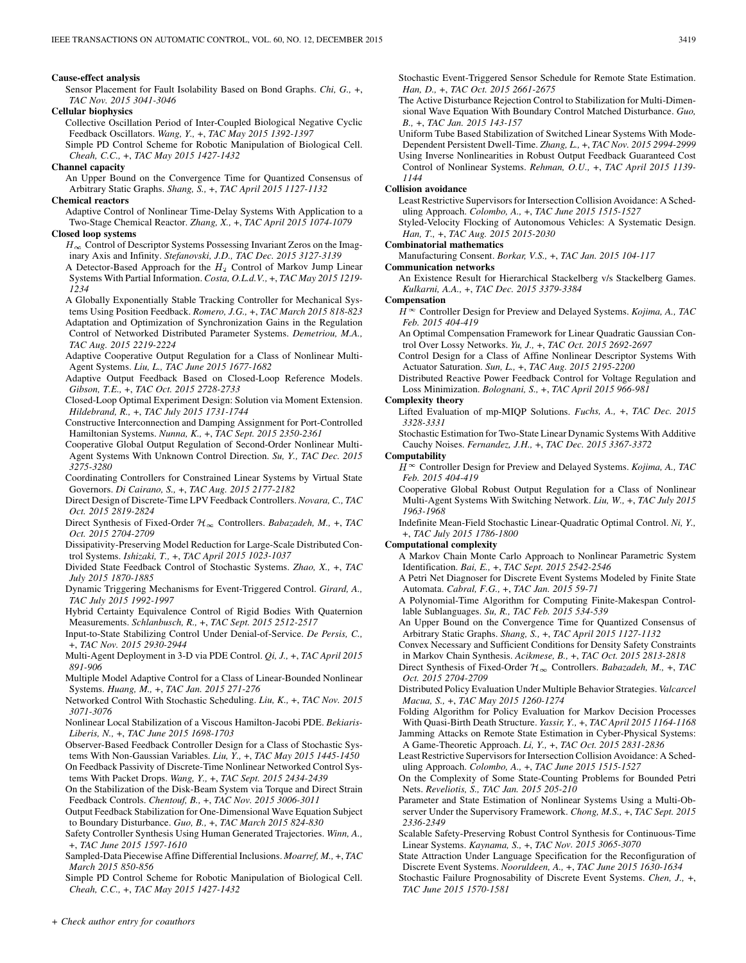# **Cause-effect analysis**

Sensor Placement for Fault Isolability Based on Bond Graphs. *Chi, G.,* +, *TAC Nov. 2015 3041-3046*

#### **Cellular biophysics**

Collective Oscillation Period of Inter-Coupled Biological Negative Cyclic Feedback Oscillators. *Wang, Y.,* +, *TAC May 2015 1392-1397*

Simple PD Control Scheme for Robotic Manipulation of Biological Cell. *Cheah, C.C.,* +, *TAC May 2015 1427-1432*

# **Channel capacity**

An Upper Bound on the Convergence Time for Quantized Consensus of Arbitrary Static Graphs. *Shang, S.,* +, *TAC April 2015 1127-1132*

# **Chemical reactors**

Adaptive Control of Nonlinear Time-Delay Systems With Application to a Two-Stage Chemical Reactor. *Zhang, X.,* +, *TAC April 2015 1074-1079*

# **Closed loop systems**

 $H_{\infty}$  Control of Descriptor Systems Possessing Invariant Zeros on the Imaginary Axis and Infinity. *Stefanovski, J.D., TAC Dec. 2015 3127-3139*

A Detector-Based Approach for the  $H_2$  Control of Markov Jump Linear Systems With Partial Information. *Costa, O.L.d.V.,* +, *TAC May 2015 1219- 1234*

- A Globally Exponentially Stable Tracking Controller for Mechanical Systems Using Position Feedback. *Romero, J.G.,* +, *TAC March 2015 818-823*
- Adaptation and Optimization of Synchronization Gains in the Regulation Control of Networked Distributed Parameter Systems. *Demetriou, M.A., TAC Aug. 2015 2219-2224*
- Adaptive Cooperative Output Regulation for a Class of Nonlinear Multi-Agent Systems. *Liu, L., TAC June 2015 1677-1682*
- Adaptive Output Feedback Based on Closed-Loop Reference Models. *Gibson, T.E.,* +, *TAC Oct. 2015 2728-2733*
- Closed-Loop Optimal Experiment Design: Solution via Moment Extension. *Hildebrand, R.,* +, *TAC July 2015 1731-1744*
- Constructive Interconnection and Damping Assignment for Port-Controlled Hamiltonian Systems. *Nunna, K.,* +, *TAC Sept. 2015 2350-2361*
- Cooperative Global Output Regulation of Second-Order Nonlinear Multi-Agent Systems With Unknown Control Direction. *Su, Y., TAC Dec. 2015 3275-3280*
- Coordinating Controllers for Constrained Linear Systems by Virtual State Governors. *Di Cairano, S.,* +, *TAC Aug. 2015 2177-2182*
- Direct Design of Discrete-Time LPV Feedback Controllers. *Novara, C., TAC Oct. 2015 2819-2824*
- Direct Synthesis of Fixed-Order  $\mathcal{H}_{\infty}$  Controllers. *Babazadeh, M., +, TAC Oct. 2015 2704-2709*
- Dissipativity-Preserving Model Reduction for Large-Scale Distributed Control Systems. *Ishizaki, T.,* +, *TAC April 2015 1023-1037*
- Divided State Feedback Control of Stochastic Systems. *Zhao, X.,* +, *TAC July 2015 1870-1885*
- Dynamic Triggering Mechanisms for Event-Triggered Control. *Girard, A., TAC July 2015 1992-1997*
- Hybrid Certainty Equivalence Control of Rigid Bodies With Quaternion Measurements. *Schlanbusch, R.,* +, *TAC Sept. 2015 2512-2517*
- Input-to-State Stabilizing Control Under Denial-of-Service. *De Persis, C.,* +, *TAC Nov. 2015 2930-2944*
- Multi-Agent Deployment in 3-D via PDE Control. *Qi, J.,* +, *TAC April 2015 891-906*
- Multiple Model Adaptive Control for a Class of Linear-Bounded Nonlinear Systems. *Huang, M.,* +, *TAC Jan. 2015 271-276*
- Networked Control With Stochastic Scheduling. *Liu, K.,* +, *TAC Nov. 2015 3071-3076*
- Nonlinear Local Stabilization of a Viscous Hamilton-Jacobi PDE. *Bekiaris-Liberis, N.,* +, *TAC June 2015 1698-1703*
- Observer-Based Feedback Controller Design for a Class of Stochastic Systems With Non-Gaussian Variables. *Liu, Y.,* +, *TAC May 2015 1445-1450*
- On Feedback Passivity of Discrete-Time Nonlinear Networked Control Systems With Packet Drops. *Wang, Y.,* +, *TAC Sept. 2015 2434-2439*
- On the Stabilization of the Disk-Beam System via Torque and Direct Strain Feedback Controls. *Chentouf, B.,* +, *TAC Nov. 2015 3006-3011*
- Output Feedback Stabilization for One-Dimensional Wave Equation Subject to Boundary Disturbance. *Guo, B.,* +, *TAC March 2015 824-830*
- Safety Controller Synthesis Using Human Generated Trajectories. *Winn, A.,* +, *TAC June 2015 1597-1610*
- Sampled-Data Piecewise Affine Differential Inclusions. *Moarref, M.,* +, *TAC March 2015 850-856*
- Simple PD Control Scheme for Robotic Manipulation of Biological Cell. *Cheah, C.C.,* +, *TAC May 2015 1427-1432*
- Stochastic Event-Triggered Sensor Schedule for Remote State Estimation. *Han, D.,* +, *TAC Oct. 2015 2661-2675*
- The Active Disturbance Rejection Control to Stabilization for Multi-Dimensional Wave Equation With Boundary Control Matched Disturbance. *Guo, B.,* +, *TAC Jan. 2015 143-157*
- Uniform Tube Based Stabilization of Switched Linear Systems With Mode-Dependent Persistent Dwell-Time. *Zhang, L.,* +, *TAC Nov. 2015 2994-2999* Using Inverse Nonlinearities in Robust Output Feedback Guaranteed Cost Control of Nonlinear Systems. *Rehman, O.U.,* +, *TAC April 2015 1139- 1144*

#### **Collision avoidance**

Least Restrictive Supervisors for Intersection Collision Avoidance: A Scheduling Approach. *Colombo, A.,* +, *TAC June 2015 1515-1527*

Styled-Velocity Flocking of Autonomous Vehicles: A Systematic Design. *Han, T.,* +, *TAC Aug. 2015 2015-2030*

# **Combinatorial mathematics**

Manufacturing Consent. *Borkar, V.S.,* +, *TAC Jan. 2015 104-117*

**Communication networks** An Existence Result for Hierarchical Stackelberg v/s Stackelberg Games. *Kulkarni, A.A.,* +, *TAC Dec. 2015 3379-3384*

# **Compensation**

 $H^{\infty}$  Controller Design for Preview and Delayed Systems. *Kojima, A., TAC Feb. 2015 404-419*

An Optimal Compensation Framework for Linear Quadratic Gaussian Control Over Lossy Networks. *Yu, J.,* +, *TAC Oct. 2015 2692-2697*

- Control Design for a Class of Affine Nonlinear Descriptor Systems With Actuator Saturation. *Sun, L.,* +, *TAC Aug. 2015 2195-2200*
- Distributed Reactive Power Feedback Control for Voltage Regulation and Loss Minimization. *Bolognani, S.,* +, *TAC April 2015 966-981*

#### **Complexity theory**

Lifted Evaluation of mp-MIQP Solutions. *Fuchs, A.,* +, *TAC Dec. 2015 3328-3331*

Stochastic Estimation for Two-State Linear Dynamic Systems With Additive Cauchy Noises. *Fernandez, J.H.,* +, *TAC Dec. 2015 3367-3372*

# **Computability**

Controller Design for Preview and Delayed Systems. *Kojima, A., TAC Feb. 2015 404-419*

Cooperative Global Robust Output Regulation for a Class of Nonlinear Multi-Agent Systems With Switching Network. *Liu, W.,* +, *TAC July 2015 1963-1968*

Indefinite Mean-Field Stochastic Linear-Quadratic Optimal Control. *Ni, Y.,* +, *TAC July 2015 1786-1800*

# **Computational complexity**

A Markov Chain Monte Carlo Approach to Nonlinear Parametric System Identification. *Bai, E.,* +, *TAC Sept. 2015 2542-2546*

A Petri Net Diagnoser for Discrete Event Systems Modeled by Finite State Automata. *Cabral, F.G.,* +, *TAC Jan. 2015 59-71*

A Polynomial-Time Algorithm for Computing Finite-Makespan Controllable Sublanguages. *Su, R., TAC Feb. 2015 534-539*

An Upper Bound on the Convergence Time for Quantized Consensus of Arbitrary Static Graphs. *Shang, S.,* +, *TAC April 2015 1127-1132*

- Convex Necessary and Sufficient Conditions for Density Safety Constraints in Markov Chain Synthesis. *Acikmese, B.,* +, *TAC Oct. 2015 2813-2818*
- Direct Synthesis of Fixed-Order  $\mathcal{H}_{\infty}$  Controllers. *Babazadeh, M., +, TAC Oct. 2015 2704-2709*
- Distributed Policy Evaluation Under Multiple Behavior Strategies. *Valcarcel Macua, S.,* +, *TAC May 2015 1260-1274*
- Folding Algorithm for Policy Evaluation for Markov Decision Processes With Quasi-Birth Death Structure. *Yassir, Y.,* +, *TAC April 2015 1164-1168* Jamming Attacks on Remote State Estimation in Cyber-Physical Systems:
- A Game-Theoretic Approach. *Li, Y.,* +, *TAC Oct. 2015 2831-2836*
- Least Restrictive Supervisors for Intersection Collision Avoidance: A Scheduling Approach. *Colombo, A.,* +, *TAC June 2015 1515-1527*
- On the Complexity of Some State-Counting Problems for Bounded Petri Nets. *Reveliotis, S., TAC Jan. 2015 205-210*
- Parameter and State Estimation of Nonlinear Systems Using a Multi-Observer Under the Supervisory Framework. *Chong, M.S.,* +, *TAC Sept. 2015 2336-2349*
- Scalable Safety-Preserving Robust Control Synthesis for Continuous-Time Linear Systems. *Kaynama, S.,* +, *TAC Nov. 2015 3065-3070*
- State Attraction Under Language Specification for the Reconfiguration of Discrete Event Systems. *Nooruldeen, A.,* +, *TAC June 2015 1630-1634*
- Stochastic Failure Prognosability of Discrete Event Systems. *Chen, J.,* +, *TAC June 2015 1570-1581*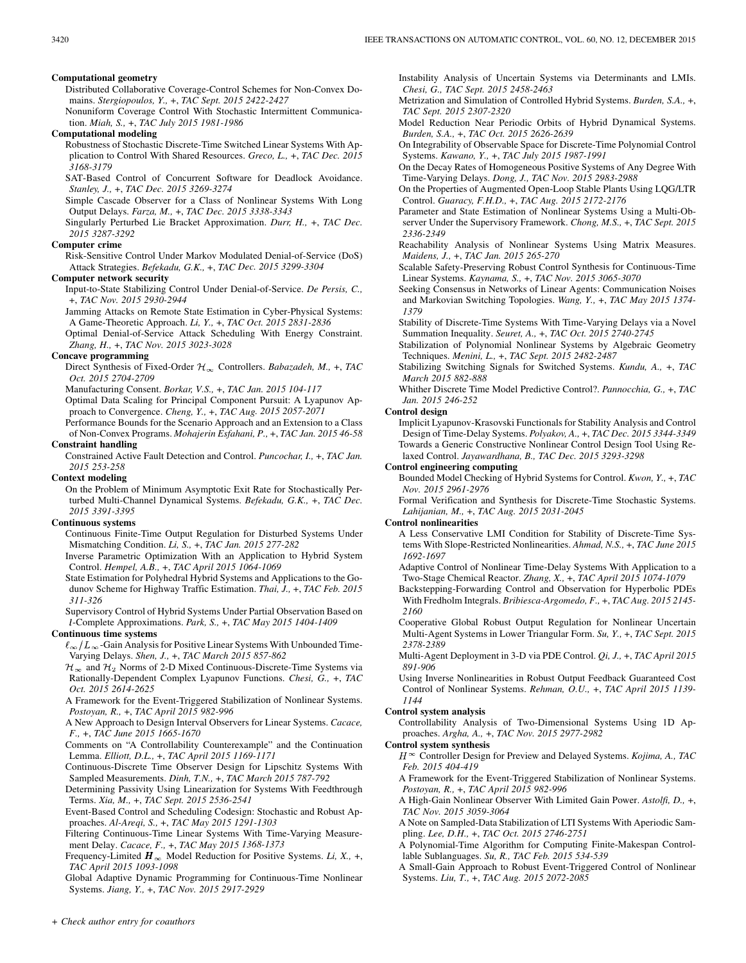# **Computational geometry**

Distributed Collaborative Coverage-Control Schemes for Non-Convex Domains. *Stergiopoulos, Y.,* +, *TAC Sept. 2015 2422-2427*

Nonuniform Coverage Control With Stochastic Intermittent Communication. *Miah, S.,* +, *TAC July 2015 1981-1986*

# **Computational modeling**

Robustness of Stochastic Discrete-Time Switched Linear Systems With Application to Control With Shared Resources. *Greco, L.,* +, *TAC Dec. 2015 3168-3179*

SAT-Based Control of Concurrent Software for Deadlock Avoidance. *Stanley, J.,* +, *TAC Dec. 2015 3269-3274*

Simple Cascade Observer for a Class of Nonlinear Systems With Long Output Delays. *Farza, M.,* +, *TAC Dec. 2015 3338-3343*

Singularly Perturbed Lie Bracket Approximation. *Durr, H.,* +, *TAC Dec. 2015 3287-3292*

# **Computer crime**

Risk-Sensitive Control Under Markov Modulated Denial-of-Service (DoS) Attack Strategies. *Befekadu, G.K.,* +, *TAC Dec. 2015 3299-3304*

# **Computer network security**

Input-to-State Stabilizing Control Under Denial-of-Service. *De Persis, C.,* +, *TAC Nov. 2015 2930-2944*

Jamming Attacks on Remote State Estimation in Cyber-Physical Systems: A Game-Theoretic Approach. *Li, Y.,* +, *TAC Oct. 2015 2831-2836*

Optimal Denial-of-Service Attack Scheduling With Energy Constraint. *Zhang, H.,* +, *TAC Nov. 2015 3023-3028*

# **Concave programming**

Direct Synthesis of Fixed-Order  $\mathcal{H}_{\infty}$  Controllers. *Babazadeh, M., +, TAC Oct. 2015 2704-2709*

Manufacturing Consent. *Borkar, V.S.,* +, *TAC Jan. 2015 104-117*

Optimal Data Scaling for Principal Component Pursuit: A Lyapunov Approach to Convergence. *Cheng, Y.,* +, *TAC Aug. 2015 2057-2071*

Performance Bounds for the Scenario Approach and an Extension to a Class of Non-Convex Programs. *Mohajerin Esfahani, P.,* +, *TAC Jan. 2015 46-58*

# **Constraint handling**

Constrained Active Fault Detection and Control. *Puncochar, I.,* +, *TAC Jan. 2015 253-258*

# **Context modeling**

On the Problem of Minimum Asymptotic Exit Rate for Stochastically Perturbed Multi-Channel Dynamical Systems. *Befekadu, G.K.,* +, *TAC Dec. 2015 3391-3395*

# **Continuous systems**

Continuous Finite-Time Output Regulation for Disturbed Systems Under Mismatching Condition. *Li, S.,* +, *TAC Jan. 2015 277-282*

Inverse Parametric Optimization With an Application to Hybrid System Control. *Hempel, A.B.,* +, *TAC April 2015 1064-1069*

State Estimation for Polyhedral Hybrid Systems and Applications to the Godunov Scheme for Highway Traffic Estimation. *Thai, J.,* +, *TAC Feb. 2015 311-326*

Supervisory Control of Hybrid Systems Under Partial Observation Based on -Complete Approximations. *Park, S.,* +, *TAC May 2015 1404-1409*

# **Continuous time systems**

 $\ell_{\infty}/L_{\infty}$ -Gain Analysis for Positive Linear Systems With Unbounded Time-Varying Delays. *Shen, J.,* +, *TAC March 2015 857-862*

 $\mathcal{H}_{\infty}$  and  $\mathcal{H}_{2}$  Norms of 2-D Mixed Continuous-Discrete-Time Systems via Rationally-Dependent Complex Lyapunov Functions. *Chesi, G.,* +, *TAC Oct. 2015 2614-2625*

A Framework for the Event-Triggered Stabilization of Nonlinear Systems. *Postoyan, R.,* +, *TAC April 2015 982-996*

A New Approach to Design Interval Observers for Linear Systems. *Cacace, F.,* +, *TAC June 2015 1665-1670*

Comments on "A Controllability Counterexample" and the Continuation Lemma. *Elliott, D.L.,* +, *TAC April 2015 1169-1171*

Continuous-Discrete Time Observer Design for Lipschitz Systems With Sampled Measurements. *Dinh, T.N.,* +, *TAC March 2015 787-792*

Determining Passivity Using Linearization for Systems With Feedthrough Terms. *Xia, M.,* +, *TAC Sept. 2015 2536-2541*

Event-Based Control and Scheduling Codesign: Stochastic and Robust Approaches. *Al-Areqi, S.,* +, *TAC May 2015 1291-1303*

Filtering Continuous-Time Linear Systems With Time-Varying Measurement Delay. *Cacace, F.,* +, *TAC May 2015 1368-1373*

Frequency-Limited  $\boldsymbol{H}_{\infty}$  Model Reduction for Positive Systems. *Li, X.*, +, *TAC April 2015 1093-1098*

Global Adaptive Dynamic Programming for Continuous-Time Nonlinear Systems. *Jiang, Y.,* +, *TAC Nov. 2015 2917-2929*

Instability Analysis of Uncertain Systems via Determinants and LMIs. *Chesi, G., TAC Sept. 2015 2458-2463*

Metrization and Simulation of Controlled Hybrid Systems. *Burden, S.A.,* +, *TAC Sept. 2015 2307-2320*

Model Reduction Near Periodic Orbits of Hybrid Dynamical Systems. *Burden, S.A.,* +, *TAC Oct. 2015 2626-2639*

On Integrability of Observable Space for Discrete-Time Polynomial Control Systems. *Kawano, Y.,* +, *TAC July 2015 1987-1991*

On the Decay Rates of Homogeneous Positive Systems of Any Degree With Time-Varying Delays. *Dong, J., TAC Nov. 2015 2983-2988*

On the Properties of Augmented Open-Loop Stable Plants Using LQG/LTR Control. *Guaracy, F.H.D.,* +, *TAC Aug. 2015 2172-2176*

Parameter and State Estimation of Nonlinear Systems Using a Multi-Observer Under the Supervisory Framework. *Chong, M.S.,* +, *TAC Sept. 2015 2336-2349*

Reachability Analysis of Nonlinear Systems Using Matrix Measures. *Maidens, J.,* +, *TAC Jan. 2015 265-270*

Scalable Safety-Preserving Robust Control Synthesis for Continuous-Time Linear Systems. *Kaynama, S.,* +, *TAC Nov. 2015 3065-3070*

Seeking Consensus in Networks of Linear Agents: Communication Noises and Markovian Switching Topologies. *Wang, Y.,* +, *TAC May 2015 1374- 1379*

Stability of Discrete-Time Systems With Time-Varying Delays via a Novel Summation Inequality. *Seuret, A.,* +, *TAC Oct. 2015 2740-2745*

Stabilization of Polynomial Nonlinear Systems by Algebraic Geometry Techniques. *Menini, L.,* +, *TAC Sept. 2015 2482-2487*

Stabilizing Switching Signals for Switched Systems. *Kundu, A.,* +, *TAC March 2015 882-888*

Whither Discrete Time Model Predictive Control?. *Pannocchia, G.,* +, *TAC Jan. 2015 246-252*

# **Control design**

Implicit Lyapunov-Krasovski Functionals for Stability Analysis and Control Design of Time-Delay Systems. *Polyakov, A.,* +, *TAC Dec. 2015 3344-3349* Towards a Generic Constructive Nonlinear Control Design Tool Using Relaxed Control. *Jayawardhana, B., TAC Dec. 2015 3293-3298*

**Control engineering computing**

Bounded Model Checking of Hybrid Systems for Control. *Kwon, Y.,* +, *TAC Nov. 2015 2961-2976*

Formal Verification and Synthesis for Discrete-Time Stochastic Systems. *Lahijanian, M.,* +, *TAC Aug. 2015 2031-2045*

# **Control nonlinearities**

A Less Conservative LMI Condition for Stability of Discrete-Time Systems With Slope-Restricted Nonlinearities. *Ahmad, N.S.,* +, *TAC June 2015 1692-1697*

Adaptive Control of Nonlinear Time-Delay Systems With Application to a Two-Stage Chemical Reactor. *Zhang, X.,* +, *TAC April 2015 1074-1079*

Backstepping-Forwarding Control and Observation for Hyperbolic PDEs With Fredholm Integrals. *Bribiesca-Argomedo, F.,* +, *TAC Aug. 2015 2145- 2160*

Cooperative Global Robust Output Regulation for Nonlinear Uncertain Multi-Agent Systems in Lower Triangular Form. *Su, Y.,* +, *TAC Sept. 2015 2378-2389*

Multi-Agent Deployment in 3-D via PDE Control. *Qi, J.,* +, *TAC April 2015 891-906*

Using Inverse Nonlinearities in Robust Output Feedback Guaranteed Cost Control of Nonlinear Systems. *Rehman, O.U.,* +, *TAC April 2015 1139- 1144*

#### **Control system analysis**

Controllability Analysis of Two-Dimensional Systems Using 1D Approaches. *Argha, A.,* +, *TAC Nov. 2015 2977-2982*

# **Control system synthesis**

Controller Design for Preview and Delayed Systems. *Kojima, A., TAC Feb. 2015 404-419*

A Framework for the Event-Triggered Stabilization of Nonlinear Systems. *Postoyan, R.,* +, *TAC April 2015 982-996*

A High-Gain Nonlinear Observer With Limited Gain Power. *Astolfi, D.,* +, *TAC Nov. 2015 3059-3064*

A Note on Sampled-Data Stabilization of LTI Systems With Aperiodic Sampling. *Lee, D.H.,* +, *TAC Oct. 2015 2746-2751*

A Polynomial-Time Algorithm for Computing Finite-Makespan Controllable Sublanguages. *Su, R., TAC Feb. 2015 534-539*

A Small-Gain Approach to Robust Event-Triggered Control of Nonlinear Systems. *Liu, T.,* +, *TAC Aug. 2015 2072-2085*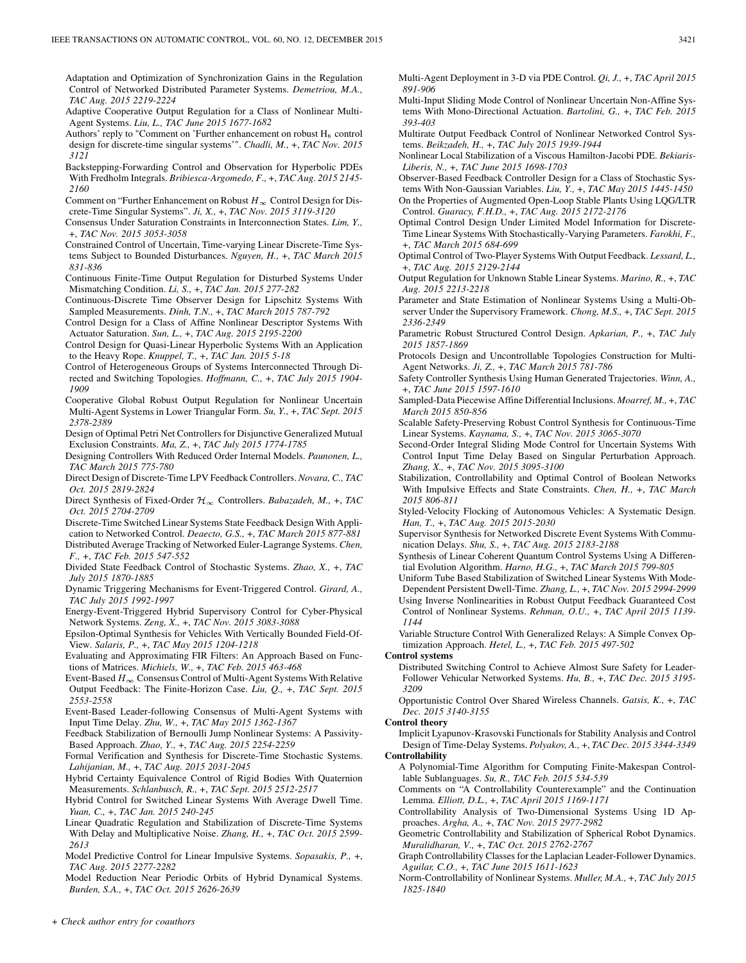Adaptation and Optimization of Synchronization Gains in the Regulation Control of Networked Distributed Parameter Systems. *Demetriou, M.A., TAC Aug. 2015 2219-2224*

Adaptive Cooperative Output Regulation for a Class of Nonlinear Multi-Agent Systems. *Liu, L., TAC June 2015 1677-1682*

Authors' reply to "Comment on 'Further enhancement on robust  $H_8$  control design for discrete-time singular systems'". *Chadli, M.,* +, *TAC Nov. 2015 3121*

Backstepping-Forwarding Control and Observation for Hyperbolic PDEs With Fredholm Integrals. *Bribiesca-Argomedo, F.,* +, *TAC Aug. 2015 2145- 2160*

- Comment on "Further Enhancement on Robust  $H_{\infty}$  Control Design for Discrete-Time Singular Systems". *Ji, X.,* +, *TAC Nov. 2015 3119-3120*
- Consensus Under Saturation Constraints in Interconnection States. *Lim, Y.,* +, *TAC Nov. 2015 3053-3058*
- Constrained Control of Uncertain, Time-varying Linear Discrete-Time Systems Subject to Bounded Disturbances. *Nguyen, H.,* +, *TAC March 2015 831-836*
- Continuous Finite-Time Output Regulation for Disturbed Systems Under Mismatching Condition. *Li, S.,* +, *TAC Jan. 2015 277-282*
- Continuous-Discrete Time Observer Design for Lipschitz Systems With Sampled Measurements. *Dinh, T.N.,* +, *TAC March 2015 787-792*
- Control Design for a Class of Affine Nonlinear Descriptor Systems With Actuator Saturation. *Sun, L.,* +, *TAC Aug. 2015 2195-2200*

Control Design for Quasi-Linear Hyperbolic Systems With an Application to the Heavy Rope. *Knuppel, T.,* +, *TAC Jan. 2015 5-18*

Control of Heterogeneous Groups of Systems Interconnected Through Directed and Switching Topologies. *Hoffmann, C.,* +, *TAC July 2015 1904- 1909*

Cooperative Global Robust Output Regulation for Nonlinear Uncertain Multi-Agent Systems in Lower Triangular Form. *Su, Y.,* +, *TAC Sept. 2015 2378-2389*

Design of Optimal Petri Net Controllers for Disjunctive Generalized Mutual Exclusion Constraints. *Ma, Z.,* +, *TAC July 2015 1774-1785*

Designing Controllers With Reduced Order Internal Models. *Paunonen, L., TAC March 2015 775-780*

Direct Design of Discrete-Time LPV Feedback Controllers. *Novara, C., TAC Oct. 2015 2819-2824*

Direct Synthesis of Fixed-Order  $\mathcal{H}_{\infty}$  Controllers. *Babazadeh, M.,* +, *TAC Oct. 2015 2704-2709*

Discrete-Time Switched Linear Systems State Feedback Design With Application to Networked Control. *Deaecto, G.S.,* +, *TAC March 2015 877-881*

Distributed Average Tracking of Networked Euler-Lagrange Systems. *Chen, F.,* +, *TAC Feb. 2015 547-552*

Divided State Feedback Control of Stochastic Systems. *Zhao, X.,* +, *TAC July 2015 1870-1885*

- Dynamic Triggering Mechanisms for Event-Triggered Control. *Girard, A., TAC July 2015 1992-1997*
- Energy-Event-Triggered Hybrid Supervisory Control for Cyber-Physical Network Systems. *Zeng, X.,* +, *TAC Nov. 2015 3083-3088*

Epsilon-Optimal Synthesis for Vehicles With Vertically Bounded Field-Of-View. *Salaris, P.,* +, *TAC May 2015 1204-1218*

Evaluating and Approximating FIR Filters: An Approach Based on Functions of Matrices. *Michiels, W.,* +, *TAC Feb. 2015 463-468*

Event-Based  $H_\infty$  Consensus Control of Multi-Agent Systems With Relative Output Feedback: The Finite-Horizon Case. *Liu, Q.,* +, *TAC Sept. 2015 2553-2558*

Event-Based Leader-following Consensus of Multi-Agent Systems with Input Time Delay. *Zhu, W.,* +, *TAC May 2015 1362-1367*

Feedback Stabilization of Bernoulli Jump Nonlinear Systems: A Passivity-Based Approach. *Zhao, Y.,* +, *TAC Aug. 2015 2254-2259*

Formal Verification and Synthesis for Discrete-Time Stochastic Systems. *Lahijanian, M.,* +, *TAC Aug. 2015 2031-2045*

Hybrid Certainty Equivalence Control of Rigid Bodies With Quaternion Measurements. *Schlanbusch, R.,* +, *TAC Sept. 2015 2512-2517*

Hybrid Control for Switched Linear Systems With Average Dwell Time. *Yuan, C.,* +, *TAC Jan. 2015 240-245*

Linear Quadratic Regulation and Stabilization of Discrete-Time Systems With Delay and Multiplicative Noise. *Zhang, H.,* +, *TAC Oct. 2015 2599- 2613*

Model Predictive Control for Linear Impulsive Systems. *Sopasakis, P.,* +, *TAC Aug. 2015 2277-2282*

Model Reduction Near Periodic Orbits of Hybrid Dynamical Systems. *Burden, S.A.,* +, *TAC Oct. 2015 2626-2639*

Multi-Agent Deployment in 3-D via PDE Control. *Qi, J.,* +, *TAC April 2015 891-906*

- Multi-Input Sliding Mode Control of Nonlinear Uncertain Non-Affine Systems With Mono-Directional Actuation. *Bartolini, G.,* +, *TAC Feb. 2015 393-403*
- Multirate Output Feedback Control of Nonlinear Networked Control Systems. *Beikzadeh, H.,* +, *TAC July 2015 1939-1944*

Nonlinear Local Stabilization of a Viscous Hamilton-Jacobi PDE. *Bekiaris-Liberis, N.,* +, *TAC June 2015 1698-1703*

Observer-Based Feedback Controller Design for a Class of Stochastic Systems With Non-Gaussian Variables. *Liu, Y.,* +, *TAC May 2015 1445-1450* On the Properties of Augmented Open-Loop Stable Plants Using LQG/LTR Control. *Guaracy, F.H.D.,* +, *TAC Aug. 2015 2172-2176*

Optimal Control Design Under Limited Model Information for Discrete-Time Linear Systems With Stochastically-Varying Parameters. *Farokhi, F.,* +, *TAC March 2015 684-699*

Optimal Control of Two-Player Systems With Output Feedback. *Lessard, L.,* +, *TAC Aug. 2015 2129-2144*

Output Regulation for Unknown Stable Linear Systems. *Marino, R.,* +, *TAC Aug. 2015 2213-2218*

Parameter and State Estimation of Nonlinear Systems Using a Multi-Observer Under the Supervisory Framework. *Chong, M.S.,* +, *TAC Sept. 2015 2336-2349*

Parametric Robust Structured Control Design. *Apkarian, P.,* +, *TAC July 2015 1857-1869*

Protocols Design and Uncontrollable Topologies Construction for Multi-Agent Networks. *Ji, Z.,* +, *TAC March 2015 781-786*

Safety Controller Synthesis Using Human Generated Trajectories. *Winn, A.,* +, *TAC June 2015 1597-1610*

Sampled-Data Piecewise Affine Differential Inclusions. *Moarref, M.,* +, *TAC March 2015 850-856*

Scalable Safety-Preserving Robust Control Synthesis for Continuous-Time Linear Systems. *Kaynama, S.,* +, *TAC Nov. 2015 3065-3070*

Second-Order Integral Sliding Mode Control for Uncertain Systems With Control Input Time Delay Based on Singular Perturbation Approach. *Zhang, X.,* +, *TAC Nov. 2015 3095-3100*

Stabilization, Controllability and Optimal Control of Boolean Networks With Impulsive Effects and State Constraints. *Chen, H.,* +, *TAC March 2015 806-811*

Styled-Velocity Flocking of Autonomous Vehicles: A Systematic Design. *Han, T.,* +, *TAC Aug. 2015 2015-2030*

Supervisor Synthesis for Networked Discrete Event Systems With Communication Delays. *Shu, S.,* +, *TAC Aug. 2015 2183-2188*

Synthesis of Linear Coherent Quantum Control Systems Using A Differential Evolution Algorithm. *Harno, H.G.,* +, *TAC March 2015 799-805*

Uniform Tube Based Stabilization of Switched Linear Systems With Mode-Dependent Persistent Dwell-Time. *Zhang, L.,* +, *TAC Nov. 2015 2994-2999* Using Inverse Nonlinearities in Robust Output Feedback Guaranteed Cost Control of Nonlinear Systems. *Rehman, O.U.,* +, *TAC April 2015 1139- 1144*

Variable Structure Control With Generalized Relays: A Simple Convex Optimization Approach. *Hetel, L.,* +, *TAC Feb. 2015 497-502*

**Control systems**

Distributed Switching Control to Achieve Almost Sure Safety for Leader-Follower Vehicular Networked Systems. *Hu, B.,* +, *TAC Dec. 2015 3195- 3209*

Opportunistic Control Over Shared Wireless Channels. *Gatsis, K.,* +, *TAC Dec. 2015 3140-3155*

# **Control theory**

Implicit Lyapunov-Krasovski Functionals for Stability Analysis and Control Design of Time-Delay Systems. *Polyakov, A.,* +, *TAC Dec. 2015 3344-3349* **Controllability**

A Polynomial-Time Algorithm for Computing Finite-Makespan Controllable Sublanguages. *Su, R., TAC Feb. 2015 534-539*

Comments on "A Controllability Counterexample" and the Continuation Lemma. *Elliott, D.L.,* +, *TAC April 2015 1169-1171*

Controllability Analysis of Two-Dimensional Systems Using 1D Approaches. *Argha, A.,* +, *TAC Nov. 2015 2977-2982*

Geometric Controllability and Stabilization of Spherical Robot Dynamics. *Muralidharan, V.,* +, *TAC Oct. 2015 2762-2767*

Graph Controllability Classes for the Laplacian Leader-Follower Dynamics. *Aguilar, C.O.,* +, *TAC June 2015 1611-1623*

Norm-Controllability of Nonlinear Systems. *Muller, M.A.,* +, *TAC July 2015 1825-1840*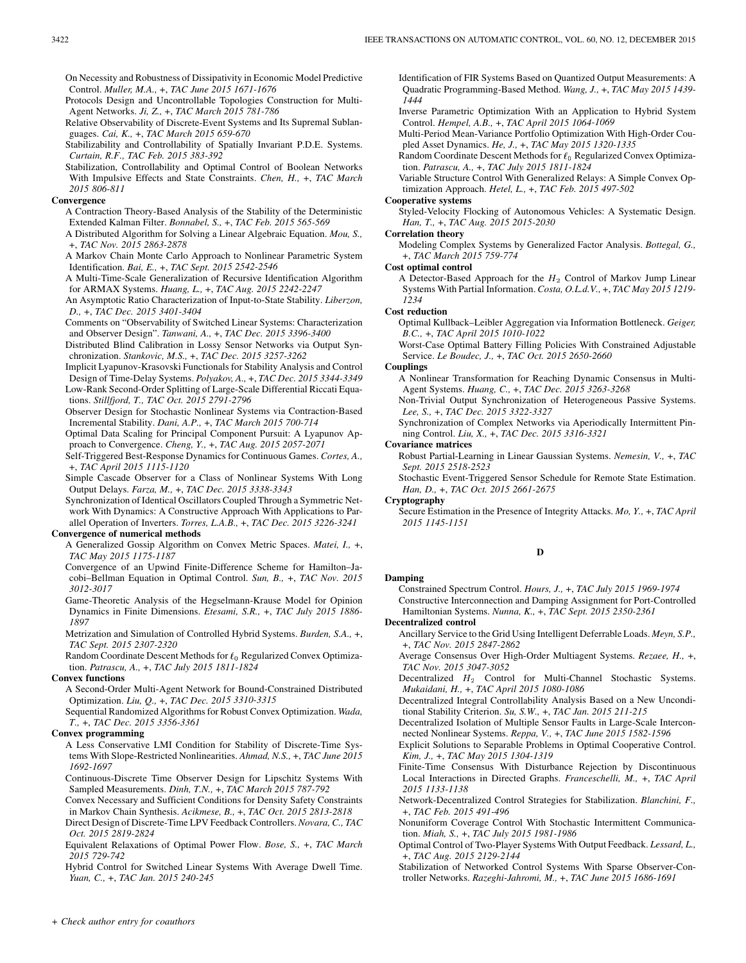On Necessity and Robustness of Dissipativity in Economic Model Predictive Control. *Muller, M.A.,* +, *TAC June 2015 1671-1676*

Protocols Design and Uncontrollable Topologies Construction for Multi-Agent Networks. *Ji, Z.,* +, *TAC March 2015 781-786*

Relative Observability of Discrete-Event Systems and Its Supremal Sublanguages. *Cai, K.,* +, *TAC March 2015 659-670*

Stabilizability and Controllability of Spatially Invariant P.D.E. Systems. *Curtain, R.F., TAC Feb. 2015 383-392*

Stabilization, Controllability and Optimal Control of Boolean Networks With Impulsive Effects and State Constraints. *Chen, H.,* +, *TAC March 2015 806-811*

#### **Convergence**

A Contraction Theory-Based Analysis of the Stability of the Deterministic Extended Kalman Filter. *Bonnabel, S.,* +, *TAC Feb. 2015 565-569*

A Distributed Algorithm for Solving a Linear Algebraic Equation. *Mou, S.,* +, *TAC Nov. 2015 2863-2878*

A Markov Chain Monte Carlo Approach to Nonlinear Parametric System Identification. *Bai, E.,* +, *TAC Sept. 2015 2542-2546*

- A Multi-Time-Scale Generalization of Recursive Identification Algorithm for ARMAX Systems. *Huang, L.,* +, *TAC Aug. 2015 2242-2247*
- An Asymptotic Ratio Characterization of Input-to-State Stability. *Liberzon, D.,* +, *TAC Dec. 2015 3401-3404*
- Comments on "Observability of Switched Linear Systems: Characterization and Observer Design". *Tanwani, A.,* +, *TAC Dec. 2015 3396-3400*

Distributed Blind Calibration in Lossy Sensor Networks via Output Synchronization. *Stankovic, M.S.,* +, *TAC Dec. 2015 3257-3262*

Implicit Lyapunov-Krasovski Functionals for Stability Analysis and Control Design of Time-Delay Systems. *Polyakov, A.,* +, *TAC Dec. 2015 3344-3349*

Low-Rank Second-Order Splitting of Large-Scale Differential Riccati Equations. *Stillfjord, T., TAC Oct. 2015 2791-2796*

Observer Design for Stochastic Nonlinear Systems via Contraction-Based Incremental Stability. *Dani, A.P.,* +, *TAC March 2015 700-714*

Optimal Data Scaling for Principal Component Pursuit: A Lyapunov Approach to Convergence. *Cheng, Y.,* +, *TAC Aug. 2015 2057-2071*

Self-Triggered Best-Response Dynamics for Continuous Games. *Cortes, A.,* +, *TAC April 2015 1115-1120*

Simple Cascade Observer for a Class of Nonlinear Systems With Long Output Delays. *Farza, M.,* +, *TAC Dec. 2015 3338-3343*

Synchronization of Identical Oscillators Coupled Through a Symmetric Network With Dynamics: A Constructive Approach With Applications to Parallel Operation of Inverters. *Torres, L.A.B.,* +, *TAC Dec. 2015 3226-3241*

# **Convergence of numerical methods**

A Generalized Gossip Algorithm on Convex Metric Spaces. *Matei, I.,* +, *TAC May 2015 1175-1187*

Convergence of an Upwind Finite-Difference Scheme for Hamilton–Jacobi–Bellman Equation in Optimal Control. *Sun, B.,* +, *TAC Nov. 2015 3012-3017*

Game-Theoretic Analysis of the Hegselmann-Krause Model for Opinion Dynamics in Finite Dimensions. *Etesami, S.R.,* +, *TAC July 2015 1886- 1897*

Metrization and Simulation of Controlled Hybrid Systems. *Burden, S.A.,* +, *TAC Sept. 2015 2307-2320*

Random Coordinate Descent Methods for  $\ell_0$  Regularized Convex Optimization. *Patrascu, A.,* +, *TAC July 2015 1811-1824*

# **Convex functions**

A Second-Order Multi-Agent Network for Bound-Constrained Distributed Optimization. *Liu, Q.,* +, *TAC Dec. 2015 3310-3315*

Sequential Randomized Algorithms for Robust Convex Optimization. *Wada, T.,* +, *TAC Dec. 2015 3356-3361*

#### **Convex programming**

A Less Conservative LMI Condition for Stability of Discrete-Time Systems With Slope-Restricted Nonlinearities. *Ahmad, N.S.,* +, *TAC June 2015 1692-1697*

Continuous-Discrete Time Observer Design for Lipschitz Systems With Sampled Measurements. *Dinh, T.N.,* +, *TAC March 2015 787-792*

Convex Necessary and Sufficient Conditions for Density Safety Constraints in Markov Chain Synthesis. *Acikmese, B.,* +, *TAC Oct. 2015 2813-2818*

Direct Design of Discrete-Time LPV Feedback Controllers. *Novara, C., TAC Oct. 2015 2819-2824*

Equivalent Relaxations of Optimal Power Flow. *Bose, S.,* +, *TAC March 2015 729-742*

Hybrid Control for Switched Linear Systems With Average Dwell Time. *Yuan, C.,* +, *TAC Jan. 2015 240-245*

Identification of FIR Systems Based on Quantized Output Measurements: A Quadratic Programming-Based Method. *Wang, J.,* +, *TAC May 2015 1439- 1444*

Inverse Parametric Optimization With an Application to Hybrid System Control. *Hempel, A.B.,* +, *TAC April 2015 1064-1069*

Multi-Period Mean-Variance Portfolio Optimization With High-Order Coupled Asset Dynamics. *He, J.,* +, *TAC May 2015 1320-1335*

Random Coordinate Descent Methods for  $\ell_0$  Regularized Convex Optimization. *Patrascu, A.,* +, *TAC July 2015 1811-1824*

Variable Structure Control With Generalized Relays: A Simple Convex Optimization Approach. *Hetel, L.,* +, *TAC Feb. 2015 497-502*

# **Cooperative systems**

Styled-Velocity Flocking of Autonomous Vehicles: A Systematic Design. *Han, T.,* +, *TAC Aug. 2015 2015-2030*

#### **Correlation theory**

Modeling Complex Systems by Generalized Factor Analysis. *Bottegal, G.,* +, *TAC March 2015 759-774*

# **Cost optimal control**

A Detector-Based Approach for the  $H_2$  Control of Markov Jump Linear Systems With Partial Information. *Costa, O.L.d.V.,* +, *TAC May 2015 1219- 1234*

# **Cost reduction**

Optimal Kullback–Leibler Aggregation via Information Bottleneck. *Geiger, B.C.,* +, *TAC April 2015 1010-1022*

Worst-Case Optimal Battery Filling Policies With Constrained Adjustable Service. *Le Boudec, J.,* +, *TAC Oct. 2015 2650-2660*

#### **Couplings**

A Nonlinear Transformation for Reaching Dynamic Consensus in Multi-Agent Systems. *Huang, C.,* +, *TAC Dec. 2015 3263-3268*

Non-Trivial Output Synchronization of Heterogeneous Passive Systems. *Lee, S.,* +, *TAC Dec. 2015 3322-3327*

Synchronization of Complex Networks via Aperiodically Intermittent Pinning Control. *Liu, X.,* +, *TAC Dec. 2015 3316-3321*

#### **Covariance matrices**

Robust Partial-Learning in Linear Gaussian Systems. *Nemesin, V.,* +, *TAC Sept. 2015 2518-2523*

Stochastic Event-Triggered Sensor Schedule for Remote State Estimation. *Han, D.,* +, *TAC Oct. 2015 2661-2675*

# **Cryptography**

Secure Estimation in the Presence of Integrity Attacks. *Mo, Y.,* +, *TAC April 2015 1145-1151*

# **D**

# **Damping**

Constrained Spectrum Control. *Hours, J.,* +, *TAC July 2015 1969-1974* Constructive Interconnection and Damping Assignment for Port-Controlled Hamiltonian Systems. *Nunna, K.,* +, *TAC Sept. 2015 2350-2361*

**Decentralized control**

Ancillary Service to the Grid Using Intelligent Deferrable Loads. *Meyn, S.P.,* +, *TAC Nov. 2015 2847-2862*

Average Consensus Over High-Order Multiagent Systems. *Rezaee, H.,* +, *TAC Nov. 2015 3047-3052*

Decentralized  $H_2$  Control for Multi-Channel Stochastic Systems. *Mukaidani, H.,* +, *TAC April 2015 1080-1086*

Decentralized Integral Controllability Analysis Based on a New Unconditional Stability Criterion. *Su, S.W.,* +, *TAC Jan. 2015 211-215*

Decentralized Isolation of Multiple Sensor Faults in Large-Scale Interconnected Nonlinear Systems. *Reppa, V.,* +, *TAC June 2015 1582-1596*

Explicit Solutions to Separable Problems in Optimal Cooperative Control. *Kim, J.,* +, *TAC May 2015 1304-1319*

Finite-Time Consensus With Disturbance Rejection by Discontinuous Local Interactions in Directed Graphs. *Franceschelli, M.,* +, *TAC April 2015 1133-1138*

Network-Decentralized Control Strategies for Stabilization. *Blanchini, F.,* +, *TAC Feb. 2015 491-496*

Nonuniform Coverage Control With Stochastic Intermittent Communication. *Miah, S.,* +, *TAC July 2015 1981-1986*

Optimal Control of Two-Player Systems With Output Feedback. *Lessard, L.,* +, *TAC Aug. 2015 2129-2144*

Stabilization of Networked Control Systems With Sparse Observer-Controller Networks. *Razeghi-Jahromi, M.,* +, *TAC June 2015 1686-1691*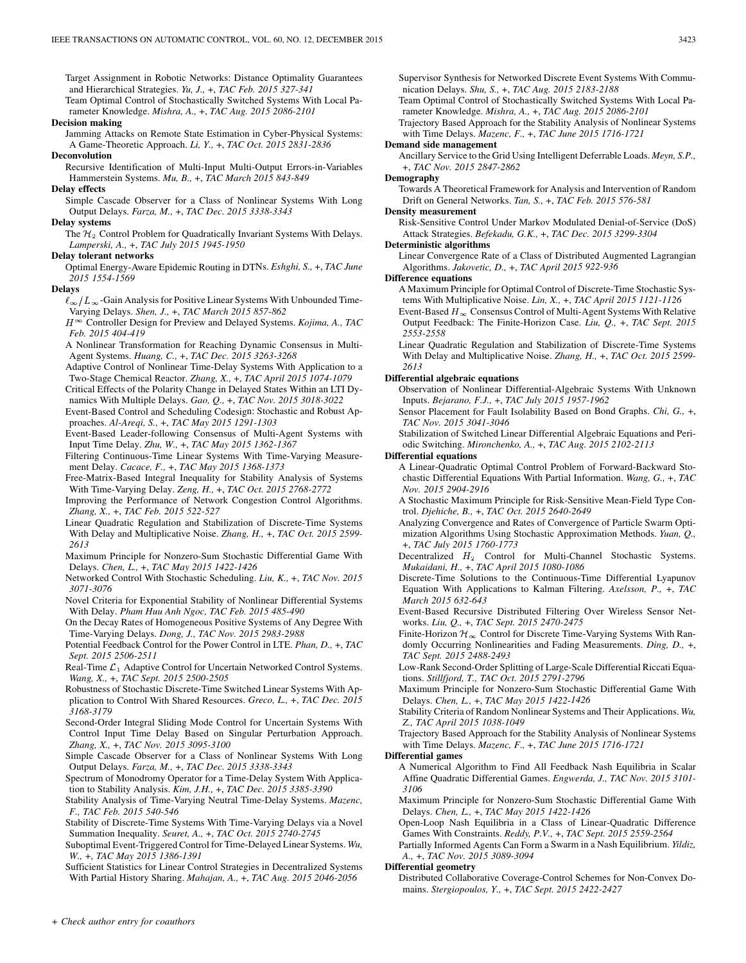Target Assignment in Robotic Networks: Distance Optimality Guarantees and Hierarchical Strategies. *Yu, J.,* +, *TAC Feb. 2015 327-341*

Team Optimal Control of Stochastically Switched Systems With Local Parameter Knowledge. *Mishra, A.,* +, *TAC Aug. 2015 2086-2101*

# **Decision making**

Jamming Attacks on Remote State Estimation in Cyber-Physical Systems: A Game-Theoretic Approach. *Li, Y.,* +, *TAC Oct. 2015 2831-2836*

**Deconvolution**

Recursive Identification of Multi-Input Multi-Output Errors-in-Variables Hammerstein Systems. *Mu, B.,* +, *TAC March 2015 843-849*

# **Delay effects**

Simple Cascade Observer for a Class of Nonlinear Systems With Long Output Delays. *Farza, M.,* +, *TAC Dec. 2015 3338-3343*

#### **Delay systems**

The  $\mathcal{H}_2$  Control Problem for Quadratically Invariant Systems With Delays. *Lamperski, A.,* +, *TAC July 2015 1945-1950*

#### **Delay tolerant networks**

Optimal Energy-Aware Epidemic Routing in DTNs. *Eshghi, S.,* +, *TAC June 2015 1554-1569*

#### **Delays**

- $\ell_{\infty}/L_{\infty}$ -Gain Analysis for Positive Linear Systems With Unbounded Time-Varying Delays. *Shen, J.,* +, *TAC March 2015 857-862*
- Controller Design for Preview and Delayed Systems. *Kojima, A., TAC Feb. 2015 404-419*
- A Nonlinear Transformation for Reaching Dynamic Consensus in Multi-Agent Systems. *Huang, C.,* +, *TAC Dec. 2015 3263-3268*
- Adaptive Control of Nonlinear Time-Delay Systems With Application to a Two-Stage Chemical Reactor. *Zhang, X.,* +, *TAC April 2015 1074-1079*
- Critical Effects of the Polarity Change in Delayed States Within an LTI Dynamics With Multiple Delays. *Gao, Q.,* +, *TAC Nov. 2015 3018-3022*
- Event-Based Control and Scheduling Codesign: Stochastic and Robust Approaches. *Al-Areqi, S.,* +, *TAC May 2015 1291-1303*
- Event-Based Leader-following Consensus of Multi-Agent Systems with Input Time Delay. *Zhu, W.,* +, *TAC May 2015 1362-1367*
- Filtering Continuous-Time Linear Systems With Time-Varying Measurement Delay. *Cacace, F.,* +, *TAC May 2015 1368-1373*
- Free-Matrix-Based Integral Inequality for Stability Analysis of Systems With Time-Varying Delay. *Zeng, H.,* +, *TAC Oct. 2015 2768-2772*

Improving the Performance of Network Congestion Control Algorithms. *Zhang, X.,* +, *TAC Feb. 2015 522-527*

- Linear Quadratic Regulation and Stabilization of Discrete-Time Systems With Delay and Multiplicative Noise. *Zhang, H.,* +, *TAC Oct. 2015 2599- 2613*
- Maximum Principle for Nonzero-Sum Stochastic Differential Game With Delays. *Chen, L.,* +, *TAC May 2015 1422-1426*
- Networked Control With Stochastic Scheduling. *Liu, K.,* +, *TAC Nov. 2015 3071-3076*
- Novel Criteria for Exponential Stability of Nonlinear Differential Systems With Delay. *Pham Huu Anh Ngoc, TAC Feb. 2015 485-490*
- On the Decay Rates of Homogeneous Positive Systems of Any Degree With Time-Varying Delays. *Dong, J., TAC Nov. 2015 2983-2988*
- Potential Feedback Control for the Power Control in LTE. *Phan, D.,* +, *TAC Sept. 2015 2506-2511*
- Real-Time  $\mathcal{L}_1$  Adaptive Control for Uncertain Networked Control Systems. *Wang, X.,* +, *TAC Sept. 2015 2500-2505*
- Robustness of Stochastic Discrete-Time Switched Linear Systems With Application to Control With Shared Resources. *Greco, L.,* +, *TAC Dec. 2015 3168-3179*
- Second-Order Integral Sliding Mode Control for Uncertain Systems With Control Input Time Delay Based on Singular Perturbation Approach. *Zhang, X.,* +, *TAC Nov. 2015 3095-3100*
- Simple Cascade Observer for a Class of Nonlinear Systems With Long Output Delays. *Farza, M.,* +, *TAC Dec. 2015 3338-3343*
- Spectrum of Monodromy Operator for a Time-Delay System With Application to Stability Analysis. *Kim, J.H.,* +, *TAC Dec. 2015 3385-3390*
- Stability Analysis of Time-Varying Neutral Time-Delay Systems. *Mazenc, F., TAC Feb. 2015 540-546*
- Stability of Discrete-Time Systems With Time-Varying Delays via a Novel Summation Inequality. *Seuret, A.,* +, *TAC Oct. 2015 2740-2745*
- Suboptimal Event-Triggered Control for Time-Delayed Linear Systems. *Wu, W.,* +, *TAC May 2015 1386-1391*
- Sufficient Statistics for Linear Control Strategies in Decentralized Systems With Partial History Sharing. *Mahajan, A.,* +, *TAC Aug. 2015 2046-2056*

Supervisor Synthesis for Networked Discrete Event Systems With Communication Delays. *Shu, S.,* +, *TAC Aug. 2015 2183-2188*

Team Optimal Control of Stochastically Switched Systems With Local Parameter Knowledge. *Mishra, A.,* +, *TAC Aug. 2015 2086-2101*

Trajectory Based Approach for the Stability Analysis of Nonlinear Systems with Time Delays. *Mazenc, F.,* +, *TAC June 2015 1716-1721*

# **Demand side management**

Ancillary Service to the Grid Using Intelligent Deferrable Loads. *Meyn, S.P.,* +, *TAC Nov. 2015 2847-2862*

# **Demography**

Towards A Theoretical Framework for Analysis and Intervention of Random Drift on General Networks. *Tan, S.,* +, *TAC Feb. 2015 576-581*

# **Density measurement**

Risk-Sensitive Control Under Markov Modulated Denial-of-Service (DoS) Attack Strategies. *Befekadu, G.K.,* +, *TAC Dec. 2015 3299-3304*

# **Deterministic algorithms**

Linear Convergence Rate of a Class of Distributed Augmented Lagrangian Algorithms. *Jakovetic, D.,* +, *TAC April 2015 922-936*

#### **Difference equations**

A Maximum Principle for Optimal Control of Discrete-Time Stochastic Systems With Multiplicative Noise. *Lin, X.,* +, *TAC April 2015 1121-1126*

Event-Based  $H_{\infty}$  Consensus Control of Multi-Agent Systems With Relative Output Feedback: The Finite-Horizon Case. *Liu, Q.,* +, *TAC Sept. 2015 2553-2558*

Linear Quadratic Regulation and Stabilization of Discrete-Time Systems With Delay and Multiplicative Noise. *Zhang, H.,* +, *TAC Oct. 2015 2599- 2613*

# **Differential algebraic equations**

Observation of Nonlinear Differential-Algebraic Systems With Unknown Inputs. *Bejarano, F.J.,* +, *TAC July 2015 1957-1962*

Sensor Placement for Fault Isolability Based on Bond Graphs. *Chi, G.,* +, *TAC Nov. 2015 3041-3046*

Stabilization of Switched Linear Differential Algebraic Equations and Periodic Switching. *Mironchenko, A.,* +, *TAC Aug. 2015 2102-2113*

# **Differential equations**

- A Linear-Quadratic Optimal Control Problem of Forward-Backward Stochastic Differential Equations With Partial Information. *Wang, G.,* +, *TAC Nov. 2015 2904-2916*
- A Stochastic Maximum Principle for Risk-Sensitive Mean-Field Type Control. *Djehiche, B.,* +, *TAC Oct. 2015 2640-2649*
- Analyzing Convergence and Rates of Convergence of Particle Swarm Optimization Algorithms Using Stochastic Approximation Methods. *Yuan, Q.,* +, *TAC July 2015 1760-1773*

Decentralized  $H_2$  Control for Multi-Channel Stochastic Systems. *Mukaidani, H.,* +, *TAC April 2015 1080-1086*

- Discrete-Time Solutions to the Continuous-Time Differential Lyapunov Equation With Applications to Kalman Filtering. *Axelsson, P.,* +, *TAC March 2015 632-643*
- Event-Based Recursive Distributed Filtering Over Wireless Sensor Networks. *Liu, Q.,* +, *TAC Sept. 2015 2470-2475*

Finite-Horizon  $\mathcal{H}_{\infty}$  Control for Discrete Time-Varying Systems With Randomly Occurring Nonlinearities and Fading Measurements. *Ding, D.,* +, *TAC Sept. 2015 2488-2493*

Low-Rank Second-Order Splitting of Large-Scale Differential Riccati Equations. *Stillfjord, T., TAC Oct. 2015 2791-2796*

Maximum Principle for Nonzero-Sum Stochastic Differential Game With Delays. *Chen, L.,* +, *TAC May 2015 1422-1426*

Stability Criteria of Random Nonlinear Systems and Their Applications. *Wu, Z., TAC April 2015 1038-1049*

Trajectory Based Approach for the Stability Analysis of Nonlinear Systems with Time Delays. *Mazenc, F.,* +, *TAC June 2015 1716-1721*

# **Differential games**

A Numerical Algorithm to Find All Feedback Nash Equilibria in Scalar Affine Quadratic Differential Games. *Engwerda, J., TAC Nov. 2015 3101- 3106*

Maximum Principle for Nonzero-Sum Stochastic Differential Game With Delays. *Chen, L.,* +, *TAC May 2015 1422-1426*

Open-Loop Nash Equilibria in a Class of Linear-Quadratic Difference Games With Constraints. *Reddy, P.V.,* +, *TAC Sept. 2015 2559-2564*

Partially Informed Agents Can Form a Swarm in a Nash Equilibrium. *Yildiz, A.,* +, *TAC Nov. 2015 3089-3094*

#### **Differential geometry**

Distributed Collaborative Coverage-Control Schemes for Non-Convex Domains. *Stergiopoulos, Y.,* +, *TAC Sept. 2015 2422-2427*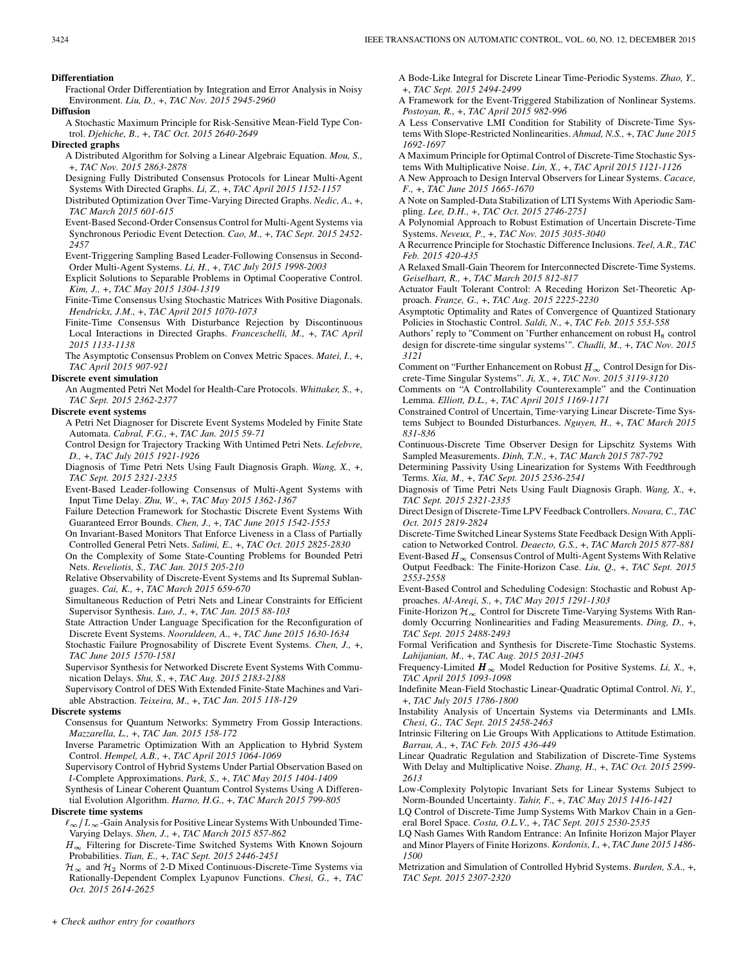#### **Differentiation**

Fractional Order Differentiation by Integration and Error Analysis in Noisy Environment. *Liu, D.,* +, *TAC Nov. 2015 2945-2960*

**Diffusion**

A Stochastic Maximum Principle for Risk-Sensitive Mean-Field Type Control. *Djehiche, B.,* +, *TAC Oct. 2015 2640-2649*

**Directed graphs**

A Distributed Algorithm for Solving a Linear Algebraic Equation. *Mou, S.,* +, *TAC Nov. 2015 2863-2878*

Designing Fully Distributed Consensus Protocols for Linear Multi-Agent Systems With Directed Graphs. *Li, Z.,* +, *TAC April 2015 1152-1157*

Distributed Optimization Over Time-Varying Directed Graphs. *Nedic, A.,* +, *TAC March 2015 601-615*

Event-Based Second-Order Consensus Control for Multi-Agent Systems via Synchronous Periodic Event Detection. *Cao, M.,* +, *TAC Sept. 2015 2452- 2457*

Event-Triggering Sampling Based Leader-Following Consensus in Second-Order Multi-Agent Systems. *Li, H.,* +, *TAC July 2015 1998-2003*

Explicit Solutions to Separable Problems in Optimal Cooperative Control. *Kim, J.,* +, *TAC May 2015 1304-1319*

Finite-Time Consensus Using Stochastic Matrices With Positive Diagonals. *Hendrickx, J.M.,* +, *TAC April 2015 1070-1073*

Finite-Time Consensus With Disturbance Rejection by Discontinuous Local Interactions in Directed Graphs. *Franceschelli, M.,* +, *TAC April 2015 1133-1138*

The Asymptotic Consensus Problem on Convex Metric Spaces. *Matei, I.,* +, *TAC April 2015 907-921*

# **Discrete event simulation**

An Augmented Petri Net Model for Health-Care Protocols. *Whittaker, S.,* +, *TAC Sept. 2015 2362-2377*

#### **Discrete event systems**

A Petri Net Diagnoser for Discrete Event Systems Modeled by Finite State Automata. *Cabral, F.G.,* +, *TAC Jan. 2015 59-71*

Control Design for Trajectory Tracking With Untimed Petri Nets. *Lefebvre, D.,* +, *TAC July 2015 1921-1926*

Diagnosis of Time Petri Nets Using Fault Diagnosis Graph. *Wang, X.,* +, *TAC Sept. 2015 2321-2335*

Event-Based Leader-following Consensus of Multi-Agent Systems with Input Time Delay. *Zhu, W.,* +, *TAC May 2015 1362-1367*

Failure Detection Framework for Stochastic Discrete Event Systems With Guaranteed Error Bounds. *Chen, J.,* +, *TAC June 2015 1542-1553*

On Invariant-Based Monitors That Enforce Liveness in a Class of Partially Controlled General Petri Nets. *Salimi, E.,* +, *TAC Oct. 2015 2825-2830*

On the Complexity of Some State-Counting Problems for Bounded Petri Nets. *Reveliotis, S., TAC Jan. 2015 205-210*

Relative Observability of Discrete-Event Systems and Its Supremal Sublanguages. *Cai, K.,* +, *TAC March 2015 659-670*

Simultaneous Reduction of Petri Nets and Linear Constraints for Efficient Supervisor Synthesis. *Luo, J.,* +, *TAC Jan. 2015 88-103*

State Attraction Under Language Specification for the Reconfiguration of Discrete Event Systems. *Nooruldeen, A.,* +, *TAC June 2015 1630-1634*

Stochastic Failure Prognosability of Discrete Event Systems. *Chen, J.,* +, *TAC June 2015 1570-1581*

Supervisor Synthesis for Networked Discrete Event Systems With Communication Delays. *Shu, S.,* +, *TAC Aug. 2015 2183-2188*

Supervisory Control of DES With Extended Finite-State Machines and Variable Abstraction. *Teixeira, M.,* +, *TAC Jan. 2015 118-129*

# **Discrete systems**

Consensus for Quantum Networks: Symmetry From Gossip Interactions. *Mazzarella, L.,* +, *TAC Jan. 2015 158-172*

Inverse Parametric Optimization With an Application to Hybrid System Control. *Hempel, A.B.,* +, *TAC April 2015 1064-1069*

Supervisory Control of Hybrid Systems Under Partial Observation Based on -Complete Approximations. *Park, S.,* +, *TAC May 2015 1404-1409*

Synthesis of Linear Coherent Quantum Control Systems Using A Differential Evolution Algorithm. *Harno, H.G.,* +, *TAC March 2015 799-805*

# **Discrete time systems**

 $\ell_{\infty}/L_{\infty}$ -Gain Analysis for Positive Linear Systems With Unbounded Time-Varying Delays. *Shen, J.,* +, *TAC March 2015 857-862*

 $H_{\infty}$  Filtering for Discrete-Time Switched Systems With Known Sojourn Probabilities. *Tian, E.,* +, *TAC Sept. 2015 2446-2451*

 $\mathcal{H}_{\infty}$  and  $\mathcal{H}_{2}$  Norms of 2-D Mixed Continuous-Discrete-Time Systems via Rationally-Dependent Complex Lyapunov Functions. *Chesi, G.,* +, *TAC Oct. 2015 2614-2625*

A Bode-Like Integral for Discrete Linear Time-Periodic Systems. *Zhao, Y.,* +, *TAC Sept. 2015 2494-2499*

A Framework for the Event-Triggered Stabilization of Nonlinear Systems. *Postoyan, R.,* +, *TAC April 2015 982-996*

A Less Conservative LMI Condition for Stability of Discrete-Time Systems With Slope-Restricted Nonlinearities. *Ahmad, N.S.,* +, *TAC June 2015 1692-1697*

A Maximum Principle for Optimal Control of Discrete-Time Stochastic Systems With Multiplicative Noise. *Lin, X.,* +, *TAC April 2015 1121-1126*

A New Approach to Design Interval Observers for Linear Systems. *Cacace, F.,* +, *TAC June 2015 1665-1670*

A Note on Sampled-Data Stabilization of LTI Systems With Aperiodic Sampling. *Lee, D.H.,* +, *TAC Oct. 2015 2746-2751*

A Polynomial Approach to Robust Estimation of Uncertain Discrete-Time Systems. *Neveux, P.,* +, *TAC Nov. 2015 3035-3040*

A Recurrence Principle for Stochastic Difference Inclusions. *Teel, A.R., TAC Feb. 2015 420-435*

A Relaxed Small-Gain Theorem for Interconnected Discrete-Time Systems. *Geiselhart, R.,* +, *TAC March 2015 812-817*

Actuator Fault Tolerant Control: A Receding Horizon Set-Theoretic Approach. *Franze, G.,* +, *TAC Aug. 2015 2225-2230*

Asymptotic Optimality and Rates of Convergence of Quantized Stationary Policies in Stochastic Control. *Saldi, N.,* +, *TAC Feb. 2015 553-558*

Authors' reply to "Comment on 'Further enhancement on robust  $H_8$  control design for discrete-time singular systems'". *Chadli, M.,* +, *TAC Nov. 2015 3121*

Comment on "Further Enhancement on Robust  $H_{\infty}$  Control Design for Discrete-Time Singular Systems". *Ji, X.,* +, *TAC Nov. 2015 3119-3120*

Comments on "A Controllability Counterexample" and the Continuation Lemma. *Elliott, D.L.,* +, *TAC April 2015 1169-1171*

Constrained Control of Uncertain, Time-varying Linear Discrete-Time Systems Subject to Bounded Disturbances. *Nguyen, H.,* +, *TAC March 2015 831-836*

Continuous-Discrete Time Observer Design for Lipschitz Systems With Sampled Measurements. *Dinh, T.N.,* +, *TAC March 2015 787-792*

Determining Passivity Using Linearization for Systems With Feedthrough Terms. *Xia, M.,* +, *TAC Sept. 2015 2536-2541*

Diagnosis of Time Petri Nets Using Fault Diagnosis Graph. *Wang, X.,* +, *TAC Sept. 2015 2321-2335*

Direct Design of Discrete-Time LPV Feedback Controllers. *Novara, C., TAC Oct. 2015 2819-2824*

Discrete-Time Switched Linear Systems State Feedback Design With Application to Networked Control. *Deaecto, G.S.,* +, *TAC March 2015 877-881*

Event-Based  $H_{\infty}$  Consensus Control of Multi-Agent Systems With Relative Output Feedback: The Finite-Horizon Case. *Liu, Q.,* +, *TAC Sept. 2015 2553-2558*

Event-Based Control and Scheduling Codesign: Stochastic and Robust Approaches. *Al-Areqi, S.,* +, *TAC May 2015 1291-1303*

Finite-Horizon  $\mathcal{H}_{\infty}$  Control for Discrete Time-Varying Systems With Randomly Occurring Nonlinearities and Fading Measurements. *Ding, D.,* +, *TAC Sept. 2015 2488-2493*

Formal Verification and Synthesis for Discrete-Time Stochastic Systems. *Lahijanian, M.,* +, *TAC Aug. 2015 2031-2045*

Frequency-Limited  $\boldsymbol{H}_{\infty}$  Model Reduction for Positive Systems. *Li, X.*, +, *TAC April 2015 1093-1098*

Indefinite Mean-Field Stochastic Linear-Quadratic Optimal Control. *Ni, Y.,* +, *TAC July 2015 1786-1800*

Instability Analysis of Uncertain Systems via Determinants and LMIs. *Chesi, G., TAC Sept. 2015 2458-2463*

Intrinsic Filtering on Lie Groups With Applications to Attitude Estimation. *Barrau, A.,* +, *TAC Feb. 2015 436-449*

Linear Quadratic Regulation and Stabilization of Discrete-Time Systems With Delay and Multiplicative Noise. *Zhang, H.,* +, *TAC Oct. 2015 2599- 2613*

Low-Complexity Polytopic Invariant Sets for Linear Systems Subject to Norm-Bounded Uncertainty. *Tahir, F.,* +, *TAC May 2015 1416-1421*

LQ Control of Discrete-Time Jump Systems With Markov Chain in a General Borel Space. *Costa, O.L.V.,* +, *TAC Sept. 2015 2530-2535*

LQ Nash Games With Random Entrance: An Infinite Horizon Major Player and Minor Players of Finite Horizons. *Kordonis, I.,* +, *TAC June 2015 1486- 1500*

Metrization and Simulation of Controlled Hybrid Systems. *Burden, S.A.,* +, *TAC Sept. 2015 2307-2320*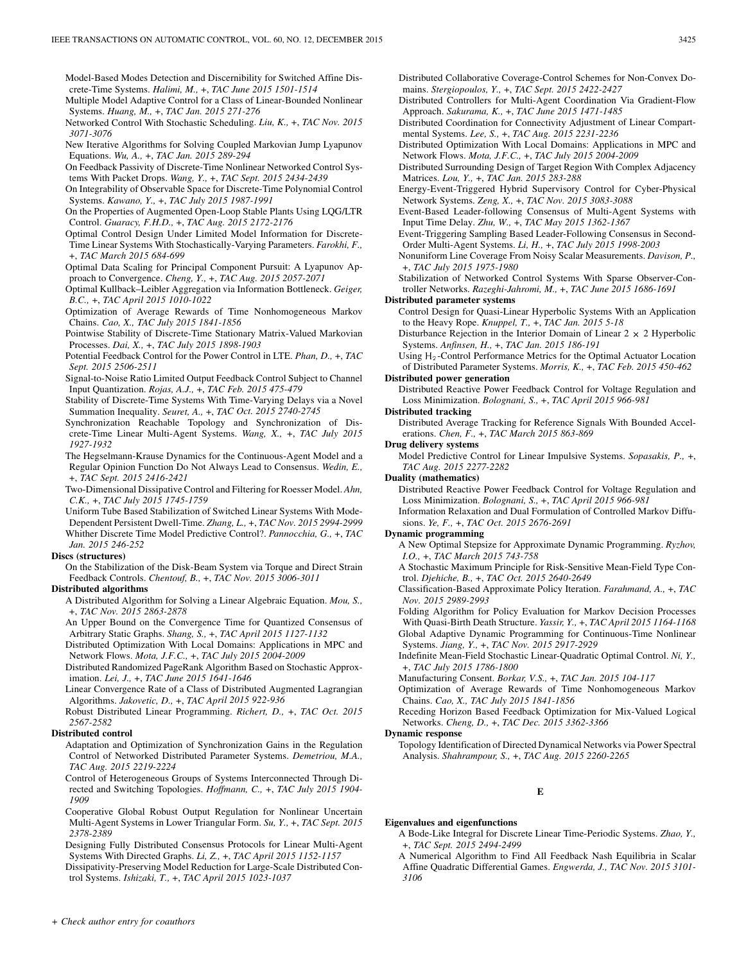Model-Based Modes Detection and Discernibility for Switched Affine Discrete-Time Systems. *Halimi, M.,* +, *TAC June 2015 1501-1514*

- Multiple Model Adaptive Control for a Class of Linear-Bounded Nonlinear Systems. *Huang, M.,* +, *TAC Jan. 2015 271-276*
- Networked Control With Stochastic Scheduling. *Liu, K.,* +, *TAC Nov. 2015 3071-3076*
- New Iterative Algorithms for Solving Coupled Markovian Jump Lyapunov Equations. *Wu, A.,* +, *TAC Jan. 2015 289-294*
- On Feedback Passivity of Discrete-Time Nonlinear Networked Control Systems With Packet Drops. *Wang, Y.,* +, *TAC Sept. 2015 2434-2439*
- On Integrability of Observable Space for Discrete-Time Polynomial Control Systems. *Kawano, Y.,* +, *TAC July 2015 1987-1991*
- On the Properties of Augmented Open-Loop Stable Plants Using LQG/LTR Control. *Guaracy, F.H.D.,* +, *TAC Aug. 2015 2172-2176*
- Optimal Control Design Under Limited Model Information for Discrete-Time Linear Systems With Stochastically-Varying Parameters. *Farokhi, F.,* +, *TAC March 2015 684-699*
- Optimal Data Scaling for Principal Component Pursuit: A Lyapunov Approach to Convergence. *Cheng, Y.,* +, *TAC Aug. 2015 2057-2071*
- Optimal Kullback–Leibler Aggregation via Information Bottleneck. *Geiger, B.C.,* +, *TAC April 2015 1010-1022*
- Optimization of Average Rewards of Time Nonhomogeneous Markov Chains. *Cao, X., TAC July 2015 1841-1856*
- Pointwise Stability of Discrete-Time Stationary Matrix-Valued Markovian Processes. *Dai, X.,* +, *TAC July 2015 1898-1903*
- Potential Feedback Control for the Power Control in LTE. *Phan, D.,* +, *TAC Sept. 2015 2506-2511*
- Signal-to-Noise Ratio Limited Output Feedback Control Subject to Channel Input Quantization. *Rojas, A.J.,* +, *TAC Feb. 2015 475-479*
- Stability of Discrete-Time Systems With Time-Varying Delays via a Novel Summation Inequality. *Seuret, A.,* +, *TAC Oct. 2015 2740-2745*
- Synchronization Reachable Topology and Synchronization of Discrete-Time Linear Multi-Agent Systems. *Wang, X.,* +, *TAC July 2015 1927-1932*
- The Hegselmann-Krause Dynamics for the Continuous-Agent Model and a Regular Opinion Function Do Not Always Lead to Consensus. *Wedin, E.,* +, *TAC Sept. 2015 2416-2421*
- Two-Dimensional Dissipative Control and Filtering for Roesser Model. *Ahn, C.K.,* +, *TAC July 2015 1745-1759*

Uniform Tube Based Stabilization of Switched Linear Systems With Mode-Dependent Persistent Dwell-Time. *Zhang, L.,* +, *TAC Nov. 2015 2994-2999* Whither Discrete Time Model Predictive Control?. *Pannocchia, G.,* +, *TAC Jan. 2015 246-252*

#### **Discs (structures)**

On the Stabilization of the Disk-Beam System via Torque and Direct Strain Feedback Controls. *Chentouf, B.,* +, *TAC Nov. 2015 3006-3011*

#### **Distributed algorithms**

- A Distributed Algorithm for Solving a Linear Algebraic Equation. *Mou, S.,* +, *TAC Nov. 2015 2863-2878*
- An Upper Bound on the Convergence Time for Quantized Consensus of Arbitrary Static Graphs. *Shang, S.,* +, *TAC April 2015 1127-1132*
- Distributed Optimization With Local Domains: Applications in MPC and Network Flows. *Mota, J.F.C.,* +, *TAC July 2015 2004-2009*

Distributed Randomized PageRank Algorithm Based on Stochastic Approximation. *Lei, J.,* +, *TAC June 2015 1641-1646*

Linear Convergence Rate of a Class of Distributed Augmented Lagrangian Algorithms. *Jakovetic, D.,* +, *TAC April 2015 922-936*

Robust Distributed Linear Programming. *Richert, D.,* +, *TAC Oct. 2015 2567-2582*

# **Distributed control**

Adaptation and Optimization of Synchronization Gains in the Regulation Control of Networked Distributed Parameter Systems. *Demetriou, M.A., TAC Aug. 2015 2219-2224*

Control of Heterogeneous Groups of Systems Interconnected Through Directed and Switching Topologies. *Hoffmann, C.,* +, *TAC July 2015 1904- 1909*

Cooperative Global Robust Output Regulation for Nonlinear Uncertain Multi-Agent Systems in Lower Triangular Form. *Su, Y.,* +, *TAC Sept. 2015 2378-2389*

Designing Fully Distributed Consensus Protocols for Linear Multi-Agent Systems With Directed Graphs. *Li, Z.,* +, *TAC April 2015 1152-1157*

Dissipativity-Preserving Model Reduction for Large-Scale Distributed Control Systems. *Ishizaki, T.,* +, *TAC April 2015 1023-1037*

Distributed Collaborative Coverage-Control Schemes for Non-Convex Domains. *Stergiopoulos, Y.,* +, *TAC Sept. 2015 2422-2427*

Distributed Controllers for Multi-Agent Coordination Via Gradient-Flow Approach. *Sakurama, K.,* +, *TAC June 2015 1471-1485*

Distributed Coordination for Connectivity Adjustment of Linear Compartmental Systems. *Lee, S.,* +, *TAC Aug. 2015 2231-2236*

Distributed Optimization With Local Domains: Applications in MPC and Network Flows. *Mota, J.F.C.,* +, *TAC July 2015 2004-2009*

Distributed Surrounding Design of Target Region With Complex Adjacency Matrices. *Lou, Y.,* +, *TAC Jan. 2015 283-288*

Energy-Event-Triggered Hybrid Supervisory Control for Cyber-Physical Network Systems. *Zeng, X.,* +, *TAC Nov. 2015 3083-3088*

Event-Based Leader-following Consensus of Multi-Agent Systems with Input Time Delay. *Zhu, W.,* +, *TAC May 2015 1362-1367*

Event-Triggering Sampling Based Leader-Following Consensus in Second-Order Multi-Agent Systems. *Li, H.,* +, *TAC July 2015 1998-2003*

Nonuniform Line Coverage From Noisy Scalar Measurements. *Davison, P.,* +, *TAC July 2015 1975-1980*

Stabilization of Networked Control Systems With Sparse Observer-Controller Networks. *Razeghi-Jahromi, M.,* +, *TAC June 2015 1686-1691*

# **Distributed parameter systems**

Control Design for Quasi-Linear Hyperbolic Systems With an Application to the Heavy Rope. *Knuppel, T.,* +, *TAC Jan. 2015 5-18*

Disturbance Rejection in the Interior Domain of Linear  $2 \times 2$  Hyperbolic Systems. *Anfinsen, H.,* +, *TAC Jan. 2015 186-191*

Using  $H_2$ -Control Performance Metrics for the Optimal Actuator Location of Distributed Parameter Systems. *Morris, K.,* +, *TAC Feb. 2015 450-462*

# **Distributed power generation**

Distributed Reactive Power Feedback Control for Voltage Regulation and Loss Minimization. *Bolognani, S.,* +, *TAC April 2015 966-981*

# **Distributed tracking**

Distributed Average Tracking for Reference Signals With Bounded Accelerations. *Chen, F.,* +, *TAC March 2015 863-869*

#### **Drug delivery systems**

Model Predictive Control for Linear Impulsive Systems. *Sopasakis, P.,* +, *TAC Aug. 2015 2277-2282*

# **Duality (mathematics)**

Distributed Reactive Power Feedback Control for Voltage Regulation and Loss Minimization. *Bolognani, S.,* +, *TAC April 2015 966-981*

Information Relaxation and Dual Formulation of Controlled Markov Diffusions. *Ye, F.,* +, *TAC Oct. 2015 2676-2691*

# **Dynamic programming**

A New Optimal Stepsize for Approximate Dynamic Programming. *Ryzhov, I.O.,* +, *TAC March 2015 743-758*

A Stochastic Maximum Principle for Risk-Sensitive Mean-Field Type Control. *Djehiche, B.,* +, *TAC Oct. 2015 2640-2649*

Classification-Based Approximate Policy Iteration. *Farahmand, A.,* +, *TAC Nov. 2015 2989-2993*

Folding Algorithm for Policy Evaluation for Markov Decision Processes With Quasi-Birth Death Structure. *Yassir, Y.,* +, *TAC April 2015 1164-1168* Global Adaptive Dynamic Programming for Continuous-Time Nonlinear

Systems. *Jiang, Y.,* +, *TAC Nov. 2015 2917-2929*

Indefinite Mean-Field Stochastic Linear-Quadratic Optimal Control. *Ni, Y.,* +, *TAC July 2015 1786-1800*

Manufacturing Consent. *Borkar, V.S.,* +, *TAC Jan. 2015 104-117*

Optimization of Average Rewards of Time Nonhomogeneous Markov Chains. *Cao, X., TAC July 2015 1841-1856*

Receding Horizon Based Feedback Optimization for Mix-Valued Logical Networks. *Cheng, D.,* +, *TAC Dec. 2015 3362-3366*

# **Dynamic response**

Topology Identification of Directed Dynamical Networks via Power Spectral Analysis. *Shahrampour, S.,* +, *TAC Aug. 2015 2260-2265*

# **E**

# **Eigenvalues and eigenfunctions**

A Bode-Like Integral for Discrete Linear Time-Periodic Systems. *Zhao, Y.,* +, *TAC Sept. 2015 2494-2499*

A Numerical Algorithm to Find All Feedback Nash Equilibria in Scalar Affine Quadratic Differential Games. *Engwerda, J., TAC Nov. 2015 3101- 3106*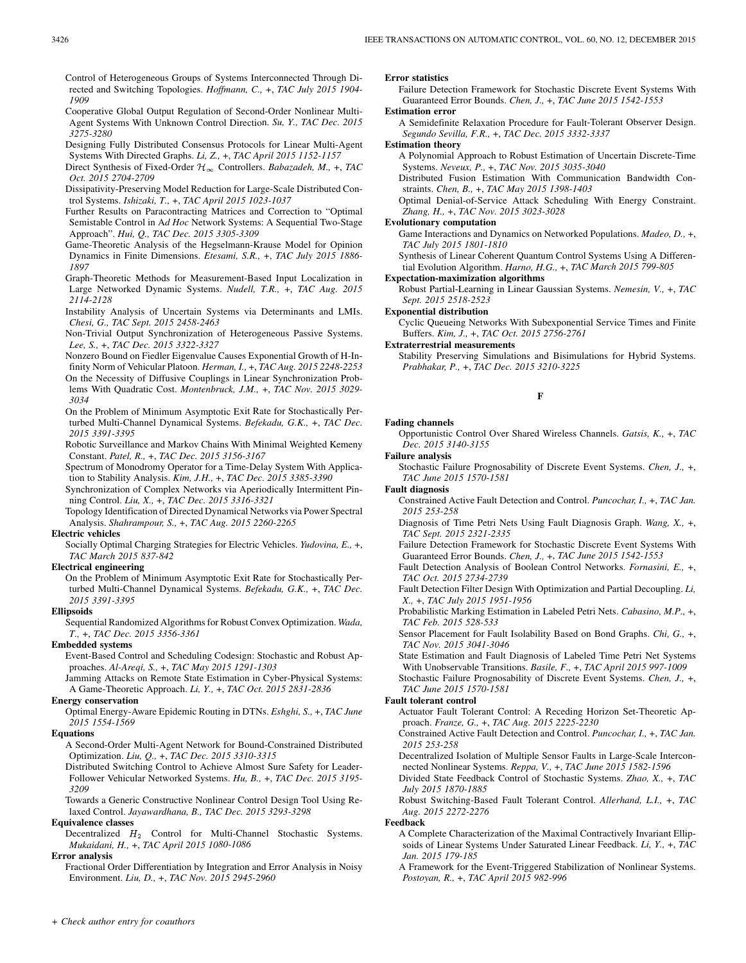- Control of Heterogeneous Groups of Systems Interconnected Through Directed and Switching Topologies. *Hoffmann, C.,* +, *TAC July 2015 1904- 1909*
- Cooperative Global Output Regulation of Second-Order Nonlinear Multi-Agent Systems With Unknown Control Direction. *Su, Y., TAC Dec. 2015 3275-3280*
- Designing Fully Distributed Consensus Protocols for Linear Multi-Agent Systems With Directed Graphs. *Li, Z.,* +, *TAC April 2015 1152-1157*
- Direct Synthesis of Fixed-Order  $\mathcal{H}_{\infty}$  Controllers. *Babazadeh, M., +, TAC Oct. 2015 2704-2709*
- Dissipativity-Preserving Model Reduction for Large-Scale Distributed Control Systems. *Ishizaki, T.,* +, *TAC April 2015 1023-1037*
- Further Results on Paracontracting Matrices and Correction to "Optimal Semistable Control in A*d Hoc* Network Systems: A Sequential Two-Stage Approach". *Hui, Q., TAC Dec. 2015 3305-3309*
- Game-Theoretic Analysis of the Hegselmann-Krause Model for Opinion Dynamics in Finite Dimensions. *Etesami, S.R.,* +, *TAC July 2015 1886- 1897*
- Graph-Theoretic Methods for Measurement-Based Input Localization in Large Networked Dynamic Systems. *Nudell, T.R.,* +, *TAC Aug. 2015 2114-2128*
- Instability Analysis of Uncertain Systems via Determinants and LMIs. *Chesi, G., TAC Sept. 2015 2458-2463*
- Non-Trivial Output Synchronization of Heterogeneous Passive Systems. *Lee, S.,* +, *TAC Dec. 2015 3322-3327*
- Nonzero Bound on Fiedler Eigenvalue Causes Exponential Growth of H-Infinity Norm of Vehicular Platoon. *Herman, I.,* +, *TAC Aug. 2015 2248-2253*
- On the Necessity of Diffusive Couplings in Linear Synchronization Problems With Quadratic Cost. *Montenbruck, J.M.,* +, *TAC Nov. 2015 3029- 3034*
- On the Problem of Minimum Asymptotic Exit Rate for Stochastically Perturbed Multi-Channel Dynamical Systems. *Befekadu, G.K.,* +, *TAC Dec. 2015 3391-3395*
- Robotic Surveillance and Markov Chains With Minimal Weighted Kemeny Constant. *Patel, R.,* +, *TAC Dec. 2015 3156-3167*
- Spectrum of Monodromy Operator for a Time-Delay System With Application to Stability Analysis. *Kim, J.H.,* +, *TAC Dec. 2015 3385-3390*
- Synchronization of Complex Networks via Aperiodically Intermittent Pinning Control. *Liu, X.,* +, *TAC Dec. 2015 3316-3321*
- Topology Identification of Directed Dynamical Networks via Power Spectral Analysis. *Shahrampour, S.,* +, *TAC Aug. 2015 2260-2265*

# **Electric vehicles**

Socially Optimal Charging Strategies for Electric Vehicles. *Yudovina, E.,* +, *TAC March 2015 837-842*

# **Electrical engineering**

On the Problem of Minimum Asymptotic Exit Rate for Stochastically Perturbed Multi-Channel Dynamical Systems. *Befekadu, G.K.,* +, *TAC Dec. 2015 3391-3395*

#### **Ellipsoids**

Sequential Randomized Algorithms for Robust Convex Optimization. *Wada, T.,* +, *TAC Dec. 2015 3356-3361*

#### **Embedded systems**

- Event-Based Control and Scheduling Codesign: Stochastic and Robust Approaches. *Al-Areqi, S.,* +, *TAC May 2015 1291-1303*
- Jamming Attacks on Remote State Estimation in Cyber-Physical Systems: A Game-Theoretic Approach. *Li, Y.,* +, *TAC Oct. 2015 2831-2836*

#### **Energy conservation**

Optimal Energy-Aware Epidemic Routing in DTNs. *Eshghi, S.,* +, *TAC June 2015 1554-1569*

#### **Equations**

A Second-Order Multi-Agent Network for Bound-Constrained Distributed Optimization. *Liu, Q.,* +, *TAC Dec. 2015 3310-3315*

Distributed Switching Control to Achieve Almost Sure Safety for Leader-Follower Vehicular Networked Systems. *Hu, B.,* +, *TAC Dec. 2015 3195- 3209*

Towards a Generic Constructive Nonlinear Control Design Tool Using Relaxed Control. *Jayawardhana, B., TAC Dec. 2015 3293-3298*

# **Equivalence classes**

Decentralized  $H_2$  Control for Multi-Channel Stochastic Systems. *Mukaidani, H.,* +, *TAC April 2015 1080-1086*

# **Error analysis**

Fractional Order Differentiation by Integration and Error Analysis in Noisy Environment. *Liu, D.,* +, *TAC Nov. 2015 2945-2960*

# **Error statistics**

Failure Detection Framework for Stochastic Discrete Event Systems With Guaranteed Error Bounds. *Chen, J.,* +, *TAC June 2015 1542-1553*

**Estimation error** A Semidefinite Relaxation Procedure for Fault-Tolerant Observer Design.

*Segundo Sevilla, F.R.,* +, *TAC Dec. 2015 3332-3337*

**Estimation theory**

A Polynomial Approach to Robust Estimation of Uncertain Discrete-Time Systems. *Neveux, P.,* +, *TAC Nov. 2015 3035-3040*

Distributed Fusion Estimation With Communication Bandwidth Constraints. *Chen, B.,* +, *TAC May 2015 1398-1403*

Optimal Denial-of-Service Attack Scheduling With Energy Constraint. *Zhang, H.,* +, *TAC Nov. 2015 3023-3028*

#### **Evolutionary computation**

Game Interactions and Dynamics on Networked Populations. *Madeo, D.,* +, *TAC July 2015 1801-1810*

Synthesis of Linear Coherent Quantum Control Systems Using A Differential Evolution Algorithm. *Harno, H.G.,* +, *TAC March 2015 799-805*

# **Expectation-maximization algorithms**

Robust Partial-Learning in Linear Gaussian Systems. *Nemesin, V.,* +, *TAC Sept. 2015 2518-2523*

# **Exponential distribution**

Cyclic Queueing Networks With Subexponential Service Times and Finite Buffers. *Kim, J.,* +, *TAC Oct. 2015 2756-2761*

**Extraterrestrial measurements**

Stability Preserving Simulations and Bisimulations for Hybrid Systems. *Prabhakar, P.,* +, *TAC Dec. 2015 3210-3225*

# **F**

# **Fading channels**

- Opportunistic Control Over Shared Wireless Channels. *Gatsis, K.,* +, *TAC Dec. 2015 3140-3155*
- **Failure analysis**
	- Stochastic Failure Prognosability of Discrete Event Systems. *Chen, J.,* +, *TAC June 2015 1570-1581*

#### **Fault diagnosis**

Constrained Active Fault Detection and Control. *Puncochar, I.,* +, *TAC Jan. 2015 253-258*

Diagnosis of Time Petri Nets Using Fault Diagnosis Graph. *Wang, X.,* +, *TAC Sept. 2015 2321-2335*

Failure Detection Framework for Stochastic Discrete Event Systems With Guaranteed Error Bounds. *Chen, J.,* +, *TAC June 2015 1542-1553*

Fault Detection Analysis of Boolean Control Networks. *Fornasini, E.,* +, *TAC Oct. 2015 2734-2739*

Fault Detection Filter Design With Optimization and Partial Decoupling. *Li, X.,* +, *TAC July 2015 1951-1956*

Probabilistic Marking Estimation in Labeled Petri Nets. *Cabasino, M.P.,* +, *TAC Feb. 2015 528-533*

Sensor Placement for Fault Isolability Based on Bond Graphs. *Chi, G.,* +, *TAC Nov. 2015 3041-3046*

State Estimation and Fault Diagnosis of Labeled Time Petri Net Systems With Unobservable Transitions. *Basile, F.,* +, *TAC April 2015 997-1009*

Stochastic Failure Prognosability of Discrete Event Systems. *Chen, J.,* +, *TAC June 2015 1570-1581*

# **Fault tolerant control**

Actuator Fault Tolerant Control: A Receding Horizon Set-Theoretic Approach. *Franze, G.,* +, *TAC Aug. 2015 2225-2230*

Constrained Active Fault Detection and Control. *Puncochar, I.,* +, *TAC Jan. 2015 253-258*

Decentralized Isolation of Multiple Sensor Faults in Large-Scale Interconnected Nonlinear Systems. *Reppa, V.,* +, *TAC June 2015 1582-1596*

Divided State Feedback Control of Stochastic Systems. *Zhao, X.,* +, *TAC July 2015 1870-1885*

Robust Switching-Based Fault Tolerant Control. *Allerhand, L.I.,* +, *TAC Aug. 2015 2272-2276*

# **Feedback**

A Complete Characterization of the Maximal Contractively Invariant Ellipsoids of Linear Systems Under Saturated Linear Feedback. *Li, Y.,* +, *TAC Jan. 2015 179-185*

A Framework for the Event-Triggered Stabilization of Nonlinear Systems. *Postoyan, R.,* +, *TAC April 2015 982-996*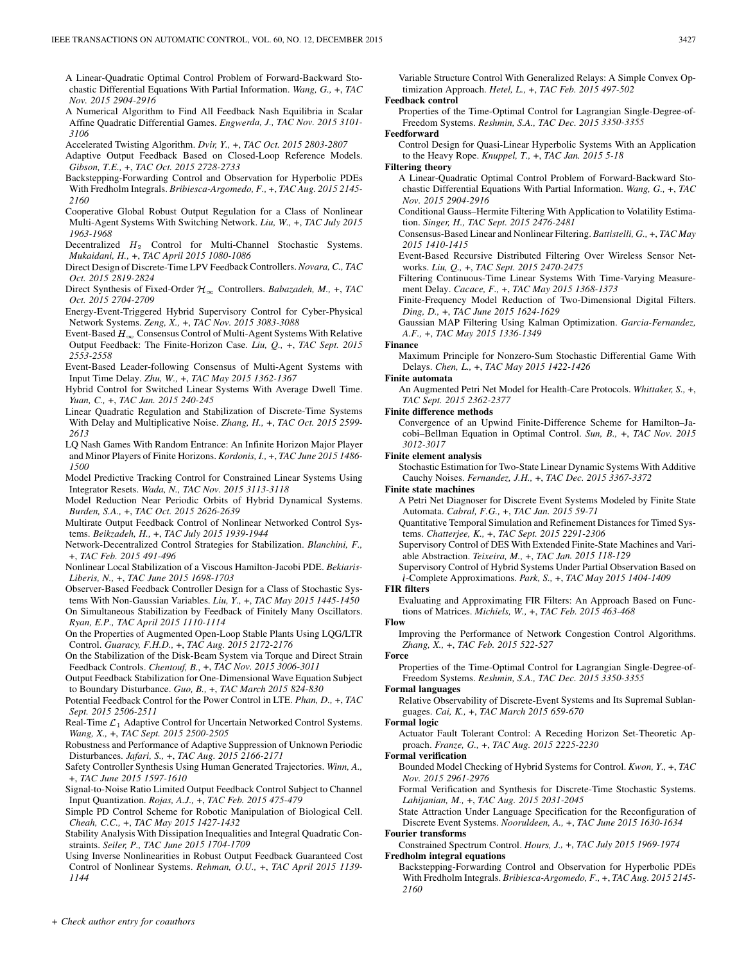A Numerical Algorithm to Find All Feedback Nash Equilibria in Scalar Affine Quadratic Differential Games. *Engwerda, J., TAC Nov. 2015 3101- 3106*

Accelerated Twisting Algorithm. *Dvir, Y.,* +, *TAC Oct. 2015 2803-2807*

Adaptive Output Feedback Based on Closed-Loop Reference Models. *Gibson, T.E.,* +, *TAC Oct. 2015 2728-2733*

- Backstepping-Forwarding Control and Observation for Hyperbolic PDEs With Fredholm Integrals. *Bribiesca-Argomedo, F.,* +, *TAC Aug. 2015 2145- 2160*
- Cooperative Global Robust Output Regulation for a Class of Nonlinear Multi-Agent Systems With Switching Network. *Liu, W.,* +, *TAC July 2015 1963-1968*

Decentralized  $H_2$  Control for Multi-Channel Stochastic Systems. *Mukaidani, H.,* +, *TAC April 2015 1080-1086*

Direct Design of Discrete-Time LPV Feedback Controllers. *Novara, C., TAC Oct. 2015 2819-2824*

Direct Synthesis of Fixed-Order  $\mathcal{H}_{\infty}$  Controllers. *Babazadeh, M., +, TAC Oct. 2015 2704-2709*

- Energy-Event-Triggered Hybrid Supervisory Control for Cyber-Physical Network Systems. *Zeng, X.,* +, *TAC Nov. 2015 3083-3088*
- Event-Based  $H_{\infty}$  Consensus Control of Multi-Agent Systems With Relative Output Feedback: The Finite-Horizon Case. *Liu, Q.,* +, *TAC Sept. 2015 2553-2558*
- Event-Based Leader-following Consensus of Multi-Agent Systems with Input Time Delay. *Zhu, W.,* +, *TAC May 2015 1362-1367*
- Hybrid Control for Switched Linear Systems With Average Dwell Time. *Yuan, C.,* +, *TAC Jan. 2015 240-245*
- Linear Quadratic Regulation and Stabilization of Discrete-Time Systems With Delay and Multiplicative Noise. *Zhang, H.,* +, *TAC Oct. 2015 2599- 2613*
- LQ Nash Games With Random Entrance: An Infinite Horizon Major Player and Minor Players of Finite Horizons. *Kordonis, I.,* +, *TAC June 2015 1486- 1500*
- Model Predictive Tracking Control for Constrained Linear Systems Using Integrator Resets. *Wada, N., TAC Nov. 2015 3113-3118*

Model Reduction Near Periodic Orbits of Hybrid Dynamical Systems. *Burden, S.A.,* +, *TAC Oct. 2015 2626-2639*

Multirate Output Feedback Control of Nonlinear Networked Control Systems. *Beikzadeh, H.,* +, *TAC July 2015 1939-1944*

Network-Decentralized Control Strategies for Stabilization. *Blanchini, F.,* +, *TAC Feb. 2015 491-496*

Nonlinear Local Stabilization of a Viscous Hamilton-Jacobi PDE. *Bekiaris-Liberis, N.,* +, *TAC June 2015 1698-1703*

Observer-Based Feedback Controller Design for a Class of Stochastic Systems With Non-Gaussian Variables. *Liu, Y.,* +, *TAC May 2015 1445-1450* On Simultaneous Stabilization by Feedback of Finitely Many Oscillators.

*Ryan, E.P., TAC April 2015 1110-1114* On the Properties of Augmented Open-Loop Stable Plants Using LQG/LTR

Control. *Guaracy, F.H.D.,* +, *TAC Aug. 2015 2172-2176*

On the Stabilization of the Disk-Beam System via Torque and Direct Strain Feedback Controls. *Chentouf, B.,* +, *TAC Nov. 2015 3006-3011*

Output Feedback Stabilization for One-Dimensional Wave Equation Subject to Boundary Disturbance. *Guo, B.,* +, *TAC March 2015 824-830*

Potential Feedback Control for the Power Control in LTE. *Phan, D.,* +, *TAC Sept. 2015 2506-2511*

Real-Time  $\mathcal{L}_1$  Adaptive Control for Uncertain Networked Control Systems. *Wang, X.,* +, *TAC Sept. 2015 2500-2505*

Robustness and Performance of Adaptive Suppression of Unknown Periodic Disturbances. *Jafari, S.,* +, *TAC Aug. 2015 2166-2171*

Safety Controller Synthesis Using Human Generated Trajectories. *Winn, A.,* +, *TAC June 2015 1597-1610*

Signal-to-Noise Ratio Limited Output Feedback Control Subject to Channel Input Quantization. *Rojas, A.J.,* +, *TAC Feb. 2015 475-479*

Simple PD Control Scheme for Robotic Manipulation of Biological Cell. *Cheah, C.C.,* +, *TAC May 2015 1427-1432*

Stability Analysis With Dissipation Inequalities and Integral Quadratic Constraints. *Seiler, P., TAC June 2015 1704-1709*

Using Inverse Nonlinearities in Robust Output Feedback Guaranteed Cost Control of Nonlinear Systems. *Rehman, O.U.,* +, *TAC April 2015 1139- 1144*

Variable Structure Control With Generalized Relays: A Simple Convex Optimization Approach. *Hetel, L.,* +, *TAC Feb. 2015 497-502*

# **Feedback control**

Properties of the Time-Optimal Control for Lagrangian Single-Degree-of-Freedom Systems. *Reshmin, S.A., TAC Dec. 2015 3350-3355*

**Feedforward**

Control Design for Quasi-Linear Hyperbolic Systems With an Application to the Heavy Rope. *Knuppel, T.,* +, *TAC Jan. 2015 5-18*

# **Filtering theory**

A Linear-Quadratic Optimal Control Problem of Forward-Backward Stochastic Differential Equations With Partial Information. *Wang, G.,* +, *TAC Nov. 2015 2904-2916*

Conditional Gauss–Hermite Filtering With Application to Volatility Estimation. *Singer, H., TAC Sept. 2015 2476-2481*

Consensus-Based Linear and Nonlinear Filtering. *Battistelli, G.,* +, *TAC May 2015 1410-1415*

Event-Based Recursive Distributed Filtering Over Wireless Sensor Networks. *Liu, Q.,* +, *TAC Sept. 2015 2470-2475*

Filtering Continuous-Time Linear Systems With Time-Varying Measurement Delay. *Cacace, F.,* +, *TAC May 2015 1368-1373*

Finite-Frequency Model Reduction of Two-Dimensional Digital Filters. *Ding, D.,* +, *TAC June 2015 1624-1629*

Gaussian MAP Filtering Using Kalman Optimization. *Garcia-Fernandez, A.F.,* +, *TAC May 2015 1336-1349*

# **Finance**

Maximum Principle for Nonzero-Sum Stochastic Differential Game With Delays. *Chen, L.,* +, *TAC May 2015 1422-1426*

#### **Finite automata**

An Augmented Petri Net Model for Health-Care Protocols. *Whittaker, S.,* +, *TAC Sept. 2015 2362-2377*

# **Finite difference methods**

Convergence of an Upwind Finite-Difference Scheme for Hamilton–Jacobi–Bellman Equation in Optimal Control. *Sun, B.,* +, *TAC Nov. 2015 3012-3017*

# **Finite element analysis**

Stochastic Estimation for Two-State Linear Dynamic Systems With Additive Cauchy Noises. *Fernandez, J.H.,* +, *TAC Dec. 2015 3367-3372*

**Finite state machines**

A Petri Net Diagnoser for Discrete Event Systems Modeled by Finite State Automata. *Cabral, F.G.,* +, *TAC Jan. 2015 59-71*

Quantitative Temporal Simulation and Refinement Distances for Timed Systems. *Chatterjee, K.,* +, *TAC Sept. 2015 2291-2306*

Supervisory Control of DES With Extended Finite-State Machines and Variable Abstraction. *Teixeira, M.,* +, *TAC Jan. 2015 118-129*

Supervisory Control of Hybrid Systems Under Partial Observation Based on -Complete Approximations. *Park, S.,* +, *TAC May 2015 1404-1409*

#### **FIR filters**

Evaluating and Approximating FIR Filters: An Approach Based on Functions of Matrices. *Michiels, W.,* +, *TAC Feb. 2015 463-468*

**Flow**

Improving the Performance of Network Congestion Control Algorithms. *Zhang, X.,* +, *TAC Feb. 2015 522-527*

#### **Force**

Properties of the Time-Optimal Control for Lagrangian Single-Degree-of-Freedom Systems. *Reshmin, S.A., TAC Dec. 2015 3350-3355*

**Formal languages**

Relative Observability of Discrete-Event Systems and Its Supremal Sublanguages. *Cai, K.,* +, *TAC March 2015 659-670*

# **Formal logic**

Actuator Fault Tolerant Control: A Receding Horizon Set-Theoretic Approach. *Franze, G.,* +, *TAC Aug. 2015 2225-2230*

**Formal verification**

Bounded Model Checking of Hybrid Systems for Control. *Kwon, Y.,* +, *TAC Nov. 2015 2961-2976*

Formal Verification and Synthesis for Discrete-Time Stochastic Systems. *Lahijanian, M.,* +, *TAC Aug. 2015 2031-2045*

State Attraction Under Language Specification for the Reconfiguration of Discrete Event Systems. *Nooruldeen, A.,* +, *TAC June 2015 1630-1634*

# **Fourier transforms**

Constrained Spectrum Control. *Hours, J.,* +, *TAC July 2015 1969-1974* **Fredholm integral equations**

Backstepping-Forwarding Control and Observation for Hyperbolic PDEs With Fredholm Integrals. *Bribiesca-Argomedo, F.,* +, *TAC Aug. 2015 2145- 2160*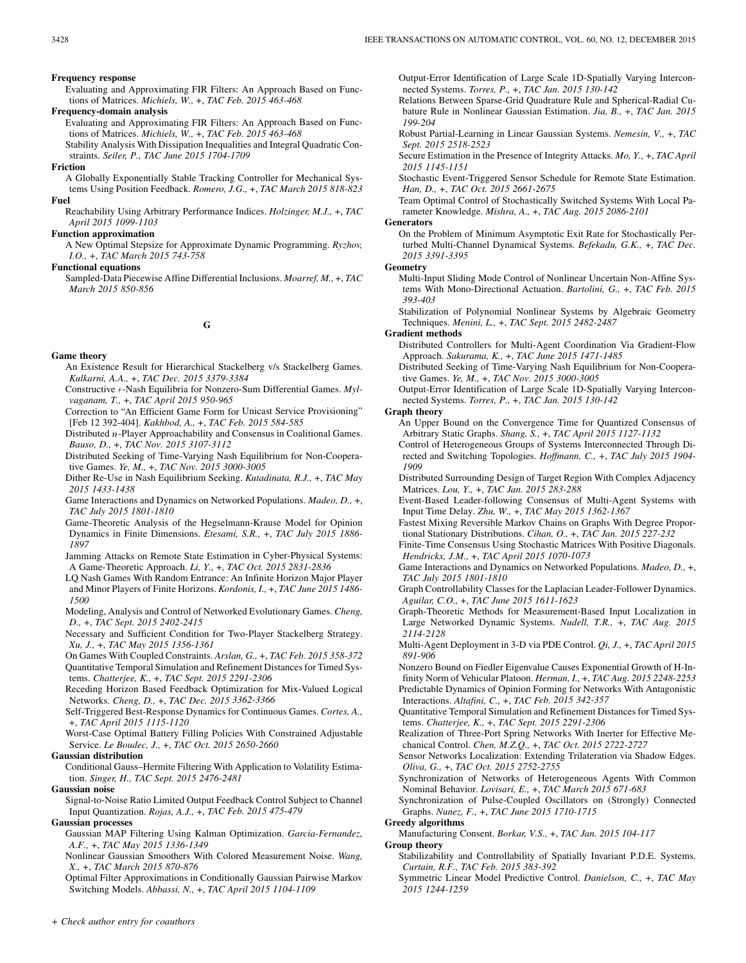#### **Frequency response**

Evaluating and Approximating FIR Filters: An Approach Based on Functions of Matrices. *Michiels, W.,* +, *TAC Feb. 2015 463-468*

# **Frequency-domain analysis**

Evaluating and Approximating FIR Filters: An Approach Based on Functions of Matrices. *Michiels, W.,* +, *TAC Feb. 2015 463-468*

Stability Analysis With Dissipation Inequalities and Integral Quadratic Constraints. *Seiler, P., TAC June 2015 1704-1709*

# **Friction**

A Globally Exponentially Stable Tracking Controller for Mechanical Systems Using Position Feedback. *Romero, J.G.,* +, *TAC March 2015 818-823* **Fuel**

Reachability Using Arbitrary Performance Indices. *Holzinger, M.J.,* +, *TAC April 2015 1099-1103*

# **Function approximation**

A New Optimal Stepsize for Approximate Dynamic Programming. *Ryzhov, I.O.,* +, *TAC March 2015 743-758*

#### **Functional equations**

Sampled-Data Piecewise Affine Differential Inclusions. *Moarref, M.,* +, *TAC March 2015 850-856*

# **G**

# **Game theory**

- An Existence Result for Hierarchical Stackelberg v/s Stackelberg Games. *Kulkarni, A.A.,* +, *TAC Dec. 2015 3379-3384*
- Constructive  $\epsilon$ -Nash Equilibria for Nonzero-Sum Differential Games. *Mylvaganam, T.,* +, *TAC April 2015 950-965*

Correction to "An Efficient Game Form for Unicast Service Provisioning" [Feb 12 392-404]. *Kakhbod, A.,* +, *TAC Feb. 2015 584-585*

- Distributed  $n$ -Player Approachability and Consensus in Coalitional Games. *Bauso, D.,* +, *TAC Nov. 2015 3107-3112*
- Distributed Seeking of Time-Varying Nash Equilibrium for Non-Cooperative Games. *Ye, M.,* +, *TAC Nov. 2015 3000-3005*
- Dither Re-Use in Nash Equilibrium Seeking. *Kutadinata, R.J.,* +, *TAC May 2015 1433-1438*
- Game Interactions and Dynamics on Networked Populations. *Madeo, D.,* +, *TAC July 2015 1801-1810*
- Game-Theoretic Analysis of the Hegselmann-Krause Model for Opinion Dynamics in Finite Dimensions. *Etesami, S.R.,* +, *TAC July 2015 1886- 1897*
- Jamming Attacks on Remote State Estimation in Cyber-Physical Systems: A Game-Theoretic Approach. *Li, Y.,* +, *TAC Oct. 2015 2831-2836*
- LQ Nash Games With Random Entrance: An Infinite Horizon Major Player and Minor Players of Finite Horizons. *Kordonis, I.,* +, *TAC June 2015 1486- 1500*
- Modeling, Analysis and Control of Networked Evolutionary Games. *Cheng, D.,* +, *TAC Sept. 2015 2402-2415*
- Necessary and Sufficient Condition for Two-Player Stackelberg Strategy. *Xu, J.,* +, *TAC May 2015 1356-1361*
- On Games With Coupled Constraints. *Arslan, G.,* +, *TAC Feb. 2015 358-372* Quantitative Temporal Simulation and Refinement Distances for Timed Systems. *Chatterjee, K.,* +, *TAC Sept. 2015 2291-2306*
- Receding Horizon Based Feedback Optimization for Mix-Valued Logical Networks. *Cheng, D.,* +, *TAC Dec. 2015 3362-3366*
- Self-Triggered Best-Response Dynamics for Continuous Games. *Cortes, A.,* +, *TAC April 2015 1115-1120*
- Worst-Case Optimal Battery Filling Policies With Constrained Adjustable Service. *Le Boudec, J.,* +, *TAC Oct. 2015 2650-2660*

# **Gaussian distribution**

Conditional Gauss–Hermite Filtering With Application to Volatility Estimation. *Singer, H., TAC Sept. 2015 2476-2481*

# **Gaussian noise**

Signal-to-Noise Ratio Limited Output Feedback Control Subject to Channel Input Quantization. *Rojas, A.J.,* +, *TAC Feb. 2015 475-479*

# **Gaussian processes**

Gaussian MAP Filtering Using Kalman Optimization. *Garcia-Fernandez, A.F.,* +, *TAC May 2015 1336-1349*

Nonlinear Gaussian Smoothers With Colored Measurement Noise. *Wang, X.,* +, *TAC March 2015 870-876*

Optimal Filter Approximations in Conditionally Gaussian Pairwise Markov Switching Models. *Abbassi, N.,* +, *TAC April 2015 1104-1109*

Output-Error Identification of Large Scale 1D-Spatially Varying Interconnected Systems. *Torres, P.,* +, *TAC Jan. 2015 130-142*

Relations Between Sparse-Grid Quadrature Rule and Spherical-Radial Cubature Rule in Nonlinear Gaussian Estimation. *Jia, B.,* +, *TAC Jan. 2015 199-204*

Robust Partial-Learning in Linear Gaussian Systems. *Nemesin, V.,* +, *TAC Sept. 2015 2518-2523*

Secure Estimation in the Presence of Integrity Attacks. *Mo, Y.,* +, *TAC April 2015 1145-1151*

Stochastic Event-Triggered Sensor Schedule for Remote State Estimation. *Han, D.,* +, *TAC Oct. 2015 2661-2675*

Team Optimal Control of Stochastically Switched Systems With Local Parameter Knowledge. *Mishra, A.,* +, *TAC Aug. 2015 2086-2101*

# **Generators**

On the Problem of Minimum Asymptotic Exit Rate for Stochastically Perturbed Multi-Channel Dynamical Systems. *Befekadu, G.K.,* +, *TAC Dec. 2015 3391-3395*

#### **Geometry**

Multi-Input Sliding Mode Control of Nonlinear Uncertain Non-Affine Systems With Mono-Directional Actuation. *Bartolini, G.,* +, *TAC Feb. 2015 393-403*

Stabilization of Polynomial Nonlinear Systems by Algebraic Geometry Techniques. *Menini, L.,* +, *TAC Sept. 2015 2482-2487*

#### **Gradient methods**

Distributed Controllers for Multi-Agent Coordination Via Gradient-Flow Approach. *Sakurama, K.,* +, *TAC June 2015 1471-1485*

Distributed Seeking of Time-Varying Nash Equilibrium for Non-Cooperative Games. *Ye, M.,* +, *TAC Nov. 2015 3000-3005*

Output-Error Identification of Large Scale 1D-Spatially Varying Interconnected Systems. *Torres, P.,* +, *TAC Jan. 2015 130-142*

# **Graph theory**

- An Upper Bound on the Convergence Time for Quantized Consensus of Arbitrary Static Graphs. *Shang, S.,* +, *TAC April 2015 1127-1132*
- Control of Heterogeneous Groups of Systems Interconnected Through Directed and Switching Topologies. *Hoffmann, C.,* +, *TAC July 2015 1904- 1909*
- Distributed Surrounding Design of Target Region With Complex Adjacency Matrices. *Lou, Y.,* +, *TAC Jan. 2015 283-288*
- Event-Based Leader-following Consensus of Multi-Agent Systems with Input Time Delay. *Zhu, W.,* +, *TAC May 2015 1362-1367*
- Fastest Mixing Reversible Markov Chains on Graphs With Degree Proportional Stationary Distributions. *Cihan, O.,* +, *TAC Jan. 2015 227-232*
- Finite-Time Consensus Using Stochastic Matrices With Positive Diagonals. *Hendrickx, J.M.,* +, *TAC April 2015 1070-1073*

Game Interactions and Dynamics on Networked Populations. *Madeo, D.,* +, *TAC July 2015 1801-1810*

- Graph Controllability Classes for the Laplacian Leader-Follower Dynamics. *Aguilar, C.O.,* +, *TAC June 2015 1611-1623*
- Graph-Theoretic Methods for Measurement-Based Input Localization in Large Networked Dynamic Systems. *Nudell, T.R.,* +, *TAC Aug. 2015 2114-2128*
- Multi-Agent Deployment in 3-D via PDE Control. *Qi, J.,* +, *TAC April 2015 891-906*

Nonzero Bound on Fiedler Eigenvalue Causes Exponential Growth of H-Infinity Norm of Vehicular Platoon. *Herman, I.,* +, *TAC Aug. 2015 2248-2253* Predictable Dynamics of Opinion Forming for Networks With Antagonistic Interactions. *Altafini, C.,* +, *TAC Feb. 2015 342-357*

Quantitative Temporal Simulation and Refinement Distances for Timed Systems. *Chatterjee, K.,* +, *TAC Sept. 2015 2291-2306*

Realization of Three-Port Spring Networks With Inerter for Effective Mechanical Control. *Chen, M.Z.Q.,* +, *TAC Oct. 2015 2722-2727*

Sensor Networks Localization: Extending Trilateration via Shadow Edges. *Oliva, G.,* +, *TAC Oct. 2015 2752-2755*

Synchronization of Networks of Heterogeneous Agents With Common Nominal Behavior. *Lovisari, E.,* +, *TAC March 2015 671-683*

Synchronization of Pulse-Coupled Oscillators on (Strongly) Connected Graphs. *Nunez, F.,* +, *TAC June 2015 1710-1715*

# **Greedy algorithms**

Manufacturing Consent. *Borkar, V.S.,* +, *TAC Jan. 2015 104-117*

**Group theory**

- Stabilizability and Controllability of Spatially Invariant P.D.E. Systems. *Curtain, R.F., TAC Feb. 2015 383-392*
- Symmetric Linear Model Predictive Control. *Danielson, C.,* +, *TAC May 2015 1244-1259*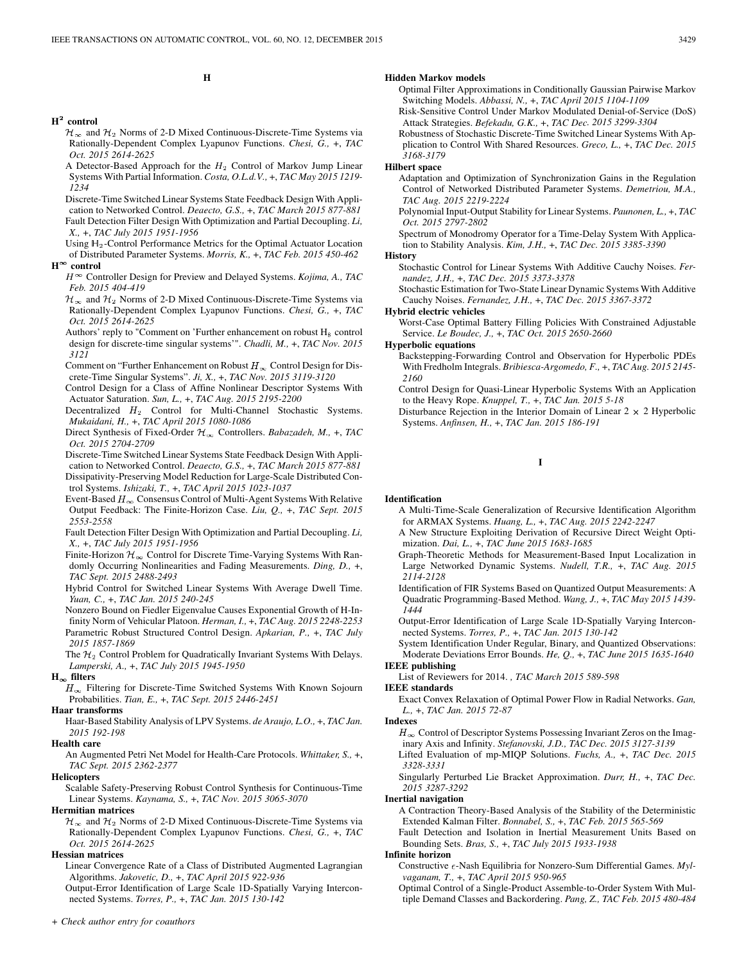**H**

# $H^2$  control

 $\mathcal{H}_{\infty}$  and  $\mathcal{H}_{2}$  Norms of 2-D Mixed Continuous-Discrete-Time Systems via Rationally-Dependent Complex Lyapunov Functions. *Chesi, G.,* +, *TAC Oct. 2015 2614-2625*

A Detector-Based Approach for the  $H_2$  Control of Markov Jump Linear Systems With Partial Information. *Costa, O.L.d.V.,* +, *TAC May 2015 1219- 1234*

Discrete-Time Switched Linear Systems State Feedback Design With Application to Networked Control. *Deaecto, G.S.,* +, *TAC March 2015 877-881* Fault Detection Filter Design With Optimization and Partial Decoupling. *Li, X.,* +, *TAC July 2015 1951-1956*

Using  $H_2$ -Control Performance Metrics for the Optimal Actuator Location of Distributed Parameter Systems. *Morris, K.,* +, *TAC Feb. 2015 450-462*

# $H^{\infty}$  control

Controller Design for Preview and Delayed Systems. *Kojima, A., TAC Feb. 2015 404-419*

 $\mathcal{H}_{\infty}$  and  $\mathcal{H}_{2}$  Norms of 2-D Mixed Continuous-Discrete-Time Systems via Rationally-Dependent Complex Lyapunov Functions. *Chesi, G.,* +, *TAC Oct. 2015 2614-2625*

Authors' reply to "Comment on 'Further enhancement on robust  $H_8$  control design for discrete-time singular systems'". *Chadli, M.,* +, *TAC Nov. 2015 3121*

Comment on "Further Enhancement on Robust  $H_{\infty}$  Control Design for Discrete-Time Singular Systems". *Ji, X.,* +, *TAC Nov. 2015 3119-3120*

Control Design for a Class of Affine Nonlinear Descriptor Systems With Actuator Saturation. *Sun, L.,* +, *TAC Aug. 2015 2195-2200*

Decentralized  $H_2$  Control for Multi-Channel Stochastic Systems. *Mukaidani, H.,* +, *TAC April 2015 1080-1086*

Direct Synthesis of Fixed-Order  $\mathcal{H}_{\infty}$  Controllers. *Babazadeh, M., +, TAC Oct. 2015 2704-2709*

Discrete-Time Switched Linear Systems State Feedback Design With Application to Networked Control. *Deaecto, G.S.,* +, *TAC March 2015 877-881* Dissipativity-Preserving Model Reduction for Large-Scale Distributed Control Systems. *Ishizaki, T.,* +, *TAC April 2015 1023-1037*

Event-Based  $H_{\infty}$  Consensus Control of Multi-Agent Systems With Relative Output Feedback: The Finite-Horizon Case. *Liu, Q.,* +, *TAC Sept. 2015 2553-2558*

Fault Detection Filter Design With Optimization and Partial Decoupling. *Li, X.,* +, *TAC July 2015 1951-1956*

Finite-Horizon  $\mathcal{H}_{\infty}$  Control for Discrete Time-Varying Systems With Randomly Occurring Nonlinearities and Fading Measurements. *Ding, D.,* +, *TAC Sept. 2015 2488-2493*

Hybrid Control for Switched Linear Systems With Average Dwell Time. *Yuan, C.,* +, *TAC Jan. 2015 240-245*

Nonzero Bound on Fiedler Eigenvalue Causes Exponential Growth of H-Infinity Norm of Vehicular Platoon. *Herman, I.,* +, *TAC Aug. 2015 2248-2253* Parametric Robust Structured Control Design. *Apkarian, P.,* +, *TAC July 2015 1857-1869*

The  $\mathcal{H}_2$  Control Problem for Quadratically Invariant Systems With Delays. *Lamperski, A.,* +, *TAC July 2015 1945-1950*

# $H_{\infty}$  **filters**

 $H_{\infty}$  Filtering for Discrete-Time Switched Systems With Known Sojourn Probabilities. *Tian, E.,* +, *TAC Sept. 2015 2446-2451*

#### **Haar transforms**

Haar-Based Stability Analysis of LPV Systems. *de Araujo, L.O.,* +, *TAC Jan. 2015 192-198*

#### **Health care**

An Augmented Petri Net Model for Health-Care Protocols. *Whittaker, S.,* +, *TAC Sept. 2015 2362-2377*

#### **Helicopters**

Scalable Safety-Preserving Robust Control Synthesis for Continuous-Time Linear Systems. *Kaynama, S.,* +, *TAC Nov. 2015 3065-3070*

#### **Hermitian matrices**

 $\mathcal{H}_{\infty}$  and  $\mathcal{H}_{2}$  Norms of 2-D Mixed Continuous-Discrete-Time Systems via Rationally-Dependent Complex Lyapunov Functions. *Chesi, G.,* +, *TAC Oct. 2015 2614-2625*

# **Hessian matrices**

Linear Convergence Rate of a Class of Distributed Augmented Lagrangian Algorithms. *Jakovetic, D.,* +, *TAC April 2015 922-936*

Output-Error Identification of Large Scale 1D-Spatially Varying Interconnected Systems. *Torres, P.,* +, *TAC Jan. 2015 130-142*

#### **Hidden Markov models**

Optimal Filter Approximations in Conditionally Gaussian Pairwise Markov Switching Models. *Abbassi, N.,* +, *TAC April 2015 1104-1109*

Risk-Sensitive Control Under Markov Modulated Denial-of-Service (DoS) Attack Strategies. *Befekadu, G.K.,* +, *TAC Dec. 2015 3299-3304*

Robustness of Stochastic Discrete-Time Switched Linear Systems With Application to Control With Shared Resources. *Greco, L.,* +, *TAC Dec. 2015 3168-3179*

# **Hilbert space**

Adaptation and Optimization of Synchronization Gains in the Regulation Control of Networked Distributed Parameter Systems. *Demetriou, M.A., TAC Aug. 2015 2219-2224*

Polynomial Input-Output Stability for Linear Systems. *Paunonen, L.,* +, *TAC Oct. 2015 2797-2802*

Spectrum of Monodromy Operator for a Time-Delay System With Application to Stability Analysis. *Kim, J.H.,* +, *TAC Dec. 2015 3385-3390*

# **History**

Stochastic Control for Linear Systems With Additive Cauchy Noises. *Fernandez, J.H.,* +, *TAC Dec. 2015 3373-3378*

Stochastic Estimation for Two-State Linear Dynamic Systems With Additive Cauchy Noises. *Fernandez, J.H.,* +, *TAC Dec. 2015 3367-3372*

# **Hybrid electric vehicles**

Worst-Case Optimal Battery Filling Policies With Constrained Adjustable Service. *Le Boudec, J.,* +, *TAC Oct. 2015 2650-2660*

# **Hyperbolic equations**

Backstepping-Forwarding Control and Observation for Hyperbolic PDEs With Fredholm Integrals. *Bribiesca-Argomedo, F.,* +, *TAC Aug. 2015 2145- 2160*

Control Design for Quasi-Linear Hyperbolic Systems With an Application to the Heavy Rope. *Knuppel, T.,* +, *TAC Jan. 2015 5-18*

Disturbance Rejection in the Interior Domain of Linear  $2 \times 2$  Hyperbolic Systems. *Anfinsen, H.,* +, *TAC Jan. 2015 186-191*

# **I**

#### **Identification**

A Multi-Time-Scale Generalization of Recursive Identification Algorithm for ARMAX Systems. *Huang, L.,* +, *TAC Aug. 2015 2242-2247*

A New Structure Exploiting Derivation of Recursive Direct Weight Optimization. *Dai, L.,* +, *TAC June 2015 1683-1685*

Graph-Theoretic Methods for Measurement-Based Input Localization in Large Networked Dynamic Systems. *Nudell, T.R.,* +, *TAC Aug. 2015 2114-2128*

Identification of FIR Systems Based on Quantized Output Measurements: A Quadratic Programming-Based Method. *Wang, J.,* +, *TAC May 2015 1439- 1444*

Output-Error Identification of Large Scale 1D-Spatially Varying Interconnected Systems. *Torres, P.,* +, *TAC Jan. 2015 130-142*

System Identification Under Regular, Binary, and Quantized Observations: Moderate Deviations Error Bounds. *He, Q.,* +, *TAC June 2015 1635-1640* **IEEE publishing**

# List of Reviewers for 2014. *, TAC March 2015 589-598*

#### **IEEE standards**

Exact Convex Relaxation of Optimal Power Flow in Radial Networks. *Gan, L.,* +, *TAC Jan. 2015 72-87*

#### **Indexes**

 $H_{\infty}$  Control of Descriptor Systems Possessing Invariant Zeros on the Imaginary Axis and Infinity. *Stefanovski, J.D., TAC Dec. 2015 3127-3139* Lifted Evaluation of mp-MIQP Solutions. *Fuchs, A.,* +, *TAC Dec. 2015*

*3328-3331* Singularly Perturbed Lie Bracket Approximation. *Durr, H.,* +, *TAC Dec.*

*2015 3287-3292*

# **Inertial navigation**

A Contraction Theory-Based Analysis of the Stability of the Deterministic Extended Kalman Filter. *Bonnabel, S.,* +, *TAC Feb. 2015 565-569*

Fault Detection and Isolation in Inertial Measurement Units Based on Bounding Sets. *Bras, S.,* +, *TAC July 2015 1933-1938*

#### **Infinite horizon**

Constructive  $\epsilon$ -Nash Equilibria for Nonzero-Sum Differential Games. *Mylvaganam, T.,* +, *TAC April 2015 950-965*

Optimal Control of a Single-Product Assemble-to-Order System With Multiple Demand Classes and Backordering. *Pang, Z., TAC Feb. 2015 480-484*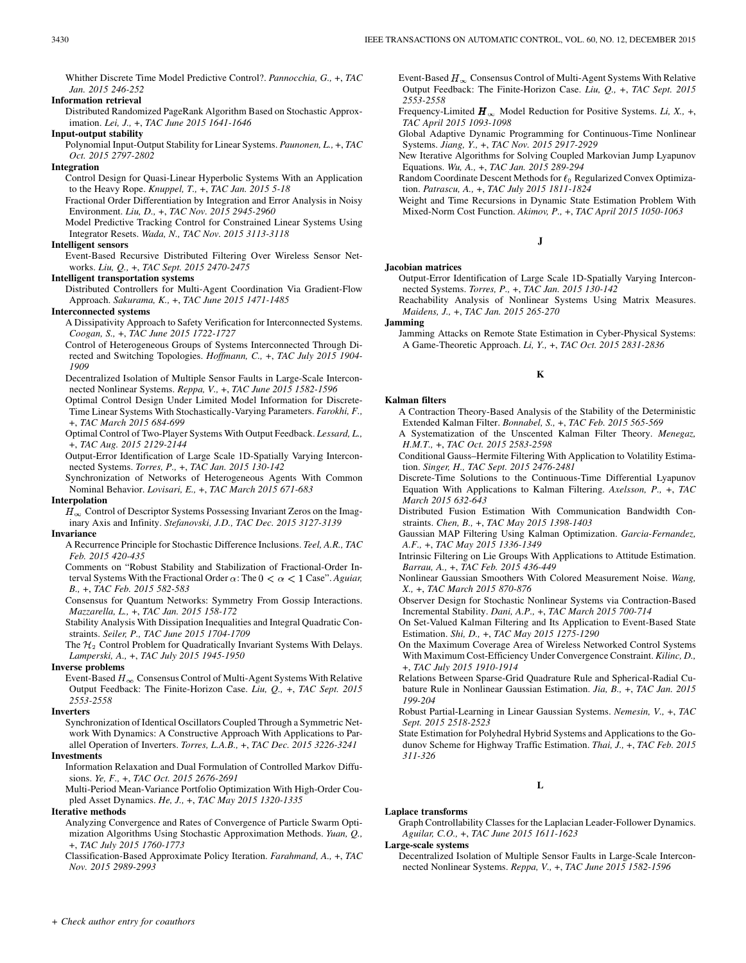Whither Discrete Time Model Predictive Control?. *Pannocchia, G.,* +, *TAC Jan. 2015 246-252*

**Information retrieval**

Distributed Randomized PageRank Algorithm Based on Stochastic Approximation. *Lei, J.,* +, *TAC June 2015 1641-1646*

**Input-output stability**

Polynomial Input-Output Stability for Linear Systems. *Paunonen, L.,* +, *TAC Oct. 2015 2797-2802*

**Integration**

Control Design for Quasi-Linear Hyperbolic Systems With an Application to the Heavy Rope. *Knuppel, T.,* +, *TAC Jan. 2015 5-18*

Fractional Order Differentiation by Integration and Error Analysis in Noisy Environment. *Liu, D.,* +, *TAC Nov. 2015 2945-2960*

Model Predictive Tracking Control for Constrained Linear Systems Using Integrator Resets. *Wada, N., TAC Nov. 2015 3113-3118*

# **Intelligent sensors**

Event-Based Recursive Distributed Filtering Over Wireless Sensor Networks. *Liu, Q.,* +, *TAC Sept. 2015 2470-2475*

**Intelligent transportation systems**

Distributed Controllers for Multi-Agent Coordination Via Gradient-Flow Approach. *Sakurama, K.,* +, *TAC June 2015 1471-1485*

**Interconnected systems**

A Dissipativity Approach to Safety Verification for Interconnected Systems. *Coogan, S.,* +, *TAC June 2015 1722-1727*

Control of Heterogeneous Groups of Systems Interconnected Through Directed and Switching Topologies. *Hoffmann, C.,* +, *TAC July 2015 1904- 1909*

Decentralized Isolation of Multiple Sensor Faults in Large-Scale Interconnected Nonlinear Systems. *Reppa, V.,* +, *TAC June 2015 1582-1596*

Optimal Control Design Under Limited Model Information for Discrete-Time Linear Systems With Stochastically-Varying Parameters. *Farokhi, F.,* +, *TAC March 2015 684-699*

Optimal Control of Two-Player Systems With Output Feedback. *Lessard, L.,* +, *TAC Aug. 2015 2129-2144*

Output-Error Identification of Large Scale 1D-Spatially Varying Interconnected Systems. *Torres, P.,* +, *TAC Jan. 2015 130-142*

Synchronization of Networks of Heterogeneous Agents With Common

Nominal Behavior. *Lovisari, E.,* +, *TAC March 2015 671-683* **Interpolation**

 $H_{\infty}$  Control of Descriptor Systems Possessing Invariant Zeros on the Imaginary Axis and Infinity. *Stefanovski, J.D., TAC Dec. 2015 3127-3139*

#### **Invariance**

A Recurrence Principle for Stochastic Difference Inclusions. *Teel, A.R., TAC Feb. 2015 420-435*

Comments on "Robust Stability and Stabilization of Fractional-Order Interval Systems With the Fractional Order  $\alpha$ : The  $0 < \alpha < 1$  Case". *Aguiar*, *B.,* +, *TAC Feb. 2015 582-583*

Consensus for Quantum Networks: Symmetry From Gossip Interactions. *Mazzarella, L.,* +, *TAC Jan. 2015 158-172*

Stability Analysis With Dissipation Inequalities and Integral Quadratic Constraints. *Seiler, P., TAC June 2015 1704-1709*

The  $\mathcal{H}_2$  Control Problem for Quadratically Invariant Systems With Delays. *Lamperski, A.,* +, *TAC July 2015 1945-1950*

# **Inverse problems**

Event-Based  $H_{\infty}$  Consensus Control of Multi-Agent Systems With Relative Output Feedback: The Finite-Horizon Case. *Liu, Q.,* +, *TAC Sept. 2015 2553-2558*

#### **Inverters**

Synchronization of Identical Oscillators Coupled Through a Symmetric Network With Dynamics: A Constructive Approach With Applications to Parallel Operation of Inverters. *Torres, L.A.B.,* +, *TAC Dec. 2015 3226-3241*

#### **Investments**

Information Relaxation and Dual Formulation of Controlled Markov Diffusions. *Ye, F.,* +, *TAC Oct. 2015 2676-2691*

Multi-Period Mean-Variance Portfolio Optimization With High-Order Coupled Asset Dynamics. *He, J.,* +, *TAC May 2015 1320-1335*

#### **Iterative methods**

Analyzing Convergence and Rates of Convergence of Particle Swarm Optimization Algorithms Using Stochastic Approximation Methods. *Yuan, Q.,* +, *TAC July 2015 1760-1773*

Classification-Based Approximate Policy Iteration. *Farahmand, A.,* +, *TAC Nov. 2015 2989-2993*

Event-Based  $H_{\infty}$  Consensus Control of Multi-Agent Systems With Relative Output Feedback: The Finite-Horizon Case. *Liu, Q.,* +, *TAC Sept. 2015 2553-2558*

Frequency-Limited  $\boldsymbol{H}_{\infty}$  Model Reduction for Positive Systems. *Li, X.*, +, *TAC April 2015 1093-1098*

Global Adaptive Dynamic Programming for Continuous-Time Nonlinear Systems. *Jiang, Y.,* +, *TAC Nov. 2015 2917-2929*

New Iterative Algorithms for Solving Coupled Markovian Jump Lyapunov Equations. *Wu, A.,* +, *TAC Jan. 2015 289-294*

Random Coordinate Descent Methods for  $\ell_0$  Regularized Convex Optimization. *Patrascu, A.,* +, *TAC July 2015 1811-1824*

Weight and Time Recursions in Dynamic State Estimation Problem With Mixed-Norm Cost Function. *Akimov, P.,* +, *TAC April 2015 1050-1063*

# **J**

#### **Jacobian matrices**

Output-Error Identification of Large Scale 1D-Spatially Varying Interconnected Systems. *Torres, P.,* +, *TAC Jan. 2015 130-142*

Reachability Analysis of Nonlinear Systems Using Matrix Measures. *Maidens, J.,* +, *TAC Jan. 2015 265-270*

#### **Jamming**

Jamming Attacks on Remote State Estimation in Cyber-Physical Systems: A Game-Theoretic Approach. *Li, Y.,* +, *TAC Oct. 2015 2831-2836*

# **K**

#### **Kalman filters**

A Contraction Theory-Based Analysis of the Stability of the Deterministic Extended Kalman Filter. *Bonnabel, S.,* +, *TAC Feb. 2015 565-569*

- A Systematization of the Unscented Kalman Filter Theory. *Menegaz, H.M.T.,* +, *TAC Oct. 2015 2583-2598*
- Conditional Gauss–Hermite Filtering With Application to Volatility Estimation. *Singer, H., TAC Sept. 2015 2476-2481*
- Discrete-Time Solutions to the Continuous-Time Differential Lyapunov Equation With Applications to Kalman Filtering. *Axelsson, P.,* +, *TAC March 2015 632-643*
- Distributed Fusion Estimation With Communication Bandwidth Constraints. *Chen, B.,* +, *TAC May 2015 1398-1403*
- Gaussian MAP Filtering Using Kalman Optimization. *Garcia-Fernandez, A.F.,* +, *TAC May 2015 1336-1349*
- Intrinsic Filtering on Lie Groups With Applications to Attitude Estimation. *Barrau, A.,* +, *TAC Feb. 2015 436-449*

Nonlinear Gaussian Smoothers With Colored Measurement Noise. *Wang, X.,* +, *TAC March 2015 870-876*

Observer Design for Stochastic Nonlinear Systems via Contraction-Based Incremental Stability. *Dani, A.P.,* +, *TAC March 2015 700-714*

On Set-Valued Kalman Filtering and Its Application to Event-Based State Estimation. *Shi, D.,* +, *TAC May 2015 1275-1290*

On the Maximum Coverage Area of Wireless Networked Control Systems With Maximum Cost-Efficiency Under Convergence Constraint. *Kilinc, D.,* +, *TAC July 2015 1910-1914*

Relations Between Sparse-Grid Quadrature Rule and Spherical-Radial Cubature Rule in Nonlinear Gaussian Estimation. *Jia, B.,* +, *TAC Jan. 2015 199-204*

Robust Partial-Learning in Linear Gaussian Systems. *Nemesin, V.,* +, *TAC Sept. 2015 2518-2523*

State Estimation for Polyhedral Hybrid Systems and Applications to the Godunov Scheme for Highway Traffic Estimation. *Thai, J.,* +, *TAC Feb. 2015 311-326*

# **L**

# **Laplace transforms**

Graph Controllability Classes for the Laplacian Leader-Follower Dynamics. *Aguilar, C.O.,* +, *TAC June 2015 1611-1623*

#### **Large-scale systems**

Decentralized Isolation of Multiple Sensor Faults in Large-Scale Interconnected Nonlinear Systems. *Reppa, V.,* +, *TAC June 2015 1582-1596*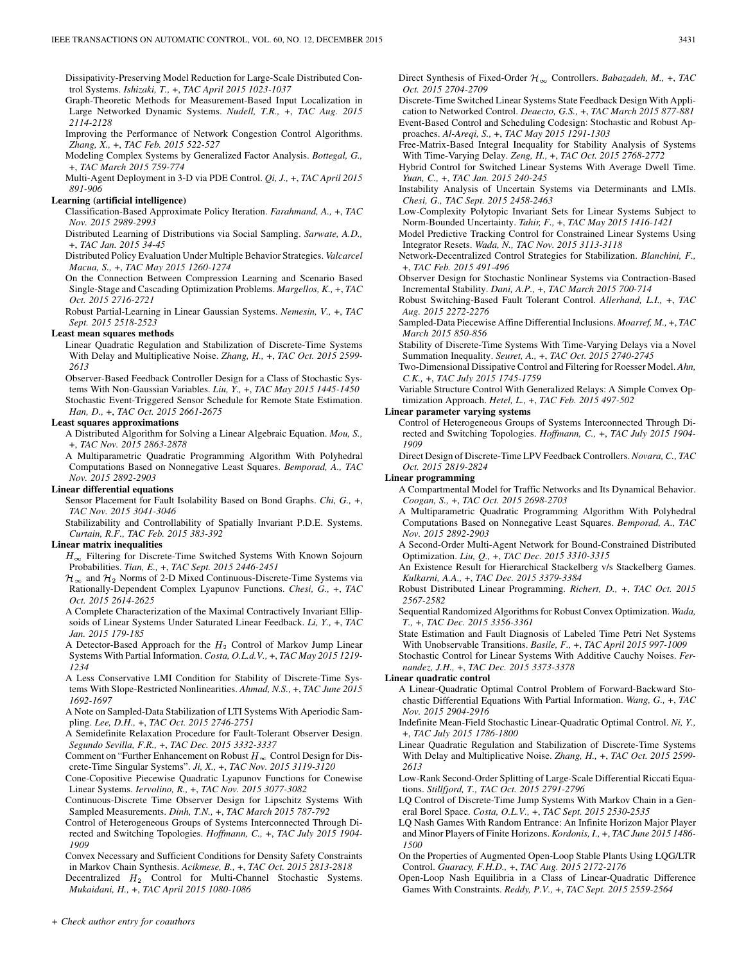Dissipativity-Preserving Model Reduction for Large-Scale Distributed Control Systems. *Ishizaki, T.,* +, *TAC April 2015 1023-1037*

Graph-Theoretic Methods for Measurement-Based Input Localization in Large Networked Dynamic Systems. *Nudell, T.R.,* +, *TAC Aug. 2015 2114-2128*

Improving the Performance of Network Congestion Control Algorithms. *Zhang, X.,* +, *TAC Feb. 2015 522-527*

Modeling Complex Systems by Generalized Factor Analysis. *Bottegal, G.,* +, *TAC March 2015 759-774*

Multi-Agent Deployment in 3-D via PDE Control. *Qi, J.,* +, *TAC April 2015 891-906*

# **Learning (artificial intelligence)**

Classification-Based Approximate Policy Iteration. *Farahmand, A.,* +, *TAC Nov. 2015 2989-2993*

Distributed Learning of Distributions via Social Sampling. *Sarwate, A.D.,* +, *TAC Jan. 2015 34-45*

Distributed Policy Evaluation Under Multiple Behavior Strategies. *Valcarcel Macua, S.,* +, *TAC May 2015 1260-1274*

On the Connection Between Compression Learning and Scenario Based Single-Stage and Cascading Optimization Problems. *Margellos, K.,* +, *TAC Oct. 2015 2716-2721*

Robust Partial-Learning in Linear Gaussian Systems. *Nemesin, V.,* +, *TAC Sept. 2015 2518-2523*

# **Least mean squares methods**

Linear Quadratic Regulation and Stabilization of Discrete-Time Systems With Delay and Multiplicative Noise. *Zhang, H.,* +, *TAC Oct. 2015 2599- 2613*

Observer-Based Feedback Controller Design for a Class of Stochastic Systems With Non-Gaussian Variables. *Liu, Y.,* +, *TAC May 2015 1445-1450* Stochastic Event-Triggered Sensor Schedule for Remote State Estimation. *Han, D.,* +, *TAC Oct. 2015 2661-2675*

# **Least squares approximations**

A Distributed Algorithm for Solving a Linear Algebraic Equation. *Mou, S.,* +, *TAC Nov. 2015 2863-2878*

A Multiparametric Quadratic Programming Algorithm With Polyhedral Computations Based on Nonnegative Least Squares. *Bemporad, A., TAC Nov. 2015 2892-2903*

#### **Linear differential equations**

Sensor Placement for Fault Isolability Based on Bond Graphs. *Chi, G.,* +, *TAC Nov. 2015 3041-3046*

Stabilizability and Controllability of Spatially Invariant P.D.E. Systems. *Curtain, R.F., TAC Feb. 2015 383-392*

# **Linear matrix inequalities**

 $H_{\infty}$  Filtering for Discrete-Time Switched Systems With Known Sojourn Probabilities. *Tian, E.,* +, *TAC Sept. 2015 2446-2451*

 $\mathcal{H}_{\infty}$  and  $\mathcal{H}_{2}$  Norms of 2-D Mixed Continuous-Discrete-Time Systems via Rationally-Dependent Complex Lyapunov Functions. *Chesi, G.,* +, *TAC Oct. 2015 2614-2625*

A Complete Characterization of the Maximal Contractively Invariant Ellipsoids of Linear Systems Under Saturated Linear Feedback. *Li, Y.,* +, *TAC Jan. 2015 179-185*

A Detector-Based Approach for the  $H_2$  Control of Markov Jump Linear Systems With Partial Information. *Costa, O.L.d.V.,* +, *TAC May 2015 1219- 1234*

A Less Conservative LMI Condition for Stability of Discrete-Time Systems With Slope-Restricted Nonlinearities. *Ahmad, N.S.,* +, *TAC June 2015 1692-1697*

A Note on Sampled-Data Stabilization of LTI Systems With Aperiodic Sampling. *Lee, D.H.,* +, *TAC Oct. 2015 2746-2751*

A Semidefinite Relaxation Procedure for Fault-Tolerant Observer Design. *Segundo Sevilla, F.R.,* +, *TAC Dec. 2015 3332-3337*

Comment on "Further Enhancement on Robust  $H_{\infty}$  Control Design for Discrete-Time Singular Systems". *Ji, X.,* +, *TAC Nov. 2015 3119-3120*

Cone-Copositive Piecewise Quadratic Lyapunov Functions for Conewise Linear Systems. *Iervolino, R.,* +, *TAC Nov. 2015 3077-3082*

Continuous-Discrete Time Observer Design for Lipschitz Systems With Sampled Measurements. *Dinh, T.N.,* +, *TAC March 2015 787-792*

Control of Heterogeneous Groups of Systems Interconnected Through Directed and Switching Topologies. *Hoffmann, C.,* +, *TAC July 2015 1904- 1909*

Convex Necessary and Sufficient Conditions for Density Safety Constraints in Markov Chain Synthesis. *Acikmese, B.,* +, *TAC Oct. 2015 2813-2818*

Decentralized  $H_2$  Control for Multi-Channel Stochastic Systems. *Mukaidani, H.,* +, *TAC April 2015 1080-1086*

Direct Synthesis of Fixed-Order  $\mathcal{H}_{\infty}$  Controllers. *Babazadeh, M.,* +, *TAC Oct. 2015 2704-2709*

Discrete-Time Switched Linear Systems State Feedback Design With Application to Networked Control. *Deaecto, G.S.,* +, *TAC March 2015 877-881* Event-Based Control and Scheduling Codesign: Stochastic and Robust Approaches. *Al-Areqi, S.,* +, *TAC May 2015 1291-1303*

Free-Matrix-Based Integral Inequality for Stability Analysis of Systems With Time-Varying Delay. *Zeng, H.,* +, *TAC Oct. 2015 2768-2772*

Hybrid Control for Switched Linear Systems With Average Dwell Time. *Yuan, C.,* +, *TAC Jan. 2015 240-245*

Instability Analysis of Uncertain Systems via Determinants and LMIs. *Chesi, G., TAC Sept. 2015 2458-2463*

Low-Complexity Polytopic Invariant Sets for Linear Systems Subject to Norm-Bounded Uncertainty. *Tahir, F.,* +, *TAC May 2015 1416-1421*

Model Predictive Tracking Control for Constrained Linear Systems Using Integrator Resets. *Wada, N., TAC Nov. 2015 3113-3118*

Network-Decentralized Control Strategies for Stabilization. *Blanchini, F.,* +, *TAC Feb. 2015 491-496*

Observer Design for Stochastic Nonlinear Systems via Contraction-Based Incremental Stability. *Dani, A.P.,* +, *TAC March 2015 700-714*

Robust Switching-Based Fault Tolerant Control. *Allerhand, L.I.,* +, *TAC Aug. 2015 2272-2276*

Sampled-Data Piecewise Affine Differential Inclusions. *Moarref, M.,* +, *TAC March 2015 850-856*

Stability of Discrete-Time Systems With Time-Varying Delays via a Novel Summation Inequality. *Seuret, A.,* +, *TAC Oct. 2015 2740-2745*

Two-Dimensional Dissipative Control and Filtering for Roesser Model. *Ahn, C.K.,* +, *TAC July 2015 1745-1759*

Variable Structure Control With Generalized Relays: A Simple Convex Optimization Approach. *Hetel, L.,* +, *TAC Feb. 2015 497-502*

#### **Linear parameter varying systems**

Control of Heterogeneous Groups of Systems Interconnected Through Directed and Switching Topologies. *Hoffmann, C.,* +, *TAC July 2015 1904- 1909*

Direct Design of Discrete-Time LPV Feedback Controllers. *Novara, C., TAC Oct. 2015 2819-2824*

**Linear programming**

A Compartmental Model for Traffic Networks and Its Dynamical Behavior. *Coogan, S.,* +, *TAC Oct. 2015 2698-2703*

A Multiparametric Quadratic Programming Algorithm With Polyhedral Computations Based on Nonnegative Least Squares. *Bemporad, A., TAC Nov. 2015 2892-2903*

A Second-Order Multi-Agent Network for Bound-Constrained Distributed Optimization. *Liu, Q.,* +, *TAC Dec. 2015 3310-3315*

An Existence Result for Hierarchical Stackelberg v/s Stackelberg Games. *Kulkarni, A.A.,* +, *TAC Dec. 2015 3379-3384*

Robust Distributed Linear Programming. *Richert, D.,* +, *TAC Oct. 2015 2567-2582*

Sequential Randomized Algorithms for Robust Convex Optimization. *Wada, T.,* +, *TAC Dec. 2015 3356-3361*

State Estimation and Fault Diagnosis of Labeled Time Petri Net Systems With Unobservable Transitions. *Basile, F.,* +, *TAC April 2015 997-1009*

Stochastic Control for Linear Systems With Additive Cauchy Noises. *Fernandez, J.H.,* +, *TAC Dec. 2015 3373-3378*

# **Linear quadratic control**

A Linear-Quadratic Optimal Control Problem of Forward-Backward Stochastic Differential Equations With Partial Information. *Wang, G.,* +, *TAC Nov. 2015 2904-2916*

Indefinite Mean-Field Stochastic Linear-Quadratic Optimal Control. *Ni, Y.,* +, *TAC July 2015 1786-1800*

Linear Quadratic Regulation and Stabilization of Discrete-Time Systems With Delay and Multiplicative Noise. *Zhang, H.,* +, *TAC Oct. 2015 2599- 2613*

Low-Rank Second-Order Splitting of Large-Scale Differential Riccati Equations. *Stillfjord, T., TAC Oct. 2015 2791-2796*

LQ Control of Discrete-Time Jump Systems With Markov Chain in a General Borel Space. *Costa, O.L.V.,* +, *TAC Sept. 2015 2530-2535*

LQ Nash Games With Random Entrance: An Infinite Horizon Major Player and Minor Players of Finite Horizons. *Kordonis, I.,* +, *TAC June 2015 1486- 1500*

On the Properties of Augmented Open-Loop Stable Plants Using LQG/LTR Control. *Guaracy, F.H.D.,* +, *TAC Aug. 2015 2172-2176*

Open-Loop Nash Equilibria in a Class of Linear-Quadratic Difference Games With Constraints. *Reddy, P.V.,* +, *TAC Sept. 2015 2559-2564*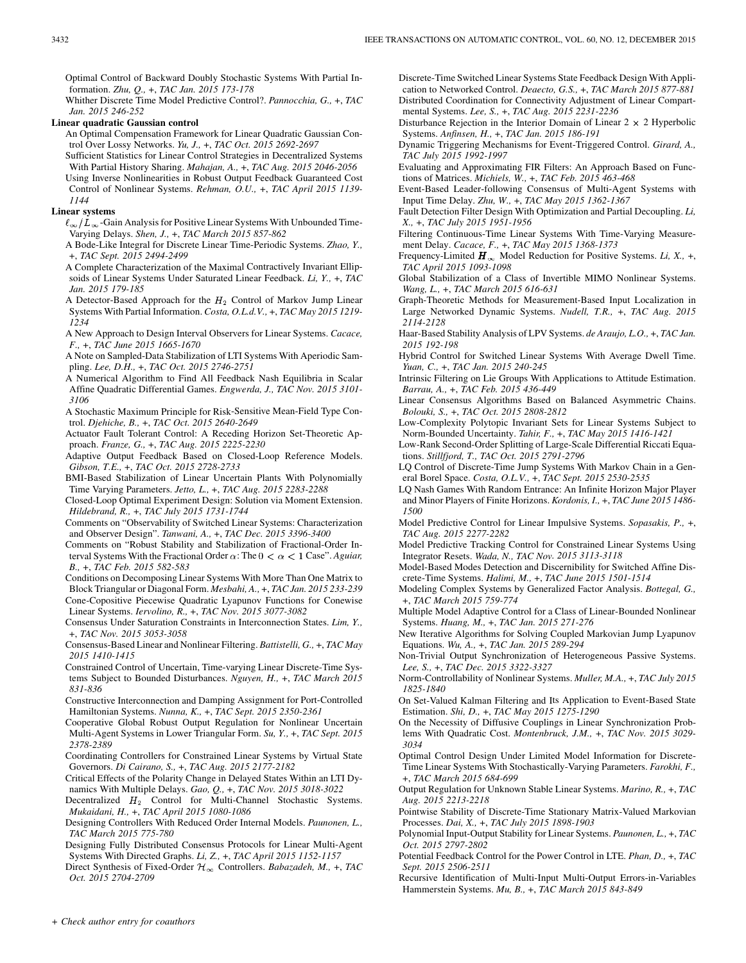Optimal Control of Backward Doubly Stochastic Systems With Partial Information. *Zhu, Q.,* +, *TAC Jan. 2015 173-178*

Whither Discrete Time Model Predictive Control?. *Pannocchia, G.,* +, *TAC Jan. 2015 246-252*

# **Linear quadratic Gaussian control**

An Optimal Compensation Framework for Linear Quadratic Gaussian Control Over Lossy Networks. *Yu, J.,* +, *TAC Oct. 2015 2692-2697*

Sufficient Statistics for Linear Control Strategies in Decentralized Systems With Partial History Sharing. *Mahajan, A.,* +, *TAC Aug. 2015 2046-2056* Using Inverse Nonlinearities in Robust Output Feedback Guaranteed Cost

Control of Nonlinear Systems. *Rehman, O.U.,* +, *TAC April 2015 1139- 1144*

# **Linear systems**

 $\ell_{\infty}/L_{\infty}$ -Gain Analysis for Positive Linear Systems With Unbounded Time-Varying Delays. *Shen, J.,* +, *TAC March 2015 857-862*

A Bode-Like Integral for Discrete Linear Time-Periodic Systems. *Zhao, Y.,* +, *TAC Sept. 2015 2494-2499*

- A Complete Characterization of the Maximal Contractively Invariant Ellipsoids of Linear Systems Under Saturated Linear Feedback. *Li, Y.,* +, *TAC Jan. 2015 179-185*
- A Detector-Based Approach for the  $H_2$  Control of Markov Jump Linear Systems With Partial Information. *Costa, O.L.d.V.,* +, *TAC May 2015 1219- 1234*

A New Approach to Design Interval Observers for Linear Systems. *Cacace, F.,* +, *TAC June 2015 1665-1670*

A Note on Sampled-Data Stabilization of LTI Systems With Aperiodic Sampling. *Lee, D.H.,* +, *TAC Oct. 2015 2746-2751*

A Numerical Algorithm to Find All Feedback Nash Equilibria in Scalar Affine Quadratic Differential Games. *Engwerda, J., TAC Nov. 2015 3101- 3106*

A Stochastic Maximum Principle for Risk-Sensitive Mean-Field Type Control. *Djehiche, B.,* +, *TAC Oct. 2015 2640-2649*

Actuator Fault Tolerant Control: A Receding Horizon Set-Theoretic Approach. *Franze, G.,* +, *TAC Aug. 2015 2225-2230*

Adaptive Output Feedback Based on Closed-Loop Reference Models. *Gibson, T.E.,* +, *TAC Oct. 2015 2728-2733*

BMI-Based Stabilization of Linear Uncertain Plants With Polynomially Time Varying Parameters. *Jetto, L.,* +, *TAC Aug. 2015 2283-2288*

Closed-Loop Optimal Experiment Design: Solution via Moment Extension. *Hildebrand, R.,* +, *TAC July 2015 1731-1744*

Comments on "Observability of Switched Linear Systems: Characterization and Observer Design". *Tanwani, A.,* +, *TAC Dec. 2015 3396-3400*

Comments on "Robust Stability and Stabilization of Fractional-Order Interval Systems With the Fractional Order  $\alpha$  : The  $0<\alpha<1$  Case". Aguiar, *B.,* +, *TAC Feb. 2015 582-583*

Conditions on Decomposing Linear Systems With More Than One Matrix to Block Triangular or Diagonal Form. *Mesbahi, A.,* +, *TAC Jan. 2015 233-239* Cone-Copositive Piecewise Quadratic Lyapunov Functions for Conewise

Linear Systems. *Iervolino, R.,* +, *TAC Nov. 2015 3077-3082* Consensus Under Saturation Constraints in Interconnection States. *Lim, Y.,* +, *TAC Nov. 2015 3053-3058*

Consensus-Based Linear and Nonlinear Filtering. *Battistelli, G.,* +, *TAC May 2015 1410-1415*

Constrained Control of Uncertain, Time-varying Linear Discrete-Time Systems Subject to Bounded Disturbances. *Nguyen, H.,* +, *TAC March 2015 831-836*

Constructive Interconnection and Damping Assignment for Port-Controlled Hamiltonian Systems. *Nunna, K.,* +, *TAC Sept. 2015 2350-2361*

Cooperative Global Robust Output Regulation for Nonlinear Uncertain Multi-Agent Systems in Lower Triangular Form. *Su, Y.,* +, *TAC Sept. 2015 2378-2389*

Coordinating Controllers for Constrained Linear Systems by Virtual State Governors. *Di Cairano, S.,* +, *TAC Aug. 2015 2177-2182*

Critical Effects of the Polarity Change in Delayed States Within an LTI Dynamics With Multiple Delays. *Gao, Q.,* +, *TAC Nov. 2015 3018-3022*

Decentralized  $H_2$  Control for Multi-Channel Stochastic Systems. *Mukaidani, H.,* +, *TAC April 2015 1080-1086*

Designing Controllers With Reduced Order Internal Models. *Paunonen, L., TAC March 2015 775-780*

Designing Fully Distributed Consensus Protocols for Linear Multi-Agent Systems With Directed Graphs. *Li, Z.,* +, *TAC April 2015 1152-1157*

Direct Synthesis of Fixed-Order  $\mathcal{H}_{\infty}$  Controllers. *Babazadeh, M., +, TAC Oct. 2015 2704-2709*

Discrete-Time Switched Linear Systems State Feedback Design With Application to Networked Control. *Deaecto, G.S.,* +, *TAC March 2015 877-881* Distributed Coordination for Connectivity Adjustment of Linear Compartmental Systems. *Lee, S.,* +, *TAC Aug. 2015 2231-2236*

Disturbance Rejection in the Interior Domain of Linear  $2 \times 2$  Hyperbolic Systems. *Anfinsen, H.,* +, *TAC Jan. 2015 186-191*

Dynamic Triggering Mechanisms for Event-Triggered Control. *Girard, A., TAC July 2015 1992-1997*

Evaluating and Approximating FIR Filters: An Approach Based on Functions of Matrices. *Michiels, W.,* +, *TAC Feb. 2015 463-468*

Event-Based Leader-following Consensus of Multi-Agent Systems with Input Time Delay. *Zhu, W.,* +, *TAC May 2015 1362-1367*

Fault Detection Filter Design With Optimization and Partial Decoupling. *Li, X.,* +, *TAC July 2015 1951-1956*

Filtering Continuous-Time Linear Systems With Time-Varying Measurement Delay. *Cacace, F.,* +, *TAC May 2015 1368-1373*

Frequency-Limited  $\boldsymbol{H}_{\infty}$  Model Reduction for Positive Systems. *Li, X.*, +, *TAC April 2015 1093-1098*

Global Stabilization of a Class of Invertible MIMO Nonlinear Systems. *Wang, L.,* +, *TAC March 2015 616-631*

Graph-Theoretic Methods for Measurement-Based Input Localization in Large Networked Dynamic Systems. *Nudell, T.R.,* +, *TAC Aug. 2015 2114-2128*

Haar-Based Stability Analysis of LPV Systems. *de Araujo, L.O.,* +, *TAC Jan. 2015 192-198*

Hybrid Control for Switched Linear Systems With Average Dwell Time. *Yuan, C.,* +, *TAC Jan. 2015 240-245*

Intrinsic Filtering on Lie Groups With Applications to Attitude Estimation. *Barrau, A.,* +, *TAC Feb. 2015 436-449*

Linear Consensus Algorithms Based on Balanced Asymmetric Chains. *Bolouki, S.,* +, *TAC Oct. 2015 2808-2812*

Low-Complexity Polytopic Invariant Sets for Linear Systems Subject to Norm-Bounded Uncertainty. *Tahir, F.,* +, *TAC May 2015 1416-1421*

Low-Rank Second-Order Splitting of Large-Scale Differential Riccati Equations. *Stillfjord, T., TAC Oct. 2015 2791-2796*

LQ Control of Discrete-Time Jump Systems With Markov Chain in a General Borel Space. *Costa, O.L.V.,* +, *TAC Sept. 2015 2530-2535*

LQ Nash Games With Random Entrance: An Infinite Horizon Major Player and Minor Players of Finite Horizons. *Kordonis, I.,* +, *TAC June 2015 1486- 1500*

Model Predictive Control for Linear Impulsive Systems. *Sopasakis, P.,* +, *TAC Aug. 2015 2277-2282*

Model Predictive Tracking Control for Constrained Linear Systems Using Integrator Resets. *Wada, N., TAC Nov. 2015 3113-3118*

Model-Based Modes Detection and Discernibility for Switched Affine Discrete-Time Systems. *Halimi, M.,* +, *TAC June 2015 1501-1514*

Modeling Complex Systems by Generalized Factor Analysis. *Bottegal, G.,* +, *TAC March 2015 759-774*

Multiple Model Adaptive Control for a Class of Linear-Bounded Nonlinear Systems. *Huang, M.,* +, *TAC Jan. 2015 271-276*

New Iterative Algorithms for Solving Coupled Markovian Jump Lyapunov Equations. *Wu, A.,* +, *TAC Jan. 2015 289-294*

Non-Trivial Output Synchronization of Heterogeneous Passive Systems. *Lee, S.,* +, *TAC Dec. 2015 3322-3327*

Norm-Controllability of Nonlinear Systems. *Muller, M.A.,* +, *TAC July 2015 1825-1840*

On Set-Valued Kalman Filtering and Its Application to Event-Based State Estimation. *Shi, D.,* +, *TAC May 2015 1275-1290*

On the Necessity of Diffusive Couplings in Linear Synchronization Problems With Quadratic Cost. *Montenbruck, J.M.,* +, *TAC Nov. 2015 3029- 3034*

Optimal Control Design Under Limited Model Information for Discrete-Time Linear Systems With Stochastically-Varying Parameters. *Farokhi, F.,* +, *TAC March 2015 684-699*

Output Regulation for Unknown Stable Linear Systems. *Marino, R.,* +, *TAC Aug. 2015 2213-2218*

Pointwise Stability of Discrete-Time Stationary Matrix-Valued Markovian Processes. *Dai, X.,* +, *TAC July 2015 1898-1903*

Polynomial Input-Output Stability for Linear Systems. *Paunonen, L.,* +, *TAC Oct. 2015 2797-2802*

Potential Feedback Control for the Power Control in LTE. *Phan, D.,* +, *TAC Sept. 2015 2506-2511*

Recursive Identification of Multi-Input Multi-Output Errors-in-Variables Hammerstein Systems. *Mu, B.,* +, *TAC March 2015 843-849*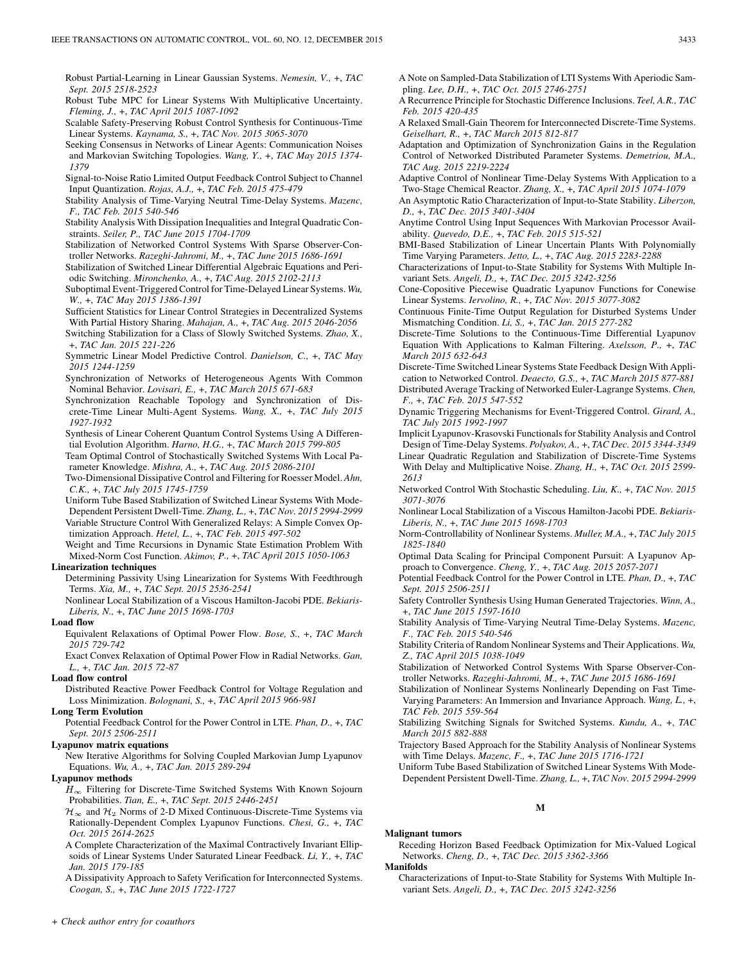Robust Partial-Learning in Linear Gaussian Systems. *Nemesin, V.,* +, *TAC Sept. 2015 2518-2523*

Robust Tube MPC for Linear Systems With Multiplicative Uncertainty. *Fleming, J.,* +, *TAC April 2015 1087-1092*

Scalable Safety-Preserving Robust Control Synthesis for Continuous-Time Linear Systems. *Kaynama, S.,* +, *TAC Nov. 2015 3065-3070*

Seeking Consensus in Networks of Linear Agents: Communication Noises and Markovian Switching Topologies. *Wang, Y.,* +, *TAC May 2015 1374- 1379*

Signal-to-Noise Ratio Limited Output Feedback Control Subject to Channel Input Quantization. *Rojas, A.J.,* +, *TAC Feb. 2015 475-479*

Stability Analysis of Time-Varying Neutral Time-Delay Systems. *Mazenc, F., TAC Feb. 2015 540-546*

Stability Analysis With Dissipation Inequalities and Integral Quadratic Constraints. *Seiler, P., TAC June 2015 1704-1709*

Stabilization of Networked Control Systems With Sparse Observer-Controller Networks. *Razeghi-Jahromi, M.,* +, *TAC June 2015 1686-1691*

- Stabilization of Switched Linear Differential Algebraic Equations and Periodic Switching. *Mironchenko, A.,* +, *TAC Aug. 2015 2102-2113*
- Suboptimal Event-Triggered Control for Time-Delayed Linear Systems. *Wu, W.,* +, *TAC May 2015 1386-1391*

Sufficient Statistics for Linear Control Strategies in Decentralized Systems With Partial History Sharing. *Mahajan, A.,* +, *TAC Aug. 2015 2046-2056*

Switching Stabilization for a Class of Slowly Switched Systems. *Zhao, X.,* +, *TAC Jan. 2015 221-226*

Symmetric Linear Model Predictive Control. *Danielson, C.,* +, *TAC May 2015 1244-1259*

Synchronization of Networks of Heterogeneous Agents With Common Nominal Behavior. *Lovisari, E.,* +, *TAC March 2015 671-683*

Synchronization Reachable Topology and Synchronization of Discrete-Time Linear Multi-Agent Systems. *Wang, X.,* +, *TAC July 2015 1927-1932*

Synthesis of Linear Coherent Quantum Control Systems Using A Differential Evolution Algorithm. *Harno, H.G.,* +, *TAC March 2015 799-805*

Team Optimal Control of Stochastically Switched Systems With Local Parameter Knowledge. *Mishra, A.,* +, *TAC Aug. 2015 2086-2101*

Two-Dimensional Dissipative Control and Filtering for Roesser Model. *Ahn, C.K.,* +, *TAC July 2015 1745-1759*

Uniform Tube Based Stabilization of Switched Linear Systems With Mode-Dependent Persistent Dwell-Time. *Zhang, L.,* +, *TAC Nov. 2015 2994-2999* Variable Structure Control With Generalized Relays: A Simple Convex Optimization Approach. *Hetel, L.,* +, *TAC Feb. 2015 497-502*

Weight and Time Recursions in Dynamic State Estimation Problem With Mixed-Norm Cost Function. *Akimov, P.,* +, *TAC April 2015 1050-1063*

# **Linearization techniques**

Determining Passivity Using Linearization for Systems With Feedthrough Terms. *Xia, M.,* +, *TAC Sept. 2015 2536-2541*

Nonlinear Local Stabilization of a Viscous Hamilton-Jacobi PDE. *Bekiaris-Liberis, N.,* +, *TAC June 2015 1698-1703*

#### **Load flow**

Equivalent Relaxations of Optimal Power Flow. *Bose, S.,* +, *TAC March 2015 729-742*

Exact Convex Relaxation of Optimal Power Flow in Radial Networks. *Gan, L.,* +, *TAC Jan. 2015 72-87*

# **Load flow control**

Distributed Reactive Power Feedback Control for Voltage Regulation and Loss Minimization. *Bolognani, S.,* +, *TAC April 2015 966-981*

#### **Long Term Evolution**

Potential Feedback Control for the Power Control in LTE. *Phan, D.,* +, *TAC Sept. 2015 2506-2511*

# **Lyapunov matrix equations**

New Iterative Algorithms for Solving Coupled Markovian Jump Lyapunov Equations. *Wu, A.,* +, *TAC Jan. 2015 289-294*

# **Lyapunov methods**

 $H_{\infty}$  Filtering for Discrete-Time Switched Systems With Known Sojourn Probabilities. *Tian, E.,* +, *TAC Sept. 2015 2446-2451*

 $\mathcal{H}_{\infty}$  and  $\mathcal{H}_{2}$  Norms of 2-D Mixed Continuous-Discrete-Time Systems via Rationally-Dependent Complex Lyapunov Functions. *Chesi, G.,* +, *TAC Oct. 2015 2614-2625*

A Complete Characterization of the Maximal Contractively Invariant Ellipsoids of Linear Systems Under Saturated Linear Feedback. *Li, Y.,* +, *TAC Jan. 2015 179-185*

A Dissipativity Approach to Safety Verification for Interconnected Systems. *Coogan, S.,* +, *TAC June 2015 1722-1727*

A Note on Sampled-Data Stabilization of LTI Systems With Aperiodic Sampling. *Lee, D.H.,* +, *TAC Oct. 2015 2746-2751*

A Recurrence Principle for Stochastic Difference Inclusions. *Teel, A.R., TAC Feb. 2015 420-435*

A Relaxed Small-Gain Theorem for Interconnected Discrete-Time Systems. *Geiselhart, R.,* +, *TAC March 2015 812-817*

Adaptation and Optimization of Synchronization Gains in the Regulation Control of Networked Distributed Parameter Systems. *Demetriou, M.A., TAC Aug. 2015 2219-2224*

Adaptive Control of Nonlinear Time-Delay Systems With Application to a Two-Stage Chemical Reactor. *Zhang, X.,* +, *TAC April 2015 1074-1079*

An Asymptotic Ratio Characterization of Input-to-State Stability. *Liberzon, D.,* +, *TAC Dec. 2015 3401-3404*

Anytime Control Using Input Sequences With Markovian Processor Availability. *Quevedo, D.E.,* +, *TAC Feb. 2015 515-521*

BMI-Based Stabilization of Linear Uncertain Plants With Polynomially Time Varying Parameters. *Jetto, L.,* +, *TAC Aug. 2015 2283-2288*

Characterizations of Input-to-State Stability for Systems With Multiple Invariant Sets. *Angeli, D.,* +, *TAC Dec. 2015 3242-3256*

Cone-Copositive Piecewise Quadratic Lyapunov Functions for Conewise Linear Systems. *Iervolino, R.,* +, *TAC Nov. 2015 3077-3082*

Continuous Finite-Time Output Regulation for Disturbed Systems Under Mismatching Condition. *Li, S.,* +, *TAC Jan. 2015 277-282*

Discrete-Time Solutions to the Continuous-Time Differential Lyapunov Equation With Applications to Kalman Filtering. *Axelsson, P.,* +, *TAC March 2015 632-643*

Discrete-Time Switched Linear Systems State Feedback Design With Application to Networked Control. *Deaecto, G.S.,* +, *TAC March 2015 877-881* Distributed Average Tracking of Networked Euler-Lagrange Systems. *Chen, F.,* +, *TAC Feb. 2015 547-552*

Dynamic Triggering Mechanisms for Event-Triggered Control. *Girard, A., TAC July 2015 1992-1997*

Implicit Lyapunov-Krasovski Functionals for Stability Analysis and Control Design of Time-Delay Systems. *Polyakov, A.,* +, *TAC Dec. 2015 3344-3349*

Linear Quadratic Regulation and Stabilization of Discrete-Time Systems With Delay and Multiplicative Noise. *Zhang, H.,* +, *TAC Oct. 2015 2599- 2613*

Networked Control With Stochastic Scheduling. *Liu, K.,* +, *TAC Nov. 2015 3071-3076*

Nonlinear Local Stabilization of a Viscous Hamilton-Jacobi PDE. *Bekiaris-Liberis, N.,* +, *TAC June 2015 1698-1703*

Norm-Controllability of Nonlinear Systems. *Muller, M.A.,* +, *TAC July 2015 1825-1840*

Optimal Data Scaling for Principal Component Pursuit: A Lyapunov Approach to Convergence. *Cheng, Y.,* +, *TAC Aug. 2015 2057-2071*

Potential Feedback Control for the Power Control in LTE. *Phan, D.,* +, *TAC Sept. 2015 2506-2511*

Safety Controller Synthesis Using Human Generated Trajectories. *Winn, A.,* +, *TAC June 2015 1597-1610*

Stability Analysis of Time-Varying Neutral Time-Delay Systems. *Mazenc, F., TAC Feb. 2015 540-546*

Stability Criteria of Random Nonlinear Systems and Their Applications. *Wu, Z., TAC April 2015 1038-1049*

Stabilization of Networked Control Systems With Sparse Observer-Controller Networks. *Razeghi-Jahromi, M.,* +, *TAC June 2015 1686-1691*

Stabilization of Nonlinear Systems Nonlinearly Depending on Fast Time-Varying Parameters: An Immersion and Invariance Approach. *Wang, L.,* +, *TAC Feb. 2015 559-564*

Stabilizing Switching Signals for Switched Systems. *Kundu, A.,* +, *TAC March 2015 882-888*

Trajectory Based Approach for the Stability Analysis of Nonlinear Systems with Time Delays. *Mazenc, F.,* +, *TAC June 2015 1716-1721*

Uniform Tube Based Stabilization of Switched Linear Systems With Mode-Dependent Persistent Dwell-Time. *Zhang, L.,* +, *TAC Nov. 2015 2994-2999*

**M**

# **Malignant tumors**

Receding Horizon Based Feedback Optimization for Mix-Valued Logical Networks. *Cheng, D.,* +, *TAC Dec. 2015 3362-3366*

**Manifolds**

Characterizations of Input-to-State Stability for Systems With Multiple Invariant Sets. *Angeli, D.,* +, *TAC Dec. 2015 3242-3256*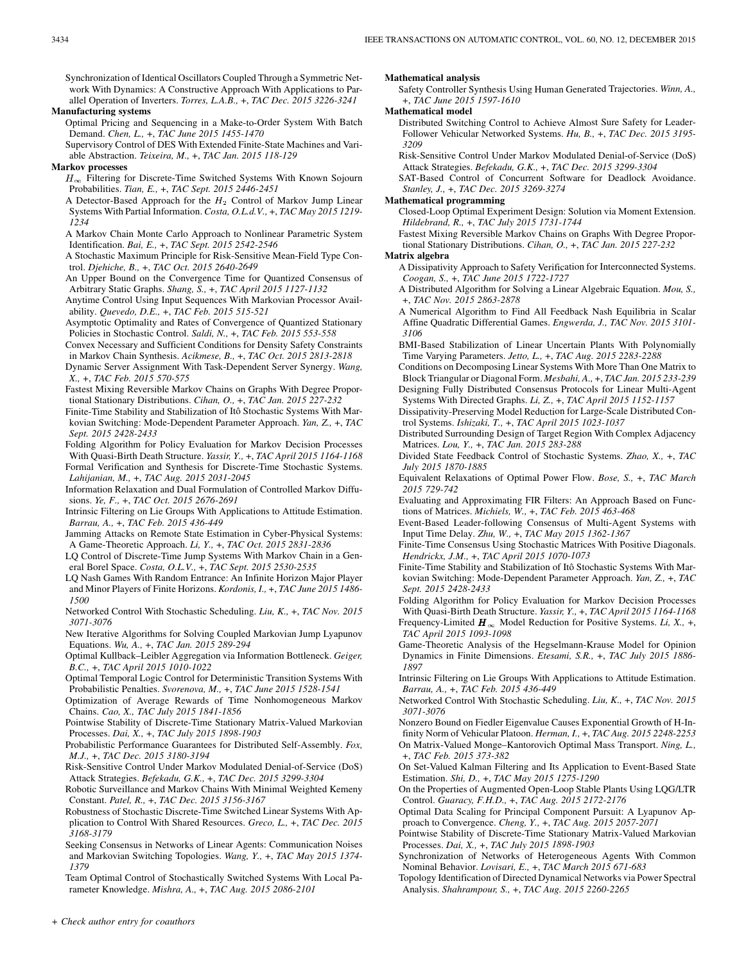Synchronization of Identical Oscillators Coupled Through a Symmetric Network With Dynamics: A Constructive Approach With Applications to Parallel Operation of Inverters. *Torres, L.A.B.,* +, *TAC Dec. 2015 3226-3241*

**Manufacturing systems**

Optimal Pricing and Sequencing in a Make-to-Order System With Batch Demand. *Chen, L.,* +, *TAC June 2015 1455-1470*

Supervisory Control of DES With Extended Finite-State Machines and Variable Abstraction. *Teixeira, M.,* +, *TAC Jan. 2015 118-129*

# **Markov processes**

 $H_{\infty}$  Filtering for Discrete-Time Switched Systems With Known Sojourn Probabilities. *Tian, E.,* +, *TAC Sept. 2015 2446-2451*

A Detector-Based Approach for the  $H_2$  Control of Markov Jump Linear Systems With Partial Information. *Costa, O.L.d.V.,* +, *TAC May 2015 1219- 1234*

A Markov Chain Monte Carlo Approach to Nonlinear Parametric System Identification. *Bai, E.,* +, *TAC Sept. 2015 2542-2546*

A Stochastic Maximum Principle for Risk-Sensitive Mean-Field Type Control. *Djehiche, B.,* +, *TAC Oct. 2015 2640-2649*

An Upper Bound on the Convergence Time for Quantized Consensus of Arbitrary Static Graphs. *Shang, S.,* +, *TAC April 2015 1127-1132*

Anytime Control Using Input Sequences With Markovian Processor Availability. *Quevedo, D.E.,* +, *TAC Feb. 2015 515-521*

Asymptotic Optimality and Rates of Convergence of Quantized Stationary Policies in Stochastic Control. *Saldi, N.,* +, *TAC Feb. 2015 553-558*

Convex Necessary and Sufficient Conditions for Density Safety Constraints in Markov Chain Synthesis. *Acikmese, B.,* +, *TAC Oct. 2015 2813-2818*

Dynamic Server Assignment With Task-Dependent Server Synergy. *Wang, X.,* +, *TAC Feb. 2015 570-575*

Fastest Mixing Reversible Markov Chains on Graphs With Degree Proportional Stationary Distributions. *Cihan, O.,* +, *TAC Jan. 2015 227-232*

Finite-Time Stability and Stabilization of Itô Stochastic Systems With Markovian Switching: Mode-Dependent Parameter Approach. *Yan, Z.,* +, *TAC Sept. 2015 2428-2433*

Folding Algorithm for Policy Evaluation for Markov Decision Processes With Quasi-Birth Death Structure. *Yassir, Y.,* +, *TAC April 2015 1164-1168* Formal Verification and Synthesis for Discrete-Time Stochastic Systems.

*Lahijanian, M.,* +, *TAC Aug. 2015 2031-2045*

Information Relaxation and Dual Formulation of Controlled Markov Diffusions. *Ye, F.,* +, *TAC Oct. 2015 2676-2691*

Intrinsic Filtering on Lie Groups With Applications to Attitude Estimation. *Barrau, A.,* +, *TAC Feb. 2015 436-449*

Jamming Attacks on Remote State Estimation in Cyber-Physical Systems: A Game-Theoretic Approach. *Li, Y.,* +, *TAC Oct. 2015 2831-2836*

LQ Control of Discrete-Time Jump Systems With Markov Chain in a General Borel Space. *Costa, O.L.V.,* +, *TAC Sept. 2015 2530-2535*

LQ Nash Games With Random Entrance: An Infinite Horizon Major Player and Minor Players of Finite Horizons. *Kordonis, I.,* +, *TAC June 2015 1486- 1500*

Networked Control With Stochastic Scheduling. *Liu, K.,* +, *TAC Nov. 2015 3071-3076*

New Iterative Algorithms for Solving Coupled Markovian Jump Lyapunov Equations. *Wu, A.,* +, *TAC Jan. 2015 289-294*

Optimal Kullback–Leibler Aggregation via Information Bottleneck. *Geiger, B.C.,* +, *TAC April 2015 1010-1022*

Optimal Temporal Logic Control for Deterministic Transition Systems With Probabilistic Penalties. *Svorenova, M.,* +, *TAC June 2015 1528-1541*

Optimization of Average Rewards of Time Nonhomogeneous Markov Chains. *Cao, X., TAC July 2015 1841-1856*

Pointwise Stability of Discrete-Time Stationary Matrix-Valued Markovian Processes. *Dai, X.,* +, *TAC July 2015 1898-1903*

Probabilistic Performance Guarantees for Distributed Self-Assembly. *Fox, M.J.,* +, *TAC Dec. 2015 3180-3194*

Risk-Sensitive Control Under Markov Modulated Denial-of-Service (DoS) Attack Strategies. *Befekadu, G.K.,* +, *TAC Dec. 2015 3299-3304*

Robotic Surveillance and Markov Chains With Minimal Weighted Kemeny Constant. *Patel, R.,* +, *TAC Dec. 2015 3156-3167*

Robustness of Stochastic Discrete-Time Switched Linear Systems With Application to Control With Shared Resources. *Greco, L.,* +, *TAC Dec. 2015 3168-3179*

Seeking Consensus in Networks of Linear Agents: Communication Noises and Markovian Switching Topologies. *Wang, Y.,* +, *TAC May 2015 1374- 1379*

Team Optimal Control of Stochastically Switched Systems With Local Parameter Knowledge. *Mishra, A.,* +, *TAC Aug. 2015 2086-2101*

**Mathematical analysis**

Safety Controller Synthesis Using Human Generated Trajectories. *Winn, A.,* +, *TAC June 2015 1597-1610*

**Mathematical model**

Distributed Switching Control to Achieve Almost Sure Safety for Leader-Follower Vehicular Networked Systems. *Hu, B.,* +, *TAC Dec. 2015 3195- 3209*

Risk-Sensitive Control Under Markov Modulated Denial-of-Service (DoS) Attack Strategies. *Befekadu, G.K.,* +, *TAC Dec. 2015 3299-3304*

SAT-Based Control of Concurrent Software for Deadlock Avoidance. *Stanley, J.,* +, *TAC Dec. 2015 3269-3274*

#### **Mathematical programming**

Closed-Loop Optimal Experiment Design: Solution via Moment Extension. *Hildebrand, R.,* +, *TAC July 2015 1731-1744*

Fastest Mixing Reversible Markov Chains on Graphs With Degree Proportional Stationary Distributions. *Cihan, O.,* +, *TAC Jan. 2015 227-232*

#### **Matrix algebra**

A Dissipativity Approach to Safety Verification for Interconnected Systems. *Coogan, S.,* +, *TAC June 2015 1722-1727*

A Distributed Algorithm for Solving a Linear Algebraic Equation. *Mou, S.,* +, *TAC Nov. 2015 2863-2878*

A Numerical Algorithm to Find All Feedback Nash Equilibria in Scalar Affine Quadratic Differential Games. *Engwerda, J., TAC Nov. 2015 3101- 3106*

BMI-Based Stabilization of Linear Uncertain Plants With Polynomially Time Varying Parameters. *Jetto, L.,* +, *TAC Aug. 2015 2283-2288*

Conditions on Decomposing Linear Systems With More Than One Matrix to Block Triangular or Diagonal Form. *Mesbahi, A.,* +, *TAC Jan. 2015 233-239* Designing Fully Distributed Consensus Protocols for Linear Multi-Agent Systems With Directed Graphs. *Li, Z.,* +, *TAC April 2015 1152-1157*

Dissipativity-Preserving Model Reduction for Large-Scale Distributed Control Systems. *Ishizaki, T.,* +, *TAC April 2015 1023-1037*

Distributed Surrounding Design of Target Region With Complex Adjacency Matrices. *Lou, Y.,* +, *TAC Jan. 2015 283-288*

Divided State Feedback Control of Stochastic Systems. *Zhao, X.,* +, *TAC July 2015 1870-1885*

Equivalent Relaxations of Optimal Power Flow. *Bose, S.,* +, *TAC March 2015 729-742*

Evaluating and Approximating FIR Filters: An Approach Based on Functions of Matrices. *Michiels, W.,* +, *TAC Feb. 2015 463-468*

Event-Based Leader-following Consensus of Multi-Agent Systems with Input Time Delay. *Zhu, W.,* +, *TAC May 2015 1362-1367*

Finite-Time Consensus Using Stochastic Matrices With Positive Diagonals. *Hendrickx, J.M.,* +, *TAC April 2015 1070-1073*

Finite-Time Stability and Stabilization of Itô Stochastic Systems With Markovian Switching: Mode-Dependent Parameter Approach. *Yan, Z.,* +, *TAC Sept. 2015 2428-2433*

Folding Algorithm for Policy Evaluation for Markov Decision Processes With Quasi-Birth Death Structure. *Yassir, Y.,* +, *TAC April 2015 1164-1168* Frequency-Limited  $\boldsymbol{H}_{\infty}$  Model Reduction for Positive Systems. *Li, X.*, +, *TAC April 2015 1093-1098*

Game-Theoretic Analysis of the Hegselmann-Krause Model for Opinion Dynamics in Finite Dimensions. *Etesami, S.R.,* +, *TAC July 2015 1886- 1897*

Intrinsic Filtering on Lie Groups With Applications to Attitude Estimation. *Barrau, A.,* +, *TAC Feb. 2015 436-449*

Networked Control With Stochastic Scheduling. *Liu, K.,* +, *TAC Nov. 2015 3071-3076*

Nonzero Bound on Fiedler Eigenvalue Causes Exponential Growth of H-Infinity Norm of Vehicular Platoon. *Herman, I.,* +, *TAC Aug. 2015 2248-2253* On Matrix-Valued Monge–Kantorovich Optimal Mass Transport. *Ning, L.,*

+, *TAC Feb. 2015 373-382* On Set-Valued Kalman Filtering and Its Application to Event-Based State

Estimation. *Shi, D.,* +, *TAC May 2015 1275-1290*

On the Properties of Augmented Open-Loop Stable Plants Using LQG/LTR Control. *Guaracy, F.H.D.,* +, *TAC Aug. 2015 2172-2176*

Optimal Data Scaling for Principal Component Pursuit: A Lyapunov Approach to Convergence. *Cheng, Y.,* +, *TAC Aug. 2015 2057-2071*

Pointwise Stability of Discrete-Time Stationary Matrix-Valued Markovian Processes. *Dai, X.,* +, *TAC July 2015 1898-1903*

Synchronization of Networks of Heterogeneous Agents With Common Nominal Behavior. *Lovisari, E.,* +, *TAC March 2015 671-683*

Topology Identification of Directed Dynamical Networks via Power Spectral Analysis. *Shahrampour, S.,* +, *TAC Aug. 2015 2260-2265*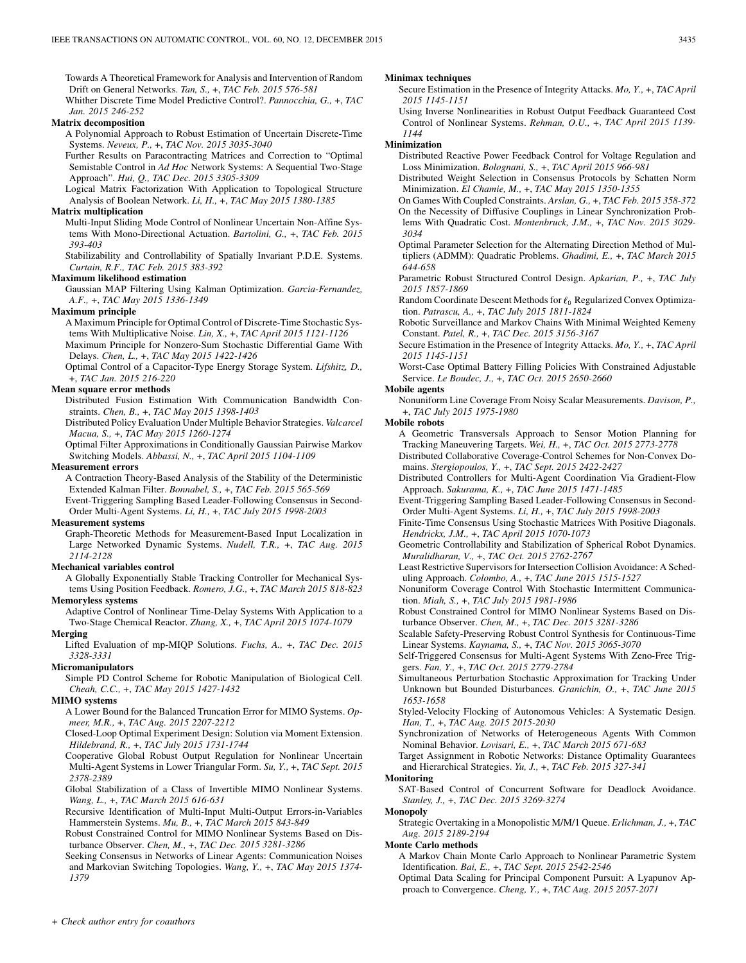Towards A Theoretical Framework for Analysis and Intervention of Random Drift on General Networks. *Tan, S.,* +, *TAC Feb. 2015 576-581*

Whither Discrete Time Model Predictive Control?. *Pannocchia, G.,* +, *TAC Jan. 2015 246-252*

# **Matrix decomposition**

A Polynomial Approach to Robust Estimation of Uncertain Discrete-Time Systems. *Neveux, P.,* +, *TAC Nov. 2015 3035-3040*

Further Results on Paracontracting Matrices and Correction to "Optimal Semistable Control in *Ad Hoc* Network Systems: A Sequential Two-Stage Approach". *Hui, Q., TAC Dec. 2015 3305-3309*

Logical Matrix Factorization With Application to Topological Structure Analysis of Boolean Network. *Li, H.,* +, *TAC May 2015 1380-1385*

# **Matrix multiplication**

Multi-Input Sliding Mode Control of Nonlinear Uncertain Non-Affine Systems With Mono-Directional Actuation. *Bartolini, G.,* +, *TAC Feb. 2015 393-403*

Stabilizability and Controllability of Spatially Invariant P.D.E. Systems. *Curtain, R.F., TAC Feb. 2015 383-392*

# **Maximum likelihood estimation**

Gaussian MAP Filtering Using Kalman Optimization. *Garcia-Fernandez, A.F.,* +, *TAC May 2015 1336-1349*

# **Maximum principle**

A Maximum Principle for Optimal Control of Discrete-Time Stochastic Systems With Multiplicative Noise. *Lin, X.,* +, *TAC April 2015 1121-1126*

Maximum Principle for Nonzero-Sum Stochastic Differential Game With Delays. *Chen, L.,* +, *TAC May 2015 1422-1426*

Optimal Control of a Capacitor-Type Energy Storage System. *Lifshitz, D.,* +, *TAC Jan. 2015 216-220*

# **Mean square error methods**

Distributed Fusion Estimation With Communication Bandwidth Constraints. *Chen, B.,* +, *TAC May 2015 1398-1403*

Distributed Policy Evaluation Under Multiple Behavior Strategies. *Valcarcel Macua, S.,* +, *TAC May 2015 1260-1274*

Optimal Filter Approximations in Conditionally Gaussian Pairwise Markov Switching Models. *Abbassi, N.,* +, *TAC April 2015 1104-1109*

# **Measurement errors**

A Contraction Theory-Based Analysis of the Stability of the Deterministic Extended Kalman Filter. *Bonnabel, S.,* +, *TAC Feb. 2015 565-569*

Event-Triggering Sampling Based Leader-Following Consensus in Second-Order Multi-Agent Systems. *Li, H.,* +, *TAC July 2015 1998-2003*

# **Measurement systems**

Graph-Theoretic Methods for Measurement-Based Input Localization in Large Networked Dynamic Systems. *Nudell, T.R.,* +, *TAC Aug. 2015 2114-2128*

# **Mechanical variables control**

A Globally Exponentially Stable Tracking Controller for Mechanical Systems Using Position Feedback. *Romero, J.G.,* +, *TAC March 2015 818-823* **Memoryless systems**

Adaptive Control of Nonlinear Time-Delay Systems With Application to a Two-Stage Chemical Reactor. *Zhang, X.,* +, *TAC April 2015 1074-1079*

# **Merging**

Lifted Evaluation of mp-MIQP Solutions. *Fuchs, A.,* +, *TAC Dec. 2015 3328-3331*

# **Micromanipulators**

Simple PD Control Scheme for Robotic Manipulation of Biological Cell. *Cheah, C.C.,* +, *TAC May 2015 1427-1432*

#### **MIMO systems**

A Lower Bound for the Balanced Truncation Error for MIMO Systems. *Opmeer, M.R.,* +, *TAC Aug. 2015 2207-2212*

Closed-Loop Optimal Experiment Design: Solution via Moment Extension. *Hildebrand, R.,* +, *TAC July 2015 1731-1744*

Cooperative Global Robust Output Regulation for Nonlinear Uncertain Multi-Agent Systems in Lower Triangular Form. *Su, Y.,* +, *TAC Sept. 2015 2378-2389*

Global Stabilization of a Class of Invertible MIMO Nonlinear Systems. *Wang, L.,* +, *TAC March 2015 616-631*

Recursive Identification of Multi-Input Multi-Output Errors-in-Variables Hammerstein Systems. *Mu, B.,* +, *TAC March 2015 843-849*

Robust Constrained Control for MIMO Nonlinear Systems Based on Disturbance Observer. *Chen, M.,* +, *TAC Dec. 2015 3281-3286*

Seeking Consensus in Networks of Linear Agents: Communication Noises and Markovian Switching Topologies. *Wang, Y.,* +, *TAC May 2015 1374- 1379*

#### **Minimax techniques**

Secure Estimation in the Presence of Integrity Attacks. *Mo, Y.,* +, *TAC April 2015 1145-1151*

Using Inverse Nonlinearities in Robust Output Feedback Guaranteed Cost Control of Nonlinear Systems. *Rehman, O.U.,* +, *TAC April 2015 1139- 1144*

# **Minimization**

Distributed Reactive Power Feedback Control for Voltage Regulation and Loss Minimization. *Bolognani, S.,* +, *TAC April 2015 966-981*

Distributed Weight Selection in Consensus Protocols by Schatten Norm Minimization. *El Chamie, M.,* +, *TAC May 2015 1350-1355*

On Games With Coupled Constraints. *Arslan, G.,* +, *TAC Feb. 2015 358-372* On the Necessity of Diffusive Couplings in Linear Synchronization Problems With Quadratic Cost. *Montenbruck, J.M.,* +, *TAC Nov. 2015 3029- 3034*

Optimal Parameter Selection for the Alternating Direction Method of Multipliers (ADMM): Quadratic Problems. *Ghadimi, E.,* +, *TAC March 2015 644-658*

Parametric Robust Structured Control Design. *Apkarian, P.,* +, *TAC July 2015 1857-1869*

Random Coordinate Descent Methods for  $\ell_0$  Regularized Convex Optimization. *Patrascu, A.,* +, *TAC July 2015 1811-1824*

Robotic Surveillance and Markov Chains With Minimal Weighted Kemeny Constant. *Patel, R.,* +, *TAC Dec. 2015 3156-3167*

Secure Estimation in the Presence of Integrity Attacks. *Mo, Y.,* +, *TAC April 2015 1145-1151*

Worst-Case Optimal Battery Filling Policies With Constrained Adjustable Service. *Le Boudec, J.,* +, *TAC Oct. 2015 2650-2660*

# **Mobile agents**

Nonuniform Line Coverage From Noisy Scalar Measurements. *Davison, P.,* +, *TAC July 2015 1975-1980*

# **Mobile robots**

A Geometric Transversals Approach to Sensor Motion Planning for Tracking Maneuvering Targets. *Wei, H.,* +, *TAC Oct. 2015 2773-2778*

Distributed Collaborative Coverage-Control Schemes for Non-Convex Domains. *Stergiopoulos, Y.,* +, *TAC Sept. 2015 2422-2427* Distributed Controllers for Multi-Agent Coordination Via Gradient-Flow

Approach. *Sakurama, K.,* +, *TAC June 2015 1471-1485*

Event-Triggering Sampling Based Leader-Following Consensus in Second-Order Multi-Agent Systems. *Li, H.,* +, *TAC July 2015 1998-2003*

Finite-Time Consensus Using Stochastic Matrices With Positive Diagonals. *Hendrickx, J.M.,* +, *TAC April 2015 1070-1073*

Geometric Controllability and Stabilization of Spherical Robot Dynamics. *Muralidharan, V.,* +, *TAC Oct. 2015 2762-2767*

Least Restrictive Supervisors for Intersection Collision Avoidance: A Scheduling Approach. *Colombo, A.,* +, *TAC June 2015 1515-1527*

Nonuniform Coverage Control With Stochastic Intermittent Communication. *Miah, S.,* +, *TAC July 2015 1981-1986*

Robust Constrained Control for MIMO Nonlinear Systems Based on Disturbance Observer. *Chen, M.,* +, *TAC Dec. 2015 3281-3286*

Scalable Safety-Preserving Robust Control Synthesis for Continuous-Time Linear Systems. *Kaynama, S.,* +, *TAC Nov. 2015 3065-3070*

Self-Triggered Consensus for Multi-Agent Systems With Zeno-Free Triggers. *Fan, Y.,* +, *TAC Oct. 2015 2779-2784*

Simultaneous Perturbation Stochastic Approximation for Tracking Under Unknown but Bounded Disturbances. *Granichin, O.,* +, *TAC June 2015 1653-1658*

Styled-Velocity Flocking of Autonomous Vehicles: A Systematic Design. *Han, T.,* +, *TAC Aug. 2015 2015-2030*

Synchronization of Networks of Heterogeneous Agents With Common Nominal Behavior. *Lovisari, E.,* +, *TAC March 2015 671-683*

Target Assignment in Robotic Networks: Distance Optimality Guarantees and Hierarchical Strategies. *Yu, J.,* +, *TAC Feb. 2015 327-341*

**Monitoring**

SAT-Based Control of Concurrent Software for Deadlock Avoidance. *Stanley, J.,* +, *TAC Dec. 2015 3269-3274*

**Monopoly**

Strategic Overtaking in a Monopolistic M/M/1 Queue. *Erlichman, J.,* +, *TAC Aug. 2015 2189-2194*

#### **Monte Carlo methods**

A Markov Chain Monte Carlo Approach to Nonlinear Parametric System Identification. *Bai, E.,* +, *TAC Sept. 2015 2542-2546*

Optimal Data Scaling for Principal Component Pursuit: A Lyapunov Approach to Convergence. *Cheng, Y.,* +, *TAC Aug. 2015 2057-2071*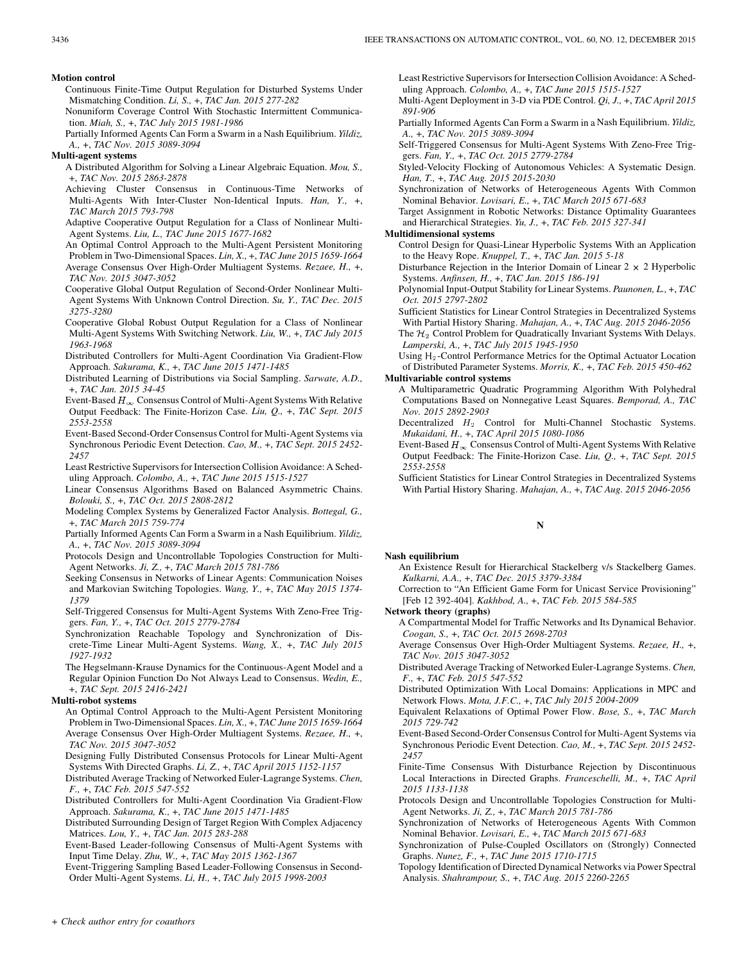# **Motion control**

- Continuous Finite-Time Output Regulation for Disturbed Systems Under Mismatching Condition. *Li, S.,* +, *TAC Jan. 2015 277-282*
- Nonuniform Coverage Control With Stochastic Intermittent Communication. *Miah, S.,* +, *TAC July 2015 1981-1986*
- Partially Informed Agents Can Form a Swarm in a Nash Equilibrium. *Yildiz, A.,* +, *TAC Nov. 2015 3089-3094*

#### **Multi-agent systems**

- A Distributed Algorithm for Solving a Linear Algebraic Equation. *Mou, S.,* +, *TAC Nov. 2015 2863-2878*
- Achieving Cluster Consensus in Continuous-Time Networks of Multi-Agents With Inter-Cluster Non-Identical Inputs. *Han, Y.,* +, *TAC March 2015 793-798*
- Adaptive Cooperative Output Regulation for a Class of Nonlinear Multi-Agent Systems. *Liu, L., TAC June 2015 1677-1682*
- An Optimal Control Approach to the Multi-Agent Persistent Monitoring Problem in Two-Dimensional Spaces. *Lin, X.,* +, *TAC June 2015 1659-1664* Average Consensus Over High-Order Multiagent Systems. *Rezaee, H.,* +, *TAC Nov. 2015 3047-3052*
- Cooperative Global Output Regulation of Second-Order Nonlinear Multi-Agent Systems With Unknown Control Direction. *Su, Y., TAC Dec. 2015 3275-3280*
- Cooperative Global Robust Output Regulation for a Class of Nonlinear Multi-Agent Systems With Switching Network. *Liu, W.,* +, *TAC July 2015 1963-1968*
- Distributed Controllers for Multi-Agent Coordination Via Gradient-Flow Approach. *Sakurama, K.,* +, *TAC June 2015 1471-1485*
- Distributed Learning of Distributions via Social Sampling. *Sarwate, A.D.,* +, *TAC Jan. 2015 34-45*
- Event-Based  $H_{\infty}$  Consensus Control of Multi-Agent Systems With Relative Output Feedback: The Finite-Horizon Case. *Liu, Q.,* +, *TAC Sept. 2015 2553-2558*
- Event-Based Second-Order Consensus Control for Multi-Agent Systems via Synchronous Periodic Event Detection. *Cao, M.,* +, *TAC Sept. 2015 2452- 2457*
- Least Restrictive Supervisors for Intersection Collision Avoidance: A Scheduling Approach. *Colombo, A.,* +, *TAC June 2015 1515-1527*
- Linear Consensus Algorithms Based on Balanced Asymmetric Chains. *Bolouki, S.,* +, *TAC Oct. 2015 2808-2812*
- Modeling Complex Systems by Generalized Factor Analysis. *Bottegal, G.,* +, *TAC March 2015 759-774*
- Partially Informed Agents Can Form a Swarm in a Nash Equilibrium. *Yildiz, A.,* +, *TAC Nov. 2015 3089-3094*
- Protocols Design and Uncontrollable Topologies Construction for Multi-Agent Networks. *Ji, Z.,* +, *TAC March 2015 781-786*
- Seeking Consensus in Networks of Linear Agents: Communication Noises and Markovian Switching Topologies. *Wang, Y.,* +, *TAC May 2015 1374- 1379*
- Self-Triggered Consensus for Multi-Agent Systems With Zeno-Free Triggers. *Fan, Y.,* +, *TAC Oct. 2015 2779-2784*
- Synchronization Reachable Topology and Synchronization of Discrete-Time Linear Multi-Agent Systems. *Wang, X.,* +, *TAC July 2015 1927-1932*
- The Hegselmann-Krause Dynamics for the Continuous-Agent Model and a Regular Opinion Function Do Not Always Lead to Consensus. *Wedin, E.,* +, *TAC Sept. 2015 2416-2421*
- **Multi-robot systems**

An Optimal Control Approach to the Multi-Agent Persistent Monitoring Problem in Two-Dimensional Spaces. *Lin, X.,* +, *TAC June 2015 1659-1664* Average Consensus Over High-Order Multiagent Systems. *Rezaee, H.,* +, *TAC Nov. 2015 3047-3052*

- Designing Fully Distributed Consensus Protocols for Linear Multi-Agent Systems With Directed Graphs. *Li, Z.,* +, *TAC April 2015 1152-1157*
- Distributed Average Tracking of Networked Euler-Lagrange Systems. *Chen, F.,* +, *TAC Feb. 2015 547-552*
- Distributed Controllers for Multi-Agent Coordination Via Gradient-Flow Approach. *Sakurama, K.,* +, *TAC June 2015 1471-1485*
- Distributed Surrounding Design of Target Region With Complex Adjacency Matrices. *Lou, Y.,* +, *TAC Jan. 2015 283-288*
- Event-Based Leader-following Consensus of Multi-Agent Systems with Input Time Delay. *Zhu, W.,* +, *TAC May 2015 1362-1367*

Event-Triggering Sampling Based Leader-Following Consensus in Second-Order Multi-Agent Systems. *Li, H.,* +, *TAC July 2015 1998-2003*

Least Restrictive Supervisors for Intersection Collision Avoidance: A Scheduling Approach. *Colombo, A.,* +, *TAC June 2015 1515-1527*

Multi-Agent Deployment in 3-D via PDE Control. *Qi, J.,* +, *TAC April 2015 891-906*

Partially Informed Agents Can Form a Swarm in a Nash Equilibrium. *Yildiz, A.,* +, *TAC Nov. 2015 3089-3094*

Self-Triggered Consensus for Multi-Agent Systems With Zeno-Free Triggers. *Fan, Y.,* +, *TAC Oct. 2015 2779-2784*

Styled-Velocity Flocking of Autonomous Vehicles: A Systematic Design. *Han, T.,* +, *TAC Aug. 2015 2015-2030*

Synchronization of Networks of Heterogeneous Agents With Common Nominal Behavior. *Lovisari, E.,* +, *TAC March 2015 671-683*

Target Assignment in Robotic Networks: Distance Optimality Guarantees and Hierarchical Strategies. *Yu, J.,* +, *TAC Feb. 2015 327-341*

# **Multidimensional systems**

Control Design for Quasi-Linear Hyperbolic Systems With an Application to the Heavy Rope. *Knuppel, T.,* +, *TAC Jan. 2015 5-18*

Disturbance Rejection in the Interior Domain of Linear  $2 \times 2$  Hyperbolic Systems. *Anfinsen, H.,* +, *TAC Jan. 2015 186-191*

- Polynomial Input-Output Stability for Linear Systems. *Paunonen, L.,* +, *TAC Oct. 2015 2797-2802*
- Sufficient Statistics for Linear Control Strategies in Decentralized Systems With Partial History Sharing. *Mahajan, A.,* +, *TAC Aug. 2015 2046-2056* The  $\mathcal{H}_2$  Control Problem for Quadratically Invariant Systems With Delays.
- *Lamperski, A.,* +, *TAC July 2015 1945-1950* Using  $H_2$ -Control Performance Metrics for the Optimal Actuator Location
- of Distributed Parameter Systems. *Morris, K.,* +, *TAC Feb. 2015 450-462*

# **Multivariable control systems**

- A Multiparametric Quadratic Programming Algorithm With Polyhedral Computations Based on Nonnegative Least Squares. *Bemporad, A., TAC Nov. 2015 2892-2903*
- Decentralized  $H_2$  Control for Multi-Channel Stochastic Systems. *Mukaidani, H.,* +, *TAC April 2015 1080-1086*
- Event-Based  $H_{\infty}$  Consensus Control of Multi-Agent Systems With Relative Output Feedback: The Finite-Horizon Case. *Liu, Q.,* +, *TAC Sept. 2015 2553-2558*
- Sufficient Statistics for Linear Control Strategies in Decentralized Systems With Partial History Sharing. *Mahajan, A.,* +, *TAC Aug. 2015 2046-2056*

**N**

# **Nash equilibrium**

An Existence Result for Hierarchical Stackelberg v/s Stackelberg Games. *Kulkarni, A.A.,* +, *TAC Dec. 2015 3379-3384*

Correction to "An Efficient Game Form for Unicast Service Provisioning" [Feb 12 392-404]. *Kakhbod, A.,* +, *TAC Feb. 2015 584-585*

**Network theory (graphs)**

- A Compartmental Model for Traffic Networks and Its Dynamical Behavior. *Coogan, S.,* +, *TAC Oct. 2015 2698-2703*
- Average Consensus Over High-Order Multiagent Systems. *Rezaee, H.,* +, *TAC Nov. 2015 3047-3052*
- Distributed Average Tracking of Networked Euler-Lagrange Systems. *Chen, F.,* +, *TAC Feb. 2015 547-552*
- Distributed Optimization With Local Domains: Applications in MPC and Network Flows. *Mota, J.F.C.,* +, *TAC July 2015 2004-2009*
- Equivalent Relaxations of Optimal Power Flow. *Bose, S.,* +, *TAC March 2015 729-742*
- Event-Based Second-Order Consensus Control for Multi-Agent Systems via Synchronous Periodic Event Detection. *Cao, M.,* +, *TAC Sept. 2015 2452- 2457*
- Finite-Time Consensus With Disturbance Rejection by Discontinuous Local Interactions in Directed Graphs. *Franceschelli, M.,* +, *TAC April 2015 1133-1138*
- Protocols Design and Uncontrollable Topologies Construction for Multi-Agent Networks. *Ji, Z.,* +, *TAC March 2015 781-786*
- Synchronization of Networks of Heterogeneous Agents With Common Nominal Behavior. *Lovisari, E.,* +, *TAC March 2015 671-683*
- Synchronization of Pulse-Coupled Oscillators on (Strongly) Connected Graphs. *Nunez, F.,* +, *TAC June 2015 1710-1715*
- Topology Identification of Directed Dynamical Networks via Power Spectral Analysis. *Shahrampour, S.,* +, *TAC Aug. 2015 2260-2265*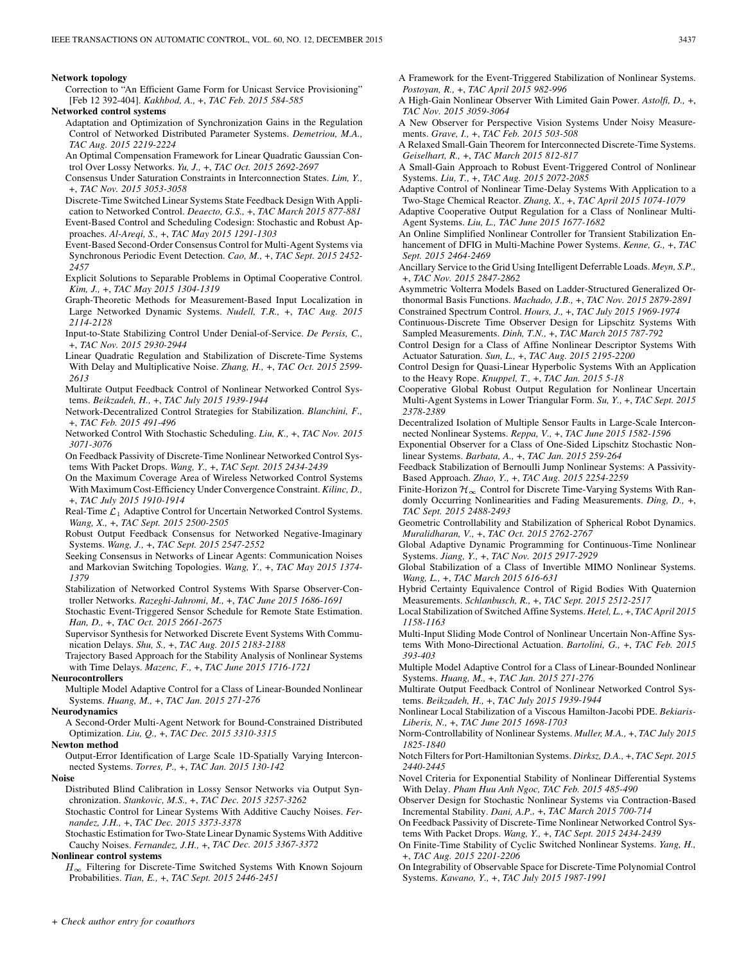#### **Network topology**

Correction to "An Efficient Game Form for Unicast Service Provisioning" [Feb 12 392-404]. *Kakhbod, A.,* +, *TAC Feb. 2015 584-585*

**Networked control systems**

- Adaptation and Optimization of Synchronization Gains in the Regulation Control of Networked Distributed Parameter Systems. *Demetriou, M.A., TAC Aug. 2015 2219-2224*
- An Optimal Compensation Framework for Linear Quadratic Gaussian Control Over Lossy Networks. *Yu, J.,* +, *TAC Oct. 2015 2692-2697*

Consensus Under Saturation Constraints in Interconnection States. *Lim, Y.,* +, *TAC Nov. 2015 3053-3058*

Discrete-Time Switched Linear Systems State Feedback Design With Application to Networked Control. *Deaecto, G.S.,* +, *TAC March 2015 877-881* Event-Based Control and Scheduling Codesign: Stochastic and Robust Approaches. *Al-Areqi, S.,* +, *TAC May 2015 1291-1303*

Event-Based Second-Order Consensus Control for Multi-Agent Systems via Synchronous Periodic Event Detection. *Cao, M.,* +, *TAC Sept. 2015 2452- 2457*

Explicit Solutions to Separable Problems in Optimal Cooperative Control. *Kim, J.,* +, *TAC May 2015 1304-1319*

Graph-Theoretic Methods for Measurement-Based Input Localization in Large Networked Dynamic Systems. *Nudell, T.R.,* +, *TAC Aug. 2015 2114-2128*

Input-to-State Stabilizing Control Under Denial-of-Service. *De Persis, C.,* +, *TAC Nov. 2015 2930-2944*

Linear Quadratic Regulation and Stabilization of Discrete-Time Systems With Delay and Multiplicative Noise. *Zhang, H.,* +, *TAC Oct. 2015 2599- 2613*

Multirate Output Feedback Control of Nonlinear Networked Control Systems. *Beikzadeh, H.,* +, *TAC July 2015 1939-1944*

Network-Decentralized Control Strategies for Stabilization. *Blanchini, F.,* +, *TAC Feb. 2015 491-496*

Networked Control With Stochastic Scheduling. *Liu, K.,* +, *TAC Nov. 2015 3071-3076*

On Feedback Passivity of Discrete-Time Nonlinear Networked Control Systems With Packet Drops. *Wang, Y.,* +, *TAC Sept. 2015 2434-2439*

On the Maximum Coverage Area of Wireless Networked Control Systems With Maximum Cost-Efficiency Under Convergence Constraint. *Kilinc, D.,* +, *TAC July 2015 1910-1914*

Real-Time  $\mathcal{L}_1$  Adaptive Control for Uncertain Networked Control Systems. *Wang, X.,* +, *TAC Sept. 2015 2500-2505*

Robust Output Feedback Consensus for Networked Negative-Imaginary Systems. *Wang, J.,* +, *TAC Sept. 2015 2547-2552*

Seeking Consensus in Networks of Linear Agents: Communication Noises and Markovian Switching Topologies. *Wang, Y.,* +, *TAC May 2015 1374- 1379*

Stabilization of Networked Control Systems With Sparse Observer-Controller Networks. *Razeghi-Jahromi, M.,* +, *TAC June 2015 1686-1691*

Stochastic Event-Triggered Sensor Schedule for Remote State Estimation. *Han, D.,* +, *TAC Oct. 2015 2661-2675*

Supervisor Synthesis for Networked Discrete Event Systems With Communication Delays. *Shu, S.,* +, *TAC Aug. 2015 2183-2188*

Trajectory Based Approach for the Stability Analysis of Nonlinear Systems with Time Delays. *Mazenc, F.,* +, *TAC June 2015 1716-1721*

#### **Neurocontrollers**

Multiple Model Adaptive Control for a Class of Linear-Bounded Nonlinear Systems. *Huang, M.,* +, *TAC Jan. 2015 271-276*

# **Neurodynamics**

A Second-Order Multi-Agent Network for Bound-Constrained Distributed Optimization. *Liu, Q.,* +, *TAC Dec. 2015 3310-3315*

# **Newton method**

Output-Error Identification of Large Scale 1D-Spatially Varying Interconnected Systems. *Torres, P.,* +, *TAC Jan. 2015 130-142*

#### **Noise**

Distributed Blind Calibration in Lossy Sensor Networks via Output Synchronization. *Stankovic, M.S.,* +, *TAC Dec. 2015 3257-3262*

Stochastic Control for Linear Systems With Additive Cauchy Noises. *Fernandez, J.H.,* +, *TAC Dec. 2015 3373-3378*

Stochastic Estimation for Two-State Linear Dynamic Systems With Additive Cauchy Noises. *Fernandez, J.H.,* +, *TAC Dec. 2015 3367-3372*

# **Nonlinear control systems**

 $H_{\infty}$  Filtering for Discrete-Time Switched Systems With Known Sojourn Probabilities. *Tian, E.,* +, *TAC Sept. 2015 2446-2451*

A Framework for the Event-Triggered Stabilization of Nonlinear Systems. *Postoyan, R.,* +, *TAC April 2015 982-996*

A High-Gain Nonlinear Observer With Limited Gain Power. *Astolfi, D.,* +, *TAC Nov. 2015 3059-3064*

A New Observer for Perspective Vision Systems Under Noisy Measurements. *Grave, I.,* +, *TAC Feb. 2015 503-508*

A Relaxed Small-Gain Theorem for Interconnected Discrete-Time Systems. *Geiselhart, R.,* +, *TAC March 2015 812-817*

A Small-Gain Approach to Robust Event-Triggered Control of Nonlinear Systems. *Liu, T.,* +, *TAC Aug. 2015 2072-2085*

Adaptive Control of Nonlinear Time-Delay Systems With Application to a Two-Stage Chemical Reactor. *Zhang, X.,* +, *TAC April 2015 1074-1079*

Adaptive Cooperative Output Regulation for a Class of Nonlinear Multi-Agent Systems. *Liu, L., TAC June 2015 1677-1682* An Online Simplified Nonlinear Controller for Transient Stabilization En-

hancement of DFIG in Multi-Machine Power Systems. *Kenne, G.,* +, *TAC Sept. 2015 2464-2469*

Ancillary Service to the Grid Using Intelligent Deferrable Loads. *Meyn, S.P.,* +, *TAC Nov. 2015 2847-2862*

Asymmetric Volterra Models Based on Ladder-Structured Generalized Orthonormal Basis Functions. *Machado, J.B.,* +, *TAC Nov. 2015 2879-2891* Constrained Spectrum Control. *Hours, J.,* +, *TAC July 2015 1969-1974*

Continuous-Discrete Time Observer Design for Lipschitz Systems With Sampled Measurements. *Dinh, T.N.,* +, *TAC March 2015 787-792*

Control Design for a Class of Affine Nonlinear Descriptor Systems With Actuator Saturation. *Sun, L.,* +, *TAC Aug. 2015 2195-2200*

Control Design for Quasi-Linear Hyperbolic Systems With an Application to the Heavy Rope. *Knuppel, T.,* +, *TAC Jan. 2015 5-18*

Cooperative Global Robust Output Regulation for Nonlinear Uncertain Multi-Agent Systems in Lower Triangular Form. *Su, Y.,* +, *TAC Sept. 2015 2378-2389*

Decentralized Isolation of Multiple Sensor Faults in Large-Scale Interconnected Nonlinear Systems. *Reppa, V.,* +, *TAC June 2015 1582-1596*

Exponential Observer for a Class of One-Sided Lipschitz Stochastic Nonlinear Systems. *Barbata, A.,* +, *TAC Jan. 2015 259-264*

Feedback Stabilization of Bernoulli Jump Nonlinear Systems: A Passivity-Based Approach. *Zhao, Y.,* +, *TAC Aug. 2015 2254-2259*

Finite-Horizon  $\mathcal{H}_{\infty}$  Control for Discrete Time-Varying Systems With Randomly Occurring Nonlinearities and Fading Measurements. *Ding, D.,* +, *TAC Sept. 2015 2488-2493*

Geometric Controllability and Stabilization of Spherical Robot Dynamics. *Muralidharan, V.,* +, *TAC Oct. 2015 2762-2767*

Global Adaptive Dynamic Programming for Continuous-Time Nonlinear Systems. *Jiang, Y.,* +, *TAC Nov. 2015 2917-2929*

Global Stabilization of a Class of Invertible MIMO Nonlinear Systems. *Wang, L.,* +, *TAC March 2015 616-631*

Hybrid Certainty Equivalence Control of Rigid Bodies With Quaternion Measurements. *Schlanbusch, R.,* +, *TAC Sept. 2015 2512-2517*

Local Stabilization of Switched Affine Systems. *Hetel, L.,* +, *TAC April 2015 1158-1163*

Multi-Input Sliding Mode Control of Nonlinear Uncertain Non-Affine Systems With Mono-Directional Actuation. *Bartolini, G.,* +, *TAC Feb. 2015 393-403*

Multiple Model Adaptive Control for a Class of Linear-Bounded Nonlinear Systems. *Huang, M.,* +, *TAC Jan. 2015 271-276*

Multirate Output Feedback Control of Nonlinear Networked Control Systems. *Beikzadeh, H.,* +, *TAC July 2015 1939-1944*

Nonlinear Local Stabilization of a Viscous Hamilton-Jacobi PDE. *Bekiaris-Liberis, N.,* +, *TAC June 2015 1698-1703*

Norm-Controllability of Nonlinear Systems. *Muller, M.A.,* +, *TAC July 2015 1825-1840*

Notch Filters for Port-Hamiltonian Systems. *Dirksz, D.A.,* +, *TAC Sept. 2015 2440-2445*

Novel Criteria for Exponential Stability of Nonlinear Differential Systems With Delay. *Pham Huu Anh Ngoc, TAC Feb. 2015 485-490*

Observer Design for Stochastic Nonlinear Systems via Contraction-Based Incremental Stability. *Dani, A.P.,* +, *TAC March 2015 700-714*

On Feedback Passivity of Discrete-Time Nonlinear Networked Control Systems With Packet Drops. *Wang, Y.,* +, *TAC Sept. 2015 2434-2439*

On Finite-Time Stability of Cyclic Switched Nonlinear Systems. *Yang, H.,* +, *TAC Aug. 2015 2201-2206*

On Integrability of Observable Space for Discrete-Time Polynomial Control Systems. *Kawano, Y.,* +, *TAC July 2015 1987-1991*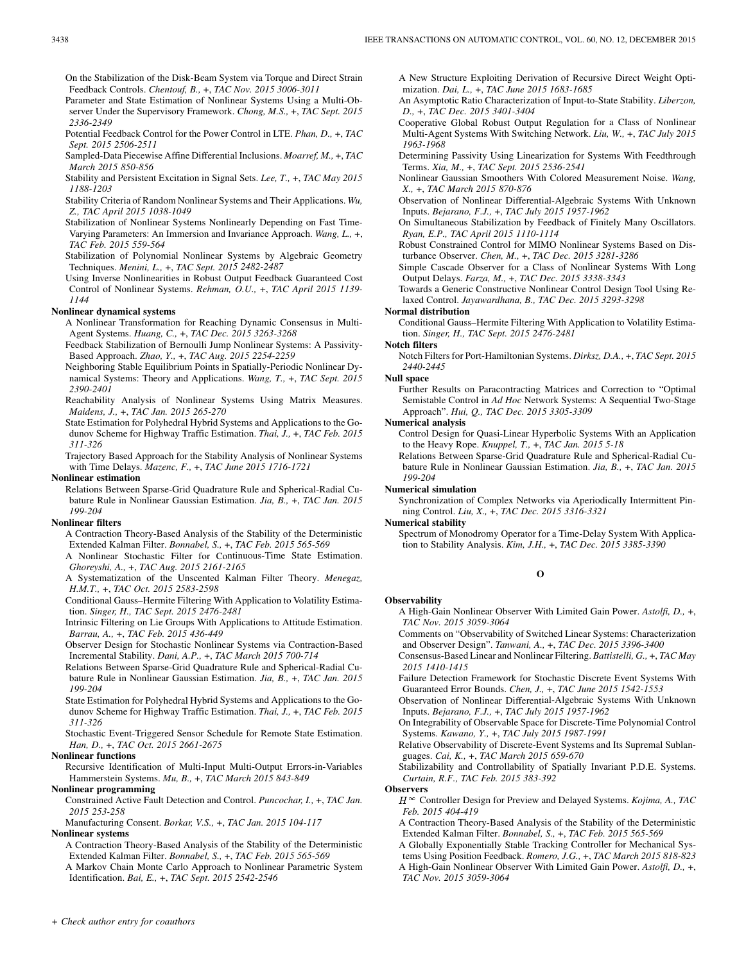On the Stabilization of the Disk-Beam System via Torque and Direct Strain Feedback Controls. *Chentouf, B.,* +, *TAC Nov. 2015 3006-3011*

- Parameter and State Estimation of Nonlinear Systems Using a Multi-Observer Under the Supervisory Framework. *Chong, M.S.,* +, *TAC Sept. 2015 2336-2349*
- Potential Feedback Control for the Power Control in LTE. *Phan, D.,* +, *TAC Sept. 2015 2506-2511*
- Sampled-Data Piecewise Affine Differential Inclusions. *Moarref, M.,* +, *TAC March 2015 850-856*
- Stability and Persistent Excitation in Signal Sets. *Lee, T.,* +, *TAC May 2015 1188-1203*
- Stability Criteria of Random Nonlinear Systems and Their Applications. *Wu, Z., TAC April 2015 1038-1049*
- Stabilization of Nonlinear Systems Nonlinearly Depending on Fast Time-Varying Parameters: An Immersion and Invariance Approach. *Wang, L.,* +, *TAC Feb. 2015 559-564*
- Stabilization of Polynomial Nonlinear Systems by Algebraic Geometry Techniques. *Menini, L.,* +, *TAC Sept. 2015 2482-2487*
- Using Inverse Nonlinearities in Robust Output Feedback Guaranteed Cost Control of Nonlinear Systems. *Rehman, O.U.,* +, *TAC April 2015 1139- 1144*

# **Nonlinear dynamical systems**

- A Nonlinear Transformation for Reaching Dynamic Consensus in Multi-Agent Systems. *Huang, C.,* +, *TAC Dec. 2015 3263-3268*
- Feedback Stabilization of Bernoulli Jump Nonlinear Systems: A Passivity-Based Approach. *Zhao, Y.,* +, *TAC Aug. 2015 2254-2259*
- Neighboring Stable Equilibrium Points in Spatially-Periodic Nonlinear Dynamical Systems: Theory and Applications. *Wang, T.,* +, *TAC Sept. 2015 2390-2401*
- Reachability Analysis of Nonlinear Systems Using Matrix Measures. *Maidens, J.,* +, *TAC Jan. 2015 265-270*
- State Estimation for Polyhedral Hybrid Systems and Applications to the Godunov Scheme for Highway Traffic Estimation. *Thai, J.,* +, *TAC Feb. 2015 311-326*
- Trajectory Based Approach for the Stability Analysis of Nonlinear Systems with Time Delays. *Mazenc, F.,* +, *TAC June 2015 1716-1721*

# **Nonlinear estimation**

Relations Between Sparse-Grid Quadrature Rule and Spherical-Radial Cubature Rule in Nonlinear Gaussian Estimation. *Jia, B.,* +, *TAC Jan. 2015 199-204*

# **Nonlinear filters**

A Contraction Theory-Based Analysis of the Stability of the Deterministic Extended Kalman Filter. *Bonnabel, S.,* +, *TAC Feb. 2015 565-569*

A Nonlinear Stochastic Filter for Continuous-Time State Estimation. *Ghoreyshi, A.,* +, *TAC Aug. 2015 2161-2165*

- A Systematization of the Unscented Kalman Filter Theory. *Menegaz, H.M.T.,* +, *TAC Oct. 2015 2583-2598*
- Conditional Gauss–Hermite Filtering With Application to Volatility Estimation. *Singer, H., TAC Sept. 2015 2476-2481*
- Intrinsic Filtering on Lie Groups With Applications to Attitude Estimation. *Barrau, A.,* +, *TAC Feb. 2015 436-449*
- Observer Design for Stochastic Nonlinear Systems via Contraction-Based Incremental Stability. *Dani, A.P.,* +, *TAC March 2015 700-714*
- Relations Between Sparse-Grid Quadrature Rule and Spherical-Radial Cubature Rule in Nonlinear Gaussian Estimation. *Jia, B.,* +, *TAC Jan. 2015 199-204*

State Estimation for Polyhedral Hybrid Systems and Applications to the Godunov Scheme for Highway Traffic Estimation. *Thai, J.,* +, *TAC Feb. 2015 311-326*

Stochastic Event-Triggered Sensor Schedule for Remote State Estimation. *Han, D.,* +, *TAC Oct. 2015 2661-2675*

# **Nonlinear functions**

Recursive Identification of Multi-Input Multi-Output Errors-in-Variables Hammerstein Systems. *Mu, B.,* +, *TAC March 2015 843-849*

# **Nonlinear programming**

Constrained Active Fault Detection and Control. *Puncochar, I.,* +, *TAC Jan. 2015 253-258*

Manufacturing Consent. *Borkar, V.S.,* +, *TAC Jan. 2015 104-117* **Nonlinear systems**

A Contraction Theory-Based Analysis of the Stability of the Deterministic Extended Kalman Filter. *Bonnabel, S.,* +, *TAC Feb. 2015 565-569*

A Markov Chain Monte Carlo Approach to Nonlinear Parametric System Identification. *Bai, E.,* +, *TAC Sept. 2015 2542-2546*

A New Structure Exploiting Derivation of Recursive Direct Weight Optimization. *Dai, L.,* +, *TAC June 2015 1683-1685*

An Asymptotic Ratio Characterization of Input-to-State Stability. *Liberzon, D.,* +, *TAC Dec. 2015 3401-3404*

- Cooperative Global Robust Output Regulation for a Class of Nonlinear Multi-Agent Systems With Switching Network. *Liu, W.,* +, *TAC July 2015 1963-1968*
- Determining Passivity Using Linearization for Systems With Feedthrough Terms. *Xia, M.,* +, *TAC Sept. 2015 2536-2541*

Nonlinear Gaussian Smoothers With Colored Measurement Noise. *Wang, X.,* +, *TAC March 2015 870-876*

Observation of Nonlinear Differential-Algebraic Systems With Unknown Inputs. *Bejarano, F.J.,* +, *TAC July 2015 1957-1962*

On Simultaneous Stabilization by Feedback of Finitely Many Oscillators. *Ryan, E.P., TAC April 2015 1110-1114*

- Robust Constrained Control for MIMO Nonlinear Systems Based on Disturbance Observer. *Chen, M.,* +, *TAC Dec. 2015 3281-3286*
- Simple Cascade Observer for a Class of Nonlinear Systems With Long Output Delays. *Farza, M.,* +, *TAC Dec. 2015 3338-3343*

Towards a Generic Constructive Nonlinear Control Design Tool Using Relaxed Control. *Jayawardhana, B., TAC Dec. 2015 3293-3298*

# **Normal distribution**

Conditional Gauss–Hermite Filtering With Application to Volatility Estimation. *Singer, H., TAC Sept. 2015 2476-2481*

# **Notch filters**

Notch Filters for Port-Hamiltonian Systems. *Dirksz, D.A.,* +, *TAC Sept. 2015 2440-2445*

# **Null space**

Further Results on Paracontracting Matrices and Correction to "Optimal Semistable Control in *Ad Hoc* Network Systems: A Sequential Two-Stage Approach". *Hui, Q., TAC Dec. 2015 3305-3309*

#### **Numerical analysis**

Control Design for Quasi-Linear Hyperbolic Systems With an Application to the Heavy Rope. *Knuppel, T.,* +, *TAC Jan. 2015 5-18*

Relations Between Sparse-Grid Quadrature Rule and Spherical-Radial Cubature Rule in Nonlinear Gaussian Estimation. *Jia, B.,* +, *TAC Jan. 2015 199-204*

# **Numerical simulation**

Synchronization of Complex Networks via Aperiodically Intermittent Pinning Control. *Liu, X.,* +, *TAC Dec. 2015 3316-3321*

# **Numerical stability**

Spectrum of Monodromy Operator for a Time-Delay System With Application to Stability Analysis. *Kim, J.H.,* +, *TAC Dec. 2015 3385-3390*

# **O**

# **Observability**

A High-Gain Nonlinear Observer With Limited Gain Power. *Astolfi, D.,* +, *TAC Nov. 2015 3059-3064*

Comments on "Observability of Switched Linear Systems: Characterization and Observer Design". *Tanwani, A.,* +, *TAC Dec. 2015 3396-3400*

Consensus-Based Linear and Nonlinear Filtering. *Battistelli, G.,* +, *TAC May 2015 1410-1415*

Failure Detection Framework for Stochastic Discrete Event Systems With Guaranteed Error Bounds. *Chen, J.,* +, *TAC June 2015 1542-1553*

Observation of Nonlinear Differential-Algebraic Systems With Unknown Inputs. *Bejarano, F.J.,* +, *TAC July 2015 1957-1962*

On Integrability of Observable Space for Discrete-Time Polynomial Control Systems. *Kawano, Y.,* +, *TAC July 2015 1987-1991*

Relative Observability of Discrete-Event Systems and Its Supremal Sublanguages. *Cai, K.,* +, *TAC March 2015 659-670*

Stabilizability and Controllability of Spatially Invariant P.D.E. Systems. *Curtain, R.F., TAC Feb. 2015 383-392*

# **Observers**

Controller Design for Preview and Delayed Systems. *Kojima, A., TAC Feb. 2015 404-419*

A Contraction Theory-Based Analysis of the Stability of the Deterministic Extended Kalman Filter. *Bonnabel, S.,* +, *TAC Feb. 2015 565-569*

A Globally Exponentially Stable Tracking Controller for Mechanical Systems Using Position Feedback. *Romero, J.G.,* +, *TAC March 2015 818-823* A High-Gain Nonlinear Observer With Limited Gain Power. *Astolfi, D.,* +,

*TAC Nov. 2015 3059-3064*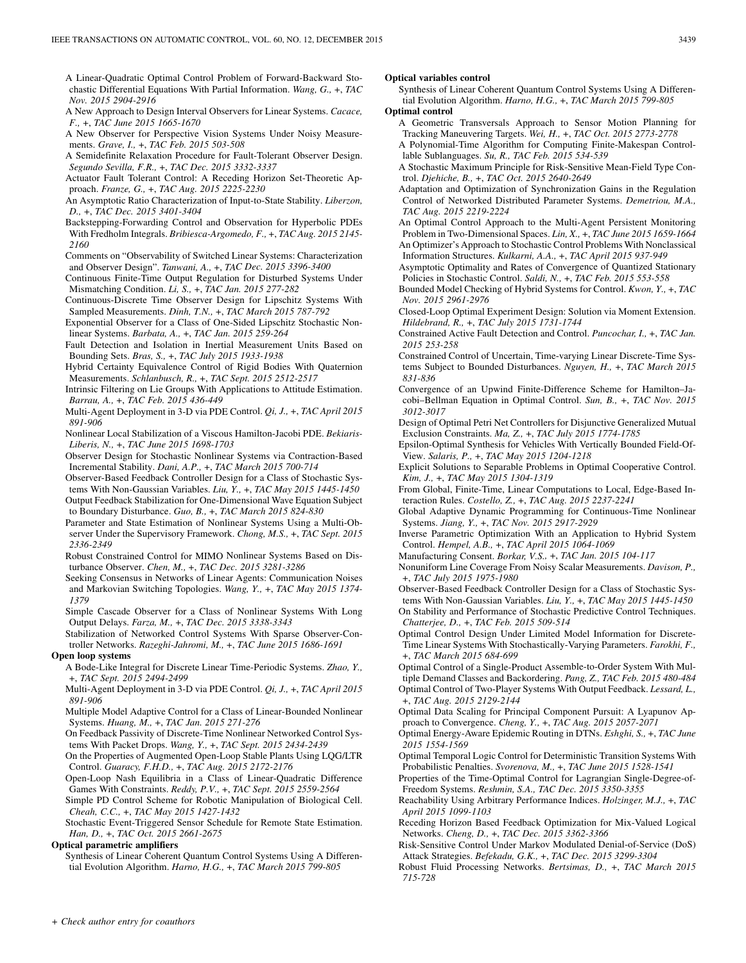A Linear-Quadratic Optimal Control Problem of Forward-Backward Stochastic Differential Equations With Partial Information. *Wang, G.,* +, *TAC Nov. 2015 2904-2916*

A New Approach to Design Interval Observers for Linear Systems. *Cacace, F.,* +, *TAC June 2015 1665-1670*

A New Observer for Perspective Vision Systems Under Noisy Measurements. *Grave, I.,* +, *TAC Feb. 2015 503-508*

A Semidefinite Relaxation Procedure for Fault-Tolerant Observer Design. *Segundo Sevilla, F.R.,* +, *TAC Dec. 2015 3332-3337*

Actuator Fault Tolerant Control: A Receding Horizon Set-Theoretic Approach. *Franze, G.,* +, *TAC Aug. 2015 2225-2230*

An Asymptotic Ratio Characterization of Input-to-State Stability. *Liberzon, D.,* +, *TAC Dec. 2015 3401-3404*

Backstepping-Forwarding Control and Observation for Hyperbolic PDEs With Fredholm Integrals. *Bribiesca-Argomedo, F.,* +, *TAC Aug. 2015 2145- 2160*

Comments on "Observability of Switched Linear Systems: Characterization and Observer Design". *Tanwani, A.,* +, *TAC Dec. 2015 3396-3400*

Continuous Finite-Time Output Regulation for Disturbed Systems Under Mismatching Condition. *Li, S.,* +, *TAC Jan. 2015 277-282*

Continuous-Discrete Time Observer Design for Lipschitz Systems With Sampled Measurements. *Dinh, T.N.,* +, *TAC March 2015 787-792*

Exponential Observer for a Class of One-Sided Lipschitz Stochastic Nonlinear Systems. *Barbata, A.,* +, *TAC Jan. 2015 259-264*

Fault Detection and Isolation in Inertial Measurement Units Based on Bounding Sets. *Bras, S.,* +, *TAC July 2015 1933-1938*

Hybrid Certainty Equivalence Control of Rigid Bodies With Quaternion Measurements. *Schlanbusch, R.,* +, *TAC Sept. 2015 2512-2517*

Intrinsic Filtering on Lie Groups With Applications to Attitude Estimation. *Barrau, A.,* +, *TAC Feb. 2015 436-449*

Multi-Agent Deployment in 3-D via PDE Control. *Qi, J.,* +, *TAC April 2015 891-906*

Nonlinear Local Stabilization of a Viscous Hamilton-Jacobi PDE. *Bekiaris-Liberis, N.,* +, *TAC June 2015 1698-1703*

Observer Design for Stochastic Nonlinear Systems via Contraction-Based Incremental Stability. *Dani, A.P.,* +, *TAC March 2015 700-714*

Observer-Based Feedback Controller Design for a Class of Stochastic Systems With Non-Gaussian Variables. *Liu, Y.,* +, *TAC May 2015 1445-1450* Output Feedback Stabilization for One-Dimensional Wave Equation Subject to Boundary Disturbance. *Guo, B.,* +, *TAC March 2015 824-830*

Parameter and State Estimation of Nonlinear Systems Using a Multi-Observer Under the Supervisory Framework. *Chong, M.S.,* +, *TAC Sept. 2015 2336-2349*

Robust Constrained Control for MIMO Nonlinear Systems Based on Disturbance Observer. *Chen, M.,* +, *TAC Dec. 2015 3281-3286*

Seeking Consensus in Networks of Linear Agents: Communication Noises and Markovian Switching Topologies. *Wang, Y.,* +, *TAC May 2015 1374- 1379*

Simple Cascade Observer for a Class of Nonlinear Systems With Long Output Delays. *Farza, M.,* +, *TAC Dec. 2015 3338-3343*

Stabilization of Networked Control Systems With Sparse Observer-Controller Networks. *Razeghi-Jahromi, M.,* +, *TAC June 2015 1686-1691*

# **Open loop systems**

A Bode-Like Integral for Discrete Linear Time-Periodic Systems. *Zhao, Y.,* +, *TAC Sept. 2015 2494-2499*

Multi-Agent Deployment in 3-D via PDE Control. *Qi, J.,* +, *TAC April 2015 891-906*

Multiple Model Adaptive Control for a Class of Linear-Bounded Nonlinear Systems. *Huang, M.,* +, *TAC Jan. 2015 271-276*

On Feedback Passivity of Discrete-Time Nonlinear Networked Control Systems With Packet Drops. *Wang, Y.,* +, *TAC Sept. 2015 2434-2439*

On the Properties of Augmented Open-Loop Stable Plants Using LQG/LTR Control. *Guaracy, F.H.D.,* +, *TAC Aug. 2015 2172-2176*

Open-Loop Nash Equilibria in a Class of Linear-Quadratic Difference Games With Constraints. *Reddy, P.V.,* +, *TAC Sept. 2015 2559-2564*

Simple PD Control Scheme for Robotic Manipulation of Biological Cell. *Cheah, C.C.,* +, *TAC May 2015 1427-1432*

Stochastic Event-Triggered Sensor Schedule for Remote State Estimation. *Han, D.,* +, *TAC Oct. 2015 2661-2675*

# **Optical parametric amplifiers**

Synthesis of Linear Coherent Quantum Control Systems Using A Differential Evolution Algorithm. *Harno, H.G.,* +, *TAC March 2015 799-805*

**Optical variables control**

Synthesis of Linear Coherent Quantum Control Systems Using A Differential Evolution Algorithm. *Harno, H.G.,* +, *TAC March 2015 799-805*

# **Optimal control**

A Geometric Transversals Approach to Sensor Motion Planning for Tracking Maneuvering Targets. *Wei, H.,* +, *TAC Oct. 2015 2773-2778*

A Polynomial-Time Algorithm for Computing Finite-Makespan Controllable Sublanguages. *Su, R., TAC Feb. 2015 534-539*

A Stochastic Maximum Principle for Risk-Sensitive Mean-Field Type Control. *Djehiche, B.,* +, *TAC Oct. 2015 2640-2649*

Adaptation and Optimization of Synchronization Gains in the Regulation Control of Networked Distributed Parameter Systems. *Demetriou, M.A., TAC Aug. 2015 2219-2224*

An Optimal Control Approach to the Multi-Agent Persistent Monitoring Problem in Two-Dimensional Spaces. *Lin, X.,* +, *TAC June 2015 1659-1664* An Optimizer's Approach to Stochastic Control Problems With Nonclassical Information Structures. *Kulkarni, A.A.,* +, *TAC April 2015 937-949*

Asymptotic Optimality and Rates of Convergence of Quantized Stationary Policies in Stochastic Control. *Saldi, N.,* +, *TAC Feb. 2015 553-558*

Bounded Model Checking of Hybrid Systems for Control. *Kwon, Y.,* +, *TAC Nov. 2015 2961-2976*

Closed-Loop Optimal Experiment Design: Solution via Moment Extension. *Hildebrand, R.,* +, *TAC July 2015 1731-1744*

Constrained Active Fault Detection and Control. *Puncochar, I.,* +, *TAC Jan. 2015 253-258*

Constrained Control of Uncertain, Time-varying Linear Discrete-Time Systems Subject to Bounded Disturbances. *Nguyen, H.,* +, *TAC March 2015 831-836*

Convergence of an Upwind Finite-Difference Scheme for Hamilton–Jacobi–Bellman Equation in Optimal Control. *Sun, B.,* +, *TAC Nov. 2015 3012-3017*

Design of Optimal Petri Net Controllers for Disjunctive Generalized Mutual Exclusion Constraints. *Ma, Z.,* +, *TAC July 2015 1774-1785*

Epsilon-Optimal Synthesis for Vehicles With Vertically Bounded Field-Of-View. *Salaris, P.,* +, *TAC May 2015 1204-1218*

Explicit Solutions to Separable Problems in Optimal Cooperative Control. *Kim, J.,* +, *TAC May 2015 1304-1319*

From Global, Finite-Time, Linear Computations to Local, Edge-Based Interaction Rules. *Costello, Z.,* +, *TAC Aug. 2015 2237-2241*

Global Adaptive Dynamic Programming for Continuous-Time Nonlinear Systems. *Jiang, Y.,* +, *TAC Nov. 2015 2917-2929*

Inverse Parametric Optimization With an Application to Hybrid System Control. *Hempel, A.B.,* +, *TAC April 2015 1064-1069*

Manufacturing Consent. *Borkar, V.S.,* +, *TAC Jan. 2015 104-117*

Nonuniform Line Coverage From Noisy Scalar Measurements. *Davison, P.,* +, *TAC July 2015 1975-1980*

Observer-Based Feedback Controller Design for a Class of Stochastic Systems With Non-Gaussian Variables. *Liu, Y.,* +, *TAC May 2015 1445-1450* On Stability and Performance of Stochastic Predictive Control Techniques. *Chatterjee, D.,* +, *TAC Feb. 2015 509-514*

Optimal Control Design Under Limited Model Information for Discrete-Time Linear Systems With Stochastically-Varying Parameters. *Farokhi, F.,* +, *TAC March 2015 684-699*

Optimal Control of a Single-Product Assemble-to-Order System With Multiple Demand Classes and Backordering. *Pang, Z., TAC Feb. 2015 480-484* Optimal Control of Two-Player Systems With Output Feedback. *Lessard, L.,* +, *TAC Aug. 2015 2129-2144*

Optimal Data Scaling for Principal Component Pursuit: A Lyapunov Approach to Convergence. *Cheng, Y.,* +, *TAC Aug. 2015 2057-2071*

Optimal Energy-Aware Epidemic Routing in DTNs. *Eshghi, S.,* +, *TAC June 2015 1554-1569*

Optimal Temporal Logic Control for Deterministic Transition Systems With Probabilistic Penalties. *Svorenova, M.,* +, *TAC June 2015 1528-1541*

Properties of the Time-Optimal Control for Lagrangian Single-Degree-of-Freedom Systems. *Reshmin, S.A., TAC Dec. 2015 3350-3355*

Reachability Using Arbitrary Performance Indices. *Holzinger, M.J.,* +, *TAC April 2015 1099-1103*

Receding Horizon Based Feedback Optimization for Mix-Valued Logical Networks. *Cheng, D.,* +, *TAC Dec. 2015 3362-3366*

Risk-Sensitive Control Under Markov Modulated Denial-of-Service (DoS) Attack Strategies. *Befekadu, G.K.,* +, *TAC Dec. 2015 3299-3304*

Robust Fluid Processing Networks. *Bertsimas, D.,* +, *TAC March 2015 715-728*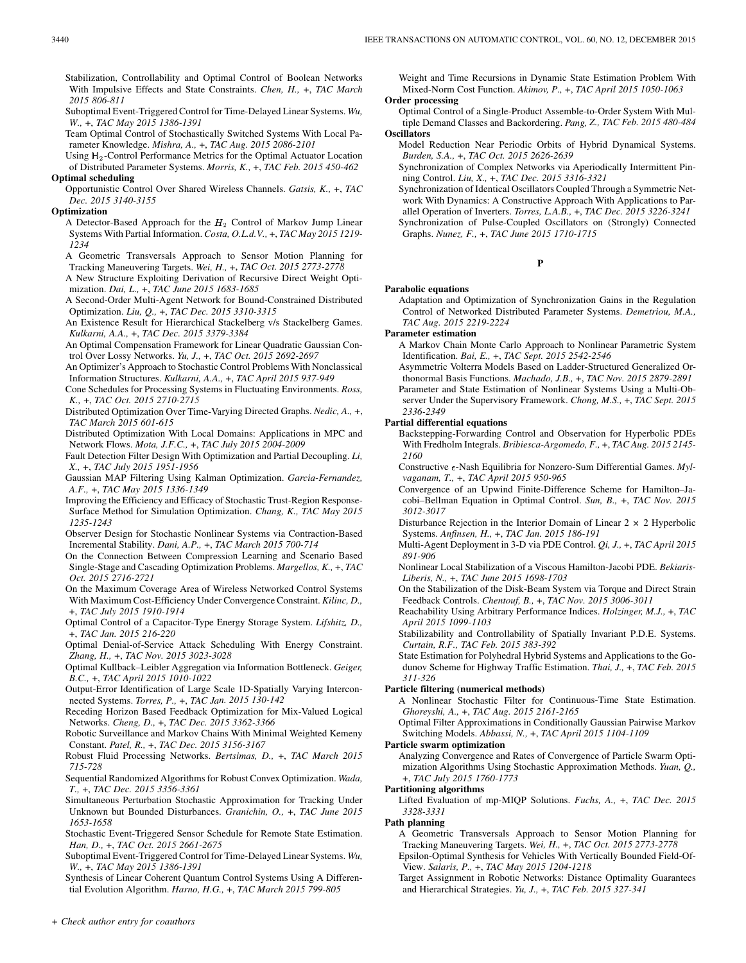Stabilization, Controllability and Optimal Control of Boolean Networks With Impulsive Effects and State Constraints. *Chen, H.,* +, *TAC March 2015 806-811*

Suboptimal Event-Triggered Control for Time-Delayed Linear Systems. *Wu, W.,* +, *TAC May 2015 1386-1391*

- Team Optimal Control of Stochastically Switched Systems With Local Parameter Knowledge. *Mishra, A.,* +, *TAC Aug. 2015 2086-2101*
- Using  $H_2$ -Control Performance Metrics for the Optimal Actuator Location of Distributed Parameter Systems. *Morris, K.,* +, *TAC Feb. 2015 450-462* **Optimal scheduling**
	- Opportunistic Control Over Shared Wireless Channels. *Gatsis, K.,* +, *TAC Dec. 2015 3140-3155*

# **Optimization**

A Detector-Based Approach for the  $H_2$  Control of Markov Jump Linear Systems With Partial Information. *Costa, O.L.d.V.,* +, *TAC May 2015 1219- 1234*

- A Geometric Transversals Approach to Sensor Motion Planning for Tracking Maneuvering Targets. *Wei, H.,* +, *TAC Oct. 2015 2773-2778*
- A New Structure Exploiting Derivation of Recursive Direct Weight Optimization. *Dai, L.,* +, *TAC June 2015 1683-1685*
- A Second-Order Multi-Agent Network for Bound-Constrained Distributed Optimization. *Liu, Q.,* +, *TAC Dec. 2015 3310-3315*
- An Existence Result for Hierarchical Stackelberg v/s Stackelberg Games. *Kulkarni, A.A.,* +, *TAC Dec. 2015 3379-3384*
- An Optimal Compensation Framework for Linear Quadratic Gaussian Control Over Lossy Networks. *Yu, J.,* +, *TAC Oct. 2015 2692-2697*
- An Optimizer's Approach to Stochastic Control Problems With Nonclassical Information Structures. *Kulkarni, A.A.,* +, *TAC April 2015 937-949*
- Cone Schedules for Processing Systems in Fluctuating Environments. *Ross, K.,* +, *TAC Oct. 2015 2710-2715*
- Distributed Optimization Over Time-Varying Directed Graphs. *Nedic, A.,* +, *TAC March 2015 601-615*
- Distributed Optimization With Local Domains: Applications in MPC and Network Flows. *Mota, J.F.C.,* +, *TAC July 2015 2004-2009*
- Fault Detection Filter Design With Optimization and Partial Decoupling. *Li, X.,* +, *TAC July 2015 1951-1956*

Gaussian MAP Filtering Using Kalman Optimization. *Garcia-Fernandez, A.F.,* +, *TAC May 2015 1336-1349*

- Improving the Efficiency and Efficacy of Stochastic Trust-Region Response-Surface Method for Simulation Optimization. *Chang, K., TAC May 2015 1235-1243*
- Observer Design for Stochastic Nonlinear Systems via Contraction-Based Incremental Stability. *Dani, A.P.,* +, *TAC March 2015 700-714*

On the Connection Between Compression Learning and Scenario Based Single-Stage and Cascading Optimization Problems. *Margellos, K.,* +, *TAC Oct. 2015 2716-2721*

- On the Maximum Coverage Area of Wireless Networked Control Systems With Maximum Cost-Efficiency Under Convergence Constraint. *Kilinc, D.,* +, *TAC July 2015 1910-1914*
- Optimal Control of a Capacitor-Type Energy Storage System. *Lifshitz, D.,* +, *TAC Jan. 2015 216-220*

Optimal Denial-of-Service Attack Scheduling With Energy Constraint. *Zhang, H.,* +, *TAC Nov. 2015 3023-3028*

Optimal Kullback–Leibler Aggregation via Information Bottleneck. *Geiger, B.C.,* +, *TAC April 2015 1010-1022*

Output-Error Identification of Large Scale 1D-Spatially Varying Interconnected Systems. *Torres, P.,* +, *TAC Jan. 2015 130-142*

Receding Horizon Based Feedback Optimization for Mix-Valued Logical Networks. *Cheng, D.,* +, *TAC Dec. 2015 3362-3366*

Robotic Surveillance and Markov Chains With Minimal Weighted Kemeny Constant. *Patel, R.,* +, *TAC Dec. 2015 3156-3167*

Robust Fluid Processing Networks. *Bertsimas, D.,* +, *TAC March 2015 715-728*

Sequential Randomized Algorithms for Robust Convex Optimization. *Wada*, *T.,* +, *TAC Dec. 2015 3356-3361*

Simultaneous Perturbation Stochastic Approximation for Tracking Under Unknown but Bounded Disturbances. *Granichin, O.,* +, *TAC June 2015 1653-1658*

Stochastic Event-Triggered Sensor Schedule for Remote State Estimation. *Han, D.,* +, *TAC Oct. 2015 2661-2675*

Suboptimal Event-Triggered Control for Time-Delayed Linear Systems. *Wu, W.,* +, *TAC May 2015 1386-1391*

Synthesis of Linear Coherent Quantum Control Systems Using A Differential Evolution Algorithm. *Harno, H.G.,* +, *TAC March 2015 799-805*

Weight and Time Recursions in Dynamic State Estimation Problem With Mixed-Norm Cost Function. *Akimov, P.,* +, *TAC April 2015 1050-1063*

**Order processing**

Optimal Control of a Single-Product Assemble-to-Order System With Multiple Demand Classes and Backordering. *Pang, Z., TAC Feb. 2015 480-484* **Oscillators**

Model Reduction Near Periodic Orbits of Hybrid Dynamical Systems. *Burden, S.A.,* +, *TAC Oct. 2015 2626-2639*

Synchronization of Complex Networks via Aperiodically Intermittent Pinning Control. *Liu, X.,* +, *TAC Dec. 2015 3316-3321*

Synchronization of Identical Oscillators Coupled Through a Symmetric Network With Dynamics: A Constructive Approach With Applications to Parallel Operation of Inverters. *Torres, L.A.B.,* +, *TAC Dec. 2015 3226-3241* Synchronization of Pulse-Coupled Oscillators on (Strongly) Connected Graphs. *Nunez, F.,* +, *TAC June 2015 1710-1715*

**P**

# **Parabolic equations**

Adaptation and Optimization of Synchronization Gains in the Regulation Control of Networked Distributed Parameter Systems. *Demetriou, M.A., TAC Aug. 2015 2219-2224*

# **Parameter estimation**

A Markov Chain Monte Carlo Approach to Nonlinear Parametric System Identification. *Bai, E.,* +, *TAC Sept. 2015 2542-2546*

Asymmetric Volterra Models Based on Ladder-Structured Generalized Orthonormal Basis Functions. *Machado, J.B.,* +, *TAC Nov. 2015 2879-2891* Parameter and State Estimation of Nonlinear Systems Using a Multi-Observer Under the Supervisory Framework. *Chong, M.S.,* +, *TAC Sept. 2015 2336-2349*

# **Partial differential equations**

Backstepping-Forwarding Control and Observation for Hyperbolic PDEs With Fredholm Integrals. *Bribiesca-Argomedo, F.,* +, *TAC Aug. 2015 2145- 2160*

Constructive  $\epsilon$ -Nash Equilibria for Nonzero-Sum Differential Games. *Mylvaganam, T.,* +, *TAC April 2015 950-965*

Convergence of an Upwind Finite-Difference Scheme for Hamilton–Jacobi–Bellman Equation in Optimal Control. *Sun, B.,* +, *TAC Nov. 2015 3012-3017*

Disturbance Rejection in the Interior Domain of Linear  $2 \times 2$  Hyperbolic Systems. *Anfinsen, H.,* +, *TAC Jan. 2015 186-191*

Multi-Agent Deployment in 3-D via PDE Control. *Qi, J.,* +, *TAC April 2015 891-906*

Nonlinear Local Stabilization of a Viscous Hamilton-Jacobi PDE. *Bekiaris-Liberis, N.,* +, *TAC June 2015 1698-1703*

On the Stabilization of the Disk-Beam System via Torque and Direct Strain Feedback Controls. *Chentouf, B.,* +, *TAC Nov. 2015 3006-3011*

Reachability Using Arbitrary Performance Indices. *Holzinger, M.J.,* +, *TAC April 2015 1099-1103*

Stabilizability and Controllability of Spatially Invariant P.D.E. Systems. *Curtain, R.F., TAC Feb. 2015 383-392*

State Estimation for Polyhedral Hybrid Systems and Applications to the Godunov Scheme for Highway Traffic Estimation. *Thai, J.,* +, *TAC Feb. 2015 311-326*

# **Particle filtering (numerical methods)**

A Nonlinear Stochastic Filter for Continuous-Time State Estimation. *Ghoreyshi, A.,* +, *TAC Aug. 2015 2161-2165*

Optimal Filter Approximations in Conditionally Gaussian Pairwise Markov Switching Models. *Abbassi, N.,* +, *TAC April 2015 1104-1109*

# **Particle swarm optimization**

Analyzing Convergence and Rates of Convergence of Particle Swarm Optimization Algorithms Using Stochastic Approximation Methods. *Yuan, Q.,* +, *TAC July 2015 1760-1773*

# **Partitioning algorithms**

Lifted Evaluation of mp-MIQP Solutions. *Fuchs, A.,* +, *TAC Dec. 2015 3328-3331*

# **Path planning**

A Geometric Transversals Approach to Sensor Motion Planning for Tracking Maneuvering Targets. *Wei, H.,* +, *TAC Oct. 2015 2773-2778*

Epsilon-Optimal Synthesis for Vehicles With Vertically Bounded Field-Of-View. *Salaris, P.,* +, *TAC May 2015 1204-1218*

Target Assignment in Robotic Networks: Distance Optimality Guarantees and Hierarchical Strategies. *Yu, J.,* +, *TAC Feb. 2015 327-341*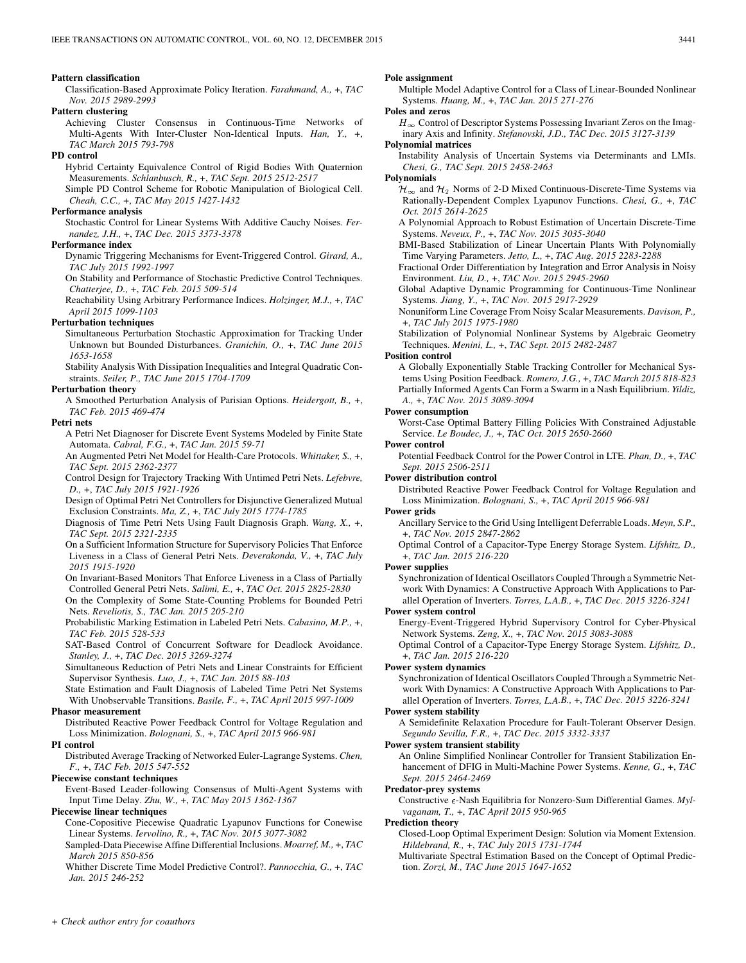#### **Pattern classification**

Classification-Based Approximate Policy Iteration. *Farahmand, A.,* +, *TAC Nov. 2015 2989-2993*

# **Pattern clustering**

Achieving Cluster Consensus in Continuous-Time Networks of Multi-Agents With Inter-Cluster Non-Identical Inputs. *Han, Y.,* +, *TAC March 2015 793-798*

#### **PD control**

Hybrid Certainty Equivalence Control of Rigid Bodies With Quaternion Measurements. *Schlanbusch, R.,* +, *TAC Sept. 2015 2512-2517*

Simple PD Control Scheme for Robotic Manipulation of Biological Cell. *Cheah, C.C.,* +, *TAC May 2015 1427-1432*

# **Performance analysis**

Stochastic Control for Linear Systems With Additive Cauchy Noises. *Fernandez, J.H.,* +, *TAC Dec. 2015 3373-3378*

# **Performance index**

Dynamic Triggering Mechanisms for Event-Triggered Control. *Girard, A., TAC July 2015 1992-1997*

On Stability and Performance of Stochastic Predictive Control Techniques. *Chatterjee, D.,* +, *TAC Feb. 2015 509-514*

Reachability Using Arbitrary Performance Indices. *Holzinger, M.J.,* +, *TAC April 2015 1099-1103*

# **Perturbation techniques**

Simultaneous Perturbation Stochastic Approximation for Tracking Under Unknown but Bounded Disturbances. *Granichin, O.,* +, *TAC June 2015 1653-1658*

Stability Analysis With Dissipation Inequalities and Integral Quadratic Constraints. *Seiler, P., TAC June 2015 1704-1709*

#### **Perturbation theory**

A Smoothed Perturbation Analysis of Parisian Options. *Heidergott, B.,* +, *TAC Feb. 2015 469-474*

# **Petri nets**

- A Petri Net Diagnoser for Discrete Event Systems Modeled by Finite State Automata. *Cabral, F.G.,* +, *TAC Jan. 2015 59-71*
- An Augmented Petri Net Model for Health-Care Protocols. *Whittaker, S.,* +, *TAC Sept. 2015 2362-2377*

Control Design for Trajectory Tracking With Untimed Petri Nets. *Lefebvre, D.,* +, *TAC July 2015 1921-1926*

Design of Optimal Petri Net Controllers for Disjunctive Generalized Mutual Exclusion Constraints. *Ma, Z.,* +, *TAC July 2015 1774-1785*

Diagnosis of Time Petri Nets Using Fault Diagnosis Graph. *Wang, X.,* +, *TAC Sept. 2015 2321-2335*

On a Sufficient Information Structure for Supervisory Policies That Enforce Liveness in a Class of General Petri Nets. *Deverakonda, V.,* +, *TAC July 2015 1915-1920*

On Invariant-Based Monitors That Enforce Liveness in a Class of Partially Controlled General Petri Nets. *Salimi, E.,* +, *TAC Oct. 2015 2825-2830*

On the Complexity of Some State-Counting Problems for Bounded Petri Nets. *Reveliotis, S., TAC Jan. 2015 205-210*

Probabilistic Marking Estimation in Labeled Petri Nets. *Cabasino, M.P.,* +, *TAC Feb. 2015 528-533*

SAT-Based Control of Concurrent Software for Deadlock Avoidance. *Stanley, J.,* +, *TAC Dec. 2015 3269-3274*

Simultaneous Reduction of Petri Nets and Linear Constraints for Efficient Supervisor Synthesis. *Luo, J.,* +, *TAC Jan. 2015 88-103*

State Estimation and Fault Diagnosis of Labeled Time Petri Net Systems With Unobservable Transitions. *Basile, F.,* +, *TAC April 2015 997-1009*

# **Phasor measurement**

Distributed Reactive Power Feedback Control for Voltage Regulation and Loss Minimization. *Bolognani, S.,* +, *TAC April 2015 966-981*

# **PI control**

Distributed Average Tracking of Networked Euler-Lagrange Systems. *Chen, F.,* +, *TAC Feb. 2015 547-552*

#### **Piecewise constant techniques**

Event-Based Leader-following Consensus of Multi-Agent Systems with Input Time Delay. *Zhu, W.,* +, *TAC May 2015 1362-1367*

# **Piecewise linear techniques**

Cone-Copositive Piecewise Quadratic Lyapunov Functions for Conewise Linear Systems. *Iervolino, R.,* +, *TAC Nov. 2015 3077-3082*

Sampled-Data Piecewise Affine Differential Inclusions. *Moarref, M.,* +, *TAC March 2015 850-856*

Whither Discrete Time Model Predictive Control?. *Pannocchia, G.,* +, *TAC Jan. 2015 246-252*

#### **Pole assignment**

Multiple Model Adaptive Control for a Class of Linear-Bounded Nonlinear Systems. *Huang, M.,* +, *TAC Jan. 2015 271-276*

# **Poles and zeros**

 $H_{\infty}$  Control of Descriptor Systems Possessing Invariant Zeros on the Imaginary Axis and Infinity. *Stefanovski, J.D., TAC Dec. 2015 3127-3139*

# **Polynomial matrices**

Instability Analysis of Uncertain Systems via Determinants and LMIs. *Chesi, G., TAC Sept. 2015 2458-2463*

#### **Polynomials**

 $\mathcal{H}_{\infty}$  and  $\mathcal{H}_{2}$  Norms of 2-D Mixed Continuous-Discrete-Time Systems via Rationally-Dependent Complex Lyapunov Functions. *Chesi, G.,* +, *TAC Oct. 2015 2614-2625*

A Polynomial Approach to Robust Estimation of Uncertain Discrete-Time Systems. *Neveux, P.,* +, *TAC Nov. 2015 3035-3040*

BMI-Based Stabilization of Linear Uncertain Plants With Polynomially Time Varying Parameters. *Jetto, L.,* +, *TAC Aug. 2015 2283-2288*

Fractional Order Differentiation by Integration and Error Analysis in Noisy Environment. *Liu, D.,* +, *TAC Nov. 2015 2945-2960*

Global Adaptive Dynamic Programming for Continuous-Time Nonlinear Systems. *Jiang, Y.,* +, *TAC Nov. 2015 2917-2929*

Nonuniform Line Coverage From Noisy Scalar Measurements. *Davison, P.,* +, *TAC July 2015 1975-1980*

Stabilization of Polynomial Nonlinear Systems by Algebraic Geometry Techniques. *Menini, L.,* +, *TAC Sept. 2015 2482-2487*

#### **Position control**

A Globally Exponentially Stable Tracking Controller for Mechanical Systems Using Position Feedback. *Romero, J.G.,* +, *TAC March 2015 818-823* Partially Informed Agents Can Form a Swarm in a Nash Equilibrium. *Yildiz, A.,* +, *TAC Nov. 2015 3089-3094*

#### **Power consumption**

Worst-Case Optimal Battery Filling Policies With Constrained Adjustable Service. *Le Boudec, J.,* +, *TAC Oct. 2015 2650-2660*

# **Power control**

Potential Feedback Control for the Power Control in LTE. *Phan, D.,* +, *TAC Sept. 2015 2506-2511*

# **Power distribution control**

Distributed Reactive Power Feedback Control for Voltage Regulation and Loss Minimization. *Bolognani, S.,* +, *TAC April 2015 966-981*

#### **Power grids**

Ancillary Service to the Grid Using Intelligent Deferrable Loads. *Meyn, S.P.,* +, *TAC Nov. 2015 2847-2862*

Optimal Control of a Capacitor-Type Energy Storage System. *Lifshitz, D.,* +, *TAC Jan. 2015 216-220*

# **Power supplies**

Synchronization of Identical Oscillators Coupled Through a Symmetric Network With Dynamics: A Constructive Approach With Applications to Parallel Operation of Inverters. *Torres, L.A.B.,* +, *TAC Dec. 2015 3226-3241*

# **Power system control**

Energy-Event-Triggered Hybrid Supervisory Control for Cyber-Physical Network Systems. *Zeng, X.,* +, *TAC Nov. 2015 3083-3088*

Optimal Control of a Capacitor-Type Energy Storage System. *Lifshitz, D.,* +, *TAC Jan. 2015 216-220*

# **Power system dynamics**

Synchronization of Identical Oscillators Coupled Through a Symmetric Network With Dynamics: A Constructive Approach With Applications to Parallel Operation of Inverters. *Torres, L.A.B.,* +, *TAC Dec. 2015 3226-3241*

#### **Power system stability**

A Semidefinite Relaxation Procedure for Fault-Tolerant Observer Design. *Segundo Sevilla, F.R.,* +, *TAC Dec. 2015 3332-3337*

#### **Power system transient stability**

An Online Simplified Nonlinear Controller for Transient Stabilization Enhancement of DFIG in Multi-Machine Power Systems. *Kenne, G.,* +, *TAC Sept. 2015 2464-2469*

#### **Predator-prey systems**

Constructive  $\epsilon$ -Nash Equilibria for Nonzero-Sum Differential Games. *Mylvaganam, T.,* +, *TAC April 2015 950-965*

# **Prediction theory**

Closed-Loop Optimal Experiment Design: Solution via Moment Extension. *Hildebrand, R.,* +, *TAC July 2015 1731-1744*

Multivariate Spectral Estimation Based on the Concept of Optimal Prediction. *Zorzi, M., TAC June 2015 1647-1652*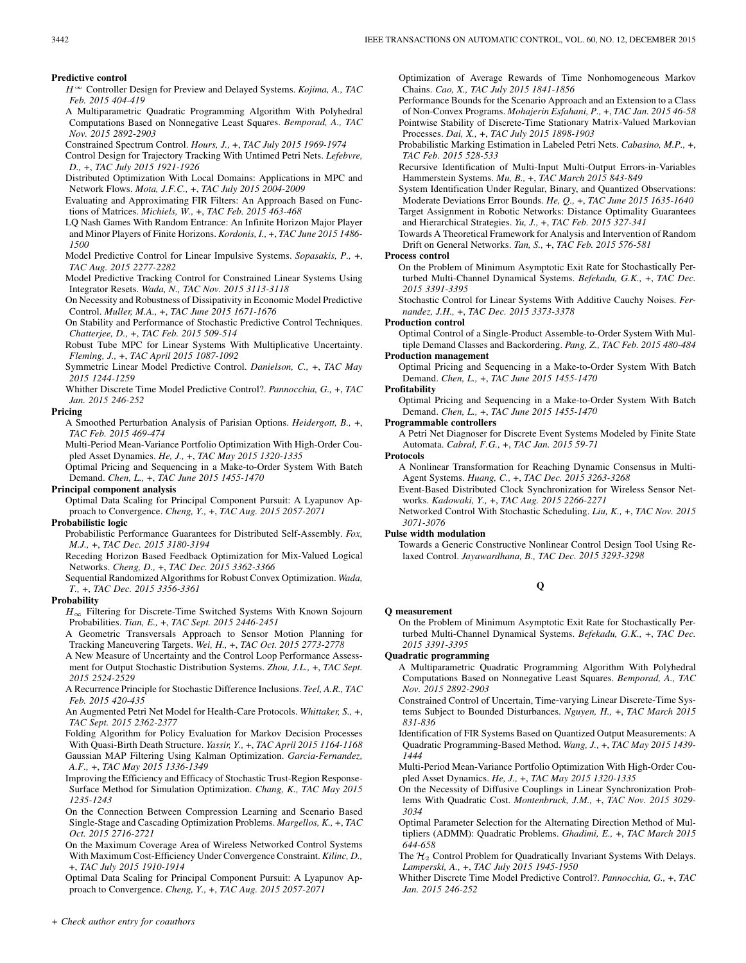# **Predictive control**

- Controller Design for Preview and Delayed Systems. *Kojima, A., TAC Feb. 2015 404-419*
- A Multiparametric Quadratic Programming Algorithm With Polyhedral Computations Based on Nonnegative Least Squares. *Bemporad, A., TAC Nov. 2015 2892-2903*
- Constrained Spectrum Control. *Hours, J.,* +, *TAC July 2015 1969-1974*

Control Design for Trajectory Tracking With Untimed Petri Nets. *Lefebvre, D.,* +, *TAC July 2015 1921-1926*

Distributed Optimization With Local Domains: Applications in MPC and Network Flows. *Mota, J.F.C.,* +, *TAC July 2015 2004-2009*

Evaluating and Approximating FIR Filters: An Approach Based on Functions of Matrices. *Michiels, W.,* +, *TAC Feb. 2015 463-468*

LQ Nash Games With Random Entrance: An Infinite Horizon Major Player and Minor Players of Finite Horizons. *Kordonis, I.,* +, *TAC June 2015 1486- 1500*

Model Predictive Control for Linear Impulsive Systems. *Sopasakis, P.,* +, *TAC Aug. 2015 2277-2282*

Model Predictive Tracking Control for Constrained Linear Systems Using Integrator Resets. *Wada, N., TAC Nov. 2015 3113-3118*

On Necessity and Robustness of Dissipativity in Economic Model Predictive Control. *Muller, M.A.,* +, *TAC June 2015 1671-1676*

On Stability and Performance of Stochastic Predictive Control Techniques. *Chatterjee, D.,* +, *TAC Feb. 2015 509-514*

Robust Tube MPC for Linear Systems With Multiplicative Uncertainty. *Fleming, J.,* +, *TAC April 2015 1087-1092*

Symmetric Linear Model Predictive Control. *Danielson, C.,* +, *TAC May 2015 1244-1259*

Whither Discrete Time Model Predictive Control?. *Pannocchia, G.,* +, *TAC Jan. 2015 246-252*

# **Pricing**

A Smoothed Perturbation Analysis of Parisian Options. *Heidergott, B.,* +, *TAC Feb. 2015 469-474*

Multi-Period Mean-Variance Portfolio Optimization With High-Order Coupled Asset Dynamics. *He, J.,* +, *TAC May 2015 1320-1335*

Optimal Pricing and Sequencing in a Make-to-Order System With Batch Demand. *Chen, L.,* +, *TAC June 2015 1455-1470*

#### **Principal component analysis**

Optimal Data Scaling for Principal Component Pursuit: A Lyapunov Approach to Convergence. *Cheng, Y.,* +, *TAC Aug. 2015 2057-2071*

# **Probabilistic logic**

Probabilistic Performance Guarantees for Distributed Self-Assembly. *Fox, M.J.,* +, *TAC Dec. 2015 3180-3194*

Receding Horizon Based Feedback Optimization for Mix-Valued Logical Networks. *Cheng, D.,* +, *TAC Dec. 2015 3362-3366*

Sequential Randomized Algorithms for Robust Convex Optimization. *Wada, T.,* +, *TAC Dec. 2015 3356-3361*

# **Probability**

 $H_{\infty}$  Filtering for Discrete-Time Switched Systems With Known Sojourn Probabilities. *Tian, E.,* +, *TAC Sept. 2015 2446-2451*

A Geometric Transversals Approach to Sensor Motion Planning for Tracking Maneuvering Targets. *Wei, H.,* +, *TAC Oct. 2015 2773-2778*

A New Measure of Uncertainty and the Control Loop Performance Assessment for Output Stochastic Distribution Systems. *Zhou, J.L.,* +, *TAC Sept. 2015 2524-2529*

A Recurrence Principle for Stochastic Difference Inclusions. *Teel, A.R., TAC Feb. 2015 420-435*

An Augmented Petri Net Model for Health-Care Protocols. *Whittaker, S.,* +, *TAC Sept. 2015 2362-2377*

Folding Algorithm for Policy Evaluation for Markov Decision Processes With Quasi-Birth Death Structure. *Yassir, Y.,* +, *TAC April 2015 1164-1168* Gaussian MAP Filtering Using Kalman Optimization. *Garcia-Fernandez,*

*A.F.,* +, *TAC May 2015 1336-1349* Improving the Efficiency and Efficacy of Stochastic Trust-Region Response-Surface Method for Simulation Optimization. *Chang, K., TAC May 2015 1235-1243*

On the Connection Between Compression Learning and Scenario Based Single-Stage and Cascading Optimization Problems. *Margellos, K.,* +, *TAC Oct. 2015 2716-2721*

On the Maximum Coverage Area of Wireless Networked Control Systems With Maximum Cost-Efficiency Under Convergence Constraint. *Kilinc, D.,* +, *TAC July 2015 1910-1914*

Optimal Data Scaling for Principal Component Pursuit: A Lyapunov Approach to Convergence. *Cheng, Y.,* +, *TAC Aug. 2015 2057-2071*

*+ Check author entry for coauthors*

Optimization of Average Rewards of Time Nonhomogeneous Markov Chains. *Cao, X., TAC July 2015 1841-1856*

Performance Bounds for the Scenario Approach and an Extension to a Class of Non-Convex Programs. *Mohajerin Esfahani, P.,* +, *TAC Jan. 2015 46-58* Pointwise Stability of Discrete-Time Stationary Matrix-Valued Markovian Processes. *Dai, X.,* +, *TAC July 2015 1898-1903*

Probabilistic Marking Estimation in Labeled Petri Nets. *Cabasino, M.P.,* +, *TAC Feb. 2015 528-533*

Recursive Identification of Multi-Input Multi-Output Errors-in-Variables Hammerstein Systems. *Mu, B.,* +, *TAC March 2015 843-849*

System Identification Under Regular, Binary, and Quantized Observations: Moderate Deviations Error Bounds. *He, Q.,* +, *TAC June 2015 1635-1640* Target Assignment in Robotic Networks: Distance Optimality Guarantees and Hierarchical Strategies. *Yu, J.,* +, *TAC Feb. 2015 327-341*

Towards A Theoretical Framework for Analysis and Intervention of Random Drift on General Networks. *Tan, S.,* +, *TAC Feb. 2015 576-581*

#### **Process control**

On the Problem of Minimum Asymptotic Exit Rate for Stochastically Perturbed Multi-Channel Dynamical Systems. *Befekadu, G.K.,* +, *TAC Dec. 2015 3391-3395*

Stochastic Control for Linear Systems With Additive Cauchy Noises. *Fernandez, J.H.,* +, *TAC Dec. 2015 3373-3378*

#### **Production control**

Optimal Control of a Single-Product Assemble-to-Order System With Multiple Demand Classes and Backordering. *Pang, Z., TAC Feb. 2015 480-484* **Production management**

Optimal Pricing and Sequencing in a Make-to-Order System With Batch Demand. *Chen, L.,* +, *TAC June 2015 1455-1470*

# **Profitability**

Optimal Pricing and Sequencing in a Make-to-Order System With Batch Demand. *Chen, L.,* +, *TAC June 2015 1455-1470*

# **Programmable controllers**

A Petri Net Diagnoser for Discrete Event Systems Modeled by Finite State Automata. *Cabral, F.G.,* +, *TAC Jan. 2015 59-71*

# **Protocols**

A Nonlinear Transformation for Reaching Dynamic Consensus in Multi-Agent Systems. *Huang, C.,* +, *TAC Dec. 2015 3263-3268*

Event-Based Distributed Clock Synchronization for Wireless Sensor Networks. *Kadowaki, Y.,* +, *TAC Aug. 2015 2266-2271*

Networked Control With Stochastic Scheduling. *Liu, K.,* +, *TAC Nov. 2015 3071-3076*

#### **Pulse width modulation**

Towards a Generic Constructive Nonlinear Control Design Tool Using Relaxed Control. *Jayawardhana, B., TAC Dec. 2015 3293-3298*

# **Q**

# **Q measurement**

On the Problem of Minimum Asymptotic Exit Rate for Stochastically Perturbed Multi-Channel Dynamical Systems. *Befekadu, G.K.,* +, *TAC Dec. 2015 3391-3395*

# **Quadratic programming**

A Multiparametric Quadratic Programming Algorithm With Polyhedral Computations Based on Nonnegative Least Squares. *Bemporad, A., TAC Nov. 2015 2892-2903*

- Constrained Control of Uncertain, Time-varying Linear Discrete-Time Systems Subject to Bounded Disturbances. *Nguyen, H.,* +, *TAC March 2015 831-836*
- Identification of FIR Systems Based on Quantized Output Measurements: A Quadratic Programming-Based Method. *Wang, J.,* +, *TAC May 2015 1439- 1444*
- Multi-Period Mean-Variance Portfolio Optimization With High-Order Coupled Asset Dynamics. *He, J.,* +, *TAC May 2015 1320-1335*
- On the Necessity of Diffusive Couplings in Linear Synchronization Problems With Quadratic Cost. *Montenbruck, J.M.,* +, *TAC Nov. 2015 3029- 3034*
- Optimal Parameter Selection for the Alternating Direction Method of Multipliers (ADMM): Quadratic Problems. *Ghadimi, E.,* +, *TAC March 2015 644-658*
- The  $\mathcal{H}_2$  Control Problem for Quadratically Invariant Systems With Delays. *Lamperski, A.,* +, *TAC July 2015 1945-1950*
- Whither Discrete Time Model Predictive Control?. *Pannocchia, G.,* +, *TAC Jan. 2015 246-252*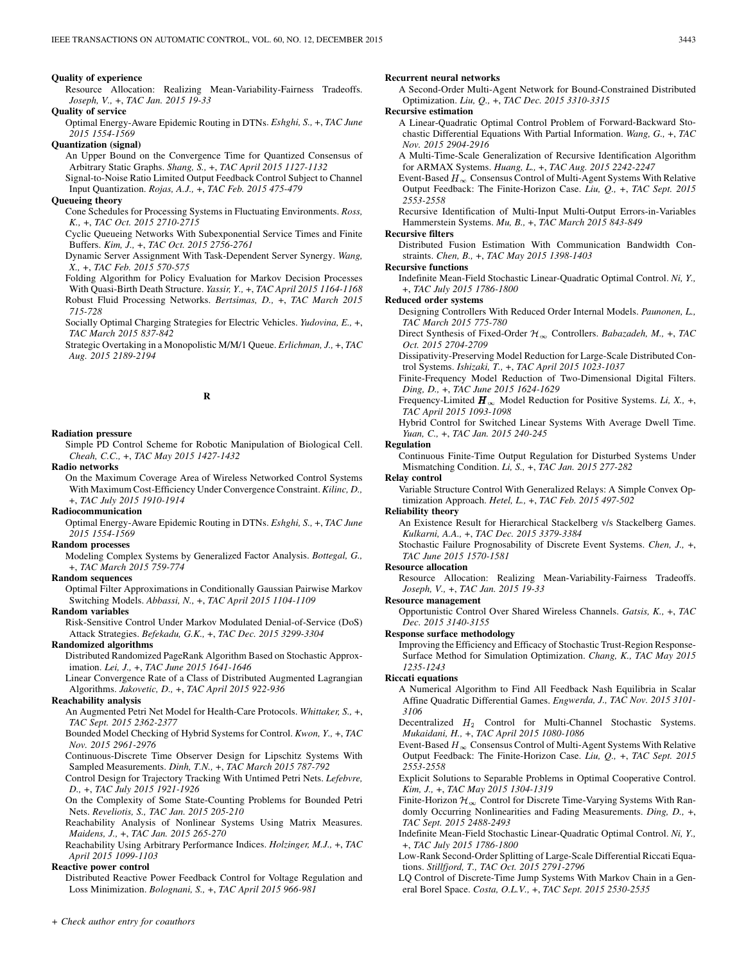# **Quality of experience**

Resource Allocation: Realizing Mean-Variability-Fairness Tradeoffs. *Joseph, V.,* +, *TAC Jan. 2015 19-33*

**Quality of service**

Optimal Energy-Aware Epidemic Routing in DTNs. *Eshghi, S.,* +, *TAC June 2015 1554-1569*

# **Quantization (signal)**

An Upper Bound on the Convergence Time for Quantized Consensus of Arbitrary Static Graphs. *Shang, S.,* +, *TAC April 2015 1127-1132*

Signal-to-Noise Ratio Limited Output Feedback Control Subject to Channel Input Quantization. *Rojas, A.J.,* +, *TAC Feb. 2015 475-479*

# **Queueing theory**

Cone Schedules for Processing Systems in Fluctuating Environments. *Ross, K.,* +, *TAC Oct. 2015 2710-2715*

Cyclic Queueing Networks With Subexponential Service Times and Finite Buffers. *Kim, J.,* +, *TAC Oct. 2015 2756-2761*

Dynamic Server Assignment With Task-Dependent Server Synergy. *Wang, X.,* +, *TAC Feb. 2015 570-575*

Folding Algorithm for Policy Evaluation for Markov Decision Processes With Quasi-Birth Death Structure. *Yassir, Y.,* +, *TAC April 2015 1164-1168* Robust Fluid Processing Networks. *Bertsimas, D.,* +, *TAC March 2015 715-728*

Socially Optimal Charging Strategies for Electric Vehicles. *Yudovina, E.,* +, *TAC March 2015 837-842*

Strategic Overtaking in a Monopolistic M/M/1 Queue. *Erlichman, J.,* +, *TAC Aug. 2015 2189-2194*

# **Radiation pressure**

Simple PD Control Scheme for Robotic Manipulation of Biological Cell. *Cheah, C.C.,* +, *TAC May 2015 1427-1432*

# **Radio networks**

On the Maximum Coverage Area of Wireless Networked Control Systems With Maximum Cost-Efficiency Under Convergence Constraint. *Kilinc, D.,* +, *TAC July 2015 1910-1914*

#### **Radiocommunication**

Optimal Energy-Aware Epidemic Routing in DTNs. *Eshghi, S.,* +, *TAC June 2015 1554-1569*

# **Random processes**

Modeling Complex Systems by Generalized Factor Analysis. *Bottegal, G.,* +, *TAC March 2015 759-774*

#### **Random sequences**

Optimal Filter Approximations in Conditionally Gaussian Pairwise Markov Switching Models. *Abbassi, N.,* +, *TAC April 2015 1104-1109*

# **Random variables**

Risk-Sensitive Control Under Markov Modulated Denial-of-Service (DoS) Attack Strategies. *Befekadu, G.K.,* +, *TAC Dec. 2015 3299-3304*

# **Randomized algorithms**

Distributed Randomized PageRank Algorithm Based on Stochastic Approximation. *Lei, J.,* +, *TAC June 2015 1641-1646*

Linear Convergence Rate of a Class of Distributed Augmented Lagrangian Algorithms. *Jakovetic, D.,* +, *TAC April 2015 922-936*

#### **Reachability analysis**

An Augmented Petri Net Model for Health-Care Protocols. *Whittaker, S.,* +, *TAC Sept. 2015 2362-2377*

Bounded Model Checking of Hybrid Systems for Control. *Kwon, Y.,* +, *TAC Nov. 2015 2961-2976*

- Continuous-Discrete Time Observer Design for Lipschitz Systems With Sampled Measurements. *Dinh, T.N.,* +, *TAC March 2015 787-792*
- Control Design for Trajectory Tracking With Untimed Petri Nets. *Lefebvre, D.,* +, *TAC July 2015 1921-1926*

On the Complexity of Some State-Counting Problems for Bounded Petri Nets. *Reveliotis, S., TAC Jan. 2015 205-210*

Reachability Analysis of Nonlinear Systems Using Matrix Measures. *Maidens, J.,* +, *TAC Jan. 2015 265-270*

Reachability Using Arbitrary Performance Indices. *Holzinger, M.J.,* +, *TAC April 2015 1099-1103*

#### **Reactive power control**

Distributed Reactive Power Feedback Control for Voltage Regulation and Loss Minimization. *Bolognani, S.,* +, *TAC April 2015 966-981*

A Second-Order Multi-Agent Network for Bound-Constrained Distributed Optimization. *Liu, Q.,* +, *TAC Dec. 2015 3310-3315*

# **Recursive estimation**

A Linear-Quadratic Optimal Control Problem of Forward-Backward Stochastic Differential Equations With Partial Information. *Wang, G.,* +, *TAC Nov. 2015 2904-2916*

A Multi-Time-Scale Generalization of Recursive Identification Algorithm for ARMAX Systems. *Huang, L.,* +, *TAC Aug. 2015 2242-2247*

Event-Based  $H_{\infty}$  Consensus Control of Multi-Agent Systems With Relative Output Feedback: The Finite-Horizon Case. *Liu, Q.,* +, *TAC Sept. 2015 2553-2558*

Recursive Identification of Multi-Input Multi-Output Errors-in-Variables Hammerstein Systems. *Mu, B.,* +, *TAC March 2015 843-849*

# **Recursive filters**

Distributed Fusion Estimation With Communication Bandwidth Constraints. *Chen, B.,* +, *TAC May 2015 1398-1403*

#### **Recursive functions**

Indefinite Mean-Field Stochastic Linear-Quadratic Optimal Control. *Ni, Y.,* +, *TAC July 2015 1786-1800*

#### **Reduced order systems**

Designing Controllers With Reduced Order Internal Models. *Paunonen, L., TAC March 2015 775-780*

Direct Synthesis of Fixed-Order  $\mathcal{H}_{\infty}$  Controllers. *Babazadeh, M., +, TAC Oct. 2015 2704-2709*

Dissipativity-Preserving Model Reduction for Large-Scale Distributed Control Systems. *Ishizaki, T.,* +, *TAC April 2015 1023-1037*

Finite-Frequency Model Reduction of Two-Dimensional Digital Filters. *Ding, D.,* +, *TAC June 2015 1624-1629*

- Frequency-Limited  $\boldsymbol{H}_{\infty}$  Model Reduction for Positive Systems. *Li, X.*, +, *TAC April 2015 1093-1098*
- Hybrid Control for Switched Linear Systems With Average Dwell Time. *Yuan, C.,* +, *TAC Jan. 2015 240-245*

# **Regulation**

Continuous Finite-Time Output Regulation for Disturbed Systems Under Mismatching Condition. *Li, S.,* +, *TAC Jan. 2015 277-282*

**Relay control**

Variable Structure Control With Generalized Relays: A Simple Convex Optimization Approach. *Hetel, L.,* +, *TAC Feb. 2015 497-502*

#### **Reliability theory**

An Existence Result for Hierarchical Stackelberg v/s Stackelberg Games. *Kulkarni, A.A.,* +, *TAC Dec. 2015 3379-3384*

Stochastic Failure Prognosability of Discrete Event Systems. *Chen, J.,* +, *TAC June 2015 1570-1581*

#### **Resource allocation**

Resource Allocation: Realizing Mean-Variability-Fairness Tradeoffs. *Joseph, V.,* +, *TAC Jan. 2015 19-33*

# **Resource management**

Opportunistic Control Over Shared Wireless Channels. *Gatsis, K.,* +, *TAC Dec. 2015 3140-3155*

#### **Response surface methodology**

Improving the Efficiency and Efficacy of Stochastic Trust-Region Response-Surface Method for Simulation Optimization. *Chang, K., TAC May 2015 1235-1243*

# **Riccati equations**

A Numerical Algorithm to Find All Feedback Nash Equilibria in Scalar Affine Quadratic Differential Games. *Engwerda, J., TAC Nov. 2015 3101- 3106*

Decentralized  $H_2$  Control for Multi-Channel Stochastic Systems. *Mukaidani, H.,* +, *TAC April 2015 1080-1086*

Event-Based  $H_{\infty}$  Consensus Control of Multi-Agent Systems With Relative Output Feedback: The Finite-Horizon Case. *Liu, Q.,* +, *TAC Sept. 2015 2553-2558*

- Explicit Solutions to Separable Problems in Optimal Cooperative Control. *Kim, J.,* +, *TAC May 2015 1304-1319*
- Finite-Horizon  $\mathcal{H}_{\infty}$  Control for Discrete Time-Varying Systems With Randomly Occurring Nonlinearities and Fading Measurements. *Ding, D.,* +, *TAC Sept. 2015 2488-2493*
- Indefinite Mean-Field Stochastic Linear-Quadratic Optimal Control. *Ni, Y.,* +, *TAC July 2015 1786-1800*
- Low-Rank Second-Order Splitting of Large-Scale Differential Riccati Equations. *Stillfjord, T., TAC Oct. 2015 2791-2796*
- LQ Control of Discrete-Time Jump Systems With Markov Chain in a General Borel Space. *Costa, O.L.V.,* +, *TAC Sept. 2015 2530-2535*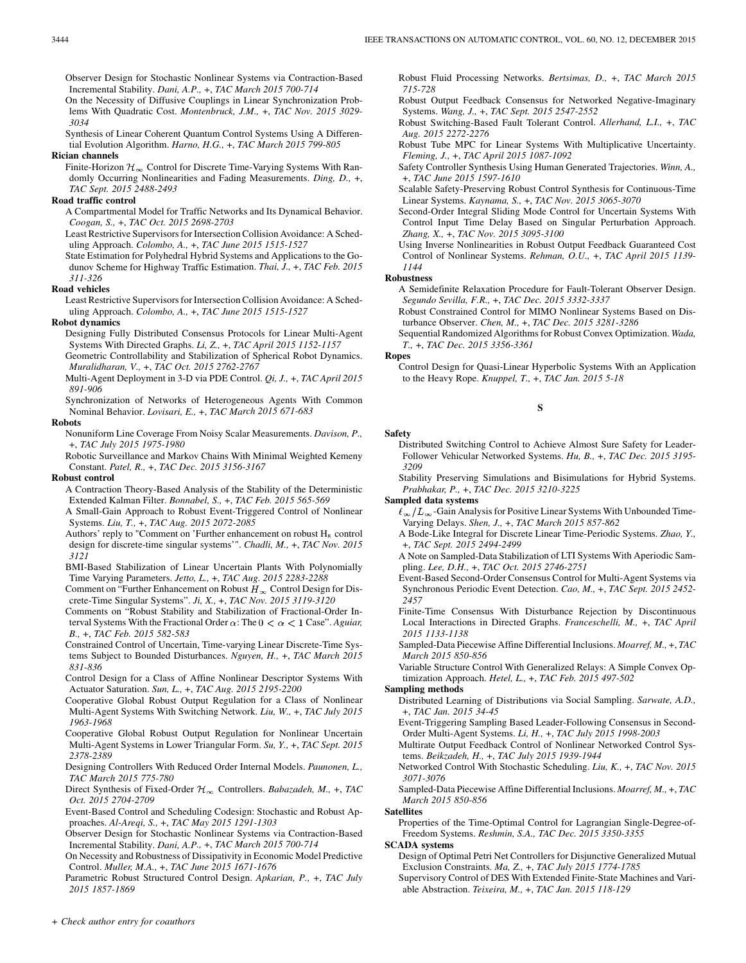Observer Design for Stochastic Nonlinear Systems via Contraction-Based Incremental Stability. *Dani, A.P.,* +, *TAC March 2015 700-714*

On the Necessity of Diffusive Couplings in Linear Synchronization Problems With Quadratic Cost. *Montenbruck, J.M.,* +, *TAC Nov. 2015 3029- 3034*

Synthesis of Linear Coherent Quantum Control Systems Using A Differential Evolution Algorithm. *Harno, H.G.,* +, *TAC March 2015 799-805*

# **Rician channels**

Finite-Horizon  $\mathcal{H}_{\infty}$  Control for Discrete Time-Varying Systems With Randomly Occurring Nonlinearities and Fading Measurements. *Ding, D.,* +, *TAC Sept. 2015 2488-2493*

#### **Road traffic control**

A Compartmental Model for Traffic Networks and Its Dynamical Behavior. *Coogan, S.,* +, *TAC Oct. 2015 2698-2703*

Least Restrictive Supervisors for Intersection Collision Avoidance: A Scheduling Approach. *Colombo, A.,* +, *TAC June 2015 1515-1527*

State Estimation for Polyhedral Hybrid Systems and Applications to the Godunov Scheme for Highway Traffic Estimation. *Thai, J.,* +, *TAC Feb. 2015 311-326*

# **Road vehicles**

Least Restrictive Supervisors for Intersection Collision Avoidance: A Scheduling Approach. *Colombo, A.,* +, *TAC June 2015 1515-1527*

#### **Robot dynamics**

Designing Fully Distributed Consensus Protocols for Linear Multi-Agent Systems With Directed Graphs. *Li, Z.,* +, *TAC April 2015 1152-1157*

Geometric Controllability and Stabilization of Spherical Robot Dynamics. *Muralidharan, V.,* +, *TAC Oct. 2015 2762-2767*

Multi-Agent Deployment in 3-D via PDE Control. *Qi, J.,* +, *TAC April 2015 891-906*

Synchronization of Networks of Heterogeneous Agents With Common Nominal Behavior. *Lovisari, E.,* +, *TAC March 2015 671-683*

#### **Robots**

Nonuniform Line Coverage From Noisy Scalar Measurements. *Davison, P.,* +, *TAC July 2015 1975-1980*

Robotic Surveillance and Markov Chains With Minimal Weighted Kemeny Constant. *Patel, R.,* +, *TAC Dec. 2015 3156-3167*

#### **Robust control**

A Contraction Theory-Based Analysis of the Stability of the Deterministic Extended Kalman Filter. *Bonnabel, S.,* +, *TAC Feb. 2015 565-569*

A Small-Gain Approach to Robust Event-Triggered Control of Nonlinear Systems. *Liu, T.,* +, *TAC Aug. 2015 2072-2085*

Authors' reply to "Comment on 'Further enhancement on robust  $H_8$  control design for discrete-time singular systems'". *Chadli, M.,* +, *TAC Nov. 2015 3121*

BMI-Based Stabilization of Linear Uncertain Plants With Polynomially Time Varying Parameters. *Jetto, L.,* +, *TAC Aug. 2015 2283-2288*

Comment on "Further Enhancement on Robust  $H_{\infty}$  Control Design for Discrete-Time Singular Systems". *Ji, X.,* +, *TAC Nov. 2015 3119-3120*

Comments on "Robust Stability and Stabilization of Fractional-Order Interval Systems With the Fractional Order  $\alpha$ : The  $0 < \alpha < 1$  Case". *Aguiar*, *B.,* +, *TAC Feb. 2015 582-583*

Constrained Control of Uncertain, Time-varying Linear Discrete-Time Systems Subject to Bounded Disturbances. *Nguyen, H.,* +, *TAC March 2015 831-836*

Control Design for a Class of Affine Nonlinear Descriptor Systems With Actuator Saturation. *Sun, L.,* +, *TAC Aug. 2015 2195-2200*

Cooperative Global Robust Output Regulation for a Class of Nonlinear Multi-Agent Systems With Switching Network. *Liu, W.,* +, *TAC July 2015 1963-1968*

Cooperative Global Robust Output Regulation for Nonlinear Uncertain Multi-Agent Systems in Lower Triangular Form. *Su, Y.,* +, *TAC Sept. 2015 2378-2389*

Designing Controllers With Reduced Order Internal Models. *Paunonen, L., TAC March 2015 775-780*

Direct Synthesis of Fixed-Order  $\mathcal{H}_{\infty}$  Controllers. *Babazadeh, M.,* +, *TAC Oct. 2015 2704-2709*

Event-Based Control and Scheduling Codesign: Stochastic and Robust Approaches. *Al-Areqi, S.,* +, *TAC May 2015 1291-1303*

Observer Design for Stochastic Nonlinear Systems via Contraction-Based Incremental Stability. *Dani, A.P.,* +, *TAC March 2015 700-714*

On Necessity and Robustness of Dissipativity in Economic Model Predictive Control. *Muller, M.A.,* +, *TAC June 2015 1671-1676*

Parametric Robust Structured Control Design. *Apkarian, P.,* +, *TAC July 2015 1857-1869*

Robust Fluid Processing Networks. *Bertsimas, D.,* +, *TAC March 2015 715-728*

Robust Output Feedback Consensus for Networked Negative-Imaginary Systems. *Wang, J.,* +, *TAC Sept. 2015 2547-2552*

Robust Switching-Based Fault Tolerant Control. *Allerhand, L.I.,* +, *TAC Aug. 2015 2272-2276*

Robust Tube MPC for Linear Systems With Multiplicative Uncertainty. *Fleming, J.,* +, *TAC April 2015 1087-1092*

Safety Controller Synthesis Using Human Generated Trajectories. *Winn, A.,* +, *TAC June 2015 1597-1610*

Scalable Safety-Preserving Robust Control Synthesis for Continuous-Time Linear Systems. *Kaynama, S.,* +, *TAC Nov. 2015 3065-3070*

Second-Order Integral Sliding Mode Control for Uncertain Systems With Control Input Time Delay Based on Singular Perturbation Approach. *Zhang, X.,* +, *TAC Nov. 2015 3095-3100*

Using Inverse Nonlinearities in Robust Output Feedback Guaranteed Cost Control of Nonlinear Systems. *Rehman, O.U.,* +, *TAC April 2015 1139- 1144*

#### **Robustness**

A Semidefinite Relaxation Procedure for Fault-Tolerant Observer Design. *Segundo Sevilla, F.R.,* +, *TAC Dec. 2015 3332-3337*

Robust Constrained Control for MIMO Nonlinear Systems Based on Disturbance Observer. *Chen, M.,* +, *TAC Dec. 2015 3281-3286*

Sequential Randomized Algorithms for Robust Convex Optimization. *Wada, T.,* +, *TAC Dec. 2015 3356-3361*

**Ropes**

**Safety**

Control Design for Quasi-Linear Hyperbolic Systems With an Application to the Heavy Rope. *Knuppel, T.,* +, *TAC Jan. 2015 5-18*

# **S**

Distributed Switching Control to Achieve Almost Sure Safety for Leader-Follower Vehicular Networked Systems. *Hu, B.,* +, *TAC Dec. 2015 3195- 3209*

Stability Preserving Simulations and Bisimulations for Hybrid Systems. *Prabhakar, P.,* +, *TAC Dec. 2015 3210-3225*

**Sampled data systems**

 $\ell_{\infty}/L_{\infty}$ -Gain Analysis for Positive Linear Systems With Unbounded Time-Varying Delays. *Shen, J.,* +, *TAC March 2015 857-862*

A Bode-Like Integral for Discrete Linear Time-Periodic Systems. *Zhao, Y.,* +, *TAC Sept. 2015 2494-2499*

A Note on Sampled-Data Stabilization of LTI Systems With Aperiodic Sampling. *Lee, D.H.,* +, *TAC Oct. 2015 2746-2751*

Event-Based Second-Order Consensus Control for Multi-Agent Systems via Synchronous Periodic Event Detection. *Cao, M.,* +, *TAC Sept. 2015 2452- 2457*

Finite-Time Consensus With Disturbance Rejection by Discontinuous Local Interactions in Directed Graphs. *Franceschelli, M.,* +, *TAC April 2015 1133-1138*

Sampled-Data Piecewise Affine Differential Inclusions. *Moarref, M.,* +, *TAC March 2015 850-856*

Variable Structure Control With Generalized Relays: A Simple Convex Optimization Approach. *Hetel, L.,* +, *TAC Feb. 2015 497-502*

#### **Sampling methods**

Distributed Learning of Distributions via Social Sampling. *Sarwate, A.D.,* +, *TAC Jan. 2015 34-45*

Event-Triggering Sampling Based Leader-Following Consensus in Second-Order Multi-Agent Systems. *Li, H.,* +, *TAC July 2015 1998-2003*

Multirate Output Feedback Control of Nonlinear Networked Control Systems. *Beikzadeh, H.,* +, *TAC July 2015 1939-1944*

Networked Control With Stochastic Scheduling. *Liu, K.,* +, *TAC Nov. 2015 3071-3076*

Sampled-Data Piecewise Affine Differential Inclusions. *Moarref, M.,* +, *TAC March 2015 850-856*

#### **Satellites**

Properties of the Time-Optimal Control for Lagrangian Single-Degree-of-Freedom Systems. *Reshmin, S.A., TAC Dec. 2015 3350-3355*

#### **SCADA systems**

Design of Optimal Petri Net Controllers for Disjunctive Generalized Mutual Exclusion Constraints. *Ma, Z.,* +, *TAC July 2015 1774-1785*

Supervisory Control of DES With Extended Finite-State Machines and Variable Abstraction. *Teixeira, M.,* +, *TAC Jan. 2015 118-129*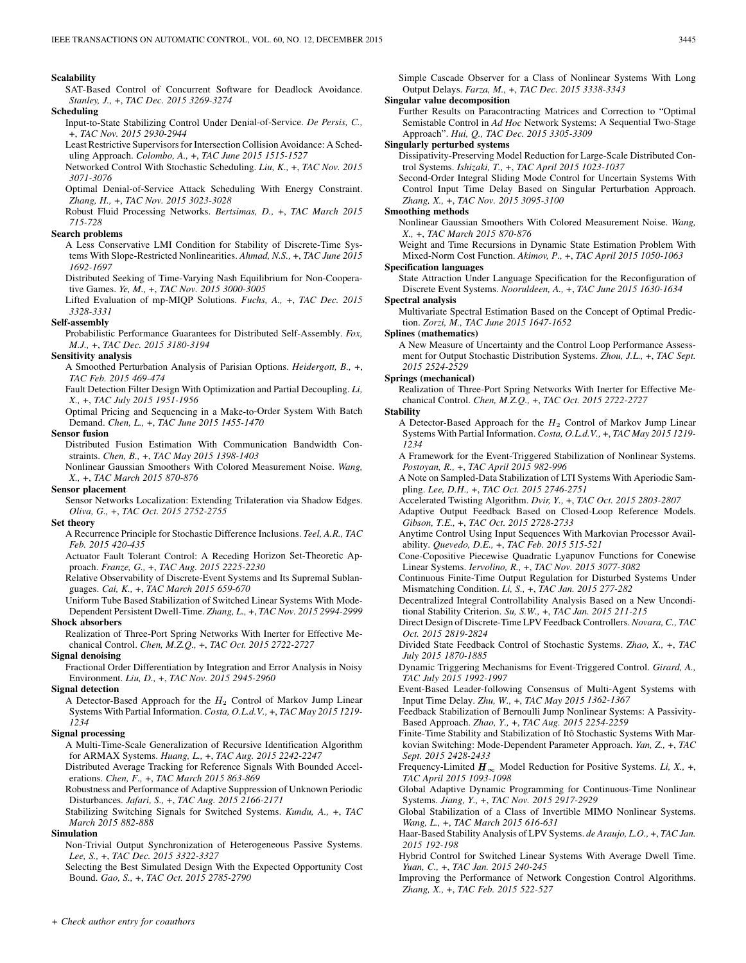#### **Scalability**

SAT-Based Control of Concurrent Software for Deadlock Avoidance. *Stanley, J.,* +, *TAC Dec. 2015 3269-3274*

**Scheduling** Input-to-State Stabilizing Control Under Denial-of-Service. *De Persis, C.,* +, *TAC Nov. 2015 2930-2944*

Least Restrictive Supervisors for Intersection Collision Avoidance: A Scheduling Approach. *Colombo, A.,* +, *TAC June 2015 1515-1527*

Networked Control With Stochastic Scheduling. *Liu, K.,* +, *TAC Nov. 2015 3071-3076*

Optimal Denial-of-Service Attack Scheduling With Energy Constraint. *Zhang, H.,* +, *TAC Nov. 2015 3023-3028*

Robust Fluid Processing Networks. *Bertsimas, D.,* +, *TAC March 2015 715-728*

# **Search problems**

- A Less Conservative LMI Condition for Stability of Discrete-Time Systems With Slope-Restricted Nonlinearities. *Ahmad, N.S.,* +, *TAC June 2015 1692-1697*
- Distributed Seeking of Time-Varying Nash Equilibrium for Non-Cooperative Games. *Ye, M.,* +, *TAC Nov. 2015 3000-3005*
- Lifted Evaluation of mp-MIQP Solutions. *Fuchs, A.,* +, *TAC Dec. 2015 3328-3331*

# **Self-assembly**

Probabilistic Performance Guarantees for Distributed Self-Assembly. *Fox, M.J.,* +, *TAC Dec. 2015 3180-3194*

**Sensitivity analysis**

- A Smoothed Perturbation Analysis of Parisian Options. *Heidergott, B.,* +, *TAC Feb. 2015 469-474*
- Fault Detection Filter Design With Optimization and Partial Decoupling. *Li, X.,* +, *TAC July 2015 1951-1956*
- Optimal Pricing and Sequencing in a Make-to-Order System With Batch Demand. *Chen, L.,* +, *TAC June 2015 1455-1470*

# **Sensor fusion**

Distributed Fusion Estimation With Communication Bandwidth Constraints. *Chen, B.,* +, *TAC May 2015 1398-1403*

Nonlinear Gaussian Smoothers With Colored Measurement Noise. *Wang, X.,* +, *TAC March 2015 870-876*

#### **Sensor placement**

Sensor Networks Localization: Extending Trilateration via Shadow Edges. *Oliva, G.,* +, *TAC Oct. 2015 2752-2755*

# **Set theory**

A Recurrence Principle for Stochastic Difference Inclusions. *Teel, A.R., TAC Feb. 2015 420-435*

Actuator Fault Tolerant Control: A Receding Horizon Set-Theoretic Approach. *Franze, G.,* +, *TAC Aug. 2015 2225-2230*

Relative Observability of Discrete-Event Systems and Its Supremal Sublanguages. *Cai, K.,* +, *TAC March 2015 659-670*

Uniform Tube Based Stabilization of Switched Linear Systems With Mode-Dependent Persistent Dwell-Time. *Zhang, L.,* +, *TAC Nov. 2015 2994-2999* **Shock absorbers**

Realization of Three-Port Spring Networks With Inerter for Effective Mechanical Control. *Chen, M.Z.Q.,* +, *TAC Oct. 2015 2722-2727*

# **Signal denoising**

Fractional Order Differentiation by Integration and Error Analysis in Noisy Environment. *Liu, D.,* +, *TAC Nov. 2015 2945-2960*

# **Signal detection**

A Detector-Based Approach for the  $H_2$  Control of Markov Jump Linear Systems With Partial Information. *Costa, O.L.d.V.,* +, *TAC May 2015 1219- 1234*

# **Signal processing**

A Multi-Time-Scale Generalization of Recursive Identification Algorithm for ARMAX Systems. *Huang, L.,* +, *TAC Aug. 2015 2242-2247*

Distributed Average Tracking for Reference Signals With Bounded Accelerations. *Chen, F.,* +, *TAC March 2015 863-869*

Robustness and Performance of Adaptive Suppression of Unknown Periodic Disturbances. *Jafari, S.,* +, *TAC Aug. 2015 2166-2171*

Stabilizing Switching Signals for Switched Systems. *Kundu, A.,* +, *TAC March 2015 882-888*

# **Simulation**

Non-Trivial Output Synchronization of Heterogeneous Passive Systems. *Lee, S.,* +, *TAC Dec. 2015 3322-3327*

Selecting the Best Simulated Design With the Expected Opportunity Cost Bound. *Gao, S.,* +, *TAC Oct. 2015 2785-2790*

Simple Cascade Observer for a Class of Nonlinear Systems With Long Output Delays. *Farza, M.,* +, *TAC Dec. 2015 3338-3343*

# **Singular value decomposition**

Further Results on Paracontracting Matrices and Correction to "Optimal Semistable Control in *Ad Hoc* Network Systems: A Sequential Two-Stage Approach". *Hui, Q., TAC Dec. 2015 3305-3309*

# **Singularly perturbed systems**

Dissipativity-Preserving Model Reduction for Large-Scale Distributed Control Systems. *Ishizaki, T.,* +, *TAC April 2015 1023-1037*

Second-Order Integral Sliding Mode Control for Uncertain Systems With Control Input Time Delay Based on Singular Perturbation Approach. *Zhang, X.,* +, *TAC Nov. 2015 3095-3100*

# **Smoothing methods**

Nonlinear Gaussian Smoothers With Colored Measurement Noise. *Wang, X.,* +, *TAC March 2015 870-876*

Weight and Time Recursions in Dynamic State Estimation Problem With Mixed-Norm Cost Function. *Akimov, P.,* +, *TAC April 2015 1050-1063*

#### **Specification languages**

State Attraction Under Language Specification for the Reconfiguration of Discrete Event Systems. *Nooruldeen, A.,* +, *TAC June 2015 1630-1634*

# **Spectral analysis**

Multivariate Spectral Estimation Based on the Concept of Optimal Prediction. *Zorzi, M., TAC June 2015 1647-1652*

#### **Splines (mathematics)**

A New Measure of Uncertainty and the Control Loop Performance Assessment for Output Stochastic Distribution Systems. *Zhou, J.L.,* +, *TAC Sept. 2015 2524-2529*

# **Springs (mechanical)**

Realization of Three-Port Spring Networks With Inerter for Effective Mechanical Control. *Chen, M.Z.Q.,* +, *TAC Oct. 2015 2722-2727*

# **Stability**

- A Detector-Based Approach for the  $H_2$  Control of Markov Jump Linear Systems With Partial Information. *Costa, O.L.d.V.,* +, *TAC May 2015 1219- 1234*
- A Framework for the Event-Triggered Stabilization of Nonlinear Systems. *Postoyan, R.,* +, *TAC April 2015 982-996*
- A Note on Sampled-Data Stabilization of LTI Systems With Aperiodic Sampling. *Lee, D.H.,* +, *TAC Oct. 2015 2746-2751*
- Accelerated Twisting Algorithm. *Dvir, Y.,* +, *TAC Oct. 2015 2803-2807*
- Adaptive Output Feedback Based on Closed-Loop Reference Models. *Gibson, T.E.,* +, *TAC Oct. 2015 2728-2733*
- Anytime Control Using Input Sequences With Markovian Processor Availability. *Quevedo, D.E.,* +, *TAC Feb. 2015 515-521*
- Cone-Copositive Piecewise Quadratic Lyapunov Functions for Conewise Linear Systems. *Iervolino, R.,* +, *TAC Nov. 2015 3077-3082*
- Continuous Finite-Time Output Regulation for Disturbed Systems Under Mismatching Condition. *Li, S.,* +, *TAC Jan. 2015 277-282*

Decentralized Integral Controllability Analysis Based on a New Unconditional Stability Criterion. *Su, S.W.,* +, *TAC Jan. 2015 211-215*

- Direct Design of Discrete-Time LPV Feedback Controllers. *Novara, C., TAC Oct. 2015 2819-2824*
- Divided State Feedback Control of Stochastic Systems. *Zhao, X.,* +, *TAC July 2015 1870-1885*
- Dynamic Triggering Mechanisms for Event-Triggered Control. *Girard, A., TAC July 2015 1992-1997*
- Event-Based Leader-following Consensus of Multi-Agent Systems with Input Time Delay. *Zhu, W.,* +, *TAC May 2015 1362-1367*
- Feedback Stabilization of Bernoulli Jump Nonlinear Systems: A Passivity-Based Approach. *Zhao, Y.,* +, *TAC Aug. 2015 2254-2259*
- Finite-Time Stability and Stabilization of Itô Stochastic Systems With Markovian Switching: Mode-Dependent Parameter Approach. *Yan, Z.,* +, *TAC Sept. 2015 2428-2433*
- Frequency-Limited  $\mathbf{H}_{\infty}$  Model Reduction for Positive Systems. *Li, X.*, +, *TAC April 2015 1093-1098*

Global Adaptive Dynamic Programming for Continuous-Time Nonlinear Systems. *Jiang, Y.,* +, *TAC Nov. 2015 2917-2929*

Global Stabilization of a Class of Invertible MIMO Nonlinear Systems. *Wang, L.,* +, *TAC March 2015 616-631*

Haar-Based Stability Analysis of LPV Systems. *de Araujo, L.O.,* +, *TAC Jan. 2015 192-198*

Hybrid Control for Switched Linear Systems With Average Dwell Time. *Yuan, C.,* +, *TAC Jan. 2015 240-245*

Improving the Performance of Network Congestion Control Algorithms. *Zhang, X.,* +, *TAC Feb. 2015 522-527*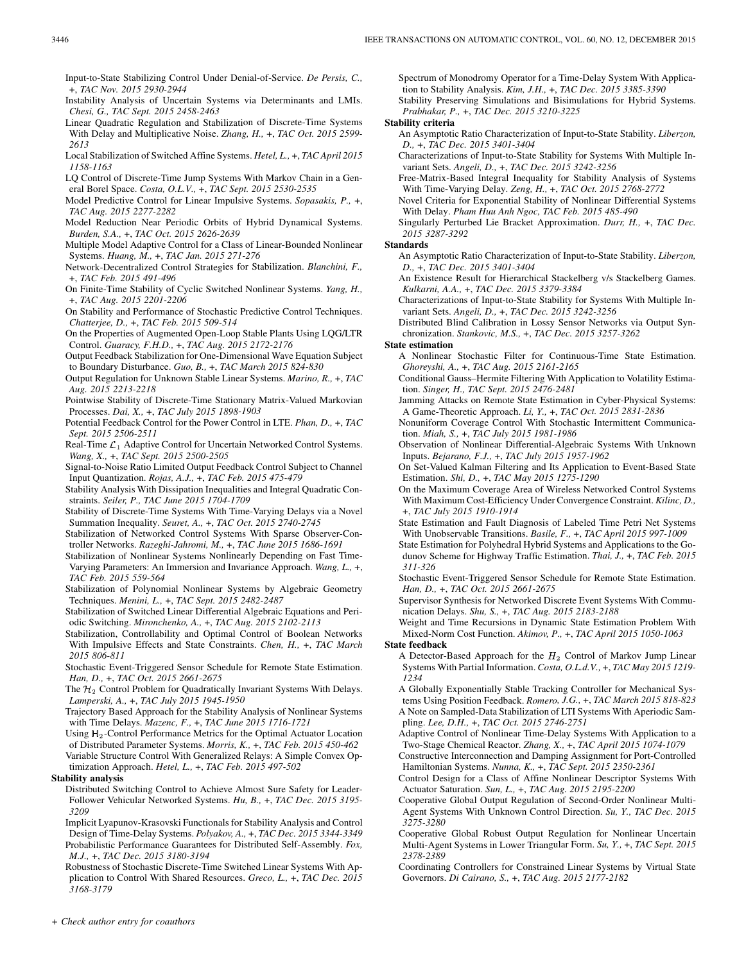Input-to-State Stabilizing Control Under Denial-of-Service. *De Persis, C.,* +, *TAC Nov. 2015 2930-2944*

Instability Analysis of Uncertain Systems via Determinants and LMIs. *Chesi, G., TAC Sept. 2015 2458-2463*

Linear Quadratic Regulation and Stabilization of Discrete-Time Systems With Delay and Multiplicative Noise. *Zhang, H.,* +, *TAC Oct. 2015 2599- 2613*

Local Stabilization of Switched Affine Systems. *Hetel, L.,* +, *TAC April 2015 1158-1163*

LQ Control of Discrete-Time Jump Systems With Markov Chain in a General Borel Space. *Costa, O.L.V.,* +, *TAC Sept. 2015 2530-2535*

Model Predictive Control for Linear Impulsive Systems. *Sopasakis, P.,* +, *TAC Aug. 2015 2277-2282*

Model Reduction Near Periodic Orbits of Hybrid Dynamical Systems. *Burden, S.A.,* +, *TAC Oct. 2015 2626-2639*

Multiple Model Adaptive Control for a Class of Linear-Bounded Nonlinear Systems. *Huang, M.,* +, *TAC Jan. 2015 271-276*

Network-Decentralized Control Strategies for Stabilization. *Blanchini, F.,* +, *TAC Feb. 2015 491-496*

On Finite-Time Stability of Cyclic Switched Nonlinear Systems. *Yang, H.,* +, *TAC Aug. 2015 2201-2206*

On Stability and Performance of Stochastic Predictive Control Techniques. *Chatterjee, D.,* +, *TAC Feb. 2015 509-514*

On the Properties of Augmented Open-Loop Stable Plants Using LQG/LTR Control. *Guaracy, F.H.D.,* +, *TAC Aug. 2015 2172-2176*

Output Feedback Stabilization for One-Dimensional Wave Equation Subject to Boundary Disturbance. *Guo, B.,* +, *TAC March 2015 824-830*

Output Regulation for Unknown Stable Linear Systems. *Marino, R.,* +, *TAC Aug. 2015 2213-2218*

Pointwise Stability of Discrete-Time Stationary Matrix-Valued Markovian Processes. *Dai, X.,* +, *TAC July 2015 1898-1903*

Potential Feedback Control for the Power Control in LTE. *Phan, D.,* +, *TAC Sept. 2015 2506-2511*

Real-Time  $\mathcal{L}_1$  Adaptive Control for Uncertain Networked Control Systems. *Wang, X.,* +, *TAC Sept. 2015 2500-2505*

Signal-to-Noise Ratio Limited Output Feedback Control Subject to Channel Input Quantization. *Rojas, A.J.,* +, *TAC Feb. 2015 475-479*

Stability Analysis With Dissipation Inequalities and Integral Quadratic Constraints. *Seiler, P., TAC June 2015 1704-1709*

Stability of Discrete-Time Systems With Time-Varying Delays via a Novel Summation Inequality. *Seuret, A.,* +, *TAC Oct. 2015 2740-2745*

Stabilization of Networked Control Systems With Sparse Observer-Controller Networks. *Razeghi-Jahromi, M.,* +, *TAC June 2015 1686-1691*

Stabilization of Nonlinear Systems Nonlinearly Depending on Fast Time-Varying Parameters: An Immersion and Invariance Approach. *Wang, L.,* +, *TAC Feb. 2015 559-564*

Stabilization of Polynomial Nonlinear Systems by Algebraic Geometry Techniques. *Menini, L.,* +, *TAC Sept. 2015 2482-2487*

Stabilization of Switched Linear Differential Algebraic Equations and Periodic Switching. *Mironchenko, A.,* +, *TAC Aug. 2015 2102-2113*

Stabilization, Controllability and Optimal Control of Boolean Networks With Impulsive Effects and State Constraints. *Chen, H.,* +, *TAC March 2015 806-811*

Stochastic Event-Triggered Sensor Schedule for Remote State Estimation. *Han, D.,* +, *TAC Oct. 2015 2661-2675*

The  $\mathcal{H}_2$  Control Problem for Quadratically Invariant Systems With Delays. *Lamperski, A.,* +, *TAC July 2015 1945-1950*

Trajectory Based Approach for the Stability Analysis of Nonlinear Systems with Time Delays. *Mazenc, F.,* +, *TAC June 2015 1716-1721*

Using  $H_2$ -Control Performance Metrics for the Optimal Actuator Location of Distributed Parameter Systems. *Morris, K.,* +, *TAC Feb. 2015 450-462* Variable Structure Control With Generalized Relays: A Simple Convex Op-

timization Approach. *Hetel, L.,* +, *TAC Feb. 2015 497-502*

# **Stability analysis**

Distributed Switching Control to Achieve Almost Sure Safety for Leader-Follower Vehicular Networked Systems. *Hu, B.,* +, *TAC Dec. 2015 3195- 3209*

Implicit Lyapunov-Krasovski Functionals for Stability Analysis and Control Design of Time-Delay Systems. *Polyakov, A.,* +, *TAC Dec. 2015 3344-3349* Probabilistic Performance Guarantees for Distributed Self-Assembly. *Fox, M.J.,* +, *TAC Dec. 2015 3180-3194*

Robustness of Stochastic Discrete-Time Switched Linear Systems With Application to Control With Shared Resources. *Greco, L.,* +, *TAC Dec. 2015 3168-3179*

Spectrum of Monodromy Operator for a Time-Delay System With Application to Stability Analysis. *Kim, J.H.,* +, *TAC Dec. 2015 3385-3390*

Stability Preserving Simulations and Bisimulations for Hybrid Systems. *Prabhakar, P.,* +, *TAC Dec. 2015 3210-3225*

# **Stability criteria**

An Asymptotic Ratio Characterization of Input-to-State Stability. *Liberzon, D.,* +, *TAC Dec. 2015 3401-3404*

Characterizations of Input-to-State Stability for Systems With Multiple Invariant Sets. *Angeli, D.,* +, *TAC Dec. 2015 3242-3256*

Free-Matrix-Based Integral Inequality for Stability Analysis of Systems With Time-Varying Delay. *Zeng, H.,* +, *TAC Oct. 2015 2768-2772*

Novel Criteria for Exponential Stability of Nonlinear Differential Systems With Delay. *Pham Huu Anh Ngoc, TAC Feb. 2015 485-490*

Singularly Perturbed Lie Bracket Approximation. *Durr, H.,* +, *TAC Dec. 2015 3287-3292*

# **Standards**

An Asymptotic Ratio Characterization of Input-to-State Stability. *Liberzon, D.,* +, *TAC Dec. 2015 3401-3404*

An Existence Result for Hierarchical Stackelberg v/s Stackelberg Games. *Kulkarni, A.A.,* +, *TAC Dec. 2015 3379-3384*

Characterizations of Input-to-State Stability for Systems With Multiple Invariant Sets. *Angeli, D.,* +, *TAC Dec. 2015 3242-3256*

Distributed Blind Calibration in Lossy Sensor Networks via Output Synchronization. *Stankovic, M.S.,* +, *TAC Dec. 2015 3257-3262*

**State estimation**

A Nonlinear Stochastic Filter for Continuous-Time State Estimation. *Ghoreyshi, A.,* +, *TAC Aug. 2015 2161-2165*

Conditional Gauss–Hermite Filtering With Application to Volatility Estimation. *Singer, H., TAC Sept. 2015 2476-2481*

Jamming Attacks on Remote State Estimation in Cyber-Physical Systems: A Game-Theoretic Approach. *Li, Y.,* +, *TAC Oct. 2015 2831-2836*

Nonuniform Coverage Control With Stochastic Intermittent Communication. *Miah, S.,* +, *TAC July 2015 1981-1986*

Observation of Nonlinear Differential-Algebraic Systems With Unknown Inputs. *Bejarano, F.J.,* +, *TAC July 2015 1957-1962*

On Set-Valued Kalman Filtering and Its Application to Event-Based State Estimation. *Shi, D.,* +, *TAC May 2015 1275-1290*

On the Maximum Coverage Area of Wireless Networked Control Systems With Maximum Cost-Efficiency Under Convergence Constraint. *Kilinc, D.,* +, *TAC July 2015 1910-1914*

State Estimation and Fault Diagnosis of Labeled Time Petri Net Systems With Unobservable Transitions. *Basile, F.,* +, *TAC April 2015 997-1009*

State Estimation for Polyhedral Hybrid Systems and Applications to the Godunov Scheme for Highway Traffic Estimation. *Thai, J.,* +, *TAC Feb. 2015 311-326*

Stochastic Event-Triggered Sensor Schedule for Remote State Estimation. *Han, D.,* +, *TAC Oct. 2015 2661-2675*

Supervisor Synthesis for Networked Discrete Event Systems With Communication Delays. *Shu, S.,* +, *TAC Aug. 2015 2183-2188*

Weight and Time Recursions in Dynamic State Estimation Problem With Mixed-Norm Cost Function. *Akimov, P.,* +, *TAC April 2015 1050-1063*

**State feedback**

- A Detector-Based Approach for the  $H_2$  Control of Markov Jump Linear Systems With Partial Information. *Costa, O.L.d.V.,* +, *TAC May 2015 1219- 1234*
- A Globally Exponentially Stable Tracking Controller for Mechanical Systems Using Position Feedback. *Romero, J.G.,* +, *TAC March 2015 818-823* A Note on Sampled-Data Stabilization of LTI Systems With Aperiodic Sampling. *Lee, D.H.,* +, *TAC Oct. 2015 2746-2751*

Adaptive Control of Nonlinear Time-Delay Systems With Application to a Two-Stage Chemical Reactor. *Zhang, X.,* +, *TAC April 2015 1074-1079*

Constructive Interconnection and Damping Assignment for Port-Controlled Hamiltonian Systems. *Nunna, K.,* +, *TAC Sept. 2015 2350-2361*

Control Design for a Class of Affine Nonlinear Descriptor Systems With Actuator Saturation. *Sun, L.,* +, *TAC Aug. 2015 2195-2200*

- Cooperative Global Output Regulation of Second-Order Nonlinear Multi-Agent Systems With Unknown Control Direction. *Su, Y., TAC Dec. 2015 3275-3280*
- Cooperative Global Robust Output Regulation for Nonlinear Uncertain Multi-Agent Systems in Lower Triangular Form. *Su, Y.,* +, *TAC Sept. 2015 2378-2389*
- Coordinating Controllers for Constrained Linear Systems by Virtual State Governors. *Di Cairano, S.,* +, *TAC Aug. 2015 2177-2182*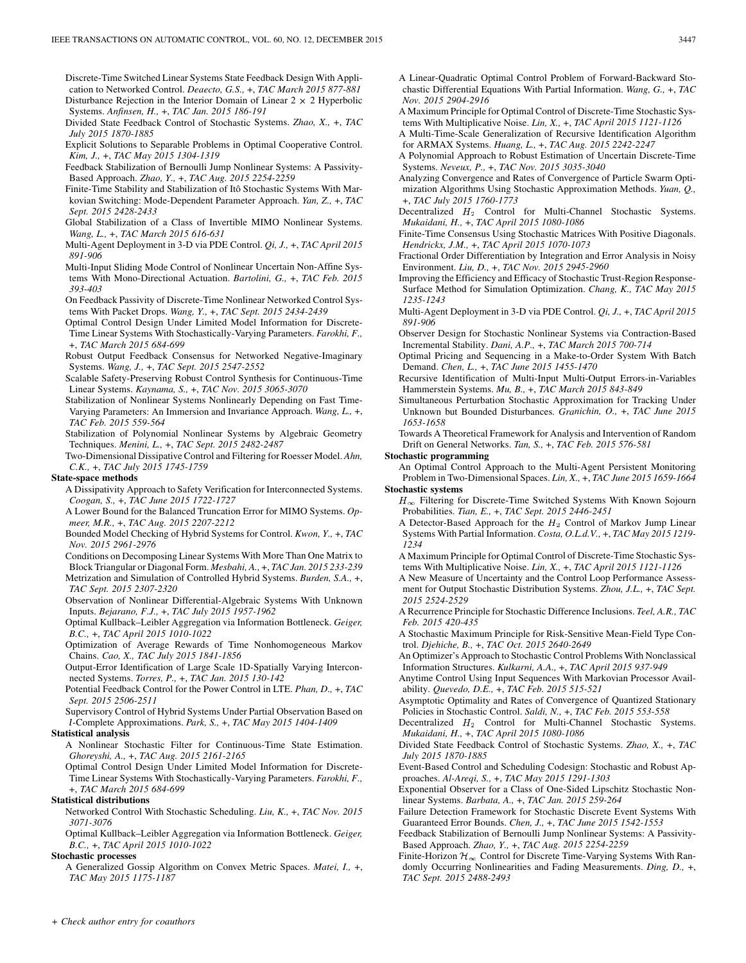Discrete-Time Switched Linear Systems State Feedback Design With Application to Networked Control. *Deaecto, G.S.,* +, *TAC March 2015 877-881* Disturbance Rejection in the Interior Domain of Linear  $2 \times 2$  Hyperbolic Systems. *Anfinsen, H.,* +, *TAC Jan. 2015 186-191*

Divided State Feedback Control of Stochastic Systems. *Zhao, X.,* +, *TAC July 2015 1870-1885*

Explicit Solutions to Separable Problems in Optimal Cooperative Control. *Kim, J.,* +, *TAC May 2015 1304-1319*

Feedback Stabilization of Bernoulli Jump Nonlinear Systems: A Passivity-Based Approach. *Zhao, Y.,* +, *TAC Aug. 2015 2254-2259*

Finite-Time Stability and Stabilization of Itô Stochastic Systems With Markovian Switching: Mode-Dependent Parameter Approach. *Yan, Z.,* +, *TAC Sept. 2015 2428-2433*

Global Stabilization of a Class of Invertible MIMO Nonlinear Systems. *Wang, L.,* +, *TAC March 2015 616-631*

Multi-Agent Deployment in 3-D via PDE Control. *Qi, J.,* +, *TAC April 2015 891-906*

Multi-Input Sliding Mode Control of Nonlinear Uncertain Non-Affine Systems With Mono-Directional Actuation. *Bartolini, G.,* +, *TAC Feb. 2015 393-403*

On Feedback Passivity of Discrete-Time Nonlinear Networked Control Systems With Packet Drops. *Wang, Y.,* +, *TAC Sept. 2015 2434-2439*

Optimal Control Design Under Limited Model Information for Discrete-Time Linear Systems With Stochastically-Varying Parameters. *Farokhi, F.,* +, *TAC March 2015 684-699*

Robust Output Feedback Consensus for Networked Negative-Imaginary Systems. *Wang, J.,* +, *TAC Sept. 2015 2547-2552*

Scalable Safety-Preserving Robust Control Synthesis for Continuous-Time Linear Systems. *Kaynama, S.,* +, *TAC Nov. 2015 3065-3070*

Stabilization of Nonlinear Systems Nonlinearly Depending on Fast Time-Varying Parameters: An Immersion and Invariance Approach. *Wang, L.,* +, *TAC Feb. 2015 559-564*

Stabilization of Polynomial Nonlinear Systems by Algebraic Geometry Techniques. *Menini, L.,* +, *TAC Sept. 2015 2482-2487*

Two-Dimensional Dissipative Control and Filtering for Roesser Model. *Ahn, C.K.,* +, *TAC July 2015 1745-1759*

**State-space methods**

A Dissipativity Approach to Safety Verification for Interconnected Systems. *Coogan, S.,* +, *TAC June 2015 1722-1727*

A Lower Bound for the Balanced Truncation Error for MIMO Systems. *Opmeer, M.R.,* +, *TAC Aug. 2015 2207-2212*

Bounded Model Checking of Hybrid Systems for Control. *Kwon, Y.,* +, *TAC Nov. 2015 2961-2976*

Conditions on Decomposing Linear Systems With More Than One Matrix to Block Triangular or Diagonal Form. *Mesbahi, A.,* +, *TAC Jan. 2015 233-239* Metrization and Simulation of Controlled Hybrid Systems. *Burden, S.A.,* +, *TAC Sept. 2015 2307-2320*

Observation of Nonlinear Differential-Algebraic Systems With Unknown Inputs. *Bejarano, F.J.,* +, *TAC July 2015 1957-1962*

Optimal Kullback–Leibler Aggregation via Information Bottleneck. *Geiger, B.C.,* +, *TAC April 2015 1010-1022*

Optimization of Average Rewards of Time Nonhomogeneous Markov Chains. *Cao, X., TAC July 2015 1841-1856*

Output-Error Identification of Large Scale 1D-Spatially Varying Interconnected Systems. *Torres, P.,* +, *TAC Jan. 2015 130-142*

Potential Feedback Control for the Power Control in LTE. *Phan, D.,* +, *TAC Sept. 2015 2506-2511*

Supervisory Control of Hybrid Systems Under Partial Observation Based on -Complete Approximations. *Park, S.,* +, *TAC May 2015 1404-1409*

# **Statistical analysis**

A Nonlinear Stochastic Filter for Continuous-Time State Estimation. *Ghoreyshi, A.,* +, *TAC Aug. 2015 2161-2165*

Optimal Control Design Under Limited Model Information for Discrete-Time Linear Systems With Stochastically-Varying Parameters. *Farokhi, F.,* +, *TAC March 2015 684-699*

# **Statistical distributions**

Networked Control With Stochastic Scheduling. *Liu, K.,* +, *TAC Nov. 2015 3071-3076*

Optimal Kullback–Leibler Aggregation via Information Bottleneck. *Geiger, B.C.,* +, *TAC April 2015 1010-1022*

# **Stochastic processes**

A Generalized Gossip Algorithm on Convex Metric Spaces. *Matei, I.,* +, *TAC May 2015 1175-1187*

A Linear-Quadratic Optimal Control Problem of Forward-Backward Stochastic Differential Equations With Partial Information. *Wang, G.,* +, *TAC Nov. 2015 2904-2916*

A Maximum Principle for Optimal Control of Discrete-Time Stochastic Systems With Multiplicative Noise. *Lin, X.,* +, *TAC April 2015 1121-1126*

A Multi-Time-Scale Generalization of Recursive Identification Algorithm for ARMAX Systems. *Huang, L.,* +, *TAC Aug. 2015 2242-2247*

A Polynomial Approach to Robust Estimation of Uncertain Discrete-Time Systems. *Neveux, P.,* +, *TAC Nov. 2015 3035-3040*

Analyzing Convergence and Rates of Convergence of Particle Swarm Optimization Algorithms Using Stochastic Approximation Methods. *Yuan, Q.,* +, *TAC July 2015 1760-1773*

Decentralized  $H_2$  Control for Multi-Channel Stochastic Systems. *Mukaidani, H.,* +, *TAC April 2015 1080-1086*

Finite-Time Consensus Using Stochastic Matrices With Positive Diagonals. *Hendrickx, J.M.,* +, *TAC April 2015 1070-1073*

Fractional Order Differentiation by Integration and Error Analysis in Noisy Environment. *Liu, D.,* +, *TAC Nov. 2015 2945-2960*

- Improving the Efficiency and Efficacy of Stochastic Trust-Region Response-Surface Method for Simulation Optimization. *Chang, K., TAC May 2015 1235-1243*
- Multi-Agent Deployment in 3-D via PDE Control. *Qi, J.,* +, *TAC April 2015 891-906*

Observer Design for Stochastic Nonlinear Systems via Contraction-Based Incremental Stability. *Dani, A.P.,* +, *TAC March 2015 700-714*

Optimal Pricing and Sequencing in a Make-to-Order System With Batch Demand. *Chen, L.,* +, *TAC June 2015 1455-1470*

Recursive Identification of Multi-Input Multi-Output Errors-in-Variables Hammerstein Systems. *Mu, B.,* +, *TAC March 2015 843-849*

Simultaneous Perturbation Stochastic Approximation for Tracking Under Unknown but Bounded Disturbances. *Granichin, O.,* +, *TAC June 2015 1653-1658*

Towards A Theoretical Framework for Analysis and Intervention of Random Drift on General Networks. *Tan, S.,* +, *TAC Feb. 2015 576-581*

# **Stochastic programming**

An Optimal Control Approach to the Multi-Agent Persistent Monitoring Problem in Two-Dimensional Spaces. *Lin, X.,* +, *TAC June 2015 1659-1664* **Stochastic systems**

 $H_{\infty}$  Filtering for Discrete-Time Switched Systems With Known Sojourn Probabilities. *Tian, E.,* +, *TAC Sept. 2015 2446-2451*

A Detector-Based Approach for the  $H_2$  Control of Markov Jump Linear Systems With Partial Information. *Costa, O.L.d.V.,* +, *TAC May 2015 1219- 1234*

A Maximum Principle for Optimal Control of Discrete-Time Stochastic Systems With Multiplicative Noise. *Lin, X.,* +, *TAC April 2015 1121-1126*

A New Measure of Uncertainty and the Control Loop Performance Assessment for Output Stochastic Distribution Systems. *Zhou, J.L.,* +, *TAC Sept. 2015 2524-2529*

A Recurrence Principle for Stochastic Difference Inclusions. *Teel, A.R., TAC Feb. 2015 420-435*

A Stochastic Maximum Principle for Risk-Sensitive Mean-Field Type Control. *Djehiche, B.,* +, *TAC Oct. 2015 2640-2649*

An Optimizer's Approach to Stochastic Control Problems With Nonclassical Information Structures. *Kulkarni, A.A.,* +, *TAC April 2015 937-949*

Anytime Control Using Input Sequences With Markovian Processor Availability. *Quevedo, D.E.,* +, *TAC Feb. 2015 515-521*

Asymptotic Optimality and Rates of Convergence of Quantized Stationary Policies in Stochastic Control. *Saldi, N.,* +, *TAC Feb. 2015 553-558*

Decentralized  $H_2$  Control for Multi-Channel Stochastic Systems. *Mukaidani, H.,* +, *TAC April 2015 1080-1086*

Divided State Feedback Control of Stochastic Systems. *Zhao, X.,* +, *TAC July 2015 1870-1885*

Event-Based Control and Scheduling Codesign: Stochastic and Robust Approaches. *Al-Areqi, S.,* +, *TAC May 2015 1291-1303*

Exponential Observer for a Class of One-Sided Lipschitz Stochastic Nonlinear Systems. *Barbata, A.,* +, *TAC Jan. 2015 259-264*

Failure Detection Framework for Stochastic Discrete Event Systems With Guaranteed Error Bounds. *Chen, J.,* +, *TAC June 2015 1542-1553*

Feedback Stabilization of Bernoulli Jump Nonlinear Systems: A Passivity-Based Approach. *Zhao, Y.,* +, *TAC Aug. 2015 2254-2259*

Finite-Horizon  $\mathcal{H}_{\infty}$  Control for Discrete Time-Varying Systems With Randomly Occurring Nonlinearities and Fading Measurements. *Ding, D.,* +, *TAC Sept. 2015 2488-2493*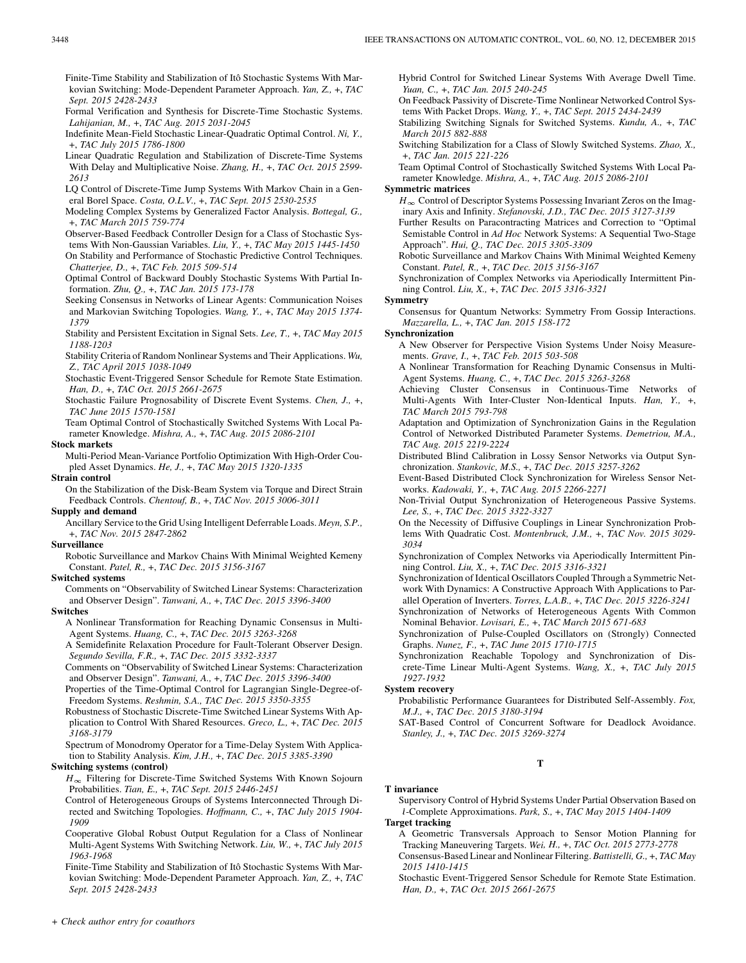- Finite-Time Stability and Stabilization of Itô Stochastic Systems With Markovian Switching: Mode-Dependent Parameter Approach. *Yan, Z.,* +, *TAC Sept. 2015 2428-2433*
- Formal Verification and Synthesis for Discrete-Time Stochastic Systems. *Lahijanian, M.,* +, *TAC Aug. 2015 2031-2045*
- Indefinite Mean-Field Stochastic Linear-Quadratic Optimal Control. *Ni, Y.,* +, *TAC July 2015 1786-1800*
- Linear Quadratic Regulation and Stabilization of Discrete-Time Systems With Delay and Multiplicative Noise. *Zhang, H.,* +, *TAC Oct. 2015 2599- 2613*
- LQ Control of Discrete-Time Jump Systems With Markov Chain in a General Borel Space. *Costa, O.L.V.,* +, *TAC Sept. 2015 2530-2535*
- Modeling Complex Systems by Generalized Factor Analysis. *Bottegal, G.,* +, *TAC March 2015 759-774*
- Observer-Based Feedback Controller Design for a Class of Stochastic Systems With Non-Gaussian Variables. *Liu, Y.,* +, *TAC May 2015 1445-1450* On Stability and Performance of Stochastic Predictive Control Techniques. *Chatterjee, D.,* +, *TAC Feb. 2015 509-514*
- Optimal Control of Backward Doubly Stochastic Systems With Partial Information. *Zhu, Q.,* +, *TAC Jan. 2015 173-178*
- Seeking Consensus in Networks of Linear Agents: Communication Noises and Markovian Switching Topologies. *Wang, Y.,* +, *TAC May 2015 1374- 1379*
- Stability and Persistent Excitation in Signal Sets. *Lee, T.,* +, *TAC May 2015 1188-1203*
- Stability Criteria of Random Nonlinear Systems and Their Applications. *Wu, Z., TAC April 2015 1038-1049*
- Stochastic Event-Triggered Sensor Schedule for Remote State Estimation. *Han, D.,* +, *TAC Oct. 2015 2661-2675*
- Stochastic Failure Prognosability of Discrete Event Systems. *Chen, J.,* +, *TAC June 2015 1570-1581*
- Team Optimal Control of Stochastically Switched Systems With Local Parameter Knowledge. *Mishra, A.,* +, *TAC Aug. 2015 2086-2101*

# **Stock markets**

- Multi-Period Mean-Variance Portfolio Optimization With High-Order Coupled Asset Dynamics. *He, J.,* +, *TAC May 2015 1320-1335*
- **Strain control**
	- On the Stabilization of the Disk-Beam System via Torque and Direct Strain Feedback Controls. *Chentouf, B.,* +, *TAC Nov. 2015 3006-3011*
- **Supply and demand**
	- Ancillary Service to the Grid Using Intelligent Deferrable Loads. *Meyn, S.P.,* +, *TAC Nov. 2015 2847-2862*
- **Surveillance**
- Robotic Surveillance and Markov Chains With Minimal Weighted Kemeny Constant. *Patel, R.,* +, *TAC Dec. 2015 3156-3167*
- **Switched systems**
	- Comments on "Observability of Switched Linear Systems: Characterization and Observer Design". *Tanwani, A.,* +, *TAC Dec. 2015 3396-3400*
- **Switches**
	- A Nonlinear Transformation for Reaching Dynamic Consensus in Multi-Agent Systems. *Huang, C.,* +, *TAC Dec. 2015 3263-3268*
	- A Semidefinite Relaxation Procedure for Fault-Tolerant Observer Design. *Segundo Sevilla, F.R.,* +, *TAC Dec. 2015 3332-3337*
	- Comments on "Observability of Switched Linear Systems: Characterization and Observer Design". *Tanwani, A.,* +, *TAC Dec. 2015 3396-3400*
	- Properties of the Time-Optimal Control for Lagrangian Single-Degree-of-Freedom Systems. *Reshmin, S.A., TAC Dec. 2015 3350-3355*
	- Robustness of Stochastic Discrete-Time Switched Linear Systems With Application to Control With Shared Resources. *Greco, L.,* +, *TAC Dec. 2015 3168-3179*
- Spectrum of Monodromy Operator for a Time-Delay System With Application to Stability Analysis. *Kim, J.H.,* +, *TAC Dec. 2015 3385-3390* **Switching systems (control)**
	- $H_{\infty}$  Filtering for Discrete-Time Switched Systems With Known Sojourn Probabilities. *Tian, E.,* +, *TAC Sept. 2015 2446-2451*
	- Control of Heterogeneous Groups of Systems Interconnected Through Directed and Switching Topologies. *Hoffmann, C.,* +, *TAC July 2015 1904- 1909*
	- Cooperative Global Robust Output Regulation for a Class of Nonlinear Multi-Agent Systems With Switching Network. *Liu, W.,* +, *TAC July 2015 1963-1968*
	- Finite-Time Stability and Stabilization of Itô Stochastic Systems With Markovian Switching: Mode-Dependent Parameter Approach. *Yan, Z.,* +, *TAC Sept. 2015 2428-2433*

Hybrid Control for Switched Linear Systems With Average Dwell Time. *Yuan, C.,* +, *TAC Jan. 2015 240-245*

- On Feedback Passivity of Discrete-Time Nonlinear Networked Control Systems With Packet Drops. *Wang, Y.,* +, *TAC Sept. 2015 2434-2439*
- Stabilizing Switching Signals for Switched Systems. *Kundu, A.,* +, *TAC March 2015 882-888*
- Switching Stabilization for a Class of Slowly Switched Systems. *Zhao, X.,* +, *TAC Jan. 2015 221-226*

Team Optimal Control of Stochastically Switched Systems With Local Parameter Knowledge. *Mishra, A.,* +, *TAC Aug. 2015 2086-2101*

# **Symmetric matrices**

- $H_{\infty}$  Control of Descriptor Systems Possessing Invariant Zeros on the Imaginary Axis and Infinity. *Stefanovski, J.D., TAC Dec. 2015 3127-3139*
- Further Results on Paracontracting Matrices and Correction to "Optimal Semistable Control in *Ad Hoc* Network Systems: A Sequential Two-Stage Approach". *Hui, Q., TAC Dec. 2015 3305-3309*
- Robotic Surveillance and Markov Chains With Minimal Weighted Kemeny Constant. *Patel, R.,* +, *TAC Dec. 2015 3156-3167*
- Synchronization of Complex Networks via Aperiodically Intermittent Pinning Control. *Liu, X.,* +, *TAC Dec. 2015 3316-3321*
- **Symmetry**
	- Consensus for Quantum Networks: Symmetry From Gossip Interactions. *Mazzarella, L.,* +, *TAC Jan. 2015 158-172*
- **Synchronization**
	- A New Observer for Perspective Vision Systems Under Noisy Measurements. *Grave, I.,* +, *TAC Feb. 2015 503-508*
	- A Nonlinear Transformation for Reaching Dynamic Consensus in Multi-Agent Systems. *Huang, C.,* +, *TAC Dec. 2015 3263-3268*
	- Achieving Cluster Consensus in Continuous-Time Networks of Multi-Agents With Inter-Cluster Non-Identical Inputs. *Han, Y.,* +, *TAC March 2015 793-798*
	- Adaptation and Optimization of Synchronization Gains in the Regulation Control of Networked Distributed Parameter Systems. *Demetriou, M.A., TAC Aug. 2015 2219-2224*
	- Distributed Blind Calibration in Lossy Sensor Networks via Output Synchronization. *Stankovic, M.S.,* +, *TAC Dec. 2015 3257-3262*
	- Event-Based Distributed Clock Synchronization for Wireless Sensor Networks. *Kadowaki, Y.,* +, *TAC Aug. 2015 2266-2271*
	- Non-Trivial Output Synchronization of Heterogeneous Passive Systems. *Lee, S.,* +, *TAC Dec. 2015 3322-3327*
	- On the Necessity of Diffusive Couplings in Linear Synchronization Problems With Quadratic Cost. *Montenbruck, J.M.,* +, *TAC Nov. 2015 3029- 3034*
	- Synchronization of Complex Networks via Aperiodically Intermittent Pinning Control. *Liu, X.,* +, *TAC Dec. 2015 3316-3321*
	- Synchronization of Identical Oscillators Coupled Through a Symmetric Network With Dynamics: A Constructive Approach With Applications to Parallel Operation of Inverters. *Torres, L.A.B.,* +, *TAC Dec. 2015 3226-3241* Synchronization of Networks of Heterogeneous Agents With Common
	- Nominal Behavior. *Lovisari, E.,* +, *TAC March 2015 671-683*
	- Synchronization of Pulse-Coupled Oscillators on (Strongly) Connected Graphs. *Nunez, F.,* +, *TAC June 2015 1710-1715*
	- Synchronization Reachable Topology and Synchronization of Discrete-Time Linear Multi-Agent Systems. *Wang, X.,* +, *TAC July 2015 1927-1932*

# **System recovery**

- Probabilistic Performance Guarantees for Distributed Self-Assembly. *Fox, M.J.,* +, *TAC Dec. 2015 3180-3194*
- SAT-Based Control of Concurrent Software for Deadlock Avoidance. *Stanley, J.,* +, *TAC Dec. 2015 3269-3274*

# **T**

# **T invariance**

- Supervisory Control of Hybrid Systems Under Partial Observation Based on -Complete Approximations. *Park, S.,* +, *TAC May 2015 1404-1409*
- **Target tracking**
	- A Geometric Transversals Approach to Sensor Motion Planning for Tracking Maneuvering Targets. *Wei, H.,* +, *TAC Oct. 2015 2773-2778*
	- Consensus-Based Linear and Nonlinear Filtering. *Battistelli, G.,* +, *TAC May 2015 1410-1415*
	- Stochastic Event-Triggered Sensor Schedule for Remote State Estimation. *Han, D.,* +, *TAC Oct. 2015 2661-2675*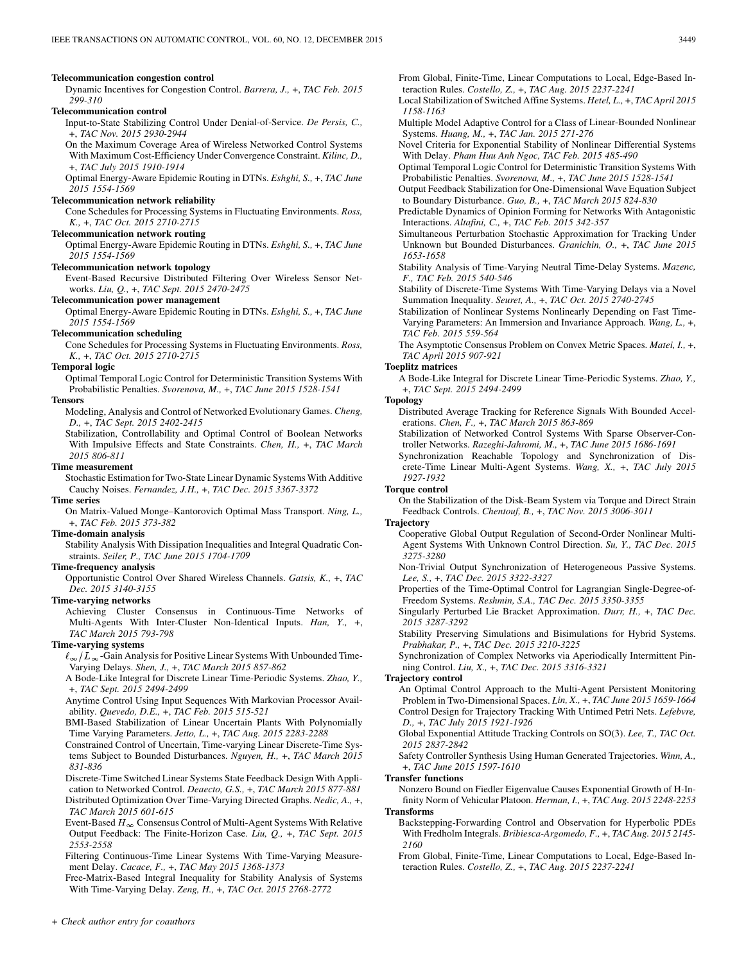#### **Telecommunication congestion control**

Dynamic Incentives for Congestion Control. *Barrera, J.,* +, *TAC Feb. 2015 299-310*

# **Telecommunication control**

- Input-to-State Stabilizing Control Under Denial-of-Service. *De Persis, C.,* +, *TAC Nov. 2015 2930-2944*
- On the Maximum Coverage Area of Wireless Networked Control Systems With Maximum Cost-Efficiency Under Convergence Constraint. *Kilinc, D.,* +, *TAC July 2015 1910-1914*

Optimal Energy-Aware Epidemic Routing in DTNs. *Eshghi, S.,* +, *TAC June 2015 1554-1569*

#### **Telecommunication network reliability**

Cone Schedules for Processing Systems in Fluctuating Environments. *Ross, K.,* +, *TAC Oct. 2015 2710-2715*

# **Telecommunication network routing**

Optimal Energy-Aware Epidemic Routing in DTNs. *Eshghi, S.,* +, *TAC June 2015 1554-1569*

# **Telecommunication network topology**

Event-Based Recursive Distributed Filtering Over Wireless Sensor Networks. *Liu, Q.,* +, *TAC Sept. 2015 2470-2475*

# **Telecommunication power management**

Optimal Energy-Aware Epidemic Routing in DTNs. *Eshghi, S.,* +, *TAC June 2015 1554-1569*

# **Telecommunication scheduling**

Cone Schedules for Processing Systems in Fluctuating Environments. *Ross, K.,* +, *TAC Oct. 2015 2710-2715*

#### **Temporal logic**

Optimal Temporal Logic Control for Deterministic Transition Systems With Probabilistic Penalties. *Svorenova, M.,* +, *TAC June 2015 1528-1541*

#### **Tensors**

Modeling, Analysis and Control of Networked Evolutionary Games. *Cheng, D.,* +, *TAC Sept. 2015 2402-2415*

Stabilization, Controllability and Optimal Control of Boolean Networks With Impulsive Effects and State Constraints. *Chen, H.,* +, *TAC March 2015 806-811*

# **Time measurement**

Stochastic Estimation for Two-State Linear Dynamic Systems With Additive Cauchy Noises. *Fernandez, J.H.,* +, *TAC Dec. 2015 3367-3372*

# **Time series**

On Matrix-Valued Monge–Kantorovich Optimal Mass Transport. *Ning, L.,* +, *TAC Feb. 2015 373-382*

#### **Time-domain analysis**

Stability Analysis With Dissipation Inequalities and Integral Quadratic Constraints. *Seiler, P., TAC June 2015 1704-1709*

# **Time-frequency analysis**

Opportunistic Control Over Shared Wireless Channels. *Gatsis, K.,* +, *TAC Dec. 2015 3140-3155*

# **Time-varying networks**

Achieving Cluster Consensus in Continuous-Time Networks of Multi-Agents With Inter-Cluster Non-Identical Inputs. *Han, Y.,* +, *TAC March 2015 793-798*

# **Time-varying systems**

 $\ell_{\infty}/L_{\infty}$ -Gain Analysis for Positive Linear Systems With Unbounded Time-Varying Delays. *Shen, J.,* +, *TAC March 2015 857-862*

A Bode-Like Integral for Discrete Linear Time-Periodic Systems. *Zhao, Y.,* +, *TAC Sept. 2015 2494-2499*

Anytime Control Using Input Sequences With Markovian Processor Availability. *Quevedo, D.E.,* +, *TAC Feb. 2015 515-521*

BMI-Based Stabilization of Linear Uncertain Plants With Polynomially Time Varying Parameters. *Jetto, L.,* +, *TAC Aug. 2015 2283-2288*

Constrained Control of Uncertain, Time-varying Linear Discrete-Time Systems Subject to Bounded Disturbances. *Nguyen, H.,* +, *TAC March 2015 831-836*

Discrete-Time Switched Linear Systems State Feedback Design With Application to Networked Control. *Deaecto, G.S.,* +, *TAC March 2015 877-881* Distributed Optimization Over Time-Varying Directed Graphs. *Nedic, A.,* +, *TAC March 2015 601-615*

Event-Based  $H_\infty$  Consensus Control of Multi-Agent Systems With Relative Output Feedback: The Finite-Horizon Case. *Liu, Q.,* +, *TAC Sept. 2015 2553-2558*

Filtering Continuous-Time Linear Systems With Time-Varying Measurement Delay. *Cacace, F.,* +, *TAC May 2015 1368-1373*

Free-Matrix-Based Integral Inequality for Stability Analysis of Systems With Time-Varying Delay. *Zeng, H.,* +, *TAC Oct. 2015 2768-2772*

From Global, Finite-Time, Linear Computations to Local, Edge-Based Interaction Rules. *Costello, Z.,* +, *TAC Aug. 2015 2237-2241*

Local Stabilization of Switched Affine Systems. *Hetel, L.,* +, *TAC April 2015 1158-1163*

Multiple Model Adaptive Control for a Class of Linear-Bounded Nonlinear Systems. *Huang, M.,* +, *TAC Jan. 2015 271-276*

Novel Criteria for Exponential Stability of Nonlinear Differential Systems With Delay. *Pham Huu Anh Ngoc, TAC Feb. 2015 485-490*

Optimal Temporal Logic Control for Deterministic Transition Systems With Probabilistic Penalties. *Svorenova, M.,* +, *TAC June 2015 1528-1541*

Output Feedback Stabilization for One-Dimensional Wave Equation Subject to Boundary Disturbance. *Guo, B.,* +, *TAC March 2015 824-830*

Predictable Dynamics of Opinion Forming for Networks With Antagonistic Interactions. *Altafini, C.,* +, *TAC Feb. 2015 342-357*

Simultaneous Perturbation Stochastic Approximation for Tracking Under Unknown but Bounded Disturbances. *Granichin, O.,* +, *TAC June 2015 1653-1658*

Stability Analysis of Time-Varying Neutral Time-Delay Systems. *Mazenc, F., TAC Feb. 2015 540-546*

Stability of Discrete-Time Systems With Time-Varying Delays via a Novel Summation Inequality. *Seuret, A.,* +, *TAC Oct. 2015 2740-2745*

Stabilization of Nonlinear Systems Nonlinearly Depending on Fast Time-Varying Parameters: An Immersion and Invariance Approach. *Wang, L.,* +, *TAC Feb. 2015 559-564*

The Asymptotic Consensus Problem on Convex Metric Spaces. *Matei, I.,* +, *TAC April 2015 907-921*

#### **Toeplitz matrices**

A Bode-Like Integral for Discrete Linear Time-Periodic Systems. *Zhao, Y.,* +, *TAC Sept. 2015 2494-2499*

#### **Topology**

Distributed Average Tracking for Reference Signals With Bounded Accelerations. *Chen, F.,* +, *TAC March 2015 863-869*

Stabilization of Networked Control Systems With Sparse Observer-Controller Networks. *Razeghi-Jahromi, M.,* +, *TAC June 2015 1686-1691*

Synchronization Reachable Topology and Synchronization of Discrete-Time Linear Multi-Agent Systems. *Wang, X.,* +, *TAC July 2015 1927-1932*

#### **Torque control**

On the Stabilization of the Disk-Beam System via Torque and Direct Strain Feedback Controls. *Chentouf, B.,* +, *TAC Nov. 2015 3006-3011*

# **Trajectory**

Cooperative Global Output Regulation of Second-Order Nonlinear Multi-Agent Systems With Unknown Control Direction. *Su, Y., TAC Dec. 2015 3275-3280*

Non-Trivial Output Synchronization of Heterogeneous Passive Systems. *Lee, S.,* +, *TAC Dec. 2015 3322-3327*

Properties of the Time-Optimal Control for Lagrangian Single-Degree-of-Freedom Systems. *Reshmin, S.A., TAC Dec. 2015 3350-3355*

Singularly Perturbed Lie Bracket Approximation. *Durr, H.,* +, *TAC Dec. 2015 3287-3292*

Stability Preserving Simulations and Bisimulations for Hybrid Systems. *Prabhakar, P.,* +, *TAC Dec. 2015 3210-3225*

Synchronization of Complex Networks via Aperiodically Intermittent Pinning Control. *Liu, X.,* +, *TAC Dec. 2015 3316-3321*

# **Trajectory control**

An Optimal Control Approach to the Multi-Agent Persistent Monitoring Problem in Two-Dimensional Spaces. *Lin, X.,* +, *TAC June 2015 1659-1664* Control Design for Trajectory Tracking With Untimed Petri Nets. *Lefebvre, D.,* +, *TAC July 2015 1921-1926*

Global Exponential Attitude Tracking Controls on SO(3). *Lee, T., TAC Oct. 2015 2837-2842*

Safety Controller Synthesis Using Human Generated Trajectories. *Winn, A.,* +, *TAC June 2015 1597-1610*

#### **Transfer functions**

Nonzero Bound on Fiedler Eigenvalue Causes Exponential Growth of H-Infinity Norm of Vehicular Platoon. *Herman, I.,* +, *TAC Aug. 2015 2248-2253* **Transforms**

Backstepping-Forwarding Control and Observation for Hyperbolic PDEs With Fredholm Integrals. *Bribiesca-Argomedo, F.,* +, *TAC Aug. 2015 2145- 2160*

From Global, Finite-Time, Linear Computations to Local, Edge-Based Interaction Rules. *Costello, Z.,* +, *TAC Aug. 2015 2237-2241*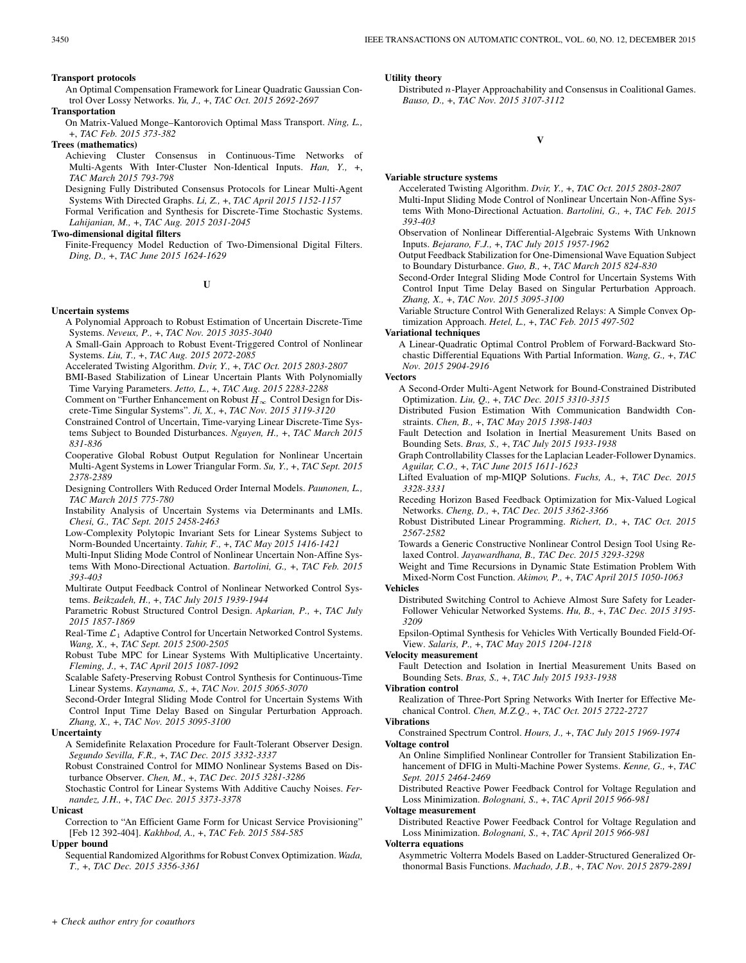#### **Transport protocols**

An Optimal Compensation Framework for Linear Quadratic Gaussian Control Over Lossy Networks. *Yu, J.,* +, *TAC Oct. 2015 2692-2697*

**Transportation**

On Matrix-Valued Monge–Kantorovich Optimal Mass Transport. *Ning, L.,* +, *TAC Feb. 2015 373-382*

**Trees (mathematics)**

Achieving Cluster Consensus in Continuous-Time Networks of Multi-Agents With Inter-Cluster Non-Identical Inputs. *Han, Y.,* +, *TAC March 2015 793-798*

Designing Fully Distributed Consensus Protocols for Linear Multi-Agent Systems With Directed Graphs. *Li, Z.,* +, *TAC April 2015 1152-1157*

Formal Verification and Synthesis for Discrete-Time Stochastic Systems. *Lahijanian, M.,* +, *TAC Aug. 2015 2031-2045*

# **Two-dimensional digital filters**

Finite-Frequency Model Reduction of Two-Dimensional Digital Filters. *Ding, D.,* +, *TAC June 2015 1624-1629*

**U**

# **Uncertain systems**

- A Polynomial Approach to Robust Estimation of Uncertain Discrete-Time Systems. *Neveux, P.,* +, *TAC Nov. 2015 3035-3040*
- A Small-Gain Approach to Robust Event-Triggered Control of Nonlinear Systems. *Liu, T.,* +, *TAC Aug. 2015 2072-2085*
- Accelerated Twisting Algorithm. *Dvir, Y.,* +, *TAC Oct. 2015 2803-2807*
- BMI-Based Stabilization of Linear Uncertain Plants With Polynomially Time Varying Parameters. *Jetto, L.,* +, *TAC Aug. 2015 2283-2288*
- Comment on "Further Enhancement on Robust  $H_{\infty}$  Control Design for Discrete-Time Singular Systems". *Ji, X.,* +, *TAC Nov. 2015 3119-3120*
- Constrained Control of Uncertain, Time-varying Linear Discrete-Time Systems Subject to Bounded Disturbances. *Nguyen, H.,* +, *TAC March 2015 831-836*
- Cooperative Global Robust Output Regulation for Nonlinear Uncertain Multi-Agent Systems in Lower Triangular Form. *Su, Y.,* +, *TAC Sept. 2015 2378-2389*
- Designing Controllers With Reduced Order Internal Models. *Paunonen, L., TAC March 2015 775-780*
- Instability Analysis of Uncertain Systems via Determinants and LMIs. *Chesi, G., TAC Sept. 2015 2458-2463*
- Low-Complexity Polytopic Invariant Sets for Linear Systems Subject to Norm-Bounded Uncertainty. *Tahir, F.,* +, *TAC May 2015 1416-1421*
- Multi-Input Sliding Mode Control of Nonlinear Uncertain Non-Affine Systems With Mono-Directional Actuation. *Bartolini, G.,* +, *TAC Feb. 2015 393-403*
- Multirate Output Feedback Control of Nonlinear Networked Control Systems. *Beikzadeh, H.,* +, *TAC July 2015 1939-1944*
- Parametric Robust Structured Control Design. *Apkarian, P.,* +, *TAC July 2015 1857-1869*
- Real-Time  $\mathcal{L}_1$  Adaptive Control for Uncertain Networked Control Systems. *Wang, X.,* +, *TAC Sept. 2015 2500-2505*
- Robust Tube MPC for Linear Systems With Multiplicative Uncertainty. *Fleming, J.,* +, *TAC April 2015 1087-1092*
- Scalable Safety-Preserving Robust Control Synthesis for Continuous-Time Linear Systems. *Kaynama, S.,* +, *TAC Nov. 2015 3065-3070*
- Second-Order Integral Sliding Mode Control for Uncertain Systems With Control Input Time Delay Based on Singular Perturbation Approach. *Zhang, X.,* +, *TAC Nov. 2015 3095-3100*

#### **Uncertainty**

A Semidefinite Relaxation Procedure for Fault-Tolerant Observer Design. *Segundo Sevilla, F.R.,* +, *TAC Dec. 2015 3332-3337*

Robust Constrained Control for MIMO Nonlinear Systems Based on Disturbance Observer. *Chen, M.,* +, *TAC Dec. 2015 3281-3286*

Stochastic Control for Linear Systems With Additive Cauchy Noises. *Fernandez, J.H.,* +, *TAC Dec. 2015 3373-3378*

# **Unicast**

Correction to "An Efficient Game Form for Unicast Service Provisioning" [Feb 12 392-404]. *Kakhbod, A.,* +, *TAC Feb. 2015 584-585*

# **Upper bound**

Sequential Randomized Algorithms for Robust Convex Optimization. *Wada, T.,* +, *TAC Dec. 2015 3356-3361*

**Utility theory**

Distributed  $n$ -Player Approachability and Consensus in Coalitional Games. *Bauso, D.,* +, *TAC Nov. 2015 3107-3112*

**V**

# **Variable structure systems**

Accelerated Twisting Algorithm. *Dvir, Y.,* +, *TAC Oct. 2015 2803-2807* Multi-Input Sliding Mode Control of Nonlinear Uncertain Non-Affine Systems With Mono-Directional Actuation. *Bartolini, G.,* +, *TAC Feb. 2015 393-403*

Observation of Nonlinear Differential-Algebraic Systems With Unknown Inputs. *Bejarano, F.J.,* +, *TAC July 2015 1957-1962*

Output Feedback Stabilization for One-Dimensional Wave Equation Subject to Boundary Disturbance. *Guo, B.,* +, *TAC March 2015 824-830*

Second-Order Integral Sliding Mode Control for Uncertain Systems With Control Input Time Delay Based on Singular Perturbation Approach. *Zhang, X.,* +, *TAC Nov. 2015 3095-3100*

Variable Structure Control With Generalized Relays: A Simple Convex Optimization Approach. *Hetel, L.,* +, *TAC Feb. 2015 497-502*

# **Variational techniques**

A Linear-Quadratic Optimal Control Problem of Forward-Backward Stochastic Differential Equations With Partial Information. *Wang, G.,* +, *TAC Nov. 2015 2904-2916*

#### **Vectors**

A Second-Order Multi-Agent Network for Bound-Constrained Distributed Optimization. *Liu, Q.,* +, *TAC Dec. 2015 3310-3315*

Distributed Fusion Estimation With Communication Bandwidth Constraints. *Chen, B.,* +, *TAC May 2015 1398-1403*

- Fault Detection and Isolation in Inertial Measurement Units Based on Bounding Sets. *Bras, S.,* +, *TAC July 2015 1933-1938*
- Graph Controllability Classes for the Laplacian Leader-Follower Dynamics. *Aguilar, C.O.,* +, *TAC June 2015 1611-1623*
- Lifted Evaluation of mp-MIQP Solutions. *Fuchs, A.,* +, *TAC Dec. 2015 3328-3331*

Receding Horizon Based Feedback Optimization for Mix-Valued Logical Networks. *Cheng, D.,* +, *TAC Dec. 2015 3362-3366*

Robust Distributed Linear Programming. *Richert, D.,* +, *TAC Oct. 2015 2567-2582*

Towards a Generic Constructive Nonlinear Control Design Tool Using Relaxed Control. *Jayawardhana, B., TAC Dec. 2015 3293-3298*

Weight and Time Recursions in Dynamic State Estimation Problem With Mixed-Norm Cost Function. *Akimov, P.,* +, *TAC April 2015 1050-1063*

# **Vehicles**

Distributed Switching Control to Achieve Almost Sure Safety for Leader-Follower Vehicular Networked Systems. *Hu, B.,* +, *TAC Dec. 2015 3195- 3209*

Epsilon-Optimal Synthesis for Vehicles With Vertically Bounded Field-Of-View. *Salaris, P.,* +, *TAC May 2015 1204-1218*

#### **Velocity measurement**

Fault Detection and Isolation in Inertial Measurement Units Based on Bounding Sets. *Bras, S.,* +, *TAC July 2015 1933-1938*

**Vibration control**

Realization of Three-Port Spring Networks With Inerter for Effective Mechanical Control. *Chen, M.Z.Q.,* +, *TAC Oct. 2015 2722-2727*

# **Vibrations**

Constrained Spectrum Control. *Hours, J.,* +, *TAC July 2015 1969-1974* **Voltage control**

An Online Simplified Nonlinear Controller for Transient Stabilization Enhancement of DFIG in Multi-Machine Power Systems. *Kenne, G.,* +, *TAC Sept. 2015 2464-2469*

Distributed Reactive Power Feedback Control for Voltage Regulation and Loss Minimization. *Bolognani, S.,* +, *TAC April 2015 966-981*

**Voltage measurement**

Distributed Reactive Power Feedback Control for Voltage Regulation and Loss Minimization. *Bolognani, S.,* +, *TAC April 2015 966-981*

# **Volterra equations**

Asymmetric Volterra Models Based on Ladder-Structured Generalized Orthonormal Basis Functions. *Machado, J.B.,* +, *TAC Nov. 2015 2879-2891*